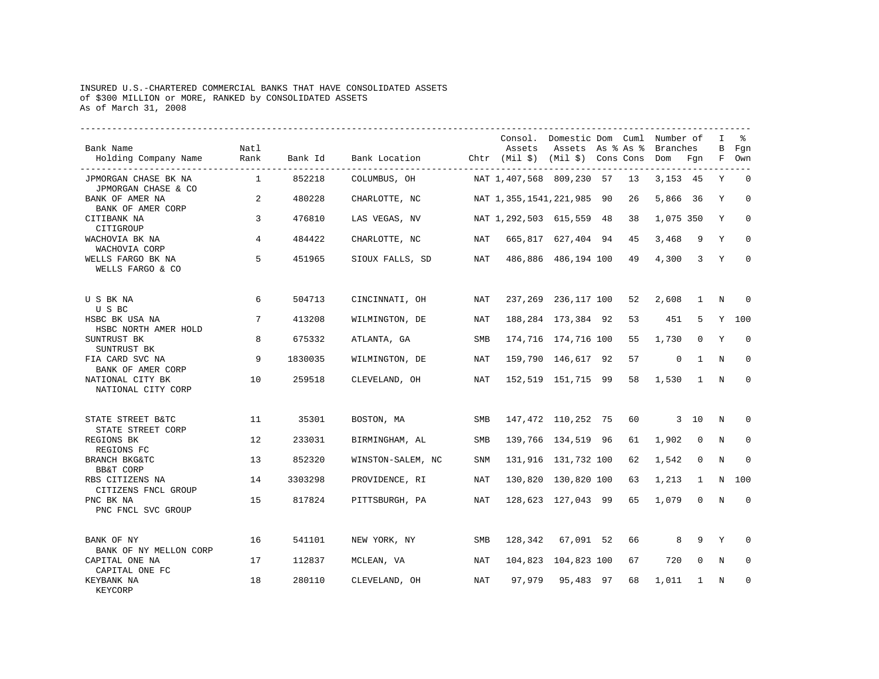## INSURED U.S.-CHARTERED COMMERCIAL BANKS THAT HAVE CONSOLIDATED ASSETS of \$300 MILLION or MORE, RANKED by CONSOLIDATED ASSETS As of March 31, 2008

| Bank Name<br>Holding Company Name           | Natl<br>Rank   | Bank Id | Bank Location Chtr (Mil \$) (Mil \$) Cons Cons Dom Fgn |     | Assets                    | Consol. Domestic Dom Cuml Number of<br>Assets As % As % |    | Branches    |                         | I<br>В<br>F | る<br>Fgn<br>Own |
|---------------------------------------------|----------------|---------|--------------------------------------------------------|-----|---------------------------|---------------------------------------------------------|----|-------------|-------------------------|-------------|-----------------|
| JPMORGAN CHASE BK NA<br>JPMORGAN CHASE & CO | $\overline{1}$ | 852218  | COLUMBUS, OH                                           |     | NAT 1,407,568 809,230 57  |                                                         | 13 | 3, 153 45   |                         | Y           | $\Omega$        |
| BANK OF AMER NA<br>BANK OF AMER CORP        | 2              | 480228  | CHARLOTTE, NC                                          |     | NAT 1,355,1541,221,985 90 |                                                         | 26 | 5,866 36    |                         | Y           | $\mathbf 0$     |
| CITIBANK NA<br>CITIGROUP                    | 3              | 476810  | LAS VEGAS, NV                                          |     | NAT 1,292,503 615,559 48  |                                                         | 38 | 1,075 350   |                         | Y           | $\Omega$        |
| WACHOVIA BK NA<br>WACHOVIA CORP             | 4              | 484422  | CHARLOTTE, NC                                          | NAT |                           | 665,817 627,404 94                                      | 45 | 3,468       | 9                       | Y           | $\Omega$        |
| WELLS FARGO BK NA<br>WELLS FARGO & CO       | 5              | 451965  | SIOUX FALLS, SD                                        | NAT |                           | 486,886 486,194 100                                     | 49 | 4,300       | $\overline{\mathbf{3}}$ | Y           | $\Omega$        |
| U S BK NA<br>U S BC                         | 6              | 504713  | CINCINNATI, OH                                         | NAT |                           | 237, 269 236, 117 100                                   | 52 | 2,608       | 1                       | N           | $\Omega$        |
| HSBC BK USA NA<br>HSBC NORTH AMER HOLD      | 7              | 413208  | WILMINGTON, DE                                         | NAT |                           | 188, 284 173, 384 92                                    | 53 | 451         | 5                       | Y           | 100             |
| SUNTRUST BK<br>SUNTRUST BK                  | 8              | 675332  | ATLANTA, GA                                            | SMB |                           | 174,716 174,716 100                                     | 55 | 1,730       | $\mathbf 0$             | Υ           | $\mathbf 0$     |
| FIA CARD SVC NA<br>BANK OF AMER CORP        | 9              | 1830035 | WILMINGTON, DE                                         | NAT |                           | 159,790 146,617 92                                      | 57 | $\mathbf 0$ | <sup>1</sup>            | N           | $\Omega$        |
| NATIONAL CITY BK<br>NATIONAL CITY CORP      | 10             | 259518  | CLEVELAND, OH                                          | NAT |                           | 152,519 151,715 99                                      | 58 | 1,530       | 1                       | N           | $\Omega$        |
| STATE STREET B&TC<br>STATE STREET CORP      | 11             | 35301   | BOSTON, MA                                             | SMB |                           | 147,472 110,252 75                                      | 60 |             | 3 10                    | $\mathbb N$ | 0               |
| REGIONS BK<br>REGIONS FC                    | 12             | 233031  | BIRMINGHAM, AL                                         | SMB |                           | 139,766 134,519 96                                      | 61 | 1,902       | $\mathbf 0$             | N           | $\Omega$        |
| BRANCH BKG&TC<br>BB&T CORP                  | 13             | 852320  | WINSTON-SALEM, NC                                      | SNM |                           | 131,916 131,732 100                                     | 62 | 1,542       | $\mathbf 0$             | N           | $\Omega$        |
| RBS CITIZENS NA<br>CITIZENS FNCL GROUP      | 14             | 3303298 | PROVIDENCE, RI                                         | NAT |                           | 130,820 130,820 100                                     | 63 | 1,213       | 1                       | N           | 100             |
| PNC BK NA<br>PNC FNCL SVC GROUP             | 15             | 817824  | PITTSBURGH, PA                                         | NAT |                           | 128,623 127,043 99                                      | 65 | 1,079       | $\mathbf 0$             | $\mathbf N$ | $\mathbf 0$     |
| BANK OF NY<br>BANK OF NY MELLON CORP        | 16             | 541101  | NEW YORK, NY                                           | SMB |                           | 128,342 67,091 52                                       | 66 | 8           | 9                       | Y           | $\Omega$        |
| CAPITAL ONE NA<br>CAPITAL ONE FC            | 17             | 112837  | MCLEAN, VA                                             | NAT |                           | 104,823 104,823 100                                     | 67 | 720         | 0                       | N           | 0               |
| KEYBANK NA<br><b>KEYCORP</b>                | 18             | 280110  | CLEVELAND, OH                                          | NAT | 97,979                    | 95,483 97                                               | 68 | 1,011       | $\mathbf{1}$            | N           | $\Omega$        |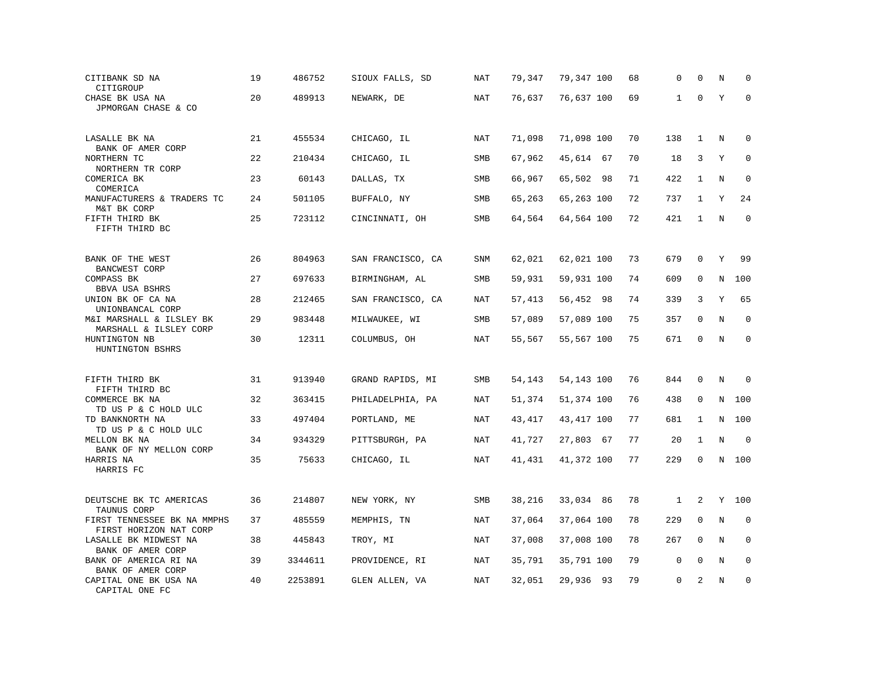| CITIBANK SD NA<br>CITIGROUP                                            | 19 | 486752  | SIOUX FALLS, SD   | NAT        | 79,347 | 79,347 100  | 68 | 0            | 0            | N       | $\Omega$    |
|------------------------------------------------------------------------|----|---------|-------------------|------------|--------|-------------|----|--------------|--------------|---------|-------------|
| CHASE BK USA NA<br>JPMORGAN CHASE & CO                                 | 20 | 489913  | NEWARK, DE        | <b>NAT</b> | 76,637 | 76,637 100  | 69 | $\mathbf{1}$ | $\Omega$     | Y       | $\mathbf 0$ |
| LASALLE BK NA                                                          | 21 | 455534  | CHICAGO, IL       | NAT        | 71,098 | 71,098 100  | 70 | 138          | $\mathbf{1}$ | N       | $\mathbf 0$ |
| BANK OF AMER CORP<br>NORTHERN TC                                       | 22 | 210434  | CHICAGO, IL       | SMB        | 67,962 | 45,614 67   | 70 | 18           | 3            | Υ       | $\Omega$    |
| NORTHERN TR CORP<br>COMERICA BK<br>COMERICA                            | 23 | 60143   | DALLAS, TX        | SMB        | 66,967 | 65,502 98   | 71 | 422          | $\mathbf{1}$ | N       | $\mathbf 0$ |
| MANUFACTURERS & TRADERS TC<br>M&T BK CORP                              | 24 | 501105  | BUFFALO, NY       | <b>SMB</b> | 65,263 | 65,263 100  | 72 | 737          | 1            | Υ       | 24          |
| FIFTH THIRD BK<br>FIFTH THIRD BC                                       | 25 | 723112  | CINCINNATI, OH    | SMB        | 64,564 | 64,564 100  | 72 | 421          | $\mathbf{1}$ | N       | $\mathbf 0$ |
| BANK OF THE WEST                                                       | 26 | 804963  | SAN FRANCISCO, CA | SNM        | 62,021 | 62,021 100  | 73 | 679          | $\mathbf 0$  | Y       | 99          |
| BANCWEST CORP<br>COMPASS BK                                            | 27 | 697633  | BIRMINGHAM, AL    | SMB        | 59,931 | 59,931 100  | 74 | 609          | 0            | N       | 100         |
| BBVA USA BSHRS<br>UNION BK OF CA NA                                    | 28 | 212465  | SAN FRANCISCO, CA | NAT        | 57,413 | 56,452 98   | 74 | 339          | 3            | Y       | 65          |
| UNIONBANCAL CORP<br>M&I MARSHALL & ILSLEY BK<br>MARSHALL & ILSLEY CORP | 29 | 983448  | MILWAUKEE, WI     | SMB        | 57,089 | 57,089 100  | 75 | 357          | $\mathbf 0$  | N       | $\mathbf 0$ |
| HUNTINGTON NB<br>HUNTINGTON BSHRS                                      | 30 | 12311   | COLUMBUS, OH      | NAT        | 55,567 | 55,567 100  | 75 | 671          | $\mathbf 0$  | N       | $\mathbf 0$ |
| FIFTH THIRD BK                                                         | 31 | 913940  | GRAND RAPIDS, MI  | SMB        | 54,143 | 54,143 100  | 76 | 844          | $\mathbf 0$  | N       | $\Omega$    |
| FIFTH THIRD BC<br>COMMERCE BK NA                                       | 32 | 363415  | PHILADELPHIA, PA  | NAT        | 51,374 | 51,374 100  | 76 | 438          | 0            | N       | 100         |
| TD US P & C HOLD ULC<br>TD BANKNORTH NA<br>TD US P & C HOLD ULC        | 33 | 497404  | PORTLAND, ME      | NAT        | 43,417 | 43, 417 100 | 77 | 681          | 1            | N       | 100         |
| MELLON BK NA<br>BANK OF NY MELLON CORP                                 | 34 | 934329  | PITTSBURGH, PA    | NAT        | 41,727 | 27,803 67   | 77 | 20           | $\mathbf{1}$ | $\rm N$ | $\mathbf 0$ |
| HARRIS NA<br>HARRIS FC                                                 | 35 | 75633   | CHICAGO, IL       | NAT        | 41,431 | 41,372 100  | 77 | 229          | 0            |         | N 100       |
| DEUTSCHE BK TC AMERICAS                                                | 36 | 214807  | NEW YORK, NY      | SMB        | 38,216 | 33,034 86   | 78 | $\mathbf{1}$ | 2            |         | Y 100       |
| TAUNUS CORP<br>FIRST TENNESSEE BK NA MMPHS<br>FIRST HORIZON NAT CORP   | 37 | 485559  | MEMPHIS, TN       | NAT        | 37,064 | 37,064 100  | 78 | 229          | $\mathbf 0$  | N       | $\mathbf 0$ |
| LASALLE BK MIDWEST NA<br>BANK OF AMER CORP                             | 38 | 445843  | TROY, MI          | NAT        | 37,008 | 37,008 100  | 78 | 267          | $\mathbf 0$  | N       | $\mathbf 0$ |
| BANK OF AMERICA RI NA<br>BANK OF AMER CORP                             | 39 | 3344611 | PROVIDENCE, RI    | NAT        | 35,791 | 35,791 100  | 79 | $\mathbf 0$  | $\mathbf 0$  | Ν       | 0           |
| CAPITAL ONE BK USA NA<br>CAPITAL ONE FC                                | 40 | 2253891 | GLEN ALLEN, VA    | NAT        | 32,051 | 29,936 93   | 79 | $\mathbf 0$  | 2            | N       | $\mathbf 0$ |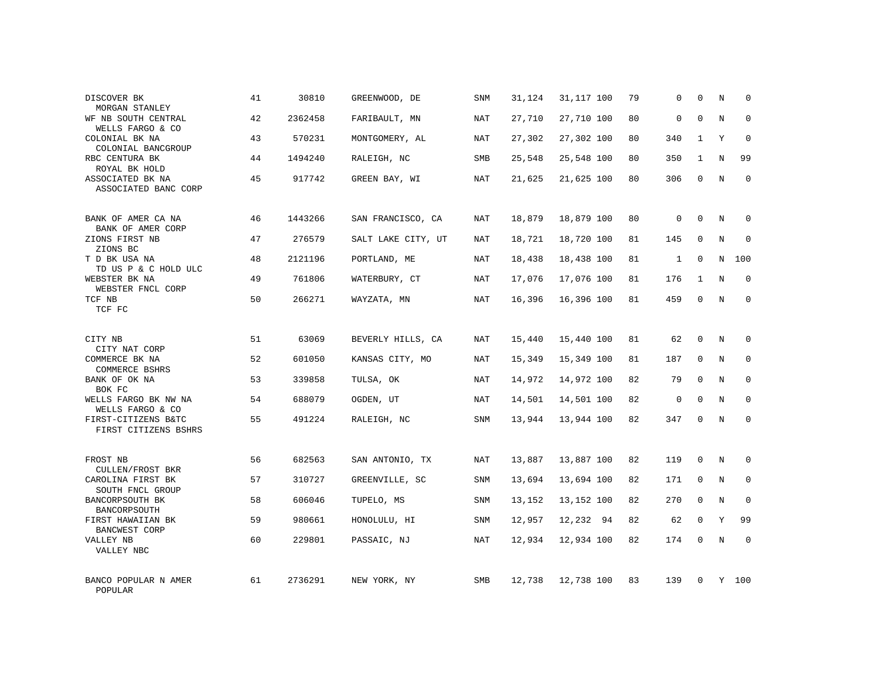| DISCOVER BK<br>MORGAN STANLEY                     | 41 | 30810   | GREENWOOD, DE      | <b>SNM</b> | 31,124 | 31,117 100 | 79 | 0            | $\mathbf 0$  | Ν       | $\mathbf 0$ |
|---------------------------------------------------|----|---------|--------------------|------------|--------|------------|----|--------------|--------------|---------|-------------|
| WF NB SOUTH CENTRAL<br>WELLS FARGO & CO           | 42 | 2362458 | FARIBAULT, MN      | NAT        | 27,710 | 27,710 100 | 80 | $\mathsf 0$  | $\mathbf 0$  | $\rm N$ | $\mathbf 0$ |
| COLONIAL BK NA<br>COLONIAL BANCGROUP              | 43 | 570231  | MONTGOMERY, AL     | NAT        | 27,302 | 27,302 100 | 80 | 340          | $\mathbf{1}$ | Y       | $\mathbf 0$ |
| RBC CENTURA BK<br>ROYAL BK HOLD                   | 44 | 1494240 | RALEIGH, NC        | SMB        | 25,548 | 25,548 100 | 80 | 350          | $\mathbf{1}$ | N       | 99          |
| ASSOCIATED BK NA<br>ASSOCIATED BANC CORP          | 45 | 917742  | GREEN BAY, WI      | NAT        | 21,625 | 21,625 100 | 80 | 306          | $\mathbf 0$  | $\rm N$ | $\mathbf 0$ |
| BANK OF AMER CA NA                                | 46 | 1443266 | SAN FRANCISCO, CA  | NAT        | 18,879 | 18,879 100 | 80 | 0            | 0            | N       | 0           |
| BANK OF AMER CORP<br>ZIONS FIRST NB<br>ZIONS BC   | 47 | 276579  | SALT LAKE CITY, UT | NAT        | 18,721 | 18,720 100 | 81 | 145          | 0            | N       | 0           |
| T D BK USA NA<br>TD US P & C HOLD ULC             | 48 | 2121196 | PORTLAND, ME       | NAT        | 18,438 | 18,438 100 | 81 | $\mathbf{1}$ | $\mathbf 0$  | N       | 100         |
| WEBSTER BK NA<br>WEBSTER FNCL CORP                | 49 | 761806  | WATERBURY, CT      | NAT        | 17,076 | 17,076 100 | 81 | 176          | $\mathbf{1}$ | N       | $\mathbf 0$ |
| TCF NB<br>TCF FC                                  | 50 | 266271  | WAYZATA, MN        | NAT        | 16,396 | 16,396 100 | 81 | 459          | $\mathbf 0$  | N       | $\mathbf 0$ |
| CITY NB                                           | 51 | 63069   | BEVERLY HILLS, CA  | NAT        | 15,440 | 15,440 100 | 81 | 62           | 0            | N       | $\mathbf 0$ |
| CITY NAT CORP<br>COMMERCE BK NA<br>COMMERCE BSHRS | 52 | 601050  | KANSAS CITY, MO    | NAT        | 15,349 | 15,349 100 | 81 | 187          | 0            | N       | $\mathbf 0$ |
| BANK OF OK NA<br>BOK FC                           | 53 | 339858  | TULSA, OK          | NAT        | 14,972 | 14,972 100 | 82 | 79           | $\mathbf 0$  | N       | $\mathbf 0$ |
| WELLS FARGO BK NW NA<br>WELLS FARGO & CO          | 54 | 688079  | OGDEN, UT          | NAT        | 14,501 | 14,501 100 | 82 | $\mathsf 0$  | $\mathbf{0}$ | N       | $\mathbf 0$ |
| FIRST-CITIZENS B&TC<br>FIRST CITIZENS BSHRS       | 55 | 491224  | RALEIGH, NC        | <b>SNM</b> | 13,944 | 13,944 100 | 82 | 347          | $\mathbf 0$  | N       | $\Omega$    |
| FROST NB<br>CULLEN/FROST BKR                      | 56 | 682563  | SAN ANTONIO, TX    | NAT        | 13,887 | 13,887 100 | 82 | 119          | $\mathbf 0$  | N       | $\mathbf 0$ |
| CAROLINA FIRST BK<br>SOUTH FNCL GROUP             | 57 | 310727  | GREENVILLE, SC     | <b>SNM</b> | 13,694 | 13,694 100 | 82 | 171          | $\mathbf{0}$ | N       | $\mathbf 0$ |
| BANCORPSOUTH BK<br>BANCORPSOUTH                   | 58 | 606046  | TUPELO, MS         | SNM        | 13,152 | 13,152 100 | 82 | 270          | $\mathbf{0}$ | N       | $\mathbf 0$ |
| FIRST HAWAIIAN BK<br><b>BANCWEST CORP</b>         | 59 | 980661  | HONOLULU, HI       | SNM        | 12,957 | 12,232 94  | 82 | 62           | $\mathbf 0$  | Y       | 99          |
| VALLEY NB<br>VALLEY NBC                           | 60 | 229801  | PASSAIC, NJ        | NAT        | 12,934 | 12,934 100 | 82 | 174          | $\mathbf 0$  | N       | $\mathbf 0$ |
| BANCO POPULAR N AMER<br>POPULAR                   | 61 | 2736291 | NEW YORK, NY       | SMB        | 12,738 | 12,738 100 | 83 | 139          | $\Omega$     |         | Y 100       |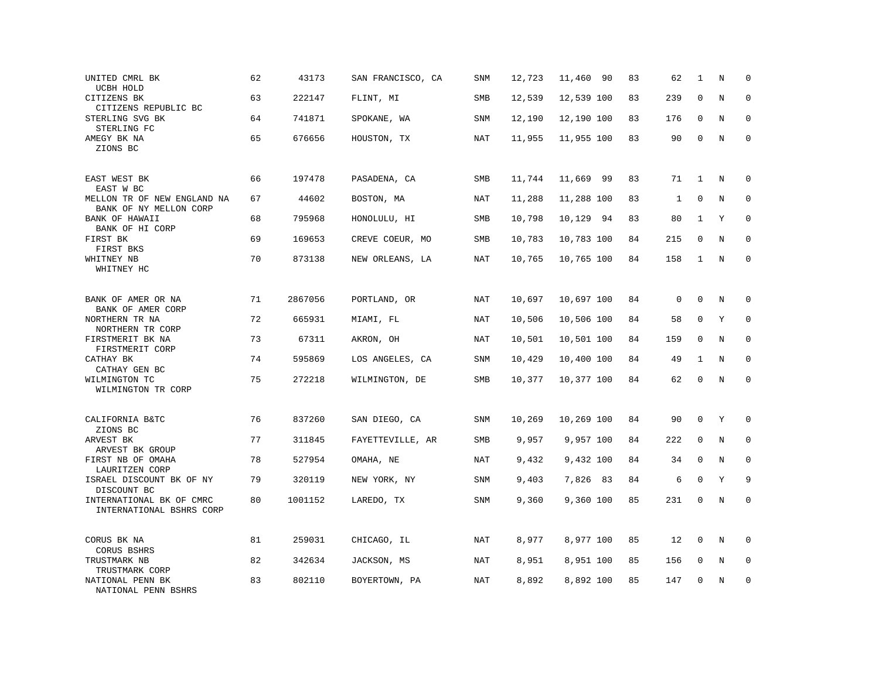| UNITED CMRL BK<br>UCBH HOLD                           | 62 | 43173   | SAN FRANCISCO, CA | <b>SNM</b> | 12,723 | 11,460<br>-90 | 83 | 62          | 1            | N       | $\mathbf 0$         |
|-------------------------------------------------------|----|---------|-------------------|------------|--------|---------------|----|-------------|--------------|---------|---------------------|
| CITIZENS BK<br>CITIZENS REPUBLIC BC                   | 63 | 222147  | FLINT, MI         | <b>SMB</b> | 12,539 | 12,539 100    | 83 | 239         | $\mathbf 0$  | N       | $\mathbf 0$         |
| STERLING SVG BK<br>STERLING FC                        | 64 | 741871  | SPOKANE, WA       | SNM        | 12,190 | 12,190 100    | 83 | 176         | $\mathbf 0$  | N       | 0                   |
| AMEGY BK NA<br>ZIONS BC                               | 65 | 676656  | HOUSTON, TX       | NAT        | 11,955 | 11,955 100    | 83 | 90          | $\mathbf{0}$ | N       | $\mathsf{O}\xspace$ |
| EAST WEST BK<br>EAST W BC                             | 66 | 197478  | PASADENA, CA      | SMB        | 11,744 | 11,669 99     | 83 | 71          | $\mathbf{1}$ | N       | $\mathbf 0$         |
| MELLON TR OF NEW ENGLAND NA<br>BANK OF NY MELLON CORP | 67 | 44602   | BOSTON, MA        | NAT        | 11,288 | 11,288 100    | 83 | 1           | $\mathbf 0$  | N       | $\mathbf 0$         |
| BANK OF HAWAII<br>BANK OF HI CORP                     | 68 | 795968  | HONOLULU, HI      | SMB        | 10,798 | 10,129 94     | 83 | 80          | 1            | Y       | $\mathbf 0$         |
| FIRST BK<br>FIRST BKS                                 | 69 | 169653  | CREVE COEUR, MO   | SMB        | 10,783 | 10,783 100    | 84 | 215         | $\mathbf{0}$ | N       | $\mathbf 0$         |
| WHITNEY NB<br>WHITNEY HC                              | 70 | 873138  | NEW ORLEANS, LA   | NAT        | 10,765 | 10,765 100    | 84 | 158         | 1            | N       | $\Omega$            |
| BANK OF AMER OR NA<br>BANK OF AMER CORP               | 71 | 2867056 | PORTLAND, OR      | NAT        | 10,697 | 10,697 100    | 84 | $\mathbf 0$ | $\mathbf 0$  | N       | 0                   |
| NORTHERN TR NA<br>NORTHERN TR CORP                    | 72 | 665931  | MIAMI, FL         | NAT        | 10,506 | 10,506 100    | 84 | 58          | 0            | Υ       | 0                   |
| FIRSTMERIT BK NA<br>FIRSTMERIT CORP                   | 73 | 67311   | AKRON, OH         | <b>NAT</b> | 10,501 | 10,501 100    | 84 | 159         | $\mathbf 0$  | N       | $\mathbf 0$         |
| CATHAY BK<br>CATHAY GEN BC                            | 74 | 595869  | LOS ANGELES, CA   | SNM        | 10,429 | 10,400 100    | 84 | 49          | 1            | N       | 0                   |
| WILMINGTON TC<br>WILMINGTON TR CORP                   | 75 | 272218  | WILMINGTON, DE    | SMB        | 10,377 | 10,377 100    | 84 | 62          | $\mathbf 0$  | N       | $\mathbf 0$         |
| CALIFORNIA B&TC<br>ZIONS BC                           | 76 | 837260  | SAN DIEGO, CA     | SNM        | 10,269 | 10,269 100    | 84 | 90          | $\mathbf 0$  | Υ       | $\mathbf 0$         |
| ARVEST BK<br>ARVEST BK GROUP                          | 77 | 311845  | FAYETTEVILLE, AR  | SMB        | 9,957  | 9,957 100     | 84 | 222         | $\mathbf 0$  | N       | $\mathbf 0$         |
| FIRST NB OF OMAHA<br>LAURITZEN CORP                   | 78 | 527954  | OMAHA, NE         | NAT        | 9,432  | 9,432 100     | 84 | 34          | $\mathbf 0$  | $\rm N$ | 0                   |
| ISRAEL DISCOUNT BK OF NY<br>DISCOUNT BC               | 79 | 320119  | NEW YORK, NY      | SNM        | 9,403  | 7,826 83      | 84 | 6           | $\mathbf 0$  | Y       | 9                   |
| INTERNATIONAL BK OF CMRC<br>INTERNATIONAL BSHRS CORP  | 80 | 1001152 | LAREDO, TX        | <b>SNM</b> | 9,360  | 9,360 100     | 85 | 231         | $\mathbf 0$  | N       | $\mathbf 0$         |
| CORUS BK NA                                           | 81 | 259031  | CHICAGO, IL       | NAT        | 8,977  | 8,977 100     | 85 | 12          | 0            | N       | 0                   |
| CORUS BSHRS<br>TRUSTMARK NB<br>TRUSTMARK CORP         | 82 | 342634  | JACKSON, MS       | NAT        | 8,951  | 8,951 100     | 85 | 156         | $\mathbf 0$  | N       | $\mathbf 0$         |
| NATIONAL PENN BK<br>NATIONAL PENN BSHRS               | 83 | 802110  | BOYERTOWN, PA     | NAT        | 8,892  | 8,892 100     | 85 | 147         | $\mathbf 0$  | N       | $\mathbf 0$         |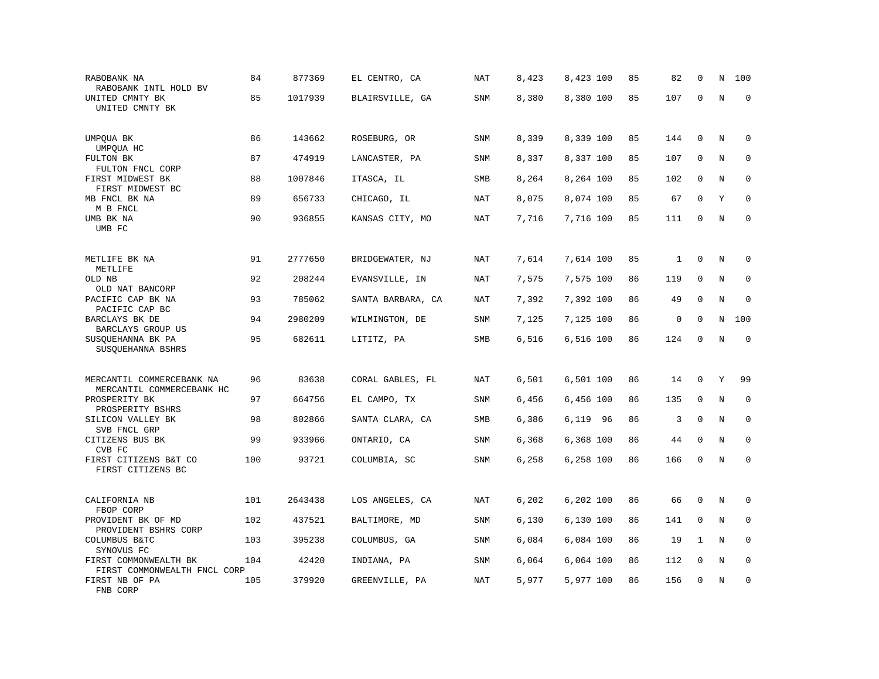| RABOBANK NA<br>RABOBANK INTL HOLD BV                           | 84  | 877369  | EL CENTRO, CA     | <b>NAT</b> | 8,423 | 8,423 100 | 85 | 82           | $\mathbf 0$  | N       | 100          |
|----------------------------------------------------------------|-----|---------|-------------------|------------|-------|-----------|----|--------------|--------------|---------|--------------|
| UNITED CMNTY BK<br>UNITED CMNTY BK                             | 85  | 1017939 | BLAIRSVILLE, GA   | SNM        | 8,380 | 8,380 100 | 85 | 107          | $\mathbf 0$  | $\rm N$ | $\mathbf 0$  |
| UMPQUA BK<br>UMPQUA HC                                         | 86  | 143662  | ROSEBURG, OR      | <b>SNM</b> | 8,339 | 8,339 100 | 85 | 144          | $\mathbf 0$  | N       | $\mathbf 0$  |
| FULTON BK<br>FULTON FNCL CORP                                  | 87  | 474919  | LANCASTER, PA     | SNM        | 8,337 | 8,337 100 | 85 | 107          | 0            | N       | $\mathbf 0$  |
| FIRST MIDWEST BK<br>FIRST MIDWEST BC                           | 88  | 1007846 | ITASCA, IL        | SMB        | 8,264 | 8,264 100 | 85 | 102          | $\mathbf 0$  | N       | $\mathbf 0$  |
| MB FNCL BK NA<br>M B FNCL                                      | 89  | 656733  | CHICAGO, IL       | <b>NAT</b> | 8,075 | 8,074 100 | 85 | 67           | $\mathbf 0$  | Υ       | $\mathbf 0$  |
| UMB BK NA<br>UMB FC                                            | 90  | 936855  | KANSAS CITY, MO   | <b>NAT</b> | 7,716 | 7,716 100 | 85 | 111          | $\mathbf 0$  | N       | $\mathbf 0$  |
| METLIFE BK NA<br>METLIFE                                       | 91  | 2777650 | BRIDGEWATER, NJ   | <b>NAT</b> | 7,614 | 7,614 100 | 85 | $\mathbf{1}$ | $\mathbf 0$  | $\rm N$ | 0            |
| OLD NB<br>OLD NAT BANCORP                                      | 92  | 208244  | EVANSVILLE, IN    | NAT        | 7,575 | 7,575 100 | 86 | 119          | $\mathbf 0$  | N       | $\mathbf 0$  |
| PACIFIC CAP BK NA<br>PACIFIC CAP BC                            | 93  | 785062  | SANTA BARBARA, CA | NAT        | 7,392 | 7,392 100 | 86 | 49           | $\mathbf 0$  | N       | $\mathbf 0$  |
| BARCLAYS BK DE<br>BARCLAYS GROUP US                            | 94  | 2980209 | WILMINGTON, DE    | <b>SNM</b> | 7,125 | 7,125 100 | 86 | $\mathsf 0$  | $\mathbf 0$  | N       | 100          |
| SUSQUEHANNA BK PA<br>SUSQUEHANNA BSHRS                         | 95  | 682611  | LITITZ, PA        | SMB        | 6,516 | 6,516 100 | 86 | 124          | $\mathbf 0$  | N       | $\mathbf 0$  |
| MERCANTIL COMMERCEBANK NA                                      | 96  | 83638   | CORAL GABLES, FL  | NAT        | 6,501 | 6,501 100 | 86 | 14           | 0            | Υ       | 99           |
| MERCANTIL COMMERCEBANK HC<br>PROSPERITY BK<br>PROSPERITY BSHRS | 97  | 664756  | EL CAMPO, TX      | SNM        | 6,456 | 6,456 100 | 86 | 135          | $\mathbf{0}$ | N       | $\mathbf 0$  |
| SILICON VALLEY BK<br>SVB FNCL GRP                              | 98  | 802866  | SANTA CLARA, CA   | SMB        | 6,386 | 6,119 96  | 86 | 3            | $\mathbf{0}$ | N       | $\mathbf 0$  |
| CITIZENS BUS BK<br>CVB FC                                      | 99  | 933966  | ONTARIO, CA       | SNM        | 6,368 | 6,368 100 | 86 | 44           | $\mathbf 0$  | N       | $\mathbf{0}$ |
| FIRST CITIZENS B&T CO<br>FIRST CITIZENS BC                     | 100 | 93721   | COLUMBIA, SC      | SNM        | 6,258 | 6,258 100 | 86 | 166          | $\mathbf 0$  | N       | $\mathbf 0$  |
| CALIFORNIA NB<br>FBOP CORP                                     | 101 | 2643438 | LOS ANGELES, CA   | NAT        | 6,202 | 6,202 100 | 86 | 66           | $\mathbf{0}$ | N       | 0            |
| PROVIDENT BK OF MD<br>PROVIDENT BSHRS CORP                     | 102 | 437521  | BALTIMORE, MD     | SNM        | 6,130 | 6,130 100 | 86 | 141          | 0            | N       | 0            |
| COLUMBUS B&TC<br>SYNOVUS FC                                    | 103 | 395238  | COLUMBUS, GA      | SNM        | 6,084 | 6,084 100 | 86 | 19           | 1            | N       | $\mathbf 0$  |
| FIRST COMMONWEALTH BK<br>FIRST COMMONWEALTH FNCL CORP          | 104 | 42420   | INDIANA, PA       | SNM        | 6,064 | 6,064 100 | 86 | 112          | 0            | Ν       | 0            |
| FIRST NB OF PA<br>FNB CORP                                     | 105 | 379920  | GREENVILLE, PA    | NAT        | 5,977 | 5,977 100 | 86 | 156          | $\mathbf{0}$ | N       | $\mathbf 0$  |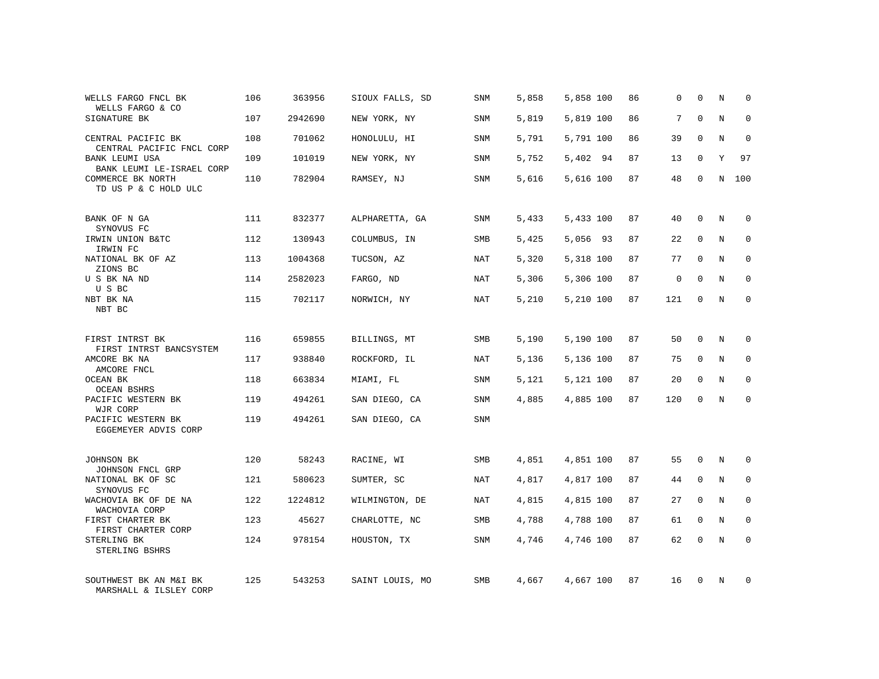| WELLS FARGO FNCL BK<br>WELLS FARGO & CO                                | 106 | 363956  | SIOUX FALLS, SD | SNM        | 5,858 | 5,858 100 | 86 | 0   | 0           | Ν | 0           |
|------------------------------------------------------------------------|-----|---------|-----------------|------------|-------|-----------|----|-----|-------------|---|-------------|
| SIGNATURE BK                                                           | 107 | 2942690 | NEW YORK, NY    | SNM        | 5,819 | 5,819 100 | 86 | 7   | $\mathbf 0$ | N | $\mathbf 0$ |
| CENTRAL PACIFIC BK<br>CENTRAL PACIFIC FNCL CORP                        | 108 | 701062  | HONOLULU, HI    | SNM        | 5,791 | 5,791 100 | 86 | 39  | 0           | N | 0           |
| BANK LEUMI USA                                                         | 109 | 101019  | NEW YORK, NY    | <b>SNM</b> | 5,752 | 5,402 94  | 87 | 13  | 0           | Y | 97          |
| BANK LEUMI LE-ISRAEL CORP<br>COMMERCE BK NORTH<br>TD US P & C HOLD ULC | 110 | 782904  | RAMSEY, NJ      | SNM        | 5,616 | 5,616 100 | 87 | 48  | $\mathbf 0$ | Ν | 100         |
| BANK OF N GA                                                           | 111 | 832377  | ALPHARETTA, GA  | SNM        | 5,433 | 5,433 100 | 87 | 40  | 0           | N | 0           |
| SYNOVUS FC<br>IRWIN UNION B&TC                                         | 112 | 130943  | COLUMBUS, IN    | SMB        | 5,425 | 5,056 93  | 87 | 22  | 0           | N | 0           |
| IRWIN FC<br>NATIONAL BK OF AZ<br>ZIONS BC                              | 113 | 1004368 | TUCSON, AZ      | NAT        | 5,320 | 5,318 100 | 87 | 77  | $\mathbf 0$ | N | 0           |
| U S BK NA ND<br>U S BC                                                 | 114 | 2582023 | FARGO, ND       | NAT        | 5,306 | 5,306 100 | 87 | 0   | 0           | N | 0           |
| NBT BK NA<br>NBT BC                                                    | 115 | 702117  | NORWICH, NY     | NAT        | 5,210 | 5,210 100 | 87 | 121 | 0           | N | 0           |
| FIRST INTRST BK                                                        | 116 | 659855  | BILLINGS, MT    | SMB        | 5,190 | 5,190 100 | 87 | 50  | 0           | N | $\mathbf 0$ |
| FIRST INTRST BANCSYSTEM<br>AMCORE BK NA<br>AMCORE FNCL                 | 117 | 938840  | ROCKFORD, IL    | NAT        | 5,136 | 5,136 100 | 87 | 75  | 0           | N | 0           |
| OCEAN BK<br><b>OCEAN BSHRS</b>                                         | 118 | 663834  | MIAMI, FL       | SNM        | 5,121 | 5,121 100 | 87 | 20  | 0           | N | $\mathbf 0$ |
| PACIFIC WESTERN BK<br>WJR CORP                                         | 119 | 494261  | SAN DIEGO, CA   | SNM        | 4,885 | 4,885 100 | 87 | 120 | 0           | N | $\mathbf 0$ |
| PACIFIC WESTERN BK<br>EGGEMEYER ADVIS CORP                             | 119 | 494261  | SAN DIEGO, CA   | SNM        |       |           |    |     |             |   |             |
| JOHNSON BK<br>JOHNSON FNCL GRP                                         | 120 | 58243   | RACINE, WI      | SMB        | 4,851 | 4,851 100 | 87 | 55  | 0           | N | 0           |
| NATIONAL BK OF SC<br>SYNOVUS FC                                        | 121 | 580623  | SUMTER, SC      | NAT        | 4,817 | 4,817 100 | 87 | 44  | 0           | Ν | 0           |
| WACHOVIA BK OF DE NA<br>WACHOVIA CORP                                  | 122 | 1224812 | WILMINGTON, DE  | NAT        | 4,815 | 4,815 100 | 87 | 27  | 0           | N | $\mathbf 0$ |
| FIRST CHARTER BK<br>FIRST CHARTER CORP                                 | 123 | 45627   | CHARLOTTE, NC   | SMB        | 4,788 | 4,788 100 | 87 | 61  | 0           | N | 0           |
| STERLING BK<br>STERLING BSHRS                                          | 124 | 978154  | HOUSTON, TX     | <b>SNM</b> | 4,746 | 4,746 100 | 87 | 62  | $\mathbf 0$ | N | $\mathbf 0$ |
| SOUTHWEST BK AN M&I BK<br>MARSHALL & ILSLEY CORP                       | 125 | 543253  | SAINT LOUIS, MO | <b>SMB</b> | 4,667 | 4,667 100 | 87 | 16  | 0           | N | $\mathbf 0$ |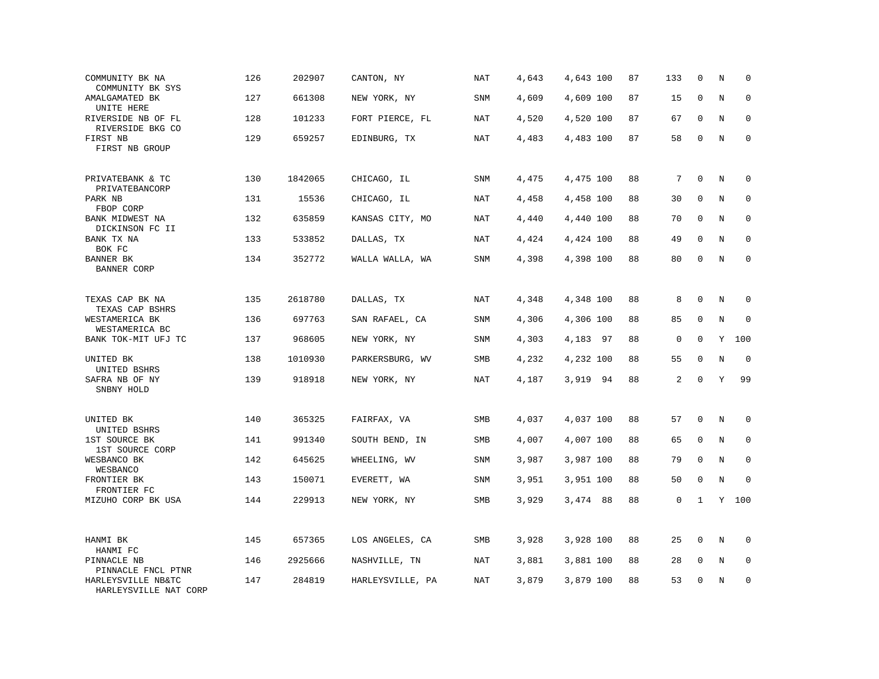| COMMUNITY BK NA<br>COMMUNITY BK SYS         | 126 | 202907  | CANTON, NY       | NAT        | 4,643 | 4,643 100 | 87 | 133         | 0            | N | $\mathbf 0$ |
|---------------------------------------------|-----|---------|------------------|------------|-------|-----------|----|-------------|--------------|---|-------------|
| AMALGAMATED BK<br>UNITE HERE                | 127 | 661308  | NEW YORK, NY     | SNM        | 4,609 | 4,609 100 | 87 | 15          | $\mathbf{0}$ | N | $\mathbf 0$ |
| RIVERSIDE NB OF FL<br>RIVERSIDE BKG CO      | 128 | 101233  | FORT PIERCE, FL  | NAT        | 4,520 | 4,520 100 | 87 | 67          | $\mathbf 0$  | N | $\mathbf 0$ |
| FIRST NB<br>FIRST NB GROUP                  | 129 | 659257  | EDINBURG, TX     | <b>NAT</b> | 4,483 | 4,483 100 | 87 | 58          | $\mathbf 0$  | N | $\mathbf 0$ |
| PRIVATEBANK & TC<br>PRIVATEBANCORP          | 130 | 1842065 | CHICAGO, IL      | <b>SNM</b> | 4,475 | 4,475 100 | 88 | 7           | $\mathbf{0}$ | N | $\mathbf 0$ |
| PARK NB<br>FBOP CORP                        | 131 | 15536   | CHICAGO, IL      | <b>NAT</b> | 4,458 | 4,458 100 | 88 | 30          | 0            | N | 0           |
| BANK MIDWEST NA<br>DICKINSON FC II          | 132 | 635859  | KANSAS CITY, MO  | <b>NAT</b> | 4,440 | 4,440 100 | 88 | 70          | $\mathbf 0$  | N | $\mathbf 0$ |
| BANK TX NA<br>BOK FC                        | 133 | 533852  | DALLAS, TX       | <b>NAT</b> | 4,424 | 4,424 100 | 88 | 49          | $\Omega$     | N | $\mathbf 0$ |
| BANNER BK<br>BANNER CORP                    | 134 | 352772  | WALLA WALLA, WA  | SNM        | 4,398 | 4,398 100 | 88 | 80          | $\mathbf 0$  | N | $\mathbf 0$ |
| TEXAS CAP BK NA<br>TEXAS CAP BSHRS          | 135 | 2618780 | DALLAS, TX       | NAT        | 4,348 | 4,348 100 | 88 | 8           | $\mathbf 0$  | N | $\mathbf 0$ |
| WESTAMERICA BK<br>WESTAMERICA BC            | 136 | 697763  | SAN RAFAEL, CA   | SNM        | 4,306 | 4,306 100 | 88 | 85          | 0            | N | $\mathbf 0$ |
| BANK TOK-MIT UFJ TC                         | 137 | 968605  | NEW YORK, NY     | <b>SNM</b> | 4,303 | 4,183 97  | 88 | $\mathsf 0$ | $\mathbf 0$  | Y | 100         |
| UNITED BK<br>UNITED BSHRS                   | 138 | 1010930 | PARKERSBURG, WV  | SMB        | 4,232 | 4,232 100 | 88 | 55          | $\Omega$     | N | $\mathbf 0$ |
| SAFRA NB OF NY<br>SNBNY HOLD                | 139 | 918918  | NEW YORK, NY     | NAT        | 4,187 | 3,919 94  | 88 | 2           | $\mathbf 0$  | Y | 99          |
| UNITED BK<br>UNITED BSHRS                   | 140 | 365325  | FAIRFAX, VA      | <b>SMB</b> | 4,037 | 4,037 100 | 88 | 57          | $\mathbf 0$  | N | $\mathbf 0$ |
| 1ST SOURCE BK<br>1ST SOURCE CORP            | 141 | 991340  | SOUTH BEND, IN   | SMB        | 4,007 | 4,007 100 | 88 | 65          | $\mathbf 0$  | N | 0           |
| WESBANCO BK<br>WESBANCO                     | 142 | 645625  | WHEELING, WV     | <b>SNM</b> | 3,987 | 3,987 100 | 88 | 79          | $\mathbf 0$  | N | $\mathbf 0$ |
| FRONTIER BK<br>FRONTIER FC                  | 143 | 150071  | EVERETT, WA      | SNM        | 3,951 | 3,951 100 | 88 | 50          | $\mathbf 0$  | N | $\Omega$    |
| MIZUHO CORP BK USA                          | 144 | 229913  | NEW YORK, NY     | SMB        | 3,929 | 3,474 88  | 88 | 0           | $\mathbf{1}$ |   | Y 100       |
| HANMI BK<br>HANMI FC                        | 145 | 657365  | LOS ANGELES, CA  | <b>SMB</b> | 3,928 | 3,928 100 | 88 | 25          | $\mathbf 0$  | N | $\mathbf 0$ |
| PINNACLE NB<br>PINNACLE FNCL PTNR           | 146 | 2925666 | NASHVILLE, TN    | <b>NAT</b> | 3,881 | 3,881 100 | 88 | 28          | 0            | N | 0           |
| HARLEYSVILLE NB&TC<br>HARLEYSVILLE NAT CORP | 147 | 284819  | HARLEYSVILLE, PA | <b>NAT</b> | 3,879 | 3,879 100 | 88 | 53          | $\mathbf 0$  | N | $\mathbf 0$ |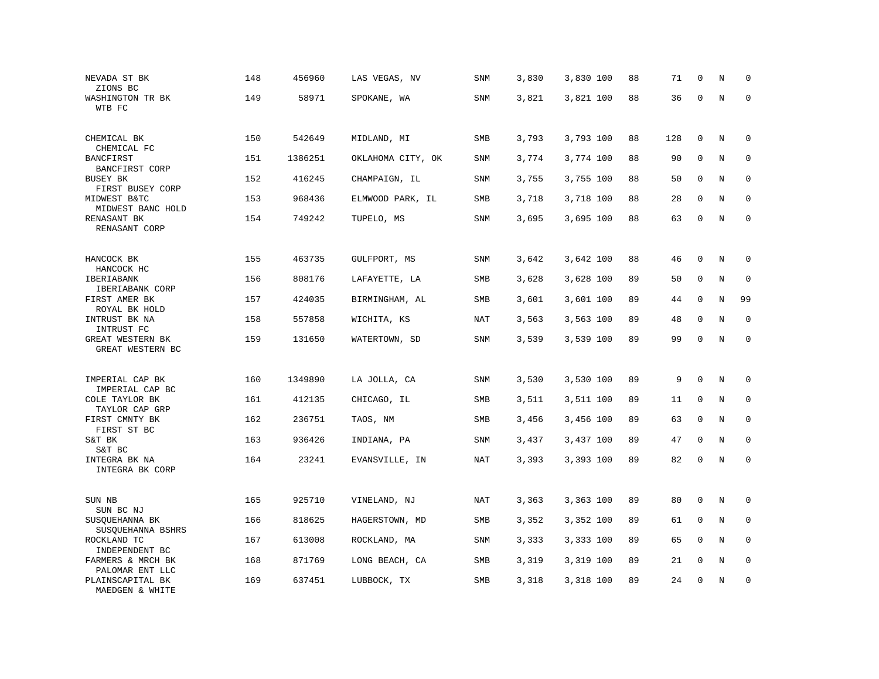| NEVADA ST BK<br>ZIONS BC                            | 148 | 456960  | LAS VEGAS, NV     | SNM        | 3,830 | 3,830 100 | 88 | 71  | $\mathbf 0$ | N       | $\mathbf 0$ |
|-----------------------------------------------------|-----|---------|-------------------|------------|-------|-----------|----|-----|-------------|---------|-------------|
| WASHINGTON TR BK<br>WTB FC                          | 149 | 58971   | SPOKANE, WA       | <b>SNM</b> | 3,821 | 3,821 100 | 88 | 36  | $\mathbf 0$ | $\rm N$ | $\mathbf 0$ |
| CHEMICAL BK<br>CHEMICAL FC                          | 150 | 542649  | MIDLAND, MI       | SMB        | 3,793 | 3,793 100 | 88 | 128 | $\mathbf 0$ | $\rm N$ | 0           |
| BANCFIRST<br>BANCFIRST CORP                         | 151 | 1386251 | OKLAHOMA CITY, OK | SNM        | 3,774 | 3,774 100 | 88 | 90  | $\mathbf 0$ | N       | $\mathbf 0$ |
| BUSEY BK<br>FIRST BUSEY CORP                        | 152 | 416245  | CHAMPAIGN, IL     | <b>SNM</b> | 3,755 | 3,755 100 | 88 | 50  | $\mathbf 0$ | N       | $\mathbf 0$ |
| MIDWEST B&TC<br>MIDWEST BANC HOLD                   | 153 | 968436  | ELMWOOD PARK, IL  | SMB        | 3,718 | 3,718 100 | 88 | 28  | $\mathbf 0$ | N       | $\mathbf 0$ |
| RENASANT BK<br>RENASANT CORP                        | 154 | 749242  | TUPELO, MS        | SNM        | 3,695 | 3,695 100 | 88 | 63  | $\Omega$    | N       | $\mathbf 0$ |
| HANCOCK BK<br>HANCOCK HC                            | 155 | 463735  | GULFPORT, MS      | SNM        | 3,642 | 3,642 100 | 88 | 46  | $\mathbf 0$ | N       | $\mathbf 0$ |
| IBERIABANK<br>IBERIABANK CORP                       | 156 | 808176  | LAFAYETTE, LA     | SMB        | 3,628 | 3,628 100 | 89 | 50  | 0           | $\rm N$ | 0           |
| FIRST AMER BK<br>ROYAL BK HOLD                      | 157 | 424035  | BIRMINGHAM, AL    | SMB        | 3,601 | 3,601 100 | 89 | 44  | $\mathbf 0$ | N       | 99          |
| INTRUST BK NA<br>INTRUST FC                         | 158 | 557858  | WICHITA, KS       | NAT        | 3,563 | 3,563 100 | 89 | 48  | $\mathbf 0$ | N       | $\mathbf 0$ |
| GREAT WESTERN BK<br>GREAT WESTERN BC                | 159 | 131650  | WATERTOWN, SD     | <b>SNM</b> | 3,539 | 3,539 100 | 89 | 99  | $\mathbf 0$ | $\rm N$ | $\mathbf 0$ |
| IMPERIAL CAP BK                                     | 160 | 1349890 | LA JOLLA, CA      | SNM        | 3,530 | 3,530 100 | 89 | 9   | $\mathbf 0$ | N       | $\mathbf 0$ |
| IMPERIAL CAP BC<br>COLE TAYLOR BK<br>TAYLOR CAP GRP | 161 | 412135  | CHICAGO, IL       | SMB        | 3,511 | 3,511 100 | 89 | 11  | $\mathbf 0$ | N       | $\mathbf 0$ |
| FIRST CMNTY BK<br>FIRST ST BC                       | 162 | 236751  | TAOS, NM          | SMB        | 3,456 | 3,456 100 | 89 | 63  | $\mathbf 0$ | N       | $\mathbf 0$ |
| S&T BK<br>S&T BC                                    | 163 | 936426  | INDIANA, PA       | SNM        | 3,437 | 3,437 100 | 89 | 47  | 0           | N       | 0           |
| INTEGRA BK NA<br>INTEGRA BK CORP                    | 164 | 23241   | EVANSVILLE, IN    | <b>NAT</b> | 3,393 | 3,393 100 | 89 | 82  | $\mathsf 0$ | $\rm N$ | $\mathbf 0$ |
| SUN NB<br>SUN BC NJ                                 | 165 | 925710  | VINELAND, NJ      | <b>NAT</b> | 3,363 | 3,363 100 | 89 | 80  | $\mathbf 0$ | $\rm N$ | 0           |
| SUSQUEHANNA BK<br>SUSQUEHANNA BSHRS                 | 166 | 818625  | HAGERSTOWN, MD    | SMB        | 3,352 | 3,352 100 | 89 | 61  | $\mathbf 0$ | N       | 0           |
| ROCKLAND TC<br>INDEPENDENT BC                       | 167 | 613008  | ROCKLAND, MA      | SNM        | 3,333 | 3,333 100 | 89 | 65  | $\Omega$    | N       | $\mathbf 0$ |
| FARMERS & MRCH BK<br>PALOMAR ENT LLC                | 168 | 871769  | LONG BEACH, CA    | SMB        | 3,319 | 3,319 100 | 89 | 21  | $\mathbf 0$ | N       | $\mathbf 0$ |
| PLAINSCAPITAL BK<br>MAEDGEN & WHITE                 | 169 | 637451  | LUBBOCK, TX       | SMB        | 3,318 | 3,318 100 | 89 | 24  | $\mathbf 0$ | N       | $\mathbf 0$ |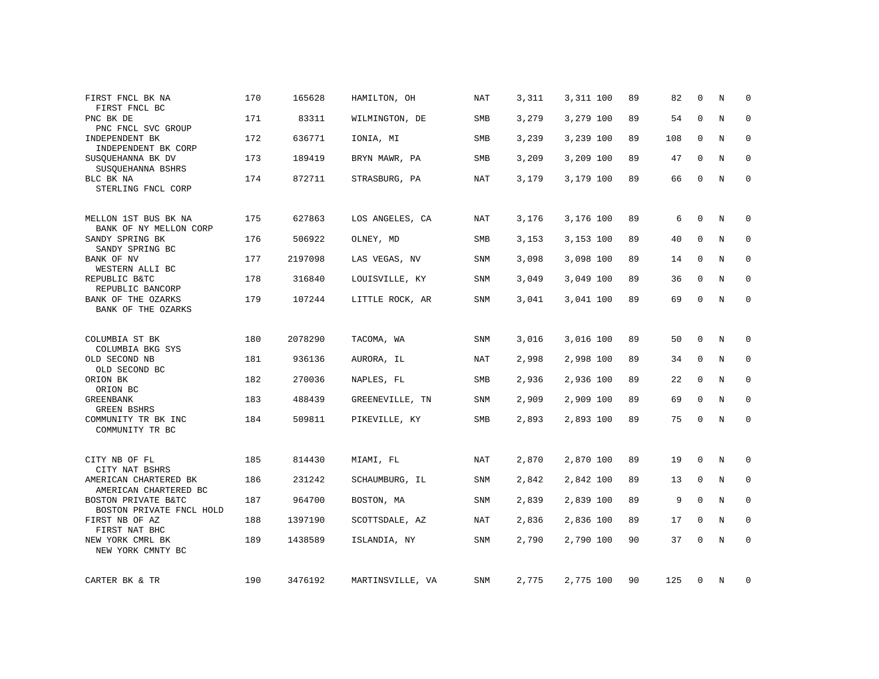| FIRST FNCL BK NA<br>FIRST FNCL BC                             | 170 | 165628  | HAMILTON, OH     | <b>NAT</b> | 3,311 | 3,311 100 | 89 | 82  | $\mathbf 0$  | N       | $\mathbf 0$ |
|---------------------------------------------------------------|-----|---------|------------------|------------|-------|-----------|----|-----|--------------|---------|-------------|
| PNC BK DE                                                     | 171 | 83311   | WILMINGTON, DE   | SMB        | 3,279 | 3,279 100 | 89 | 54  | $\mathbf 0$  | N       | $\mathbf 0$ |
| PNC FNCL SVC GROUP<br>INDEPENDENT BK                          | 172 | 636771  | IONIA, MI        | SMB        | 3,239 | 3,239 100 | 89 | 108 | $\mathbf 0$  | N       | $\mathbf 0$ |
| INDEPENDENT BK CORP<br>SUSQUEHANNA BK DV<br>SUSQUEHANNA BSHRS | 173 | 189419  | BRYN MAWR, PA    | SMB        | 3,209 | 3,209 100 | 89 | 47  | $\mathbf{0}$ | N       | $\mathbf 0$ |
| BLC BK NA<br>STERLING FNCL CORP                               | 174 | 872711  | STRASBURG, PA    | NAT        | 3,179 | 3,179 100 | 89 | 66  | 0            | N       | $\mathbf 0$ |
| MELLON 1ST BUS BK NA<br>BANK OF NY MELLON CORP                | 175 | 627863  | LOS ANGELES, CA  | NAT        | 3,176 | 3,176 100 | 89 | 6   | $\mathbf{0}$ | N       | 0           |
| SANDY SPRING BK<br>SANDY SPRING BC                            | 176 | 506922  | OLNEY, MD        | SMB        | 3,153 | 3,153 100 | 89 | 40  | $\mathbf 0$  | N       | 0           |
| BANK OF NV<br>WESTERN ALLI BC                                 | 177 | 2197098 | LAS VEGAS, NV    | SNM        | 3,098 | 3,098 100 | 89 | 14  | $\Omega$     | N       | $\mathbf 0$ |
| REPUBLIC B&TC<br>REPUBLIC BANCORP                             | 178 | 316840  | LOUISVILLE, KY   | SNM        | 3,049 | 3,049 100 | 89 | 36  | $\mathbf 0$  | N       | $\mathbf 0$ |
| BANK OF THE OZARKS<br>BANK OF THE OZARKS                      | 179 | 107244  | LITTLE ROCK, AR  | <b>SNM</b> | 3,041 | 3,041 100 | 89 | 69  | $\mathbf{0}$ | N       | $\mathbf 0$ |
| COLUMBIA ST BK<br>COLUMBIA BKG SYS                            | 180 | 2078290 | TACOMA, WA       | <b>SNM</b> | 3,016 | 3,016 100 | 89 | 50  | $\mathbf{0}$ | N       | $\mathbf 0$ |
| OLD SECOND NB                                                 | 181 | 936136  | AURORA, IL       | NAT        | 2,998 | 2,998 100 | 89 | 34  | $\mathbf 0$  | $\rm N$ | 0           |
| OLD SECOND BC<br>ORION BK<br>ORION BC                         | 182 | 270036  | NAPLES, FL       | SMB        | 2,936 | 2,936 100 | 89 | 22  | $\mathbf{0}$ | N       | $\mathbf 0$ |
| <b>GREENBANK</b><br><b>GREEN BSHRS</b>                        | 183 | 488439  | GREENEVILLE, TN  | <b>SNM</b> | 2,909 | 2,909 100 | 89 | 69  | $\mathbf{0}$ | N       | $\mathbf 0$ |
| COMMUNITY TR BK INC<br>COMMUNITY TR BC                        | 184 | 509811  | PIKEVILLE, KY    | <b>SMB</b> | 2,893 | 2,893 100 | 89 | 75  | 0            | N       | $\mathbf 0$ |
| CITY NB OF FL<br>CITY NAT BSHRS                               | 185 | 814430  | MIAMI, FL        | NAT        | 2,870 | 2,870 100 | 89 | 19  | $\mathbf 0$  | N       | 0           |
| AMERICAN CHARTERED BK<br>AMERICAN CHARTERED BC                | 186 | 231242  | SCHAUMBURG, IL   | <b>SNM</b> | 2,842 | 2,842 100 | 89 | 13  | 0            | N       | $\mathbf 0$ |
| BOSTON PRIVATE B&TC<br>BOSTON PRIVATE FNCL HOLD               | 187 | 964700  | BOSTON, MA       | SNM        | 2,839 | 2,839 100 | 89 | 9   | $\mathbf{0}$ | N       | $\mathbf 0$ |
| FIRST NB OF AZ<br>FIRST NAT BHC                               | 188 | 1397190 | SCOTTSDALE, AZ   | NAT        | 2,836 | 2,836 100 | 89 | 17  | 0            | N       | 0           |
| NEW YORK CMRL BK<br>NEW YORK CMNTY BC                         | 189 | 1438589 | ISLANDIA, NY     | SNM        | 2,790 | 2,790 100 | 90 | 37  | $\mathbf{0}$ | $\rm N$ | $\mathbf 0$ |
| CARTER BK & TR                                                | 190 | 3476192 | MARTINSVILLE, VA | SNM        | 2,775 | 2,775 100 | 90 | 125 | 0            | Ν       | 0           |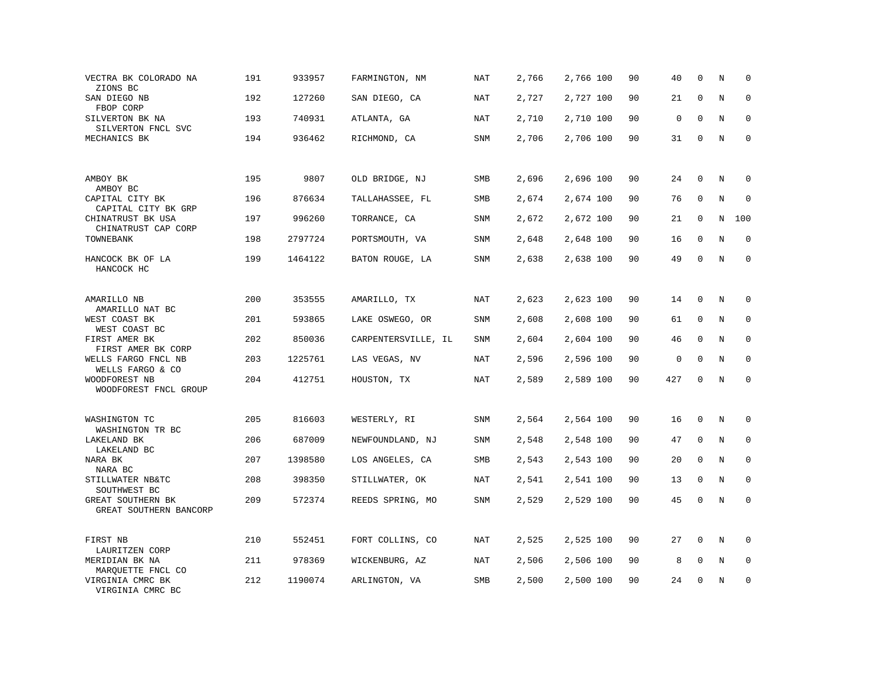| VECTRA BK COLORADO NA<br>ZIONS BC           | 191 | 933957  | FARMINGTON, NM      | <b>NAT</b> | 2,766 | 2,766 100 | 90 | 40  | $\mathbf 0$  | N       | 0           |
|---------------------------------------------|-----|---------|---------------------|------------|-------|-----------|----|-----|--------------|---------|-------------|
| SAN DIEGO NB<br>FBOP CORP                   | 192 | 127260  | SAN DIEGO, CA       | NAT        | 2,727 | 2,727 100 | 90 | 21  | $\mathbf{0}$ | N       | $\mathbf 0$ |
| SILVERTON BK NA                             | 193 | 740931  | ATLANTA, GA         | NAT        | 2,710 | 2,710 100 | 90 | 0   | $\mathbf{0}$ | N       | 0           |
| SILVERTON FNCL SVC<br>MECHANICS BK          | 194 | 936462  | RICHMOND, CA        | SNM        | 2,706 | 2,706 100 | 90 | 31  | $\mathbf 0$  | N       | $\mathbf 0$ |
|                                             |     |         |                     |            |       |           |    |     |              |         |             |
| AMBOY BK<br>AMBOY BC                        | 195 | 9807    | OLD BRIDGE, NJ      | SMB        | 2,696 | 2,696 100 | 90 | 24  | $\mathbf{0}$ | N       | $\mathbf 0$ |
| CAPITAL CITY BK<br>CAPITAL CITY BK GRP      | 196 | 876634  | TALLAHASSEE, FL     | SMB        | 2,674 | 2,674 100 | 90 | 76  | $\mathbf 0$  | N       | 0           |
| CHINATRUST BK USA<br>CHINATRUST CAP CORP    | 197 | 996260  | TORRANCE, CA        | SNM        | 2,672 | 2,672 100 | 90 | 21  | 0            | Ν       | 100         |
| TOWNEBANK                                   | 198 | 2797724 | PORTSMOUTH, VA      | SNM        | 2,648 | 2,648 100 | 90 | 16  | $\mathbf{0}$ | $\rm N$ | $\mathbf 0$ |
| HANCOCK BK OF LA<br>HANCOCK HC              | 199 | 1464122 | BATON ROUGE, LA     | SNM        | 2,638 | 2,638 100 | 90 | 49  | $\Omega$     | N       | $\Omega$    |
|                                             |     |         |                     |            |       |           |    |     |              |         |             |
| AMARILLO NB<br>AMARILLO NAT BC              | 200 | 353555  | AMARILLO, TX        | NAT        | 2,623 | 2,623 100 | 90 | 14  | $\mathbf 0$  | N       | 0           |
| WEST COAST BK<br>WEST COAST BC              | 201 | 593865  | LAKE OSWEGO, OR     | SNM        | 2,608 | 2,608 100 | 90 | 61  | $\mathbf 0$  | N       | 0           |
| FIRST AMER BK<br>FIRST AMER BK CORP         | 202 | 850036  | CARPENTERSVILLE, IL | <b>SNM</b> | 2,604 | 2,604 100 | 90 | 46  | $\mathbf{0}$ | N       | $\mathbf 0$ |
| WELLS FARGO FNCL NB<br>WELLS FARGO & CO     | 203 | 1225761 | LAS VEGAS, NV       | NAT        | 2,596 | 2,596 100 | 90 | 0   | $\mathbf 0$  | N       | 0           |
| WOODFOREST NB<br>WOODFOREST FNCL GROUP      | 204 | 412751  | HOUSTON, TX         | NAT        | 2,589 | 2,589 100 | 90 | 427 | $\mathbf 0$  | N       | $\mathbf 0$ |
| WASHINGTON TC                               | 205 | 816603  | WESTERLY, RI        | SNM        | 2,564 | 2,564 100 | 90 | 16  | 0            | $\rm N$ | 0           |
| WASHINGTON TR BC<br>LAKELAND BK             | 206 | 687009  | NEWFOUNDLAND, NJ    | SNM        | 2,548 | 2,548 100 | 90 | 47  | $\mathbf{0}$ | N       | $\mathbf 0$ |
| LAKELAND BC<br>NARA BK                      | 207 | 1398580 | LOS ANGELES, CA     | SMB        | 2,543 | 2,543 100 | 90 | 20  | 0            | N       | $\mathbf 0$ |
| NARA BC<br>STILLWATER NB&TC<br>SOUTHWEST BC | 208 | 398350  | STILLWATER, OK      | <b>NAT</b> | 2,541 | 2,541 100 | 90 | 13  | $\mathbf{0}$ | N       | $\mathbf 0$ |
| GREAT SOUTHERN BK<br>GREAT SOUTHERN BANCORP | 209 | 572374  | REEDS SPRING, MO    | <b>SNM</b> | 2,529 | 2,529 100 | 90 | 45  | $\mathbf 0$  | N       | $\mathbf 0$ |
| FIRST NB<br>LAURITZEN CORP                  | 210 | 552451  | FORT COLLINS, CO    | NAT        | 2,525 | 2,525 100 | 90 | 27  | 0            | N       | 0           |
| MERIDIAN BK NA<br>MARQUETTE FNCL CO         | 211 | 978369  | WICKENBURG, AZ      | NAT        | 2,506 | 2,506 100 | 90 | 8   | $\mathbf 0$  | N       | 0           |
| VIRGINIA CMRC BK<br>VIRGINIA CMRC BC        | 212 | 1190074 | ARLINGTON, VA       | SMB        | 2,500 | 2,500 100 | 90 | 24  | $\mathbf{0}$ | N       | $\mathbf 0$ |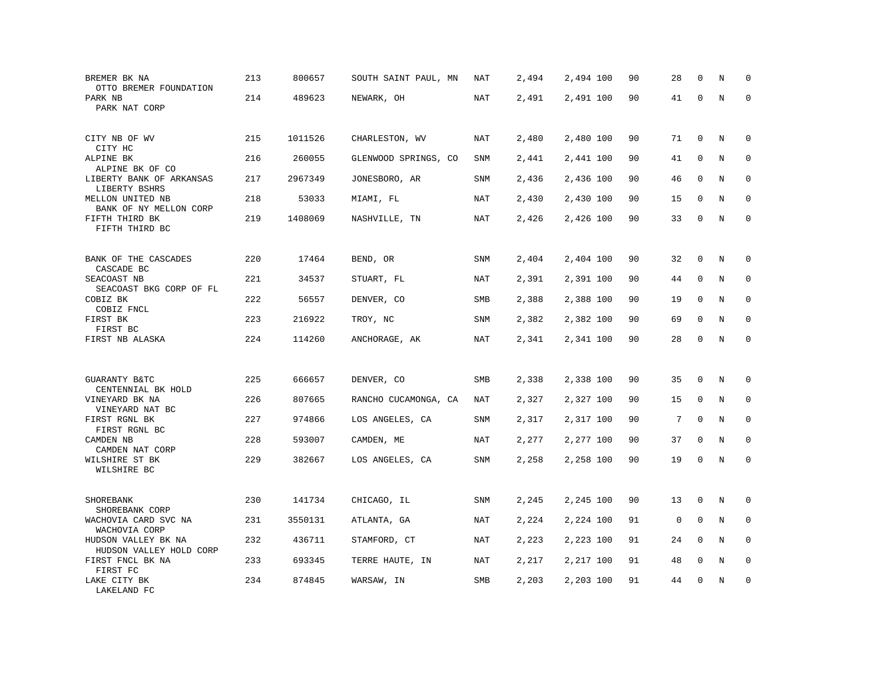| BREMER BK NA<br>OTTO BREMER FOUNDATION               | 213 | 800657  | SOUTH SAINT PAUL, MN | NAT        | 2,494 | 2,494 100 | 90 | 28 | $\mathbf 0$  | N       | $\mathbf 0$ |
|------------------------------------------------------|-----|---------|----------------------|------------|-------|-----------|----|----|--------------|---------|-------------|
| PARK NB<br>PARK NAT CORP                             | 214 | 489623  | NEWARK, OH           | <b>NAT</b> | 2,491 | 2,491 100 | 90 | 41 | $\mathbf 0$  | $\rm N$ | $\mathbf 0$ |
| CITY NB OF WV<br>CITY HC                             | 215 | 1011526 | CHARLESTON, WV       | <b>NAT</b> | 2,480 | 2,480 100 | 90 | 71 | $\mathbf 0$  | N       | 0           |
| ALPINE BK<br>ALPINE BK OF CO                         | 216 | 260055  | GLENWOOD SPRINGS, CO | <b>SNM</b> | 2,441 | 2,441 100 | 90 | 41 | $\mathbf{0}$ | N       | $\mathbf 0$ |
| LIBERTY BANK OF ARKANSAS<br>LIBERTY BSHRS            | 217 | 2967349 | JONESBORO, AR        | <b>SNM</b> | 2,436 | 2,436 100 | 90 | 46 | $\mathbf 0$  | N       | $\mathbf 0$ |
| MELLON UNITED NB<br>BANK OF NY MELLON CORP           | 218 | 53033   | MIAMI, FL            | <b>NAT</b> | 2,430 | 2,430 100 | 90 | 15 | 0            | N       | 0           |
| FIFTH THIRD BK<br>FIFTH THIRD BC                     | 219 | 1408069 | NASHVILLE, TN        | <b>NAT</b> | 2,426 | 2,426 100 | 90 | 33 | $\mathbf 0$  | N       | $\mathbf 0$ |
| BANK OF THE CASCADES                                 | 220 | 17464   | BEND, OR             | SNM        | 2,404 | 2,404 100 | 90 | 32 | 0            | N       | 0           |
| CASCADE BC<br>SEACOAST NB<br>SEACOAST BKG CORP OF FL | 221 | 34537   | STUART, FL           | NAT        | 2,391 | 2,391 100 | 90 | 44 | 0            | N       | $\mathbf 0$ |
| COBIZ BK<br>COBIZ FNCL                               | 222 | 56557   | DENVER, CO           | <b>SMB</b> | 2,388 | 2,388 100 | 90 | 19 | $\mathbf 0$  | N       | $\mathbf 0$ |
| FIRST BK<br>FIRST BC                                 | 223 | 216922  | TROY, NC             | SNM        | 2,382 | 2,382 100 | 90 | 69 | $\mathbf 0$  | N       | $\mathbf 0$ |
| FIRST NB ALASKA                                      | 224 | 114260  | ANCHORAGE, AK        | <b>NAT</b> | 2,341 | 2,341 100 | 90 | 28 | $\mathbf 0$  | N       | $\mathbf 0$ |
|                                                      |     |         |                      |            |       |           |    |    |              |         |             |
| GUARANTY B&TC<br>CENTENNIAL BK HOLD                  | 225 | 666657  | DENVER, CO           | SMB        | 2,338 | 2,338 100 | 90 | 35 | $\mathbf 0$  | Ν       | $\mathbf 0$ |
| VINEYARD BK NA<br>VINEYARD NAT BC                    | 226 | 807665  | RANCHO CUCAMONGA, CA | <b>NAT</b> | 2,327 | 2,327 100 | 90 | 15 | $\mathbf 0$  | N       | $\mathbf 0$ |
| FIRST RGNL BK<br>FIRST RGNL BC                       | 227 | 974866  | LOS ANGELES, CA      | <b>SNM</b> | 2,317 | 2,317 100 | 90 | 7  | $\mathbf{0}$ | N       | $\mathbf 0$ |
| CAMDEN NB<br>CAMDEN NAT CORP                         | 228 | 593007  | CAMDEN, ME           | NAT        | 2,277 | 2,277 100 | 90 | 37 | $\mathbf 0$  | N       | 0           |
| WILSHIRE ST BK<br>WILSHIRE BC                        | 229 | 382667  | LOS ANGELES, CA      | SNM        | 2,258 | 2,258 100 | 90 | 19 | $\mathsf 0$  | N       | $\mathbf 0$ |
| SHOREBANK<br>SHOREBANK CORP                          | 230 | 141734  | CHICAGO, IL          | <b>SNM</b> | 2,245 | 2,245 100 | 90 | 13 | $\mathbf 0$  | $\rm N$ | 0           |
| WACHOVIA CARD SVC NA<br>WACHOVIA CORP                | 231 | 3550131 | ATLANTA, GA          | <b>NAT</b> | 2,224 | 2,224 100 | 91 | 0  | $\mathbf 0$  | N       | $\mathbf 0$ |
| HUDSON VALLEY BK NA<br>HUDSON VALLEY HOLD CORP       | 232 | 436711  | STAMFORD, CT         | NAT        | 2,223 | 2,223 100 | 91 | 24 | $\Omega$     | N       | $\mathbf 0$ |
| FIRST FNCL BK NA<br>FIRST FC                         | 233 | 693345  | TERRE HAUTE, IN      | <b>NAT</b> | 2,217 | 2,217 100 | 91 | 48 | $\mathbf 0$  | N       | $\mathbf 0$ |
| LAKE CITY BK<br>LAKELAND FC                          | 234 | 874845  | WARSAW, IN           | SMB        | 2,203 | 2,203 100 | 91 | 44 | $\mathbf{0}$ | N       | $\mathbf 0$ |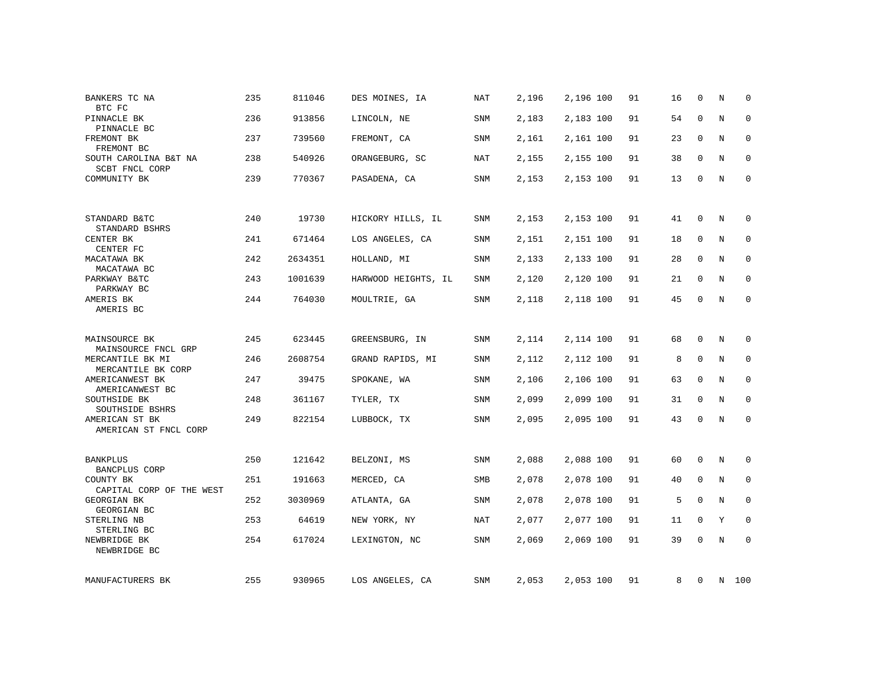| BANKERS TC NA<br>BTC FC                 | 235 | 811046  | DES MOINES, IA      | <b>NAT</b> | 2,196 | 2,196 100 | 91 | 16 | $\mathbf{0}$ | N       | $\Omega$     |
|-----------------------------------------|-----|---------|---------------------|------------|-------|-----------|----|----|--------------|---------|--------------|
| PINNACLE BK<br>PINNACLE BC              | 236 | 913856  | LINCOLN, NE         | SNM        | 2,183 | 2,183 100 | 91 | 54 | $\mathbf{0}$ | N       | $\mathbf 0$  |
| FREMONT BK<br>FREMONT BC                | 237 | 739560  | FREMONT, CA         | SNM        | 2,161 | 2,161 100 | 91 | 23 | 0            | N       | 0            |
| SOUTH CAROLINA B&T NA<br>SCBT FNCL CORP | 238 | 540926  | ORANGEBURG, SC      | <b>NAT</b> | 2,155 | 2,155 100 | 91 | 38 | $\mathbf{0}$ | $\rm N$ | $\mathbf 0$  |
| COMMUNITY BK                            | 239 | 770367  | PASADENA, CA        | SNM        | 2,153 | 2,153 100 | 91 | 13 | $\mathbf 0$  | N       | $\mathbf{0}$ |
|                                         |     |         |                     |            |       |           |    |    |              |         |              |
| STANDARD B&TC<br>STANDARD BSHRS         | 240 | 19730   | HICKORY HILLS, IL   | SNM        | 2,153 | 2,153 100 | 91 | 41 | $\mathbf{0}$ | N       | $\mathbf 0$  |
| CENTER BK<br>CENTER FC                  | 241 | 671464  | LOS ANGELES, CA     | <b>SNM</b> | 2,151 | 2,151 100 | 91 | 18 | $\mathbf{0}$ | N       | $\mathbf 0$  |
| MACATAWA BK<br>MACATAWA BC              | 242 | 2634351 | HOLLAND, MI         | <b>SNM</b> | 2,133 | 2,133 100 | 91 | 28 | $\mathbf 0$  | N       | 0            |
| PARKWAY B&TC<br>PARKWAY BC              | 243 | 1001639 | HARWOOD HEIGHTS, IL | SNM        | 2,120 | 2,120 100 | 91 | 21 | $\Omega$     | N       | $\mathbf 0$  |
| AMERIS BK<br>AMERIS BC                  | 244 | 764030  | MOULTRIE, GA        | <b>SNM</b> | 2,118 | 2,118 100 | 91 | 45 | $\mathbf 0$  | N       | $\mathbf 0$  |
|                                         |     |         |                     |            |       |           |    |    |              |         |              |
| MAINSOURCE BK<br>MAINSOURCE FNCL GRP    | 245 | 623445  | GREENSBURG, IN      | SNM        | 2,114 | 2,114 100 | 91 | 68 | $\mathbf 0$  | N       | 0            |
| MERCANTILE BK MI<br>MERCANTILE BK CORP  | 246 | 2608754 | GRAND RAPIDS, MI    | SNM        | 2,112 | 2,112 100 | 91 | 8  | $\mathbf{0}$ | N       | $\mathbf 0$  |
| AMERICANWEST BK<br>AMERICANWEST BC      | 247 | 39475   | SPOKANE, WA         | <b>SNM</b> | 2,106 | 2,106 100 | 91 | 63 | 0            | N       | 0            |
| SOUTHSIDE BK<br>SOUTHSIDE BSHRS         | 248 | 361167  | TYLER, TX           | <b>SNM</b> | 2,099 | 2,099 100 | 91 | 31 | 0            | N       | 0            |
| AMERICAN ST BK<br>AMERICAN ST FNCL CORP | 249 | 822154  | LUBBOCK, TX         | <b>SNM</b> | 2,095 | 2,095 100 | 91 | 43 | $\mathbf 0$  | $\rm N$ | $\mathsf 0$  |
|                                         |     |         |                     |            |       |           |    |    |              |         |              |
| BANKPLUS<br>BANCPLUS CORP               | 250 | 121642  | BELZONI, MS         | SNM        | 2,088 | 2,088 100 | 91 | 60 | 0            | N       | 0            |
| COUNTY BK<br>CAPITAL CORP OF THE WEST   | 251 | 191663  | MERCED, CA          | SMB        | 2,078 | 2,078 100 | 91 | 40 | $\mathbf 0$  | N       | $\mathbf 0$  |
| <b>GEORGIAN BK</b><br>GEORGIAN BC       | 252 | 3030969 | ATLANTA, GA         | SNM        | 2,078 | 2,078 100 | 91 | 5  | $\mathbf 0$  | N       | 0            |
| STERLING NB<br>STERLING BC              | 253 | 64619   | NEW YORK, NY        | NAT        | 2,077 | 2,077 100 | 91 | 11 | 0            | Υ       | 0            |
| NEWBRIDGE BK<br>NEWBRIDGE BC            | 254 | 617024  | LEXINGTON, NC       | SNM        | 2,069 | 2,069 100 | 91 | 39 | $\mathbf 0$  | N       | $\mathbf 0$  |
| MANUFACTURERS BK                        | 255 | 930965  | LOS ANGELES, CA     | SNM        | 2,053 | 2,053 100 | 91 | 8  | 0            |         | N 100        |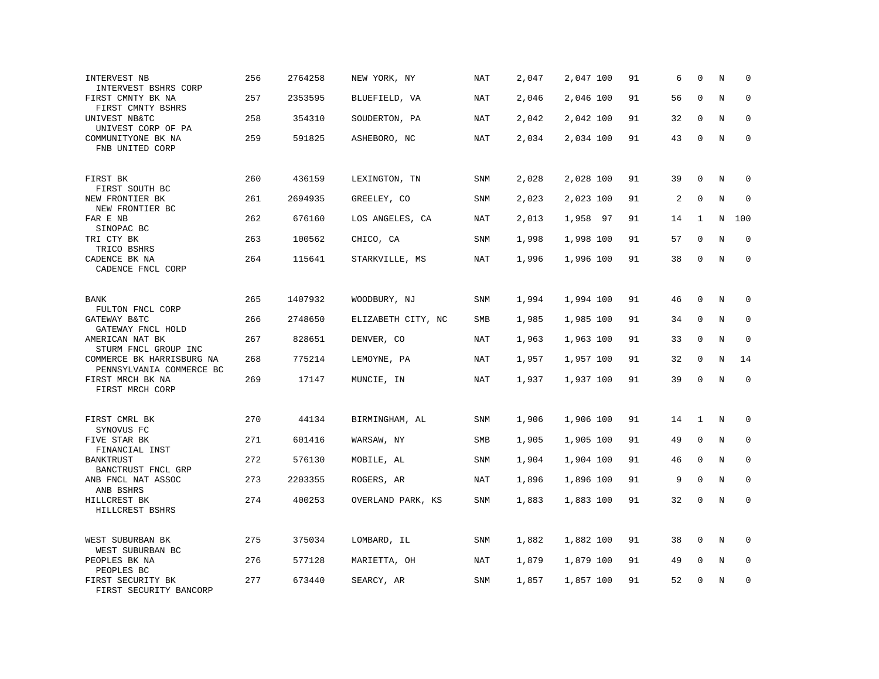| INTERVEST NB<br>INTERVEST BSHRS CORP                  | 256 | 2764258 | NEW YORK, NY       | <b>NAT</b> | 2,047 | 2,047 100 | 91 | 6  | $\mathbf 0$  | N       | $\mathbf 0$ |
|-------------------------------------------------------|-----|---------|--------------------|------------|-------|-----------|----|----|--------------|---------|-------------|
| FIRST CMNTY BK NA<br>FIRST CMNTY BSHRS                | 257 | 2353595 | BLUEFIELD, VA      | NAT        | 2,046 | 2,046 100 | 91 | 56 | $\mathbf 0$  | N       | $\mathbf 0$ |
| UNIVEST NB&TC<br>UNIVEST CORP OF PA                   | 258 | 354310  | SOUDERTON, PA      | NAT        | 2,042 | 2,042 100 | 91 | 32 | $\mathbf 0$  | N       | $\mathbf 0$ |
| COMMUNITYONE BK NA<br>FNB UNITED CORP                 | 259 | 591825  | ASHEBORO, NC       | NAT        | 2,034 | 2,034 100 | 91 | 43 | $\mathbf 0$  | N       | $\mathbf 0$ |
| FIRST BK<br>FIRST SOUTH BC                            | 260 | 436159  | LEXINGTON, TN      | SNM        | 2,028 | 2,028 100 | 91 | 39 | $\mathbf 0$  | N       | 0           |
| NEW FRONTIER BK<br>NEW FRONTIER BC                    | 261 | 2694935 | GREELEY, CO        | SNM        | 2,023 | 2,023 100 | 91 | 2  | $\mathbf 0$  | $\rm N$ | 0           |
| FAR E NB<br>SINOPAC BC                                | 262 | 676160  | LOS ANGELES, CA    | NAT        | 2,013 | 1,958 97  | 91 | 14 | 1            | N       | 100         |
| TRI CTY BK<br>TRICO BSHRS                             | 263 | 100562  | CHICO, CA          | SNM        | 1,998 | 1,998 100 | 91 | 57 | $\mathbf 0$  | N       | $\mathbf 0$ |
| CADENCE BK NA<br>CADENCE FNCL CORP                    | 264 | 115641  | STARKVILLE, MS     | NAT        | 1,996 | 1,996 100 | 91 | 38 | $\mathbf 0$  | N       | $\mathbf 0$ |
| BANK<br>FULTON FNCL CORP                              | 265 | 1407932 | WOODBURY, NJ       | SNM        | 1,994 | 1,994 100 | 91 | 46 | $\mathbf 0$  | N       | 0           |
| GATEWAY B&TC<br>GATEWAY FNCL HOLD                     | 266 | 2748650 | ELIZABETH CITY, NC | SMB        | 1,985 | 1,985 100 | 91 | 34 | 0            | N       | 0           |
| AMERICAN NAT BK<br>STURM FNCL GROUP INC               | 267 | 828651  | DENVER, CO         | <b>NAT</b> | 1,963 | 1,963 100 | 91 | 33 | $\mathbf 0$  | N       | $\mathbf 0$ |
| COMMERCE BK HARRISBURG NA<br>PENNSYLVANIA COMMERCE BC | 268 | 775214  | LEMOYNE, PA        | NAT        | 1,957 | 1,957 100 | 91 | 32 | 0            | Ν       | 14          |
| FIRST MRCH BK NA<br>FIRST MRCH CORP                   | 269 | 17147   | MUNCIE, IN         | <b>NAT</b> | 1,937 | 1,937 100 | 91 | 39 | $\mathbf 0$  | $\rm N$ | $\mathbf 0$ |
| FIRST CMRL BK<br>SYNOVUS FC                           | 270 | 44134   | BIRMINGHAM, AL     | SNM        | 1,906 | 1,906 100 | 91 | 14 | $\mathbf{1}$ | N       | 0           |
| FIVE STAR BK<br>FINANCIAL INST                        | 271 | 601416  | WARSAW, NY         | SMB        | 1,905 | 1,905 100 | 91 | 49 | 0            | N       | 0           |
| <b>BANKTRUST</b><br>BANCTRUST FNCL GRP                | 272 | 576130  | MOBILE, AL         | SNM        | 1,904 | 1,904 100 | 91 | 46 | $\mathbf 0$  | N       | $\mathbf 0$ |
| ANB FNCL NAT ASSOC<br>ANB BSHRS                       | 273 | 2203355 | ROGERS, AR         | <b>NAT</b> | 1,896 | 1,896 100 | 91 | 9  | $\mathbf 0$  | $\rm N$ | 0           |
| HILLCREST BK<br>HILLCREST BSHRS                       | 274 | 400253  | OVERLAND PARK, KS  | <b>SNM</b> | 1,883 | 1,883 100 | 91 | 32 | $\mathbf 0$  | N       | $\mathbf 0$ |
| WEST SUBURBAN BK<br>WEST SUBURBAN BC                  | 275 | 375034  | LOMBARD, IL        | SNM        | 1,882 | 1,882 100 | 91 | 38 | 0            | N       | $\mathbf 0$ |
| PEOPLES BK NA<br>PEOPLES BC                           | 276 | 577128  | MARIETTA, OH       | NAT        | 1,879 | 1,879 100 | 91 | 49 | $\mathbf 0$  | N       | $\mathbf 0$ |
| FIRST SECURITY BK<br>FIRST SECURITY BANCORP           | 277 | 673440  | SEARCY, AR         | SNM        | 1,857 | 1,857 100 | 91 | 52 | $\mathbf 0$  | N       | $\mathbf 0$ |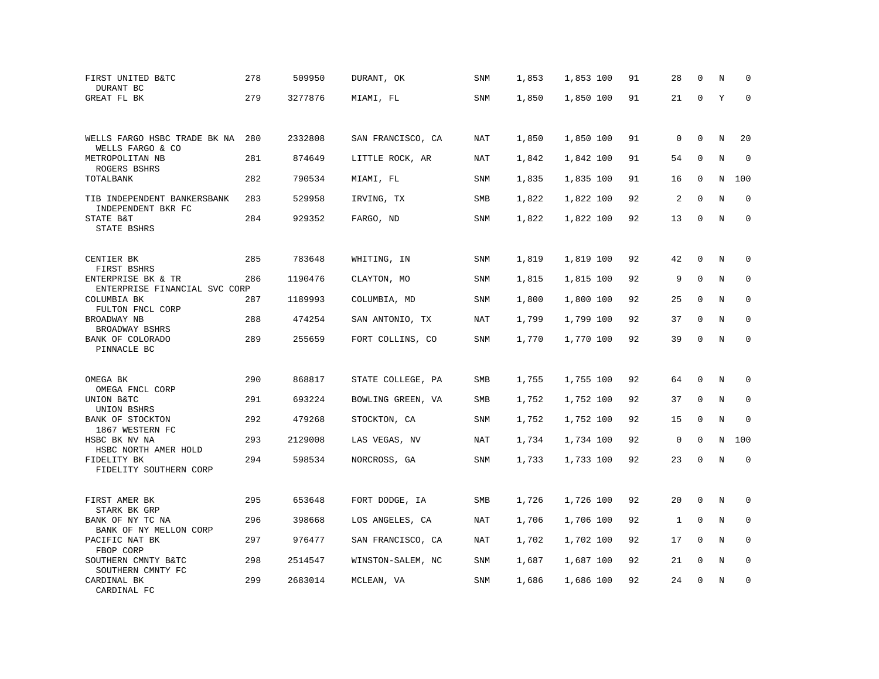| FIRST UNITED B&TC<br>DURANT BC                    | 278 | 509950  | DURANT, OK        | SNM        | 1,853 | 1,853 100 | 91 | 28 | $\mathbf 0$ | N       | $\mathbf 0$ |
|---------------------------------------------------|-----|---------|-------------------|------------|-------|-----------|----|----|-------------|---------|-------------|
| GREAT FL BK                                       | 279 | 3277876 | MIAMI, FL         | SNM        | 1,850 | 1,850 100 | 91 | 21 | $\mathbf 0$ | Y       | $\mathbf 0$ |
| WELLS FARGO HSBC TRADE BK NA<br>WELLS FARGO & CO  | 280 | 2332808 | SAN FRANCISCO, CA | NAT        | 1,850 | 1,850 100 | 91 | 0  | $\mathbf 0$ | N       | 20          |
| METROPOLITAN NB<br>ROGERS BSHRS                   | 281 | 874649  | LITTLE ROCK, AR   | <b>NAT</b> | 1,842 | 1,842 100 | 91 | 54 | $\mathbf 0$ | N       | $\mathbf 0$ |
| TOTALBANK                                         | 282 | 790534  | MIAMI, FL         | SNM        | 1,835 | 1,835 100 | 91 | 16 | $\mathbf 0$ | N       | 100         |
| TIB INDEPENDENT BANKERSBANK<br>INDEPENDENT BKR FC | 283 | 529958  | IRVING, TX        | SMB        | 1,822 | 1,822 100 | 92 | 2  | $\mathbf 0$ | N       | 0           |
| STATE B&T<br>STATE BSHRS                          | 284 | 929352  | FARGO, ND         | <b>SNM</b> | 1,822 | 1,822 100 | 92 | 13 | $\mathbf 0$ | N       | $\mathbf 0$ |
| CENTIER BK                                        | 285 | 783648  | WHITING, IN       | SNM        | 1,819 | 1,819 100 | 92 | 42 | $\mathbf 0$ | N       | 0           |
| FIRST BSHRS<br>ENTERPRISE BK & TR                 | 286 | 1190476 | CLAYTON, MO       | SNM        | 1,815 | 1,815 100 | 92 | 9  | $\mathbf 0$ | N       | 0           |
| ENTERPRISE FINANCIAL SVC CORP<br>COLUMBIA BK      | 287 | 1189993 | COLUMBIA, MD      | SNM        | 1,800 | 1,800 100 | 92 | 25 | $\mathbf 0$ | N       | $\mathbf 0$ |
| FULTON FNCL CORP<br>BROADWAY NB<br>BROADWAY BSHRS | 288 | 474254  | SAN ANTONIO, TX   | <b>NAT</b> | 1,799 | 1,799 100 | 92 | 37 | $\mathbf 0$ | N       | $\mathbf 0$ |
| BANK OF COLORADO<br>PINNACLE BC                   | 289 | 255659  | FORT COLLINS, CO  | <b>SNM</b> | 1,770 | 1,770 100 | 92 | 39 | $\mathbf 0$ | N       | $\mathbf 0$ |
| OMEGA BK                                          | 290 | 868817  | STATE COLLEGE, PA | SMB        | 1,755 | 1,755 100 | 92 | 64 | $\mathbf 0$ | Ν       | $\mathbf 0$ |
| OMEGA FNCL CORP<br>UNION B&TC<br>UNION BSHRS      | 291 | 693224  | BOWLING GREEN, VA | SMB        | 1,752 | 1,752 100 | 92 | 37 | $\mathbf 0$ | N       | $\mathbf 0$ |
| BANK OF STOCKTON<br>1867 WESTERN FC               | 292 | 479268  | STOCKTON, CA      | SNM        | 1,752 | 1,752 100 | 92 | 15 | $\mathbf 0$ | N       | $\mathbf 0$ |
| HSBC BK NV NA<br>HSBC NORTH AMER HOLD             | 293 | 2129008 | LAS VEGAS, NV     | NAT        | 1,734 | 1,734 100 | 92 | 0  | $\mathbf 0$ | N       | 100         |
| FIDELITY BK<br>FIDELITY SOUTHERN CORP             | 294 | 598534  | NORCROSS, GA      | SNM        | 1,733 | 1,733 100 | 92 | 23 | $\mathbf 0$ | $\rm N$ | $\mathbf 0$ |
| FIRST AMER BK<br>STARK BK GRP                     | 295 | 653648  | FORT DODGE, IA    | SMB        | 1,726 | 1,726 100 | 92 | 20 | $\mathbf 0$ | N       | 0           |
| BANK OF NY TC NA<br>BANK OF NY MELLON CORP        | 296 | 398668  | LOS ANGELES, CA   | <b>NAT</b> | 1,706 | 1,706 100 | 92 | 1  | $\mathbf 0$ | N       | $\mathbf 0$ |
| PACIFIC NAT BK<br>FBOP CORP                       | 297 | 976477  | SAN FRANCISCO, CA | NAT        | 1,702 | 1,702 100 | 92 | 17 | $\Omega$    | N       | $\mathbf 0$ |
| SOUTHERN CMNTY B&TC<br>SOUTHERN CMNTY FC          | 298 | 2514547 | WINSTON-SALEM, NC | SNM        | 1,687 | 1,687 100 | 92 | 21 | $\mathbf 0$ | N       | $\mathbf 0$ |
| CARDINAL BK<br>CARDINAL FC                        | 299 | 2683014 | MCLEAN, VA        | SNM        | 1,686 | 1,686 100 | 92 | 24 | $\mathbf 0$ | N       | $\mathbf 0$ |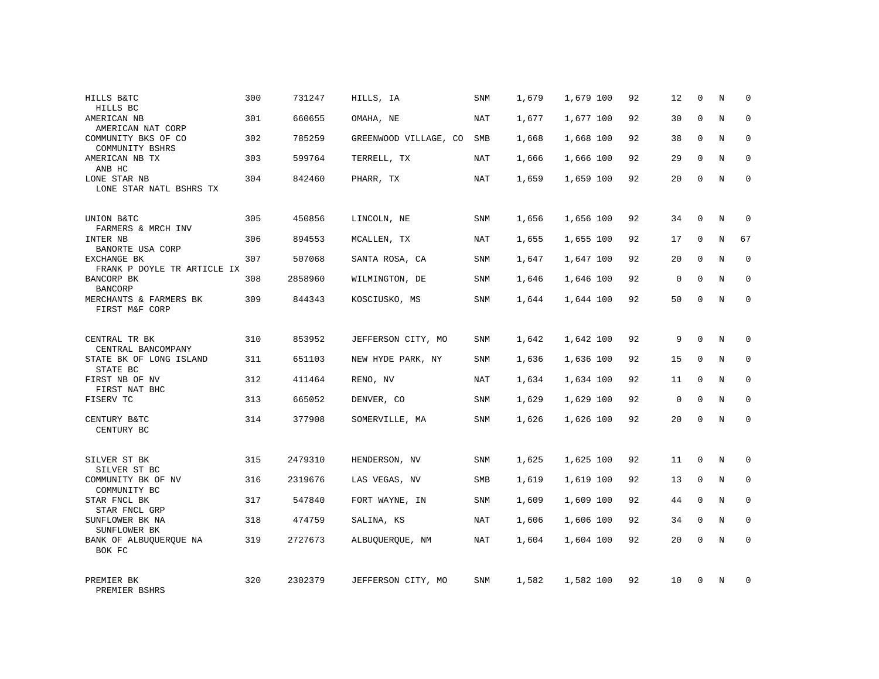| HILLS B&TC<br>HILLS BC                     | 300 | 731247  | HILLS, IA             | <b>SNM</b> | 1,679 | 1,679 100 | 92 | 12          | $\mathbf 0$  | N | $\mathbf 0$  |
|--------------------------------------------|-----|---------|-----------------------|------------|-------|-----------|----|-------------|--------------|---|--------------|
| AMERICAN NB<br>AMERICAN NAT CORP           | 301 | 660655  | OMAHA, NE             | NAT        | 1,677 | 1,677 100 | 92 | 30          | $\Omega$     | N | $\mathbf 0$  |
| COMMUNITY BKS OF CO<br>COMMUNITY BSHRS     | 302 | 785259  | GREENWOOD VILLAGE, CO | SMB        | 1,668 | 1,668 100 | 92 | 38          | $\mathbf 0$  | N | $\mathbf 0$  |
| AMERICAN NB TX<br>ANB HC                   | 303 | 599764  | TERRELL, TX           | NAT        | 1,666 | 1,666 100 | 92 | 29          | $\mathbf{0}$ | N | $\mathbf 0$  |
| LONE STAR NB<br>LONE STAR NATL BSHRS TX    | 304 | 842460  | PHARR, TX             | NAT        | 1,659 | 1,659 100 | 92 | 20          | $\Omega$     | N | $\Omega$     |
| UNION B&TC<br>FARMERS & MRCH INV           | 305 | 450856  | LINCOLN, NE           | <b>SNM</b> | 1,656 | 1,656 100 | 92 | 34          | $\mathbf 0$  | N | $\mathbf 0$  |
| INTER NB<br>BANORTE USA CORP               | 306 | 894553  | MCALLEN, TX           | NAT        | 1,655 | 1,655 100 | 92 | 17          | 0            | N | 67           |
| EXCHANGE BK<br>FRANK P DOYLE TR ARTICLE IX | 307 | 507068  | SANTA ROSA, CA        | <b>SNM</b> | 1,647 | 1,647 100 | 92 | 20          | $\Omega$     | N | $\mathbf 0$  |
| BANCORP BK<br><b>BANCORP</b>               | 308 | 2858960 | WILMINGTON, DE        | SNM        | 1,646 | 1,646 100 | 92 | 0           | $\mathbf 0$  | N | 0            |
| MERCHANTS & FARMERS BK<br>FIRST M&F CORP   | 309 | 844343  | KOSCIUSKO, MS         | <b>SNM</b> | 1,644 | 1,644 100 | 92 | 50          | $\mathbf{0}$ | N | $\mathbf 0$  |
| CENTRAL TR BK<br>CENTRAL BANCOMPANY        | 310 | 853952  | JEFFERSON CITY, MO    | SNM        | 1,642 | 1,642 100 | 92 | 9           | $\mathbf 0$  | N | $\mathbf 0$  |
| STATE BK OF LONG ISLAND<br>STATE BC        | 311 | 651103  | NEW HYDE PARK, NY     | SNM        | 1,636 | 1,636 100 | 92 | 15          | $\mathbf{0}$ | N | $\mathbf 0$  |
| FIRST NB OF NV<br>FIRST NAT BHC            | 312 | 411464  | RENO, NV              | NAT        | 1,634 | 1,634 100 | 92 | 11          | 0            | N | $\mathbf 0$  |
| FISERV TC                                  | 313 | 665052  | DENVER, CO            | <b>SNM</b> | 1,629 | 1,629 100 | 92 | $\mathbf 0$ | $\Omega$     | N | $\mathbf 0$  |
| CENTURY B&TC<br>CENTURY BC                 | 314 | 377908  | SOMERVILLE, MA        | SNM        | 1,626 | 1,626 100 | 92 | 20          | $\mathbf 0$  | N | $\mathbf 0$  |
| SILVER ST BK<br>SILVER ST BC               | 315 | 2479310 | HENDERSON, NV         | SNM        | 1,625 | 1,625 100 | 92 | 11          | $\mathbf 0$  | N | 0            |
| COMMUNITY BK OF NV<br>COMMUNITY BC         | 316 | 2319676 | LAS VEGAS, NV         | SMB        | 1,619 | 1,619 100 | 92 | 13          | $\mathbf 0$  | N | 0            |
| STAR FNCL BK<br>STAR FNCL GRP              | 317 | 547840  | FORT WAYNE, IN        | <b>SNM</b> | 1,609 | 1,609 100 | 92 | 44          | $\Omega$     | N | $\mathbf{0}$ |
| SUNFLOWER BK NA<br>SUNFLOWER BK            | 318 | 474759  | SALINA, KS            | NAT        | 1,606 | 1,606 100 | 92 | 34          | $\mathbf 0$  | N | 0            |
| BANK OF ALBUOUEROUE NA<br>BOK FC           | 319 | 2727673 | ALBUQUERQUE, NM       | NAT        | 1,604 | 1,604 100 | 92 | 20          | $\Omega$     | N | $\mathbf 0$  |
| PREMIER BK<br>PREMIER BSHRS                | 320 | 2302379 | JEFFERSON CITY, MO    | SNM        | 1,582 | 1,582 100 | 92 | 10          | $\Omega$     | N | $\mathbf 0$  |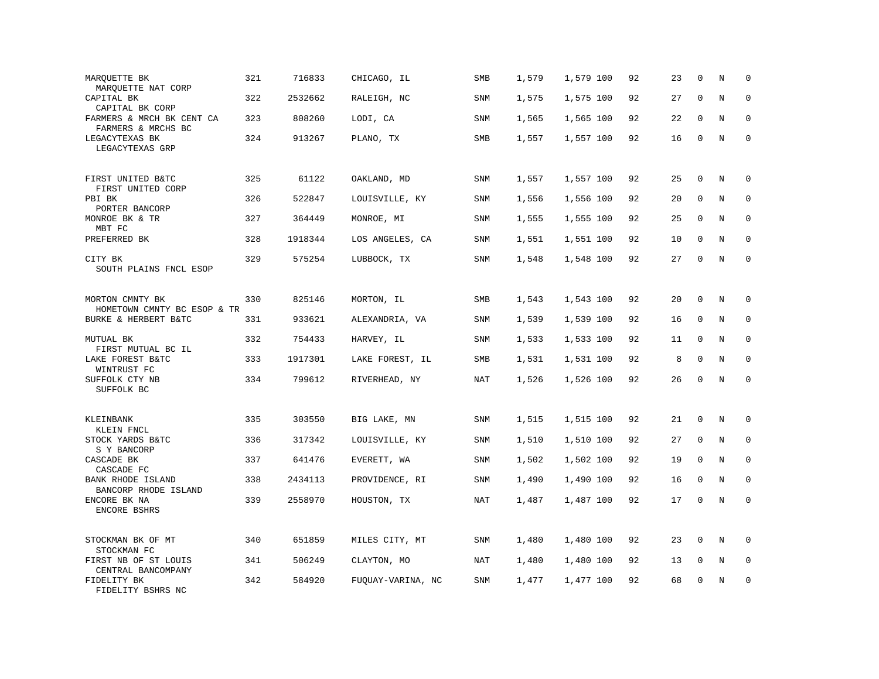| MARQUETTE BK<br>MARQUETTE NAT CORP               | 321 | 716833  | CHICAGO, IL       | SMB        | 1,579 | 1,579 100 | 92 | 23 | $\mathbf 0$  | N       | $\mathbf 0$         |
|--------------------------------------------------|-----|---------|-------------------|------------|-------|-----------|----|----|--------------|---------|---------------------|
| CAPITAL BK<br>CAPITAL BK CORP                    | 322 | 2532662 | RALEIGH, NC       | <b>SNM</b> | 1,575 | 1,575 100 | 92 | 27 | $\mathbf{0}$ | N       | $\mathbf 0$         |
| FARMERS & MRCH BK CENT CA<br>FARMERS & MRCHS BC  | 323 | 808260  | LODI, CA          | SNM        | 1,565 | 1,565 100 | 92 | 22 | $\Omega$     | N       | 0                   |
| LEGACYTEXAS BK<br>LEGACYTEXAS GRP                | 324 | 913267  | PLANO, TX         | SMB        | 1,557 | 1,557 100 | 92 | 16 | $\mathbf 0$  | N       | $\mathsf{O}\xspace$ |
| FIRST UNITED B&TC<br>FIRST UNITED CORP           | 325 | 61122   | OAKLAND, MD       | <b>SNM</b> | 1,557 | 1,557 100 | 92 | 25 | $\mathbf{0}$ | N       | $\mathbf 0$         |
| PBI BK<br>PORTER BANCORP                         | 326 | 522847  | LOUISVILLE, KY    | SNM        | 1,556 | 1,556 100 | 92 | 20 | $\mathbf 0$  | N       | $\mathbf 0$         |
| MONROE BK & TR<br>MBT FC                         | 327 | 364449  | MONROE, MI        | SNM        | 1,555 | 1,555 100 | 92 | 25 | $\Omega$     | N       | $\mathbf 0$         |
| PREFERRED BK                                     | 328 | 1918344 | LOS ANGELES, CA   | SNM        | 1,551 | 1,551 100 | 92 | 10 | $\mathbf 0$  | N       | $\mathbf 0$         |
| CITY BK<br>SOUTH PLAINS FNCL ESOP                | 329 | 575254  | LUBBOCK, TX       | <b>SNM</b> | 1,548 | 1,548 100 | 92 | 27 | $\mathbf 0$  | N       | $\mathbf 0$         |
| MORTON CMNTY BK<br>HOMETOWN CMNTY BC ESOP & TR   | 330 | 825146  | MORTON, IL        | SMB        | 1,543 | 1,543 100 | 92 | 20 | $\mathbf 0$  | N       | $\mathbf 0$         |
| BURKE & HERBERT B&TC                             | 331 | 933621  | ALEXANDRIA, VA    | SNM        | 1,539 | 1,539 100 | 92 | 16 | $\mathbf 0$  | N       | $\mathbf 0$         |
| MUTUAL BK<br>FIRST MUTUAL BC IL                  | 332 | 754433  | HARVEY, IL        | SNM        | 1,533 | 1,533 100 | 92 | 11 | $\mathbf 0$  | N       | $\mathbf 0$         |
| LAKE FOREST B&TC<br>WINTRUST FC                  | 333 | 1917301 | LAKE FOREST, IL   | SMB        | 1,531 | 1,531 100 | 92 | 8  | $\mathbf 0$  | N       | $\mathbf 0$         |
| SUFFOLK CTY NB<br>SUFFOLK BC                     | 334 | 799612  | RIVERHEAD, NY     | NAT        | 1,526 | 1,526 100 | 92 | 26 | $\mathbf 0$  | N       | $\mathbf 0$         |
| KLEINBANK<br>KLEIN FNCL                          | 335 | 303550  | BIG LAKE, MN      | SNM        | 1,515 | 1,515 100 | 92 | 21 | $\mathbf{0}$ | N       | 0                   |
| STOCK YARDS B&TC<br>S Y BANCORP                  | 336 | 317342  | LOUISVILLE, KY    | SNM        | 1,510 | 1,510 100 | 92 | 27 | 0            | N       | 0                   |
| CASCADE BK<br>CASCADE FC                         | 337 | 641476  | EVERETT, WA       | SNM        | 1,502 | 1,502 100 | 92 | 19 | $\mathbf{0}$ | N       | $\mathbf 0$         |
| <b>BANK RHODE ISLAND</b><br>BANCORP RHODE ISLAND | 338 | 2434113 | PROVIDENCE, RI    | SNM        | 1,490 | 1,490 100 | 92 | 16 | $\mathbf 0$  | N       | $\mathbf 0$         |
| ENCORE BK NA<br>ENCORE BSHRS                     | 339 | 2558970 | HOUSTON, TX       | <b>NAT</b> | 1,487 | 1,487 100 | 92 | 17 | $\mathbf 0$  | $\rm N$ | $\mathbf 0$         |
| STOCKMAN BK OF MT<br>STOCKMAN FC                 | 340 | 651859  | MILES CITY, MT    | SNM        | 1,480 | 1,480 100 | 92 | 23 | 0            | N       | 0                   |
| FIRST NB OF ST LOUIS<br>CENTRAL BANCOMPANY       | 341 | 506249  | CLAYTON, MO       | NAT        | 1,480 | 1,480 100 | 92 | 13 | $\mathbf 0$  | N       | 0                   |
| FIDELITY BK<br>FIDELITY BSHRS NC                 | 342 | 584920  | FUQUAY-VARINA, NC | SNM        | 1,477 | 1,477 100 | 92 | 68 | $\mathbf{0}$ | N       | $\mathbf 0$         |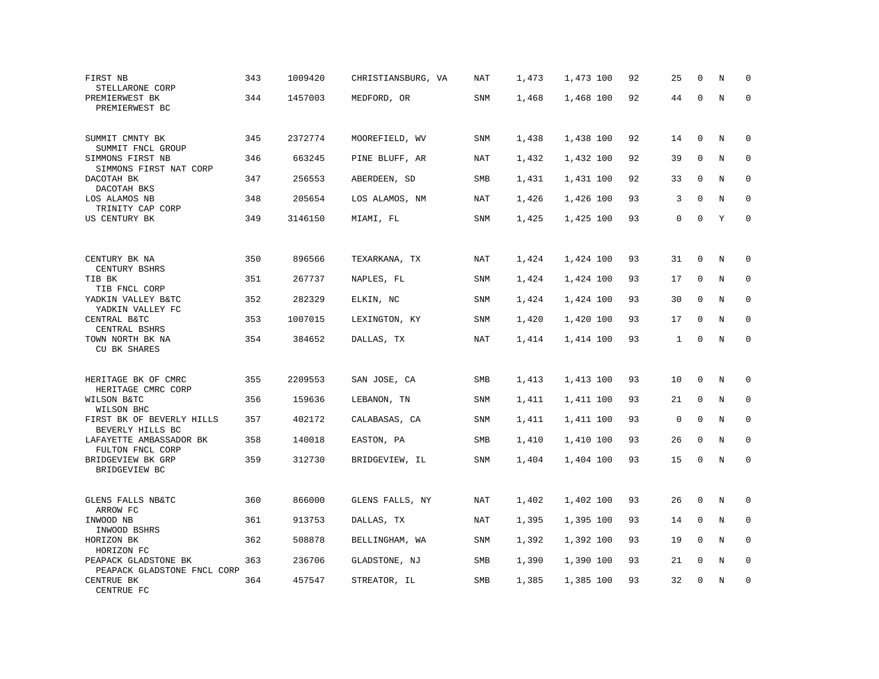| FIRST NB<br>STELLARONE CORP                                 | 343 | 1009420 | CHRISTIANSBURG, VA | <b>NAT</b> | 1,473 | 1,473 100 | 92 | 25           | $\mathbf 0$ | N       | $\mathbf 0$ |
|-------------------------------------------------------------|-----|---------|--------------------|------------|-------|-----------|----|--------------|-------------|---------|-------------|
| PREMIERWEST BK<br>PREMIERWEST BC                            | 344 | 1457003 | MEDFORD, OR        | SNM        | 1,468 | 1,468 100 | 92 | 44           | $\mathbf 0$ | $\rm N$ | $\mathbf 0$ |
| SUMMIT CMNTY BK<br>SUMMIT FNCL GROUP                        | 345 | 2372774 | MOOREFIELD, WV     | <b>SNM</b> | 1,438 | 1,438 100 | 92 | 14           | $\mathbf 0$ | N       | $\mathbf 0$ |
| SIMMONS FIRST NB<br>SIMMONS FIRST NAT CORP                  | 346 | 663245  | PINE BLUFF, AR     | <b>NAT</b> | 1,432 | 1,432 100 | 92 | 39           | 0           | N       | $\mathbf 0$ |
| DACOTAH BK<br>DACOTAH BKS                                   | 347 | 256553  | ABERDEEN, SD       | SMB        | 1,431 | 1,431 100 | 92 | 33           | $\mathbf 0$ | N       | $\mathbf 0$ |
| LOS ALAMOS NB<br>TRINITY CAP CORP                           | 348 | 205654  | LOS ALAMOS, NM     | <b>NAT</b> | 1,426 | 1,426 100 | 93 | 3            | $\Omega$    | N       | $\mathbf 0$ |
| US CENTURY BK                                               | 349 | 3146150 | MIAMI, FL          | SNM        | 1,425 | 1,425 100 | 93 | 0            | $\Omega$    | Y       | $\mathbf 0$ |
|                                                             |     |         |                    |            |       |           |    |              |             |         |             |
| CENTURY BK NA<br>CENTURY BSHRS                              | 350 | 896566  | TEXARKANA, TX      | NAT        | 1,424 | 1,424 100 | 93 | 31           | $\mathbf 0$ | $\rm N$ | 0           |
| TIB BK<br>TIB FNCL CORP                                     | 351 | 267737  | NAPLES, FL         | <b>SNM</b> | 1,424 | 1,424 100 | 93 | 17           | $\mathbf 0$ | N       | 0           |
| YADKIN VALLEY B&TC<br>YADKIN VALLEY FC                      | 352 | 282329  | ELKIN, NC          | SNM        | 1,424 | 1,424 100 | 93 | 30           | $\mathbf 0$ | N       | $\mathbf 0$ |
| CENTRAL B&TC<br>CENTRAL BSHRS                               | 353 | 1007015 | LEXINGTON, KY      | <b>SNM</b> | 1,420 | 1,420 100 | 93 | 17           | $\mathbf 0$ | N       | $\Omega$    |
| TOWN NORTH BK NA<br>CU BK SHARES                            | 354 | 384652  | DALLAS, TX         | <b>NAT</b> | 1,414 | 1,414 100 | 93 | $\mathbf{1}$ | $\mathbf 0$ | N       | $\mathbf 0$ |
| HERITAGE BK OF CMRC<br>HERITAGE CMRC CORP                   | 355 | 2209553 | SAN JOSE, CA       | SMB        | 1,413 | 1,413 100 | 93 | 10           | 0           | Ν       | 0           |
| WILSON B&TC                                                 | 356 | 159636  | LEBANON, TN        | SNM        | 1,411 | 1,411 100 | 93 | 21           | $\mathbf 0$ | N       | $\mathbf 0$ |
| WILSON BHC<br>FIRST BK OF BEVERLY HILLS<br>BEVERLY HILLS BC | 357 | 402172  | CALABASAS, CA      | <b>SNM</b> | 1,411 | 1,411 100 | 93 | $\mathbf 0$  | $\mathbf 0$ | N       | $\mathbf 0$ |
| LAFAYETTE AMBASSADOR BK<br>FULTON FNCL CORP                 | 358 | 140018  | EASTON, PA         | SMB        | 1,410 | 1,410 100 | 93 | 26           | $\mathbf 0$ | N       | $\mathbf 0$ |
| BRIDGEVIEW BK GRP<br>BRIDGEVIEW BC                          | 359 | 312730  | BRIDGEVIEW, IL     | SNM        | 1,404 | 1,404 100 | 93 | 15           | $\mathbf 0$ | N       | $\mathbf 0$ |
| GLENS FALLS NB&TC<br>ARROW FC                               | 360 | 866000  | GLENS FALLS, NY    | NAT        | 1,402 | 1,402 100 | 93 | 26           | $\mathbf 0$ | N       | 0           |
| INWOOD NB<br>INWOOD BSHRS                                   | 361 | 913753  | DALLAS, TX         | NAT        | 1,395 | 1,395 100 | 93 | 14           | 0           | N       | 0           |
| HORIZON BK<br>HORIZON FC                                    | 362 | 508878  | BELLINGHAM, WA     | SNM        | 1,392 | 1,392 100 | 93 | 19           | $\mathbf 0$ | N       | $\mathbf 0$ |
| PEAPACK GLADSTONE BK<br>PEAPACK GLADSTONE FNCL CORP         | 363 | 236706  | GLADSTONE, NJ      | SMB        | 1,390 | 1,390 100 | 93 | 21           | 0           | Ν       | 0           |
| CENTRUE BK<br>CENTRUE FC                                    | 364 | 457547  | STREATOR, IL       | SMB        | 1,385 | 1,385 100 | 93 | 32           | $\mathbf 0$ | N       | $\mathbf 0$ |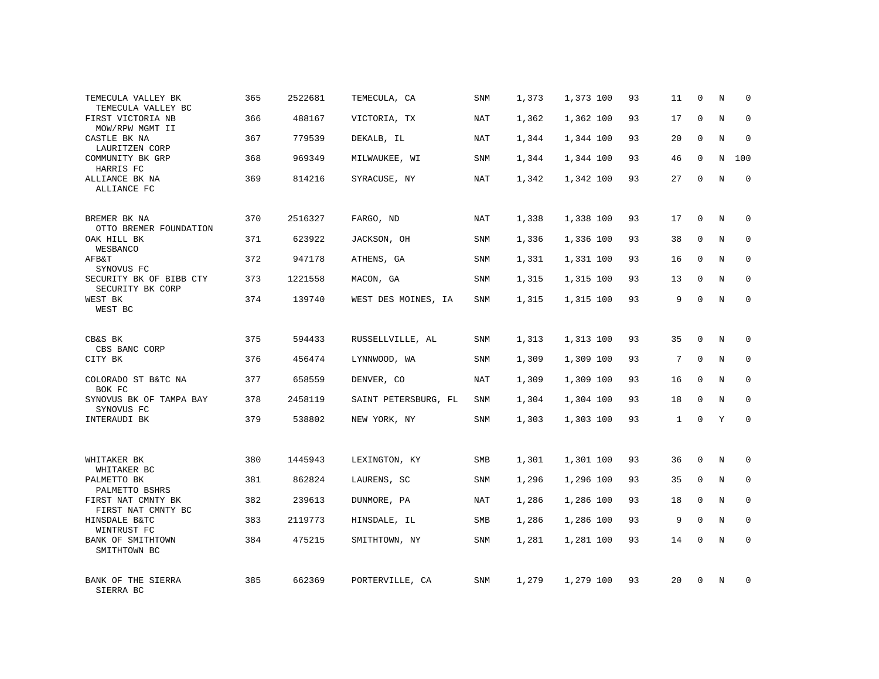| TEMECULA VALLEY BK<br>TEMECULA VALLEY BC    | 365 | 2522681 | TEMECULA, CA         | SNM        | 1,373 | 1,373 100 | 93 | 11           | 0            | Ν       | $\mathbf 0$ |
|---------------------------------------------|-----|---------|----------------------|------------|-------|-----------|----|--------------|--------------|---------|-------------|
| FIRST VICTORIA NB<br>MOW/RPW MGMT II        | 366 | 488167  | VICTORIA, TX         | NAT        | 1,362 | 1,362 100 | 93 | 17           | $\mathbf 0$  | N       | $\mathbf 0$ |
| CASTLE BK NA<br>LAURITZEN CORP              | 367 | 779539  | DEKALB, IL           | NAT        | 1,344 | 1,344 100 | 93 | 20           | $\Omega$     | $\rm N$ | $\mathbf 0$ |
| COMMUNITY BK GRP<br>HARRIS FC               | 368 | 969349  | MILWAUKEE, WI        | SNM        | 1,344 | 1,344 100 | 93 | 46           | $\mathbf 0$  | N       | 100         |
| ALLIANCE BK NA<br>ALLIANCE FC               | 369 | 814216  | SYRACUSE, NY         | NAT        | 1,342 | 1,342 100 | 93 | 27           | $\mathbf 0$  | N       | $\mathbf 0$ |
| BREMER BK NA<br>OTTO BREMER FOUNDATION      | 370 | 2516327 | FARGO, ND            | NAT        | 1,338 | 1,338 100 | 93 | 17           | 0            | N       | $\mathbf 0$ |
| OAK HILL BK<br>WESBANCO                     | 371 | 623922  | JACKSON, OH          | <b>SNM</b> | 1,336 | 1,336 100 | 93 | 38           | $\mathbf{0}$ | N       | $\mathbf 0$ |
| AFB&T<br>SYNOVUS FC                         | 372 | 947178  | ATHENS, GA           | SNM        | 1,331 | 1,331 100 | 93 | 16           | 0            | N       | 0           |
| SECURITY BK OF BIBB CTY<br>SECURITY BK CORP | 373 | 1221558 | MACON, GA            | SNM        | 1,315 | 1,315 100 | 93 | 13           | $\mathbf{0}$ | N       | $\mathbf 0$ |
| WEST BK<br>WEST BC                          | 374 | 139740  | WEST DES MOINES, IA  | SNM        | 1,315 | 1,315 100 | 93 | 9            | $\mathbf{0}$ | N       | $\mathbf 0$ |
| CB&S BK<br>CBS BANC CORP                    | 375 | 594433  | RUSSELLVILLE, AL     | <b>SNM</b> | 1,313 | 1,313 100 | 93 | 35           | $\Omega$     | N       | $\mathbf 0$ |
| CITY BK                                     | 376 | 456474  | LYNNWOOD, WA         | SNM        | 1,309 | 1,309 100 | 93 | 7            | $\mathbf 0$  | N       | 0           |
| COLORADO ST B&TC NA<br>BOK FC               | 377 | 658559  | DENVER, CO           | NAT        | 1,309 | 1,309 100 | 93 | 16           | $\Omega$     | N       | $\mathbf 0$ |
| SYNOVUS BK OF TAMPA BAY<br>SYNOVUS FC       | 378 | 2458119 | SAINT PETERSBURG, FL | SNM        | 1,304 | 1,304 100 | 93 | 18           | $\mathbf 0$  | N       | 0           |
| INTERAUDI BK                                | 379 | 538802  | NEW YORK, NY         | <b>SNM</b> | 1,303 | 1,303 100 | 93 | $\mathbf{1}$ | $\Omega$     | Y       | $\mathbf 0$ |
| WHITAKER BK                                 | 380 | 1445943 | LEXINGTON, KY        | SMB        | 1,301 | 1,301 100 | 93 | 36           | $\mathbf 0$  | N       | 0           |
| WHITAKER BC<br>PALMETTO BK                  | 381 | 862824  | LAURENS, SC          | SNM        | 1,296 | 1,296 100 | 93 | 35           | $\mathbf 0$  | N       | $\mathbf 0$ |
| PALMETTO BSHRS                              |     |         |                      |            |       |           |    |              |              |         |             |
| FIRST NAT CMNTY BK<br>FIRST NAT CMNTY BC    | 382 | 239613  | DUNMORE, PA          | NAT        | 1,286 | 1,286 100 | 93 | 18           | $\mathbf 0$  | N       | 0           |
| HINSDALE B&TC<br>WINTRUST FC                | 383 | 2119773 | HINSDALE, IL         | SMB        | 1,286 | 1,286 100 | 93 | 9            | $\mathbf 0$  | N       | 0           |
| BANK OF SMITHTOWN<br>SMITHTOWN BC           | 384 | 475215  | SMITHTOWN, NY        | <b>SNM</b> | 1,281 | 1,281 100 | 93 | 14           | $\Omega$     | N       | $\Omega$    |
| BANK OF THE SIERRA<br>SIERRA BC             | 385 | 662369  | PORTERVILLE, CA      | SNM        | 1,279 | 1,279 100 | 93 | 20           | $\Omega$     | N       | $\mathbf 0$ |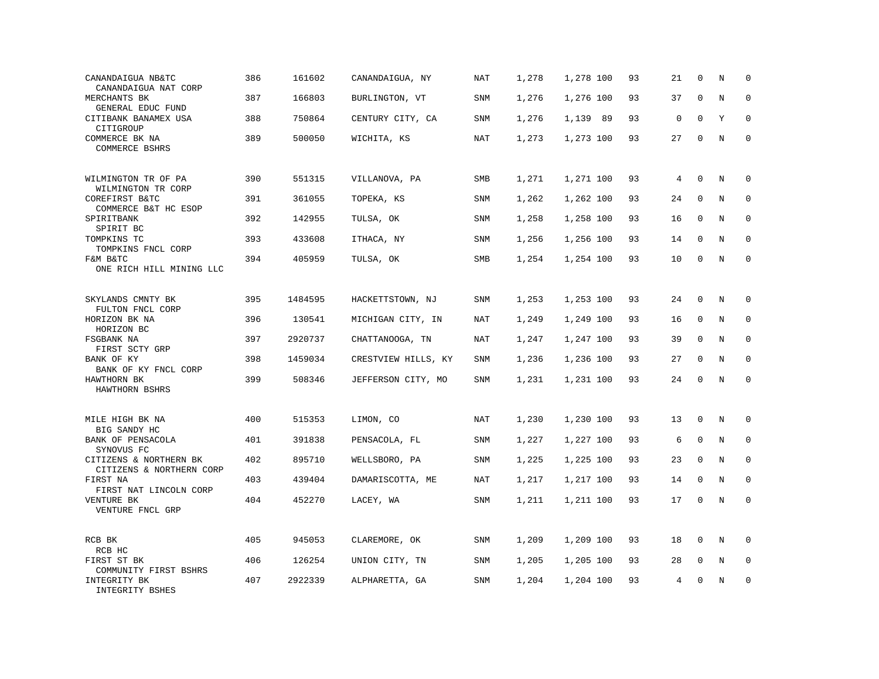| CANANDAIGUA NB&TC<br>CANANDAIGUA NAT CORP          | 386 | 161602  | CANANDAIGUA, NY     | <b>NAT</b> | 1,278 | 1,278 100 | 93 | 21          | $\mathbf 0$  | N       | $\mathbf 0$  |
|----------------------------------------------------|-----|---------|---------------------|------------|-------|-----------|----|-------------|--------------|---------|--------------|
| MERCHANTS BK<br>GENERAL EDUC FUND                  | 387 | 166803  | BURLINGTON, VT      | <b>SNM</b> | 1,276 | 1,276 100 | 93 | 37          | $\mathbf{0}$ | N       | $\mathbf 0$  |
| CITIBANK BANAMEX USA<br>CITIGROUP                  | 388 | 750864  | CENTURY CITY, CA    | SNM        | 1,276 | 1,139 89  | 93 | $\mathbf 0$ | $\mathbf 0$  | Y       | $\mathbf 0$  |
| COMMERCE BK NA<br>COMMERCE BSHRS                   | 389 | 500050  | WICHITA, KS         | <b>NAT</b> | 1,273 | 1,273 100 | 93 | 27          | $\mathbf 0$  | N       | $\mathbf 0$  |
| WILMINGTON TR OF PA<br>WILMINGTON TR CORP          | 390 | 551315  | VILLANOVA, PA       | SMB        | 1,271 | 1,271 100 | 93 | 4           | $\mathbf 0$  | N       | $\mathbf 0$  |
| COREFIRST B&TC<br>COMMERCE B&T HC ESOP             | 391 | 361055  | TOPEKA, KS          | SNM        | 1,262 | 1,262 100 | 93 | 24          | $\mathbf 0$  | N       | $\mathbf 0$  |
| SPIRITBANK<br>SPIRIT BC                            | 392 | 142955  | TULSA, OK           | SNM        | 1,258 | 1,258 100 | 93 | 16          | $\mathbf 0$  | N       | $\mathbf 0$  |
| TOMPKINS TC<br>TOMPKINS FNCL CORP                  | 393 | 433608  | ITHACA, NY          | <b>SNM</b> | 1,256 | 1,256 100 | 93 | 14          | $\Omega$     | N       | $\Omega$     |
| F&M B&TC<br>ONE RICH HILL MINING LLC               | 394 | 405959  | TULSA, OK           | SMB        | 1,254 | 1,254 100 | 93 | 10          | $\mathbf 0$  | N       | $\mathbf 0$  |
| SKYLANDS CMNTY BK<br>FULTON FNCL CORP              | 395 | 1484595 | HACKETTSTOWN, NJ    | SNM        | 1,253 | 1,253 100 | 93 | 24          | $\mathbf{0}$ | N       | 0            |
| HORIZON BK NA<br>HORIZON BC                        | 396 | 130541  | MICHIGAN CITY, IN   | <b>NAT</b> | 1,249 | 1,249 100 | 93 | 16          | $\mathbf{0}$ | N       | $\mathbf 0$  |
| FSGBANK NA<br>FIRST SCTY GRP                       | 397 | 2920737 | CHATTANOOGA, TN     | <b>NAT</b> | 1,247 | 1,247 100 | 93 | 39          | $\mathbf 0$  | N       | 0            |
| BANK OF KY<br>BANK OF KY FNCL CORP                 | 398 | 1459034 | CRESTVIEW HILLS, KY | SNM        | 1,236 | 1,236 100 | 93 | 27          | $\mathbf 0$  | N       | $\mathbf{0}$ |
| HAWTHORN BK<br>HAWTHORN BSHRS                      | 399 | 508346  | JEFFERSON CITY, MO  | SNM        | 1,231 | 1,231 100 | 93 | 24          | $\Omega$     | $\rm N$ | $\Omega$     |
| MILE HIGH BK NA<br>BIG SANDY HC                    | 400 | 515353  | LIMON, CO           | NAT        | 1,230 | 1,230 100 | 93 | 13          | $\mathbf 0$  | N       | $\mathbf 0$  |
| BANK OF PENSACOLA<br>SYNOVUS FC                    | 401 | 391838  | PENSACOLA, FL       | SNM        | 1,227 | 1,227 100 | 93 | 6           | $\mathbf 0$  | N       | 0            |
| CITIZENS & NORTHERN BK<br>CITIZENS & NORTHERN CORP | 402 | 895710  | WELLSBORO, PA       | SNM        | 1,225 | 1,225 100 | 93 | 23          | $\mathbf 0$  | N       | $\mathbf 0$  |
| FIRST NA<br>FIRST NAT LINCOLN CORP                 | 403 | 439404  | DAMARISCOTTA, ME    | <b>NAT</b> | 1,217 | 1,217 100 | 93 | 14          | $\mathbf 0$  | N       | $\mathbf 0$  |
| VENTURE BK<br>VENTURE FNCL GRP                     | 404 | 452270  | LACEY, WA           | SNM        | 1,211 | 1,211 100 | 93 | 17          | $\mathbf 0$  | N       | $\mathbf 0$  |
| RCB BK<br>RCB HC                                   | 405 | 945053  | CLAREMORE, OK       | SNM        | 1,209 | 1,209 100 | 93 | 18          | $\mathbf 0$  | N       | $\mathbf 0$  |
| FIRST ST BK<br>COMMUNITY FIRST BSHRS               | 406 | 126254  | UNION CITY, TN      | SNM        | 1,205 | 1,205 100 | 93 | 28          | 0            | Ν       | 0            |
| INTEGRITY BK<br>INTEGRITY BSHES                    | 407 | 2922339 | ALPHARETTA, GA      | SNM        | 1,204 | 1,204 100 | 93 | 4           | $\mathbf 0$  | N       | $\mathbf 0$  |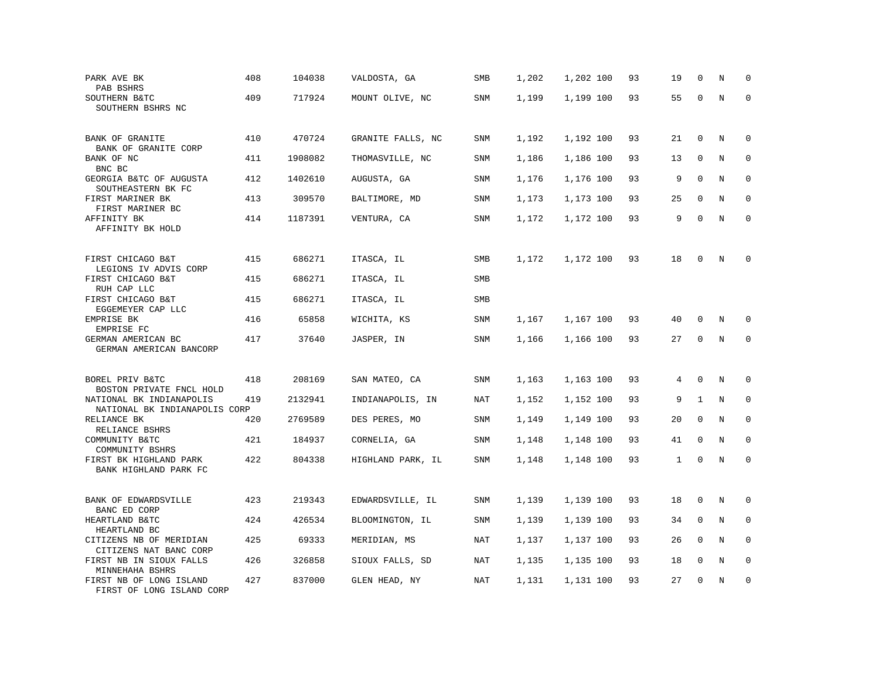| PARK AVE BK<br>PAB BSHRS                                                              | 408 | 104038  | VALDOSTA, GA      | SMB        | 1,202 | 1,202 100 | 93 | 19           | $\mathbf 0$  | N       | $\mathbf 0$ |
|---------------------------------------------------------------------------------------|-----|---------|-------------------|------------|-------|-----------|----|--------------|--------------|---------|-------------|
| SOUTHERN B&TC<br>SOUTHERN BSHRS NC                                                    | 409 | 717924  | MOUNT OLIVE, NC   | SNM        | 1,199 | 1,199 100 | 93 | 55           | $\mathbf 0$  | $\rm N$ | $\mathbf 0$ |
| <b>BANK OF GRANITE</b><br>BANK OF GRANITE CORP                                        | 410 | 470724  | GRANITE FALLS, NC | <b>SNM</b> | 1,192 | 1,192 100 | 93 | 21           | $\mathbf 0$  | N       | $\mathbf 0$ |
| BANK OF NC<br>BNC BC                                                                  | 411 | 1908082 | THOMASVILLE, NC   | SNM        | 1,186 | 1,186 100 | 93 | 13           | 0            | N       | $\mathbf 0$ |
| GEORGIA B&TC OF AUGUSTA<br>SOUTHEASTERN BK FC                                         | 412 | 1402610 | AUGUSTA, GA       | <b>SNM</b> | 1,176 | 1,176 100 | 93 | 9            | $\mathbf 0$  | N       | $\mathbf 0$ |
| FIRST MARINER BK<br>FIRST MARINER BC                                                  | 413 | 309570  | BALTIMORE, MD     | SNM        | 1,173 | 1,173 100 | 93 | 25           | $\Omega$     | N       | $\mathbf 0$ |
| AFFINITY BK<br>AFFINITY BK HOLD                                                       | 414 | 1187391 | VENTURA, CA       | SNM        | 1,172 | 1,172 100 | 93 | 9            | $\mathbf 0$  | N       | $\mathbf 0$ |
| FIRST CHICAGO B&T<br>LEGIONS IV ADVIS CORP                                            | 415 | 686271  | ITASCA, IL        | SMB        | 1,172 | 1,172 100 | 93 | 18           | $\mathbf 0$  | N       | $\mathbf 0$ |
| FIRST CHICAGO B&T<br>RUH CAP LLC                                                      | 415 | 686271  | ITASCA, IL        | <b>SMB</b> |       |           |    |              |              |         |             |
| FIRST CHICAGO B&T<br>EGGEMEYER CAP LLC                                                | 415 | 686271  | ITASCA, IL        | SMB        |       |           |    |              |              |         |             |
| EMPRISE BK<br>EMPRISE FC                                                              | 416 | 65858   | WICHITA, KS       | SNM        | 1,167 | 1,167 100 | 93 | 40           | $\mathbf 0$  | N       | $\Omega$    |
| GERMAN AMERICAN BC<br>GERMAN AMERICAN BANCORP                                         | 417 | 37640   | JASPER, IN        | SNM        | 1,166 | 1,166 100 | 93 | 27           | 0            | $\rm N$ | $\mathbf 0$ |
| BOREL PRIV B&TC                                                                       | 418 | 208169  | SAN MATEO, CA     | SNM        | 1,163 | 1,163 100 | 93 | 4            | $\Omega$     | N       | 0           |
| BOSTON PRIVATE FNCL HOLD<br>NATIONAL BK INDIANAPOLIS<br>NATIONAL BK INDIANAPOLIS CORP | 419 | 2132941 | INDIANAPOLIS, IN  | NAT        | 1,152 | 1,152 100 | 93 | 9            | $\mathbf{1}$ | N       | $\mathbf 0$ |
| RELIANCE BK<br>RELIANCE BSHRS                                                         | 420 | 2769589 | DES PERES, MO     | <b>SNM</b> | 1,149 | 1,149 100 | 93 | 20           | $\mathbf 0$  | N       | $\mathbf 0$ |
| COMMUNITY B&TC<br>COMMUNITY BSHRS                                                     | 421 | 184937  | CORNELIA, GA      | SNM        | 1,148 | 1,148 100 | 93 | 41           | 0            | N       | $\mathbf 0$ |
| FIRST BK HIGHLAND PARK<br>BANK HIGHLAND PARK FC                                       | 422 | 804338  | HIGHLAND PARK, IL | SNM        | 1,148 | 1,148 100 | 93 | $\mathbf{1}$ | $\mathbf 0$  | N       | $\mathbf 0$ |
| BANK OF EDWARDSVILLE<br>BANC ED CORP                                                  | 423 | 219343  | EDWARDSVILLE, IL  | SNM        | 1,139 | 1,139 100 | 93 | 18           | 0            | N       | 0           |
| HEARTLAND B&TC<br>HEARTLAND BC                                                        | 424 | 426534  | BLOOMINGTON, IL   | SNM        | 1,139 | 1,139 100 | 93 | 34           | 0            | N       | 0           |
| CITIZENS NB OF MERIDIAN<br>CITIZENS NAT BANC CORP                                     | 425 | 69333   | MERIDIAN, MS      | NAT        | 1,137 | 1,137 100 | 93 | 26           | $\mathbf 0$  | N       | $\mathbf 0$ |
| FIRST NB IN SIOUX FALLS<br>MINNEHAHA BSHRS                                            | 426 | 326858  | SIOUX FALLS, SD   | NAT        | 1,135 | 1,135 100 | 93 | 18           | $\mathbf 0$  | Ν       | 0           |
| FIRST NB OF LONG ISLAND<br>FIRST OF LONG ISLAND CORP                                  | 427 | 837000  | GLEN HEAD, NY     | NAT        | 1,131 | 1,131 100 | 93 | 27           | $\mathbf 0$  | N       | $\mathbf 0$ |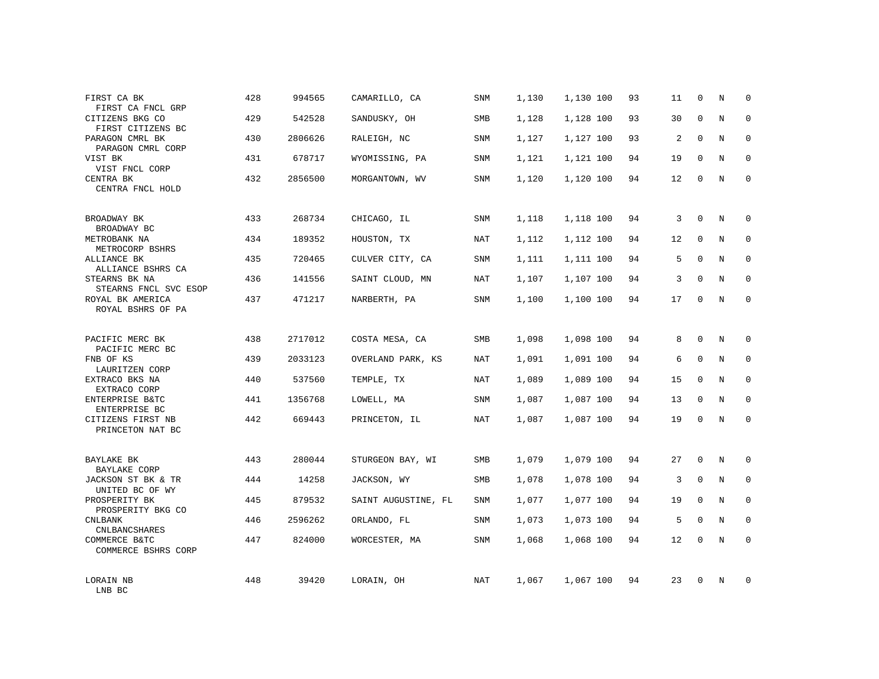| FIRST CA BK<br>FIRST CA FNCL GRP       | 428 | 994565  | CAMARILLO, CA       | SNM        | 1,130 | 1,130 100 | 93 | 11 | 0            | Ν | $\mathbf 0$ |
|----------------------------------------|-----|---------|---------------------|------------|-------|-----------|----|----|--------------|---|-------------|
| CITIZENS BKG CO<br>FIRST CITIZENS BC   | 429 | 542528  | SANDUSKY, OH        | <b>SMB</b> | 1,128 | 1,128 100 | 93 | 30 | $\mathbf{0}$ | N | $\mathbf 0$ |
| PARAGON CMRL BK<br>PARAGON CMRL CORP   | 430 | 2806626 | RALEIGH, NC         | <b>SNM</b> | 1,127 | 1,127 100 | 93 | 2  | $\Omega$     | N | $\mathbf 0$ |
| VIST BK<br>VIST FNCL CORP              | 431 | 678717  | WYOMISSING, PA      | SNM        | 1,121 | 1,121 100 | 94 | 19 | $\mathbf 0$  | N | 0           |
| CENTRA BK<br>CENTRA FNCL HOLD          | 432 | 2856500 | MORGANTOWN, WV      | <b>SNM</b> | 1,120 | 1,120 100 | 94 | 12 | $\mathbf 0$  | N | $\mathbf 0$ |
| BROADWAY BK<br>BROADWAY BC             | 433 | 268734  | CHICAGO, IL         | SNM        | 1,118 | 1,118 100 | 94 | 3  | $\mathbf 0$  | N | $\mathbf 0$ |
| METROBANK NA<br>METROCORP BSHRS        | 434 | 189352  | HOUSTON, TX         | NAT        | 1,112 | 1,112 100 | 94 | 12 | $\Omega$     | N | $\mathbf 0$ |
| ALLIANCE BK<br>ALLIANCE BSHRS CA       | 435 | 720465  | CULVER CITY, CA     | SNM        | 1,111 | 1,111 100 | 94 | 5  | $\mathbf 0$  | N | 0           |
| STEARNS BK NA<br>STEARNS FNCL SVC ESOP | 436 | 141556  | SAINT CLOUD, MN     | NAT        | 1,107 | 1,107 100 | 94 | 3  | $\Omega$     | N | $\mathbf 0$ |
| ROYAL BK AMERICA<br>ROYAL BSHRS OF PA  | 437 | 471217  | NARBERTH, PA        | SNM        | 1,100 | 1,100 100 | 94 | 17 | 0            | N | $\mathbf 0$ |
| PACIFIC MERC BK<br>PACIFIC MERC BC     | 438 | 2717012 | COSTA MESA, CA      | <b>SMB</b> | 1,098 | 1,098 100 | 94 | 8  | $\Omega$     | N | $\mathbf 0$ |
| FNB OF KS<br>LAURITZEN CORP            | 439 | 2033123 | OVERLAND PARK, KS   | NAT        | 1,091 | 1,091 100 | 94 | 6  | $\mathbf 0$  | N | 0           |
| EXTRACO BKS NA<br>EXTRACO CORP         | 440 | 537560  | TEMPLE, TX          | NAT        | 1,089 | 1,089 100 | 94 | 15 | $\Omega$     | N | $\mathbf 0$ |
| ENTERPRISE B&TC<br>ENTERPRISE BC       | 441 | 1356768 | LOWELL, MA          | SNM        | 1,087 | 1,087 100 | 94 | 13 | $\mathbf 0$  | N | 0           |
| CITIZENS FIRST NB<br>PRINCETON NAT BC  | 442 | 669443  | PRINCETON, IL       | NAT        | 1,087 | 1,087 100 | 94 | 19 | $\mathbf 0$  | N | $\mathbf 0$ |
| BAYLAKE BK<br><b>BAYLAKE CORP</b>      | 443 | 280044  | STURGEON BAY, WI    | SMB        | 1,079 | 1,079 100 | 94 | 27 | $\mathbf 0$  | N | 0           |
| JACKSON ST BK & TR<br>UNITED BC OF WY  | 444 | 14258   | JACKSON, WY         | <b>SMB</b> | 1,078 | 1,078 100 | 94 | 3  | $\mathbf 0$  | N | $\mathbf 0$ |
| PROSPERITY BK<br>PROSPERITY BKG CO     | 445 | 879532  | SAINT AUGUSTINE, FL | SNM        | 1,077 | 1,077 100 | 94 | 19 | $\mathbf 0$  | N | 0           |
| <b>CNLBANK</b><br><b>CNLBANCSHARES</b> | 446 | 2596262 | ORLANDO, FL         | SNM        | 1,073 | 1,073 100 | 94 | 5  | $\mathbf 0$  | N | 0           |
| COMMERCE B&TC<br>COMMERCE BSHRS CORP   | 447 | 824000  | WORCESTER, MA       | <b>SNM</b> | 1,068 | 1,068 100 | 94 | 12 | $\Omega$     | N | $\Omega$    |
| LORAIN NB<br>LNB BC                    | 448 | 39420   | LORAIN, OH          | NAT        | 1,067 | 1,067 100 | 94 | 23 | $\Omega$     | N | $\mathbf 0$ |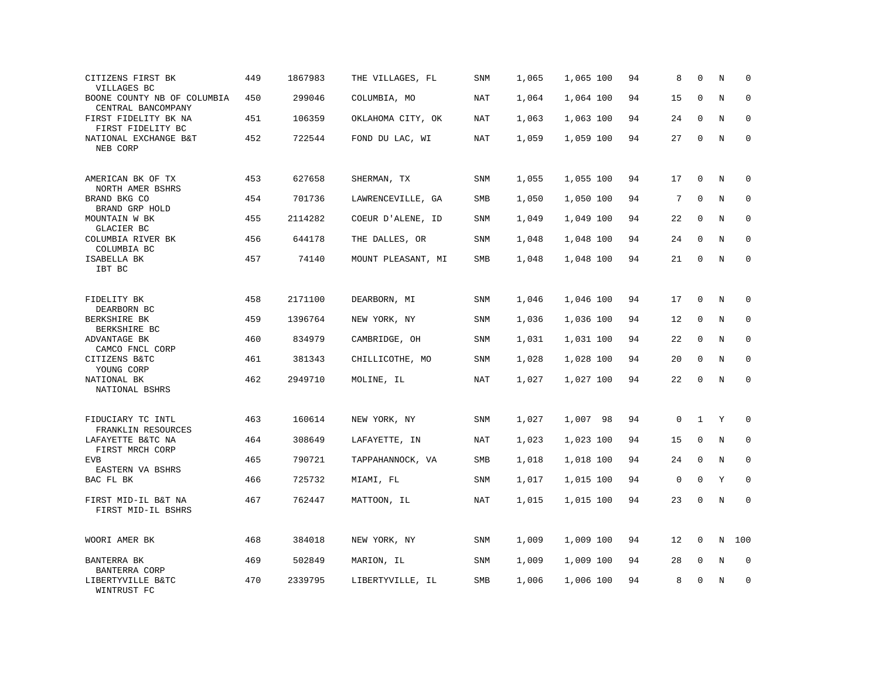| CITIZENS FIRST BK<br>VILLAGES BC                  | 449 | 1867983 | THE VILLAGES, FL   | SNM        | 1,065 | 1,065 100 | 94 | 8           | $\mathbf 0$  | N           | $\mathbf 0$  |
|---------------------------------------------------|-----|---------|--------------------|------------|-------|-----------|----|-------------|--------------|-------------|--------------|
| BOONE COUNTY NB OF COLUMBIA<br>CENTRAL BANCOMPANY | 450 | 299046  | COLUMBIA, MO       | NAT        | 1,064 | 1,064 100 | 94 | 15          | $\mathbf 0$  | N           | $\mathbf 0$  |
| FIRST FIDELITY BK NA<br>FIRST FIDELITY BC         | 451 | 106359  | OKLAHOMA CITY, OK  | NAT        | 1,063 | 1,063 100 | 94 | 24          | $\mathbf{0}$ | N           | $\mathbf 0$  |
| NATIONAL EXCHANGE B&T<br>NEB CORP                 | 452 | 722544  | FOND DU LAC, WI    | NAT        | 1,059 | 1,059 100 | 94 | 27          | $\mathbf 0$  | $\mathbf N$ | $\mathbf 0$  |
| AMERICAN BK OF TX<br>NORTH AMER BSHRS             | 453 | 627658  | SHERMAN, TX        | <b>SNM</b> | 1,055 | 1,055 100 | 94 | 17          | $\mathbf{0}$ | N           | $\mathbf 0$  |
| BRAND BKG CO<br>BRAND GRP HOLD                    | 454 | 701736  | LAWRENCEVILLE, GA  | SMB        | 1,050 | 1,050 100 | 94 | 7           | $\mathbf 0$  | N           | $\mathbf 0$  |
| MOUNTAIN W BK<br>GLACIER BC                       | 455 | 2114282 | COEUR D'ALENE, ID  | SNM        | 1,049 | 1,049 100 | 94 | 22          | $\mathbf 0$  | N           | $\mathbf 0$  |
| COLUMBIA RIVER BK<br>COLUMBIA BC                  | 456 | 644178  | THE DALLES, OR     | SNM        | 1,048 | 1,048 100 | 94 | 24          | $\Omega$     | N           | $\mathbf 0$  |
| ISABELLA BK<br>IBT BC                             | 457 | 74140   | MOUNT PLEASANT, MI | SMB        | 1,048 | 1,048 100 | 94 | 21          | $\mathbf 0$  | $\rm N$     | $\mathbf 0$  |
| FIDELITY BK<br>DEARBORN BC                        | 458 | 2171100 | DEARBORN, MI       | SNM        | 1,046 | 1,046 100 | 94 | 17          | $\mathbf 0$  | N           | 0            |
| BERKSHIRE BK<br>BERKSHIRE BC                      | 459 | 1396764 | NEW YORK, NY       | <b>SNM</b> | 1,036 | 1,036 100 | 94 | 12          | $\mathbf 0$  | N           | $\mathbf 0$  |
| ADVANTAGE BK<br>CAMCO FNCL CORP                   | 460 | 834979  | CAMBRIDGE, OH      | SNM        | 1,031 | 1,031 100 | 94 | 22          | $\mathbf 0$  | N           | 0            |
| CITIZENS B&TC<br>YOUNG CORP                       | 461 | 381343  | CHILLICOTHE, MO    | <b>SNM</b> | 1,028 | 1,028 100 | 94 | 20          | $\mathbf 0$  | N           | $\mathbf{0}$ |
| NATIONAL BK<br>NATIONAL BSHRS                     | 462 | 2949710 | MOLINE, IL         | NAT        | 1,027 | 1,027 100 | 94 | 22          | $\Omega$     | $\rm N$     | 0            |
| FIDUCIARY TC INTL<br>FRANKLIN RESOURCES           | 463 | 160614  | NEW YORK, NY       | SNM        | 1,027 | 1,007 98  | 94 | 0           | $\mathbf{1}$ | Y           | $\mathbf 0$  |
| LAFAYETTE B&TC NA<br>FIRST MRCH CORP              | 464 | 308649  | LAFAYETTE, IN      | NAT        | 1,023 | 1,023 100 | 94 | 15          | 0            | N           | 0            |
| <b>EVB</b><br>EASTERN VA BSHRS                    | 465 | 790721  | TAPPAHANNOCK, VA   | SMB        | 1,018 | 1,018 100 | 94 | 24          | $\mathbf 0$  | N           | $\mathbf 0$  |
| BAC FL BK                                         | 466 | 725732  | MIAMI, FL          | SNM        | 1,017 | 1,015 100 | 94 | $\mathsf 0$ | $\mathbf 0$  | Y           | $\mathbf 0$  |
| FIRST MID-IL B&T NA<br>FIRST MID-IL BSHRS         | 467 | 762447  | MATTOON, IL        | NAT        | 1,015 | 1,015 100 | 94 | 23          | $\mathbf 0$  | N           | $\mathbf 0$  |
| WOORI AMER BK                                     | 468 | 384018  | NEW YORK, NY       | SNM        | 1,009 | 1,009 100 | 94 | 12          | $\mathbf 0$  | N           | 100          |
| BANTERRA BK<br>BANTERRA CORP                      | 469 | 502849  | MARION, IL         | SNM        | 1,009 | 1,009 100 | 94 | 28          | 0            | Ν           | 0            |
| LIBERTYVILLE B&TC<br>WINTRUST FC                  | 470 | 2339795 | LIBERTYVILLE, IL   | SMB        | 1,006 | 1,006 100 | 94 | 8           | $\mathbf 0$  | N           | $\mathbf 0$  |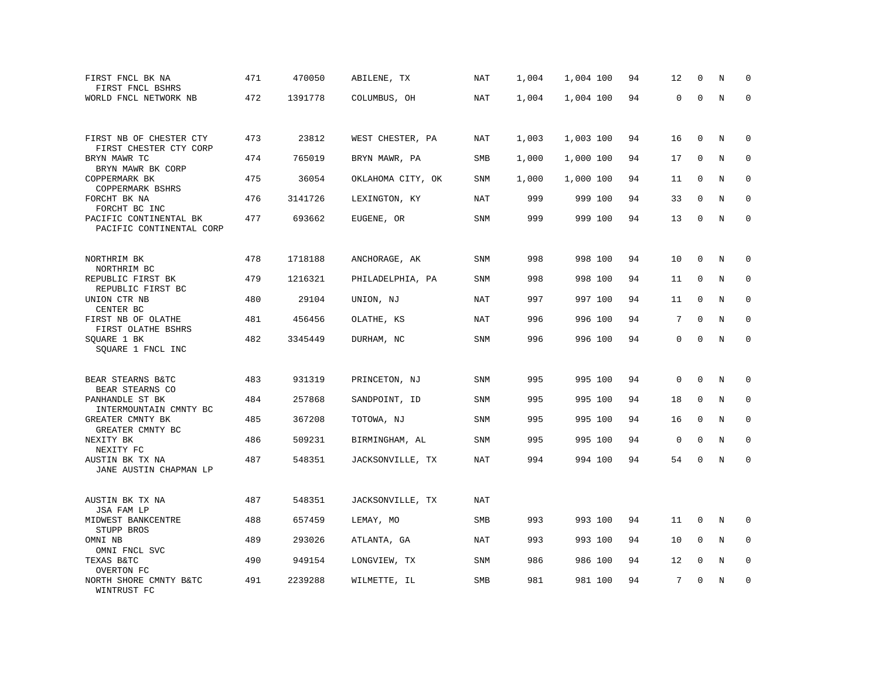| FIRST FNCL BK NA<br>FIRST FNCL BSHRS               | 471 | 470050  | ABILENE, TX       | NAT        | 1,004 | 1,004 100 | 94 | 12          | $\mathbf 0$ | N | $\mathbf 0$ |
|----------------------------------------------------|-----|---------|-------------------|------------|-------|-----------|----|-------------|-------------|---|-------------|
| WORLD FNCL NETWORK NB                              | 472 | 1391778 | COLUMBUS, OH      | NAT        | 1,004 | 1,004 100 | 94 | 0           | $\mathbf 0$ | N | $\mathbf 0$ |
| FIRST NB OF CHESTER CTY<br>FIRST CHESTER CTY CORP  | 473 | 23812   | WEST CHESTER, PA  | <b>NAT</b> | 1,003 | 1,003 100 | 94 | 16          | 0           | Ν | 0           |
| BRYN MAWR TC<br>BRYN MAWR BK CORP                  | 474 | 765019  | BRYN MAWR, PA     | SMB        | 1,000 | 1,000 100 | 94 | 17          | $\mathbf 0$ | N | $\mathbf 0$ |
| COPPERMARK BK<br>COPPERMARK BSHRS                  | 475 | 36054   | OKLAHOMA CITY, OK | <b>SNM</b> | 1,000 | 1,000 100 | 94 | 11          | $\mathbf 0$ | N | 0           |
| FORCHT BK NA<br>FORCHT BC INC                      | 476 | 3141726 | LEXINGTON, KY     | NAT        | 999   | 999 100   | 94 | 33          | $\mathbf 0$ | Ν | 0           |
| PACIFIC CONTINENTAL BK<br>PACIFIC CONTINENTAL CORP | 477 | 693662  | EUGENE, OR        | SNM        | 999   | 999 100   | 94 | 13          | $\mathbf 0$ | N | $\Omega$    |
| NORTHRIM BK<br>NORTHRIM BC                         | 478 | 1718188 | ANCHORAGE, AK     | SNM        | 998   | 998 100   | 94 | 10          | 0           | N | 0           |
| REPUBLIC FIRST BK<br>REPUBLIC FIRST BC             | 479 | 1216321 | PHILADELPHIA, PA  | SNM        | 998   | 998 100   | 94 | 11          | $\mathbf 0$ | N | $\mathbf 0$ |
| UNION CTR NB<br>CENTER BC                          | 480 | 29104   | UNION, NJ         | NAT        | 997   | 997 100   | 94 | 11          | $\mathbf 0$ | N | $\mathbf 0$ |
| FIRST NB OF OLATHE<br>FIRST OLATHE BSHRS           | 481 | 456456  | OLATHE, KS        | NAT        | 996   | 996 100   | 94 | 7           | $\Omega$    | N | $\mathbf 0$ |
| SQUARE 1 BK<br>SOUARE 1 FNCL INC                   | 482 | 3345449 | DURHAM, NC        | SNM        | 996   | 996 100   | 94 | 0           | $\mathbf 0$ | N | $\mathbf 0$ |
| BEAR STEARNS B&TC<br>BEAR STEARNS CO               | 483 | 931319  | PRINCETON, NJ     | SNM        | 995   | 995 100   | 94 | $\mathbf 0$ | $\mathbf 0$ | N | 0           |
| PANHANDLE ST BK<br>INTERMOUNTAIN CMNTY BC          | 484 | 257868  | SANDPOINT, ID     | SNM        | 995   | 995 100   | 94 | 18          | $\mathbf 0$ | N | 0           |
| GREATER CMNTY BK<br>GREATER CMNTY BC               | 485 | 367208  | TOTOWA, NJ        | SNM        | 995   | 995 100   | 94 | 16          | 0           | N | 0           |
| NEXITY BK<br>NEXITY FC                             | 486 | 509231  | BIRMINGHAM, AL    | SNM        | 995   | 995 100   | 94 | $\mathbf 0$ | $\mathbf 0$ | N | $\mathbf 0$ |
| AUSTIN BK TX NA<br>JANE AUSTIN CHAPMAN LP          | 487 | 548351  | JACKSONVILLE, TX  | NAT        | 994   | 994 100   | 94 | 54          | $\mathbf 0$ | N | 0           |
| AUSTIN BK TX NA<br>JSA FAM LP                      | 487 | 548351  | JACKSONVILLE, TX  | NAT        |       |           |    |             |             |   |             |
| MIDWEST BANKCENTRE<br>STUPP BROS                   | 488 | 657459  | LEMAY, MO         | SMB        | 993   | 993 100   | 94 | 11          | 0           | N | 0           |
| OMNI NB<br>OMNI FNCL SVC                           | 489 | 293026  | ATLANTA, GA       | NAT        | 993   | 993 100   | 94 | 10          | $\mathbf 0$ | N | $\mathbf 0$ |
| TEXAS B&TC<br>OVERTON FC                           | 490 | 949154  | LONGVIEW, TX      | <b>SNM</b> | 986   | 986 100   | 94 | 12          | 0           | N | $\mathbf 0$ |
| NORTH SHORE CMNTY B&TC<br>WINTRUST FC              | 491 | 2239288 | WILMETTE, IL      | SMB        | 981   | 981 100   | 94 | 7           | $\Omega$    | Ν | 0           |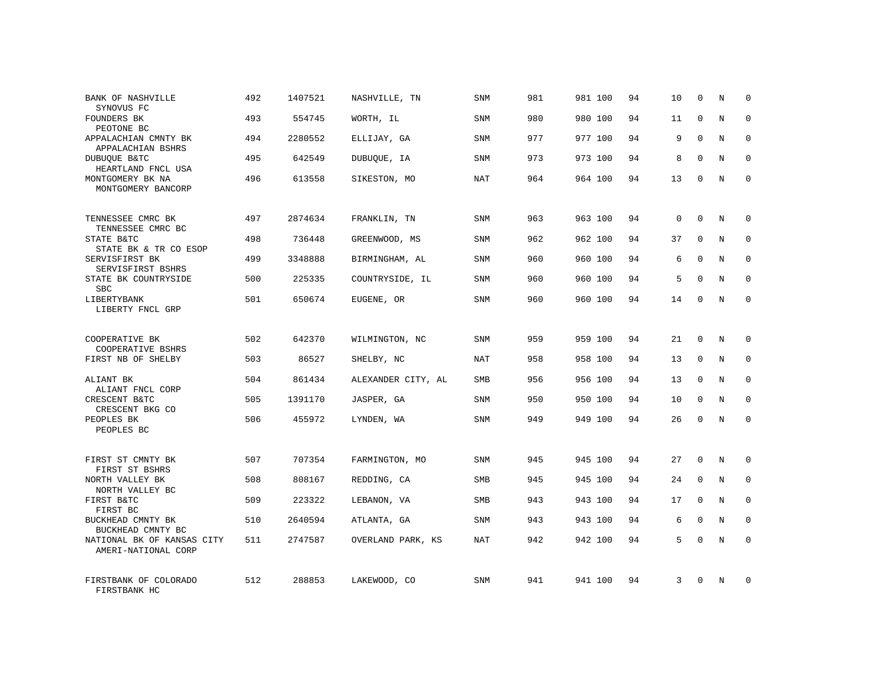| <b>BANK OF NASHVILLE</b><br>SYNOVUS FC            | 492 | 1407521 | NASHVILLE, TN      | <b>SNM</b> | 981 | 981 100 | 94 | 10 | $\mathbf 0$  | Ν | $\mathbf 0$ |
|---------------------------------------------------|-----|---------|--------------------|------------|-----|---------|----|----|--------------|---|-------------|
| FOUNDERS BK<br>PEOTONE BC                         | 493 | 554745  | WORTH, IL          | <b>SNM</b> | 980 | 980 100 | 94 | 11 | $\mathbf{0}$ | N | $\mathbf 0$ |
| APPALACHIAN CMNTY BK<br>APPALACHIAN BSHRS         | 494 | 2280552 | ELLIJAY, GA        | SNM        | 977 | 977 100 | 94 | 9  | $\Omega$     | N | $\mathbf 0$ |
| DUBUQUE B&TC<br>HEARTLAND FNCL USA                | 495 | 642549  | DUBUQUE, IA        | SNM        | 973 | 973 100 | 94 | 8  | $\mathbf 0$  | N | 0           |
| MONTGOMERY BK NA<br>MONTGOMERY BANCORP            | 496 | 613558  | SIKESTON, MO       | NAT        | 964 | 964 100 | 94 | 13 | $\Omega$     | N | $\mathbf 0$ |
| TENNESSEE CMRC BK<br>TENNESSEE CMRC BC            | 497 | 2874634 | FRANKLIN, TN       | SNM        | 963 | 963 100 | 94 | 0  | $\mathbf 0$  | N | $\mathbf 0$ |
| STATE B&TC<br>STATE BK & TR CO ESOP               | 498 | 736448  | GREENWOOD, MS      | <b>SNM</b> | 962 | 962 100 | 94 | 37 | $\Omega$     | N | $\mathbf 0$ |
| SERVISFIRST BK<br>SERVISFIRST BSHRS               | 499 | 3348888 | BIRMINGHAM, AL     | SNM        | 960 | 960 100 | 94 | 6  | $\Omega$     | N | 0           |
| STATE BK COUNTRYSIDE<br><b>SBC</b>                | 500 | 225335  | COUNTRYSIDE, IL    | SNM        | 960 | 960 100 | 94 | 5  | $\Omega$     | N | $\mathbf 0$ |
| LIBERTYBANK<br>LIBERTY FNCL GRP                   | 501 | 650674  | EUGENE, OR         | SNM        | 960 | 960 100 | 94 | 14 | $\mathbf 0$  | N | $\mathbf 0$ |
| COOPERATIVE BK                                    | 502 | 642370  | WILMINGTON, NC     | <b>SNM</b> | 959 | 959 100 | 94 | 21 | $\Omega$     | N | $\mathbf 0$ |
| COOPERATIVE BSHRS<br>FIRST NB OF SHELBY           | 503 | 86527   | SHELBY, NC         | NAT        | 958 | 958 100 | 94 | 13 | $\mathbf 0$  | N | 0           |
| ALIANT BK<br>ALIANT FNCL CORP                     | 504 | 861434  | ALEXANDER CITY, AL | <b>SMB</b> | 956 | 956 100 | 94 | 13 | $\Omega$     | N | $\mathbf 0$ |
| CRESCENT B&TC<br>CRESCENT BKG CO                  | 505 | 1391170 | JASPER, GA         | SNM        | 950 | 950 100 | 94 | 10 | $\mathbf 0$  | N | 0           |
| PEOPLES BK<br>PEOPLES BC                          | 506 | 455972  | LYNDEN, WA         | SNM        | 949 | 949 100 | 94 | 26 | $\Omega$     | N | $\mathbf 0$ |
| FIRST ST CMNTY BK<br>FIRST ST BSHRS               | 507 | 707354  | FARMINGTON, MO     | SNM        | 945 | 945 100 | 94 | 27 | $\mathbf 0$  | N | $\mathbf 0$ |
| NORTH VALLEY BK<br>NORTH VALLEY BC                | 508 | 808167  | REDDING, CA        | <b>SMB</b> | 945 | 945 100 | 94 | 24 | $\mathbf 0$  | N | $\mathbf 0$ |
| FIRST B&TC<br>FIRST BC                            | 509 | 223322  | LEBANON, VA        | SMB        | 943 | 943 100 | 94 | 17 | $\mathbf 0$  | N | 0           |
| BUCKHEAD CMNTY BK<br>BUCKHEAD CMNTY BC            | 510 | 2640594 | ATLANTA, GA        | SNM        | 943 | 943 100 | 94 | 6  | $\Omega$     | N | 0           |
| NATIONAL BK OF KANSAS CITY<br>AMERI-NATIONAL CORP | 511 | 2747587 | OVERLAND PARK, KS  | NAT        | 942 | 942 100 | 94 | 5  | $\Omega$     | N | $\Omega$    |
| FIRSTBANK OF COLORADO<br>FIRSTBANK HC             | 512 | 288853  | LAKEWOOD, CO       | <b>SNM</b> | 941 | 941 100 | 94 | 3  | $\Omega$     | N | $\mathbf 0$ |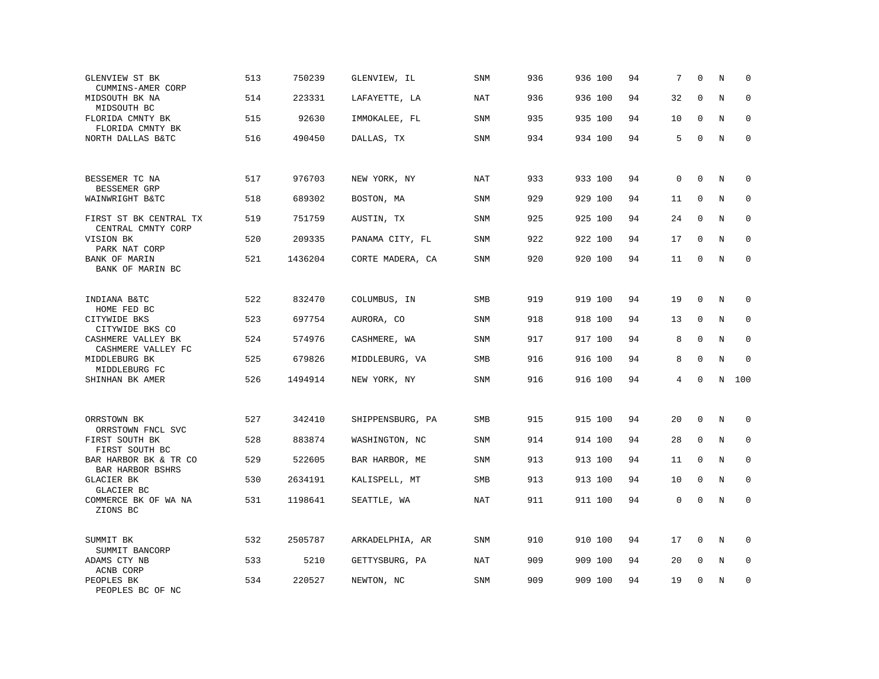| GLENVIEW ST BK<br>CUMMINS-AMER CORP          | 513 | 750239  | GLENVIEW, IL     | <b>SNM</b> | 936 | 936 100 | 94 | 7           | $\mathbf 0$  | N       | $\mathbf 0$  |
|----------------------------------------------|-----|---------|------------------|------------|-----|---------|----|-------------|--------------|---------|--------------|
| MIDSOUTH BK NA<br>MIDSOUTH BC                | 514 | 223331  | LAFAYETTE, LA    | NAT        | 936 | 936 100 | 94 | 32          | $\mathbf 0$  | N       | $\mathbf 0$  |
| FLORIDA CMNTY BK<br>FLORIDA CMNTY BK         | 515 | 92630   | IMMOKALEE, FL    | SNM        | 935 | 935 100 | 94 | 10          | $\mathbf 0$  | N       | $\mathbf 0$  |
| NORTH DALLAS B&TC                            | 516 | 490450  | DALLAS, TX       | <b>SNM</b> | 934 | 934 100 | 94 | 5           | $\mathbf 0$  | N       | $\mathbf 0$  |
| BESSEMER TC NA<br>BESSEMER GRP               | 517 | 976703  | NEW YORK, NY     | NAT        | 933 | 933 100 | 94 | $\mathbf 0$ | $\mathbf 0$  | N       | 0            |
| WAINWRIGHT B&TC                              | 518 | 689302  | BOSTON, MA       | SNM        | 929 | 929 100 | 94 | 11          | $\mathbf 0$  | N       | 0            |
| FIRST ST BK CENTRAL TX<br>CENTRAL CMNTY CORP | 519 | 751759  | AUSTIN, TX       | <b>SNM</b> | 925 | 925 100 | 94 | 24          | $\Omega$     | N       | $\mathbf{0}$ |
| VISION BK<br>PARK NAT CORP                   | 520 | 209335  | PANAMA CITY, FL  | SNM        | 922 | 922 100 | 94 | 17          | $\mathbf 0$  | N       | $\mathbf 0$  |
| BANK OF MARIN<br>BANK OF MARIN BC            | 521 | 1436204 | CORTE MADERA, CA | SNM        | 920 | 920 100 | 94 | 11          | $\mathbf{0}$ | N       | $\mathbf 0$  |
| INDIANA B&TC<br>HOME FED BC                  | 522 | 832470  | COLUMBUS, IN     | <b>SMB</b> | 919 | 919 100 | 94 | 19          | $\mathbf 0$  | N       | 0            |
| CITYWIDE BKS<br>CITYWIDE BKS CO              | 523 | 697754  | AURORA, CO       | SNM        | 918 | 918 100 | 94 | 13          | 0            | N       | $\mathbf 0$  |
| CASHMERE VALLEY BK<br>CASHMERE VALLEY FC     | 524 | 574976  | CASHMERE, WA     | SNM        | 917 | 917 100 | 94 | 8           | $\mathbf 0$  | N       | $\mathbf 0$  |
| MIDDLEBURG BK<br>MIDDLEBURG FC               | 525 | 679826  | MIDDLEBURG, VA   | SMB        | 916 | 916 100 | 94 | 8           | $\mathbf 0$  | N       | $\mathbf 0$  |
| SHINHAN BK AMER                              | 526 | 1494914 | NEW YORK, NY     | SNM        | 916 | 916 100 | 94 | 4           | $\mathbf 0$  | N       | 100          |
| ORRSTOWN BK<br>ORRSTOWN FNCL SVC             | 527 | 342410  | SHIPPENSBURG, PA | SMB        | 915 | 915 100 | 94 | 20          | $\mathbf{0}$ | N       | 0            |
| FIRST SOUTH BK<br>FIRST SOUTH BC             | 528 | 883874  | WASHINGTON, NC   | SNM        | 914 | 914 100 | 94 | 28          | $\mathbf 0$  | N       | 0            |
| BAR HARBOR BK & TR CO<br>BAR HARBOR BSHRS    | 529 | 522605  | BAR HARBOR, ME   | SNM        | 913 | 913 100 | 94 | 11          | $\mathbf{0}$ | N       | $\mathbf 0$  |
| GLACIER BK<br>GLACIER BC                     | 530 | 2634191 | KALISPELL, MT    | SMB        | 913 | 913 100 | 94 | 10          | $\Omega$     | $\rm N$ | 0            |
| COMMERCE BK OF WA NA<br>ZIONS BC             | 531 | 1198641 | SEATTLE, WA      | NAT        | 911 | 911 100 | 94 | $\mathbf 0$ | $\mathbf{0}$ | N       | $\mathbf 0$  |
| SUMMIT BK<br>SUMMIT BANCORP                  | 532 | 2505787 | ARKADELPHIA, AR  | SNM        | 910 | 910 100 | 94 | 17          | $\mathbf 0$  | N       | $\mathbf 0$  |
| ADAMS CTY NB<br>ACNB CORP                    | 533 | 5210    | GETTYSBURG, PA   | NAT        | 909 | 909 100 | 94 | 20          | $\mathbf 0$  | N       | $\mathbf 0$  |
| PEOPLES BK<br>PEOPLES BC OF NC               | 534 | 220527  | NEWTON, NC       | SNM        | 909 | 909 100 | 94 | 19          | $\mathbf 0$  | N       | $\mathbf 0$  |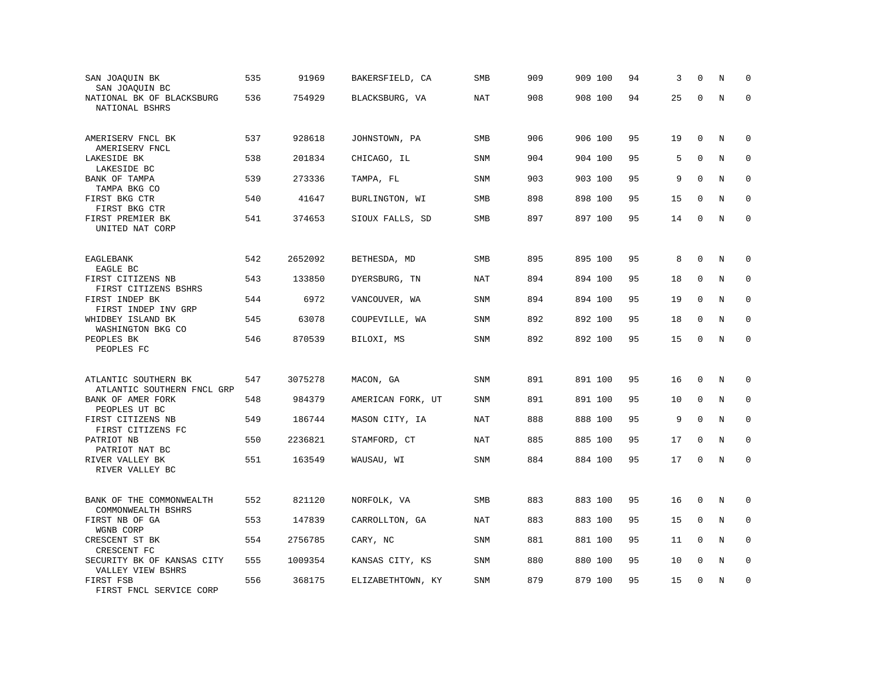| SAN JOAQUIN BK<br>SAN JOAQUIN BC                   | 535 | 91969   | BAKERSFIELD, CA   | SMB        | 909 | 909 100 | 94 | 3  | $\mathbf 0$ | N       | $\mathbf 0$ |
|----------------------------------------------------|-----|---------|-------------------|------------|-----|---------|----|----|-------------|---------|-------------|
| NATIONAL BK OF BLACKSBURG<br>NATIONAL BSHRS        | 536 | 754929  | BLACKSBURG, VA    | <b>NAT</b> | 908 | 908 100 | 94 | 25 | $\Omega$    | $\rm N$ | $\mathbf 0$ |
| AMERISERV FNCL BK<br>AMERISERV FNCL                | 537 | 928618  | JOHNSTOWN, PA     | SMB        | 906 | 906 100 | 95 | 19 | $\mathbf 0$ | N       | 0           |
| LAKESIDE BK<br>LAKESIDE BC                         | 538 | 201834  | CHICAGO, IL       | <b>SNM</b> | 904 | 904 100 | 95 | 5  | $\Omega$    | N       | $\mathbf 0$ |
| BANK OF TAMPA<br>TAMPA BKG CO                      | 539 | 273336  | TAMPA, FL         | <b>SNM</b> | 903 | 903 100 | 95 | 9  | $\mathbf 0$ | N       | $\mathbf 0$ |
| FIRST BKG CTR<br>FIRST BKG CTR                     | 540 | 41647   | BURLINGTON, WI    | SMB        | 898 | 898 100 | 95 | 15 | $\Omega$    | N       | $\mathbf 0$ |
| FIRST PREMIER BK<br>UNITED NAT CORP                | 541 | 374653  | SIOUX FALLS, SD   | SMB        | 897 | 897 100 | 95 | 14 | $\mathbf 0$ | N       | $\mathbf 0$ |
| EAGLEBANK<br>EAGLE BC                              | 542 | 2652092 | BETHESDA, MD      | <b>SMB</b> | 895 | 895 100 | 95 | 8  | $\Omega$    | N       | $\mathbf 0$ |
| FIRST CITIZENS NB<br>FIRST CITIZENS BSHRS          | 543 | 133850  | DYERSBURG, TN     | NAT        | 894 | 894 100 | 95 | 18 | 0           | N       | $\mathbf 0$ |
| FIRST INDEP BK<br>FIRST INDEP INV GRP              | 544 | 6972    | VANCOUVER, WA     | SNM        | 894 | 894 100 | 95 | 19 | $\mathbf 0$ | N       | $\mathbf 0$ |
| WHIDBEY ISLAND BK<br>WASHINGTON BKG CO             | 545 | 63078   | COUPEVILLE, WA    | <b>SNM</b> | 892 | 892 100 | 95 | 18 | $\mathbf 0$ | N       | $\mathbf 0$ |
| PEOPLES BK<br>PEOPLES FC                           | 546 | 870539  | BILOXI, MS        | <b>SNM</b> | 892 | 892 100 | 95 | 15 | $\mathbf 0$ | N       | $\mathbf 0$ |
| ATLANTIC SOUTHERN BK<br>ATLANTIC SOUTHERN FNCL GRP | 547 | 3075278 | MACON, GA         | <b>SNM</b> | 891 | 891 100 | 95 | 16 | $\mathbf 0$ | N       | $\mathbf 0$ |
| BANK OF AMER FORK<br>PEOPLES UT BC                 | 548 | 984379  | AMERICAN FORK, UT | <b>SNM</b> | 891 | 891 100 | 95 | 10 | $\Omega$    | N       | $\mathbf 0$ |
| FIRST CITIZENS NB<br>FIRST CITIZENS FC             | 549 | 186744  | MASON CITY, IA    | NAT        | 888 | 888 100 | 95 | 9  | $\mathbf 0$ | N       | 0           |
| PATRIOT NB<br>PATRIOT NAT BC                       | 550 | 2236821 | STAMFORD, CT      | <b>NAT</b> | 885 | 885 100 | 95 | 17 | $\mathbf 0$ | N       | $\mathbf 0$ |
| RIVER VALLEY BK<br>RIVER VALLEY BC                 | 551 | 163549  | WAUSAU, WI        | SNM        | 884 | 884 100 | 95 | 17 | 0           | N       | $\Omega$    |
| BANK OF THE COMMONWEALTH<br>COMMONWEALTH BSHRS     | 552 | 821120  | NORFOLK, VA       | <b>SMB</b> | 883 | 883 100 | 95 | 16 | $\mathbf 0$ | N       | 0           |
| FIRST NB OF GA<br>WGNB CORP                        | 553 | 147839  | CARROLLTON, GA    | NAT        | 883 | 883 100 | 95 | 15 | $\mathbf 0$ | N       | 0           |
| CRESCENT ST BK<br>CRESCENT FC                      | 554 | 2756785 | CARY, NC          | <b>SNM</b> | 881 | 881 100 | 95 | 11 | $\Omega$    | N       | $\mathbf 0$ |
| SECURITY BK OF KANSAS CITY<br>VALLEY VIEW BSHRS    | 555 | 1009354 | KANSAS CITY, KS   | <b>SNM</b> | 880 | 880 100 | 95 | 10 | $\mathbf 0$ | $\rm N$ | 0           |
| FIRST FSB<br>FIRST FNCL SERVICE CORP               | 556 | 368175  | ELIZABETHTOWN, KY | SNM        | 879 | 879 100 | 95 | 15 | $\mathbf 0$ | N       | $\mathbf 0$ |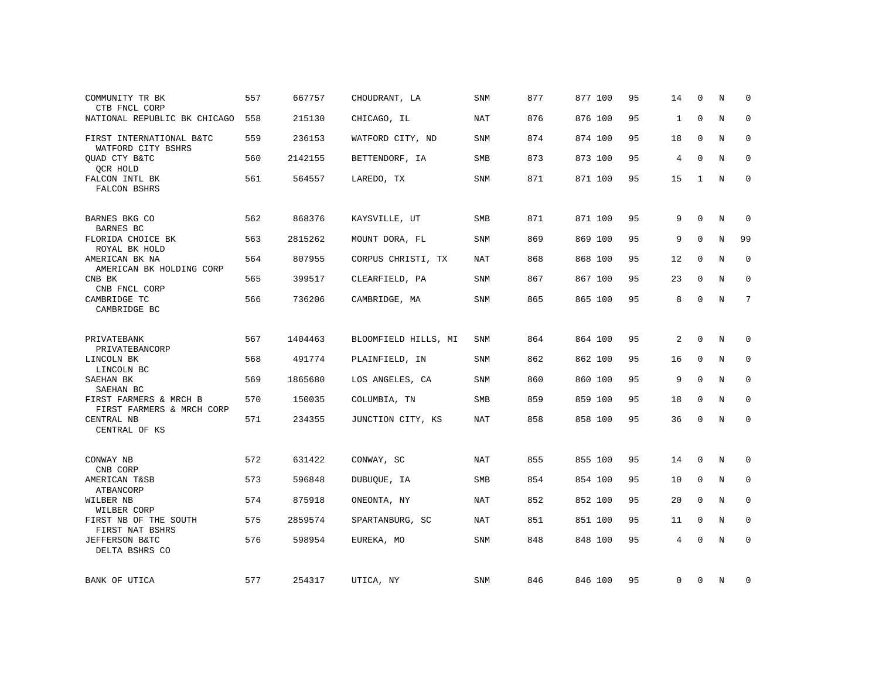| COMMUNITY TR BK<br>CTB FNCL CORP                                 | 557 | 667757  | CHOUDRANT, LA        | SNM        | 877 | 877 100 | 95 | 14             | $\Omega$     | N           | $\Omega$     |
|------------------------------------------------------------------|-----|---------|----------------------|------------|-----|---------|----|----------------|--------------|-------------|--------------|
| NATIONAL REPUBLIC BK CHICAGO                                     | 558 | 215130  | CHICAGO, IL          | <b>NAT</b> | 876 | 876 100 | 95 | $\mathbf{1}$   | $\mathbf 0$  | N           | $\mathbf 0$  |
| FIRST INTERNATIONAL B&TC<br>WATFORD CITY BSHRS                   | 559 | 236153  | WATFORD CITY, ND     | SNM        | 874 | 874 100 | 95 | 18             | 0            | N           | 0            |
| OUAD CTY B&TC<br>QCR HOLD                                        | 560 | 2142155 | BETTENDORF, IA       | <b>SMB</b> | 873 | 873 100 | 95 | $\overline{4}$ | $\Omega$     | $\mathbf N$ | $\mathbf 0$  |
| FALCON INTL BK<br>FALCON BSHRS                                   | 561 | 564557  | LAREDO, TX           | SNM        | 871 | 871 100 | 95 | 15             | 1            | N           | $\mathbf{0}$ |
| BARNES BKG CO<br><b>BARNES BC</b>                                | 562 | 868376  | KAYSVILLE, UT        | <b>SMB</b> | 871 | 871 100 | 95 | 9              | $\Omega$     | N           | $\mathbf 0$  |
| FLORIDA CHOICE BK<br>ROYAL BK HOLD                               | 563 | 2815262 | MOUNT DORA, FL       | <b>SNM</b> | 869 | 869 100 | 95 | 9              | $\Omega$     | $\rm N$     | 99           |
| AMERICAN BK NA<br>AMERICAN BK HOLDING CORP                       | 564 | 807955  | CORPUS CHRISTI, TX   | <b>NAT</b> | 868 | 868 100 | 95 | 12             | $\mathbf 0$  | N           | 0            |
| CNB BK<br>CNB FNCL CORP                                          | 565 | 399517  | CLEARFIELD, PA       | <b>SNM</b> | 867 | 867 100 | 95 | 23             | $\Omega$     | N           | $\mathbf 0$  |
| CAMBRIDGE TC<br>CAMBRIDGE BC                                     | 566 | 736206  | CAMBRIDGE, MA        | <b>SNM</b> | 865 | 865 100 | 95 | 8              | $\mathbf{0}$ | N           | 7            |
| PRIVATEBANK                                                      | 567 | 1404463 | BLOOMFIELD HILLS, MI | <b>SNM</b> | 864 | 864 100 | 95 | 2              | $\Omega$     | N           | 0            |
| PRIVATEBANCORP<br>LINCOLN BK                                     | 568 | 491774  | PLAINFIELD, IN       | <b>SNM</b> | 862 | 862 100 | 95 | 16             | $\mathbf 0$  | N           | $\mathbf 0$  |
| LINCOLN BC<br>SAEHAN BK                                          | 569 | 1865680 | LOS ANGELES, CA      | <b>SNM</b> | 860 | 860 100 | 95 | 9              | $\mathbf{0}$ | N           | 0            |
| SAEHAN BC<br>FIRST FARMERS & MRCH B<br>FIRST FARMERS & MRCH CORP | 570 | 150035  | COLUMBIA, TN         | <b>SMB</b> | 859 | 859 100 | 95 | 18             | $\mathbf 0$  | N           | 0            |
| CENTRAL NB<br>CENTRAL OF KS                                      | 571 | 234355  | JUNCTION CITY, KS    | NAT        | 858 | 858 100 | 95 | 36             | $\mathbf 0$  | $\rm N$     | $\mathbf 0$  |
| CONWAY NB<br>CNB CORP                                            | 572 | 631422  | CONWAY, SC           | NAT        | 855 | 855 100 | 95 | 14             | 0            | Ν           | 0            |
| AMERICAN T&SB<br>ATBANCORP                                       | 573 | 596848  | DUBUQUE, IA          | SMB        | 854 | 854 100 | 95 | 10             | $\mathbf 0$  | N           | $\mathbf 0$  |
| WILBER NB<br>WILBER CORP                                         | 574 | 875918  | ONEONTA, NY          | NAT        | 852 | 852 100 | 95 | 20             | $\mathbf{0}$ | N           | 0            |
| FIRST NB OF THE SOUTH<br>FIRST NAT BSHRS                         | 575 | 2859574 | SPARTANBURG, SC      | NAT        | 851 | 851 100 | 95 | 11             | $\mathbf 0$  | N           | 0            |
| JEFFERSON B&TC<br>DELTA BSHRS CO                                 | 576 | 598954  | EUREKA, MO           | SNM        | 848 | 848 100 | 95 | 4              | $\mathbf 0$  | N           | $\mathbf 0$  |
| BANK OF UTICA                                                    | 577 | 254317  | UTICA, NY            | SNM        | 846 | 846 100 | 95 | 0              | $\mathbf 0$  | N           | $\mathbf 0$  |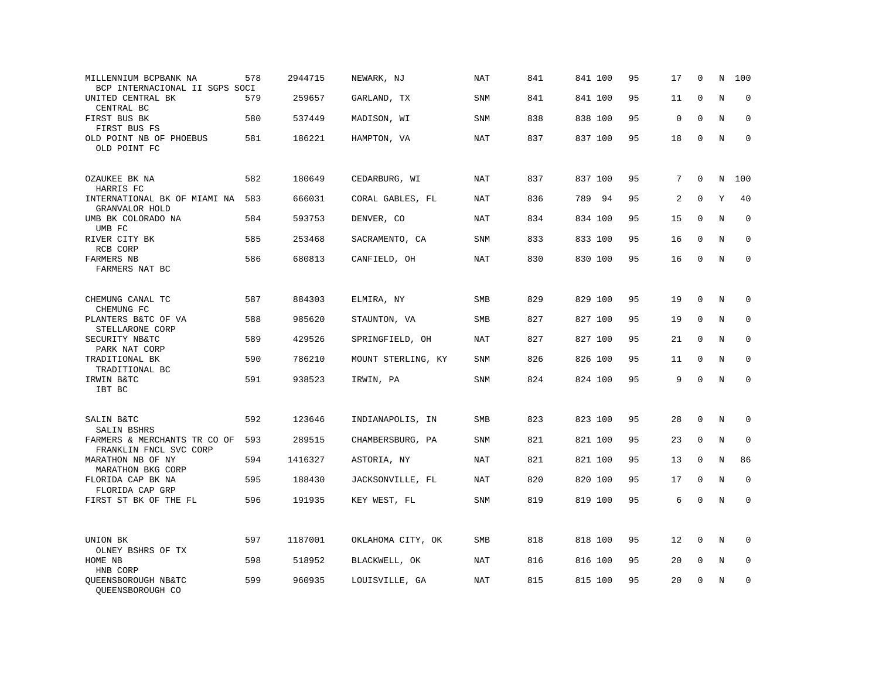| MILLENNIUM BCPBANK NA<br>BCP INTERNACIONAL II SGPS SOCI | 578 | 2944715 | NEWARK, NJ         | NAT        | 841 | 841 100 | 95 | 17 | 0            | N       | 100         |
|---------------------------------------------------------|-----|---------|--------------------|------------|-----|---------|----|----|--------------|---------|-------------|
| UNITED CENTRAL BK<br>CENTRAL BC                         | 579 | 259657  | GARLAND, TX        | SNM        | 841 | 841 100 | 95 | 11 | $\mathbf{0}$ | $\rm N$ | $\mathbf 0$ |
| FIRST BUS BK<br>FIRST BUS FS                            | 580 | 537449  | MADISON, WI        | <b>SNM</b> | 838 | 838 100 | 95 | 0  | $\mathbf 0$  | N       | 0           |
| OLD POINT NB OF PHOEBUS<br>OLD POINT FC                 | 581 | 186221  | HAMPTON, VA        | NAT        | 837 | 837 100 | 95 | 18 | $\mathbf{0}$ | N       | $\mathbf 0$ |
| OZAUKEE BK NA<br>HARRIS FC                              | 582 | 180649  | CEDARBURG, WI      | NAT        | 837 | 837 100 | 95 | 7  | $\mathbf{0}$ | N       | 100         |
| INTERNATIONAL BK OF MIAMI NA<br>GRANVALOR HOLD          | 583 | 666031  | CORAL GABLES, FL   | NAT        | 836 | 789 94  | 95 | 2  | $\Omega$     | Y       | 40          |
| UMB BK COLORADO NA<br>UMB FC                            | 584 | 593753  | DENVER, CO         | NAT        | 834 | 834 100 | 95 | 15 | $\mathbf 0$  | N       | $\mathbf 0$ |
| RIVER CITY BK<br>RCB CORP                               | 585 | 253468  | SACRAMENTO, CA     | SNM        | 833 | 833 100 | 95 | 16 | $\mathbf 0$  | N       | $\mathbf 0$ |
| <b>FARMERS NB</b><br>FARMERS NAT BC                     | 586 | 680813  | CANFIELD, OH       | NAT        | 830 | 830 100 | 95 | 16 | $\Omega$     | N       | $\mathbf 0$ |
| CHEMUNG CANAL TC<br>CHEMUNG FC                          | 587 | 884303  | ELMIRA, NY         | <b>SMB</b> | 829 | 829 100 | 95 | 19 | $\mathbf 0$  | N       | 0           |
| PLANTERS B&TC OF VA<br>STELLARONE CORP                  | 588 | 985620  | STAUNTON, VA       | SMB        | 827 | 827 100 | 95 | 19 | $\mathbf{0}$ | N       | $\mathbf 0$ |
| SECURITY NB&TC<br>PARK NAT CORP                         | 589 | 429526  | SPRINGFIELD, OH    | <b>NAT</b> | 827 | 827 100 | 95 | 21 | $\Omega$     | N       | $\mathbf 0$ |
| TRADITIONAL BK<br>TRADITIONAL BC                        | 590 | 786210  | MOUNT STERLING, KY | <b>SNM</b> | 826 | 826 100 | 95 | 11 | $\Omega$     | N       | $\Omega$    |
| IRWIN B&TC<br>IBT BC                                    | 591 | 938523  | IRWIN, PA          | SNM        | 824 | 824 100 | 95 | 9  | $\Omega$     | N       | $\mathbf 0$ |
| SALIN B&TC<br>SALIN BSHRS                               | 592 | 123646  | INDIANAPOLIS, IN   | SMB        | 823 | 823 100 | 95 | 28 | 0            | N       | 0           |
| FARMERS & MERCHANTS TR CO OF<br>FRANKLIN FNCL SVC CORP  | 593 | 289515  | CHAMBERSBURG, PA   | <b>SNM</b> | 821 | 821 100 | 95 | 23 | $\mathbf 0$  | N       | $\mathbf 0$ |
| MARATHON NB OF NY<br>MARATHON BKG CORP                  | 594 | 1416327 | ASTORIA, NY        | NAT        | 821 | 821 100 | 95 | 13 | $\Omega$     | N       | 86          |
| FLORIDA CAP BK NA<br>FLORIDA CAP GRP                    | 595 | 188430  | JACKSONVILLE, FL   | <b>NAT</b> | 820 | 820 100 | 95 | 17 | $\mathbf 0$  | N       | $\mathbf 0$ |
| FIRST ST BK OF THE FL                                   | 596 | 191935  | KEY WEST, FL       | SNM        | 819 | 819 100 | 95 | 6  | $\Omega$     | N       | $\mathbf 0$ |
| UNION BK<br>OLNEY BSHRS OF TX                           | 597 | 1187001 | OKLAHOMA CITY, OK  | <b>SMB</b> | 818 | 818 100 | 95 | 12 | $\mathbf 0$  | N       | $\mathbf 0$ |
| HOME NB<br>HNB CORP                                     | 598 | 518952  | BLACKWELL, OK      | NAT        | 816 | 816 100 | 95 | 20 | 0            | Ν       | 0           |
| QUEENSBOROUGH NB&TC<br>OUEENSBOROUGH CO                 | 599 | 960935  | LOUISVILLE, GA     | NAT        | 815 | 815 100 | 95 | 20 | $\mathbf 0$  | N       | $\mathbf 0$ |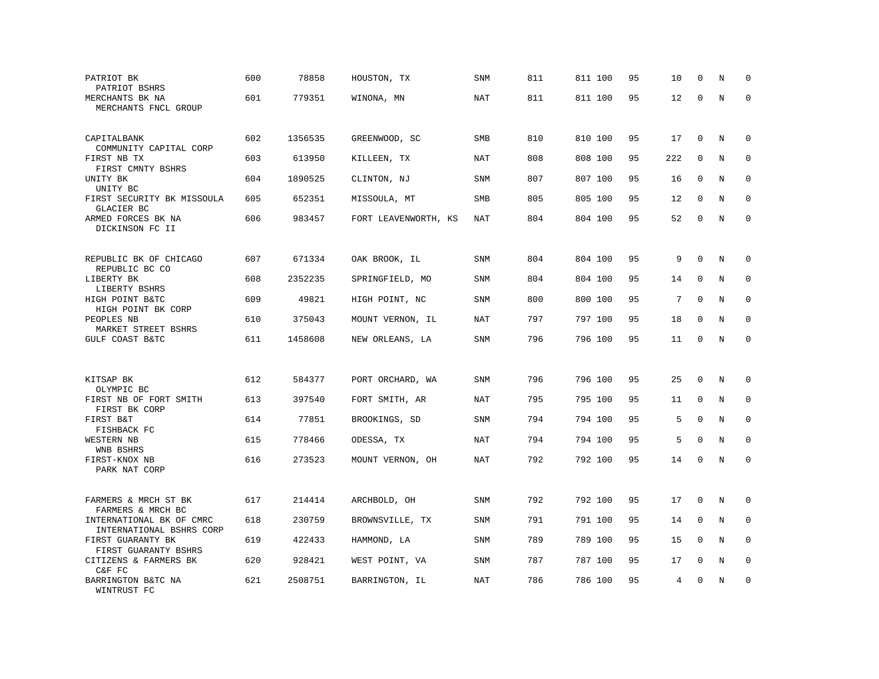| PATRIOT BK<br>PATRIOT BSHRS                           | 600 | 78858   | HOUSTON, TX          | SNM        | 811 | 811 100 | 95 | 10  | $\mathbf 0$  | N       | $\Omega$    |
|-------------------------------------------------------|-----|---------|----------------------|------------|-----|---------|----|-----|--------------|---------|-------------|
| MERCHANTS BK NA<br>MERCHANTS FNCL GROUP               | 601 | 779351  | WINONA, MN           | NAT        | 811 | 811 100 | 95 | 12  | $\Omega$     | N       | $\mathbf 0$ |
| CAPITALBANK<br>COMMUNITY CAPITAL CORP                 | 602 | 1356535 | GREENWOOD, SC        | SMB        | 810 | 810 100 | 95 | 17  | 0            | N       | $\mathbf 0$ |
| FIRST NB TX<br>FIRST CMNTY BSHRS                      | 603 | 613950  | KILLEEN, TX          | NAT        | 808 | 808 100 | 95 | 222 | $\mathbf 0$  | N       | $\mathbf 0$ |
| UNITY BK<br>UNITY BC                                  | 604 | 1890525 | CLINTON, NJ          | SNM        | 807 | 807 100 | 95 | 16  | $\mathbf 0$  | N       | $\mathbf 0$ |
| FIRST SECURITY BK MISSOULA<br>GLACIER BC              | 605 | 652351  | MISSOULA, MT         | SMB        | 805 | 805 100 | 95 | 12  | $\mathbf 0$  | N       | 0           |
| ARMED FORCES BK NA<br>DICKINSON FC II                 | 606 | 983457  | FORT LEAVENWORTH, KS | <b>NAT</b> | 804 | 804 100 | 95 | 52  | $\mathbf 0$  | N       | $\Omega$    |
| REPUBLIC BK OF CHICAGO<br>REPUBLIC BC CO              | 607 | 671334  | OAK BROOK, IL        | SNM        | 804 | 804 100 | 95 | 9   | $\Omega$     | N       | 0           |
| LIBERTY BK<br>LIBERTY BSHRS                           | 608 | 2352235 | SPRINGFIELD, MO      | <b>SNM</b> | 804 | 804 100 | 95 | 14  | $\mathbf 0$  | N       | $\mathbf 0$ |
| HIGH POINT B&TC<br>HIGH POINT BK CORP                 | 609 | 49821   | HIGH POINT, NC       | <b>SNM</b> | 800 | 800 100 | 95 | 7   | $\mathbf 0$  | N       | $\mathbf 0$ |
| PEOPLES NB<br>MARKET STREET BSHRS                     | 610 | 375043  | MOUNT VERNON, IL     | NAT        | 797 | 797 100 | 95 | 18  | $\Omega$     | N       | $\mathbf 0$ |
| GULF COAST B&TC                                       | 611 | 1458608 | NEW ORLEANS, LA      | SNM        | 796 | 796 100 | 95 | 11  | $\mathbf 0$  | N       | $\mathbf 0$ |
| KITSAP BK                                             | 612 | 584377  | PORT ORCHARD, WA     | SNM        | 796 | 796 100 | 95 | 25  | $\mathbf 0$  | N       | 0           |
| OLYMPIC BC<br>FIRST NB OF FORT SMITH<br>FIRST BK CORP | 613 | 397540  | FORT SMITH, AR       | NAT        | 795 | 795 100 | 95 | 11  | 0            | N       | $\mathbf 0$ |
| FIRST B&T<br>FISHBACK FC                              | 614 | 77851   | BROOKINGS, SD        | <b>SNM</b> | 794 | 794 100 | 95 | 5   | 0            | N       | 0           |
| WESTERN NB<br>WNB BSHRS                               | 615 | 778466  | ODESSA, TX           | <b>NAT</b> | 794 | 794 100 | 95 | 5   | $\mathbf{0}$ | $\rm N$ | $\mathbf 0$ |
| FIRST-KNOX NB<br>PARK NAT CORP                        | 616 | 273523  | MOUNT VERNON, OH     | <b>NAT</b> | 792 | 792 100 | 95 | 14  | $\mathbf 0$  | N       | 0           |
| FARMERS & MRCH ST BK<br>FARMERS & MRCH BC             | 617 | 214414  | ARCHBOLD, OH         | <b>SNM</b> | 792 | 792 100 | 95 | 17  | $\mathbf 0$  | N       | $\Omega$    |
| INTERNATIONAL BK OF CMRC<br>INTERNATIONAL BSHRS CORP  | 618 | 230759  | BROWNSVILLE, TX      | <b>SNM</b> | 791 | 791 100 | 95 | 14  | 0            | N       | 0           |
| FIRST GUARANTY BK<br>FIRST GUARANTY BSHRS             | 619 | 422433  | HAMMOND, LA          | <b>SNM</b> | 789 | 789 100 | 95 | 15  | $\mathbf 0$  | N       | $\mathbf 0$ |
| CITIZENS & FARMERS BK<br>C&F FC                       | 620 | 928421  | WEST POINT, VA       | <b>SNM</b> | 787 | 787 100 | 95 | 17  | $\mathbf 0$  | N       | $\mathbf 0$ |
| BARRINGTON B&TC NA<br>WINTRUST FC                     | 621 | 2508751 | BARRINGTON, IL       | NAT        | 786 | 786 100 | 95 | 4   | $\Omega$     | Ν       | 0           |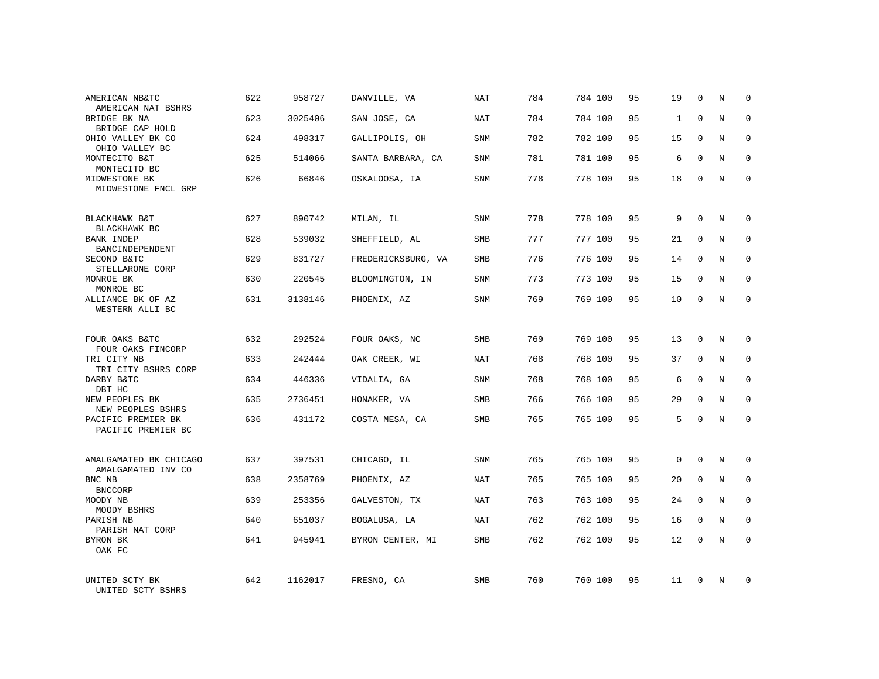| AMERICAN NB&TC<br>AMERICAN NAT BSHRS          | 622 | 958727  | DANVILLE, VA       | NAT        | 784 | 784 100 | 95 | 19           | $\mathbf 0$ | N          | $\Omega$     |
|-----------------------------------------------|-----|---------|--------------------|------------|-----|---------|----|--------------|-------------|------------|--------------|
| BRIDGE BK NA<br>BRIDGE CAP HOLD               | 623 | 3025406 | SAN JOSE, CA       | NAT        | 784 | 784 100 | 95 | $\mathbf{1}$ | $\Omega$    | N          | $\Omega$     |
| OHIO VALLEY BK CO<br>OHIO VALLEY BC           | 624 | 498317  | GALLIPOLIS, OH     | SNM        | 782 | 782 100 | 95 | 15           | 0           | N          | $\mathbf 0$  |
| MONTECITO B&T<br>MONTECITO BC                 | 625 | 514066  | SANTA BARBARA, CA  | SNM        | 781 | 781 100 | 95 | 6            | $\Omega$    | N          | $\mathbf 0$  |
| MIDWESTONE BK<br>MIDWESTONE FNCL GRP          | 626 | 66846   | OSKALOOSA, IA      | SNM        | 778 | 778 100 | 95 | 18           | 0           | N          | $\mathbf 0$  |
| BLACKHAWK B&T                                 | 627 | 890742  | MILAN, IL          | SNM        | 778 | 778 100 | 95 | 9            | $\mathbf 0$ | N          | $\mathbf 0$  |
| BLACKHAWK BC<br>BANK INDEP<br>BANCINDEPENDENT | 628 | 539032  | SHEFFIELD, AL      | <b>SMB</b> | 777 | 777 100 | 95 | 21           | $\mathbf 0$ | N          | $\mathbf 0$  |
| SECOND B&TC<br>STELLARONE CORP                | 629 | 831727  | FREDERICKSBURG, VA | <b>SMB</b> | 776 | 776 100 | 95 | 14           | $\mathbf 0$ | N          | $\mathbf 0$  |
| MONROE BK<br>MONROE BC                        | 630 | 220545  | BLOOMINGTON, IN    | SNM        | 773 | 773 100 | 95 | 15           | $\mathbf 0$ | N          | $\mathbf 0$  |
| ALLIANCE BK OF AZ<br>WESTERN ALLI BC          | 631 | 3138146 | PHOENIX, AZ        | <b>SNM</b> | 769 | 769 100 | 95 | 10           | $\mathbf 0$ | N          | $\mathbf 0$  |
| FOUR OAKS B&TC<br>FOUR OAKS FINCORP           | 632 | 292524  | FOUR OAKS, NC      | <b>SMB</b> | 769 | 769 100 | 95 | 13           | $\mathbf 0$ | N          | $\mathbf 0$  |
| TRI CITY NB<br>TRI CITY BSHRS CORP            | 633 | 242444  | OAK CREEK, WI      | NAT        | 768 | 768 100 | 95 | 37           | $\mathbf 0$ | N          | 0            |
| DARBY B&TC<br>DBT HC                          | 634 | 446336  | VIDALIA, GA        | SNM        | 768 | 768 100 | 95 | 6            | $\Omega$    | N          | $\mathbf 0$  |
| NEW PEOPLES BK<br>NEW PEOPLES BSHRS           | 635 | 2736451 | HONAKER, VA        | <b>SMB</b> | 766 | 766 100 | 95 | 29           | $\mathbf 0$ | N          | 0            |
| PACIFIC PREMIER BK<br>PACIFIC PREMIER BC      | 636 | 431172  | COSTA MESA, CA     | <b>SMB</b> | 765 | 765 100 | 95 | 5            | $\Omega$    | $_{\rm N}$ | $\mathbf 0$  |
| AMALGAMATED BK CHICAGO<br>AMALGAMATED INV CO  | 637 | 397531  | CHICAGO, IL        | SNM        | 765 | 765 100 | 95 | $\mathbf 0$  | $\Omega$    | N          | $\mathbf 0$  |
| BNC NB<br><b>BNCCORP</b>                      | 638 | 2358769 | PHOENIX, AZ        | NAT        | 765 | 765 100 | 95 | 20           | 0           | N          | 0            |
| MOODY NB<br>MOODY BSHRS                       | 639 | 253356  | GALVESTON, TX      | NAT        | 763 | 763 100 | 95 | 24           | $\Omega$    | N          | $\mathbf{0}$ |
| PARISH NB<br>PARISH NAT CORP                  | 640 | 651037  | BOGALUSA, LA       | NAT        | 762 | 762 100 | 95 | 16           | 0           | N          | 0            |
| BYRON BK<br>OAK FC                            | 641 | 945941  | BYRON CENTER, MI   | <b>SMB</b> | 762 | 762 100 | 95 | 12           | $\Omega$    | N          | $\mathbf 0$  |
| UNITED SCTY BK<br>UNITED SCTY BSHRS           | 642 | 1162017 | FRESNO, CA         | <b>SMB</b> | 760 | 760 100 | 95 | 11           | $\Omega$    | N          | $\mathbf 0$  |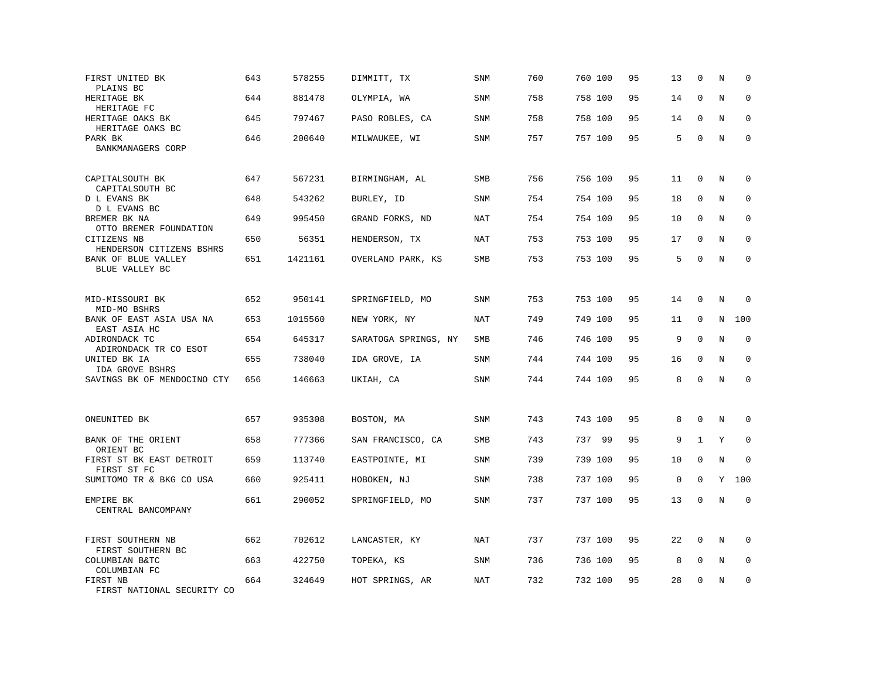| FIRST UNITED BK<br>PLAINS BC             | 643 | 578255  | DIMMITT, TX          | <b>SNM</b> | 760 | 760 100 | 95 | 13          | $\mathbf 0$  | N           | $\mathbf 0$  |
|------------------------------------------|-----|---------|----------------------|------------|-----|---------|----|-------------|--------------|-------------|--------------|
| HERITAGE BK<br>HERITAGE FC               | 644 | 881478  | OLYMPIA, WA          | <b>SNM</b> | 758 | 758 100 | 95 | 14          | $\mathbf{0}$ | N           | $\mathbf 0$  |
| HERITAGE OAKS BK<br>HERITAGE OAKS BC     | 645 | 797467  | PASO ROBLES, CA      | <b>SNM</b> | 758 | 758 100 | 95 | 14          | $\mathbf 0$  | N           | $\mathbf 0$  |
| PARK BK<br>BANKMANAGERS CORP             | 646 | 200640  | MILWAUKEE, WI        | <b>SNM</b> | 757 | 757 100 | 95 | 5           | $\mathbf 0$  | $\mathbf N$ | $\mathbf 0$  |
| CAPITALSOUTH BK<br>CAPITALSOUTH BC       | 647 | 567231  | BIRMINGHAM, AL       | SMB        | 756 | 756 100 | 95 | 11          | $\mathbf 0$  | N           | $\mathbf 0$  |
| D L EVANS BK<br>D L EVANS BC             | 648 | 543262  | BURLEY, ID           | SNM        | 754 | 754 100 | 95 | 18          | $\Omega$     | N           | $\mathbf 0$  |
| BREMER BK NA<br>OTTO BREMER FOUNDATION   | 649 | 995450  | GRAND FORKS, ND      | NAT        | 754 | 754 100 | 95 | 10          | $\Omega$     | N           | $\mathbf 0$  |
| CITIZENS NB<br>HENDERSON CITIZENS BSHRS  | 650 | 56351   | HENDERSON, TX        | NAT        | 753 | 753 100 | 95 | 17          | $\Omega$     | N           | $\Omega$     |
| BANK OF BLUE VALLEY<br>BLUE VALLEY BC    | 651 | 1421161 | OVERLAND PARK, KS    | SMB        | 753 | 753 100 | 95 | 5           | $\mathbf{0}$ | N           | $\mathbf 0$  |
| MID-MISSOURI BK<br>MID-MO BSHRS          | 652 | 950141  | SPRINGFIELD, MO      | SNM        | 753 | 753 100 | 95 | 14          | $\mathbf 0$  | N           | $\mathbf 0$  |
| BANK OF EAST ASIA USA NA<br>EAST ASIA HC | 653 | 1015560 | NEW YORK, NY         | <b>NAT</b> | 749 | 749 100 | 95 | 11          | $\mathbf 0$  | N           | 100          |
| ADIRONDACK TC<br>ADIRONDACK TR CO ESOT   | 654 | 645317  | SARATOGA SPRINGS, NY | SMB        | 746 | 746 100 | 95 | 9           | $\mathbf 0$  | N           | 0            |
| UNITED BK IA<br>IDA GROVE BSHRS          | 655 | 738040  | IDA GROVE, IA        | <b>SNM</b> | 744 | 744 100 | 95 | 16          | $\mathbf 0$  | N           | $\mathbf{0}$ |
| SAVINGS BK OF MENDOCINO CTY              | 656 | 146663  | UKIAH, CA            | SNM        | 744 | 744 100 | 95 | 8           | $\Omega$     | $\rm N$     | $\Omega$     |
| ONEUNITED BK                             | 657 | 935308  | BOSTON, MA           | <b>SNM</b> | 743 | 743 100 | 95 | 8           | $\mathbf 0$  | N           | 0            |
| BANK OF THE ORIENT<br>ORIENT BC          | 658 | 777366  | SAN FRANCISCO, CA    | <b>SMB</b> | 743 | 737 99  | 95 | 9           | $\mathbf{1}$ | Y           | $\mathbf 0$  |
| FIRST ST BK EAST DETROIT<br>FIRST ST FC  | 659 | 113740  | EASTPOINTE, MI       | SNM        | 739 | 739 100 | 95 | 10          | $\mathbf 0$  | N           | $\Omega$     |
| SUMITOMO TR & BKG CO USA                 | 660 | 925411  | HOBOKEN, NJ          | SNM        | 738 | 737 100 | 95 | $\mathsf 0$ | $\mathbf 0$  | Y           | 100          |
| EMPIRE BK<br>CENTRAL BANCOMPANY          | 661 | 290052  | SPRINGFIELD, MO      | SNM        | 737 | 737 100 | 95 | 13          | $\mathbf{0}$ | N           | $\mathbf 0$  |
| FIRST SOUTHERN NB<br>FIRST SOUTHERN BC   | 662 | 702612  | LANCASTER, KY        | NAT        | 737 | 737 100 | 95 | 22          | $\mathbf 0$  | N           | $\mathbf 0$  |
| COLUMBIAN B&TC<br>COLUMBIAN FC           | 663 | 422750  | TOPEKA, KS           | SNM        | 736 | 736 100 | 95 | 8           | 0            | Ν           | 0            |
| FIRST NB<br>FIRST NATIONAL SECURITY CO   | 664 | 324649  | HOT SPRINGS, AR      | NAT        | 732 | 732 100 | 95 | 28          | $\mathbf 0$  | N           | $\mathbf 0$  |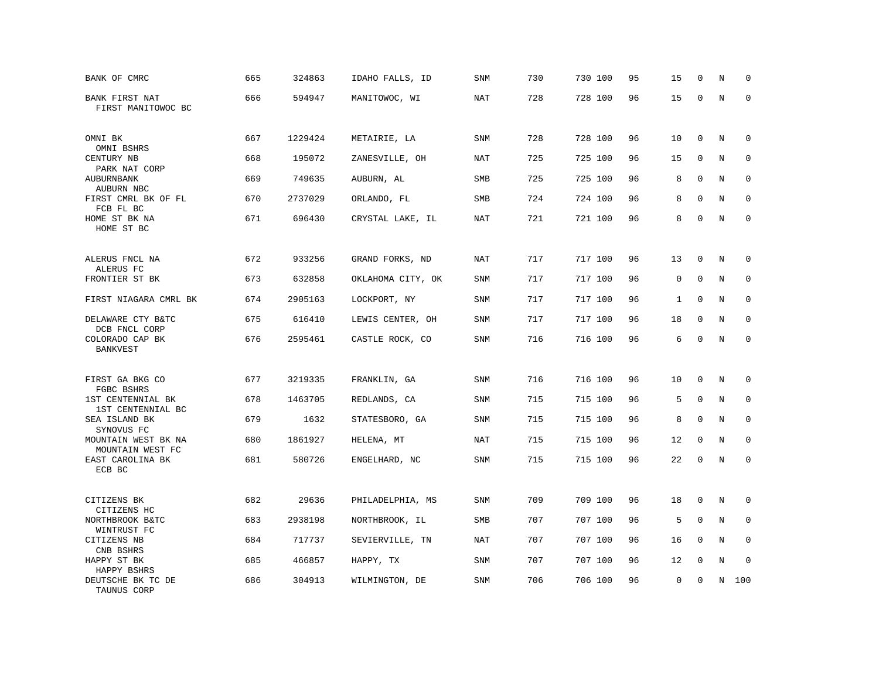| BANK OF CMRC                                     | 665 | 324863  | IDAHO FALLS, ID   | SNM        | 730 | 730 100 | 95 | 15          | 0           | N       | $\mathbf 0$ |
|--------------------------------------------------|-----|---------|-------------------|------------|-----|---------|----|-------------|-------------|---------|-------------|
| BANK FIRST NAT<br>FIRST MANITOWOC BC             | 666 | 594947  | MANITOWOC, WI     | <b>NAT</b> | 728 | 728 100 | 96 | 15          | $\mathbf 0$ | $\rm N$ | $\mathbf 0$ |
| OMNI BK                                          | 667 | 1229424 | METAIRIE, LA      | <b>SNM</b> | 728 | 728 100 | 96 | 10          | $\mathbf 0$ | N       | 0           |
| OMNI BSHRS<br>CENTURY NB                         | 668 | 195072  | ZANESVILLE, OH    | <b>NAT</b> | 725 | 725 100 | 96 | 15          | $\mathbf 0$ | N       | $\mathbf 0$ |
| PARK NAT CORP<br><b>AUBURNBANK</b><br>AUBURN NBC | 669 | 749635  | AUBURN, AL        | <b>SMB</b> | 725 | 725 100 | 96 | 8           | $\Omega$    | N       | $\mathbf 0$ |
| FIRST CMRL BK OF FL<br>FCB FL BC                 | 670 | 2737029 | ORLANDO, FL       | SMB        | 724 | 724 100 | 96 | 8           | $\mathbf 0$ | N       | 0           |
| HOME ST BK NA<br>HOME ST BC                      | 671 | 696430  | CRYSTAL LAKE, IL  | <b>NAT</b> | 721 | 721 100 | 96 | 8           | $\Omega$    | N       | $\mathbf 0$ |
|                                                  | 672 | 933256  |                   |            | 717 |         |    |             | $\mathbf 0$ |         |             |
| ALERUS FNCL NA<br>ALERUS FC                      |     |         | GRAND FORKS, ND   | <b>NAT</b> |     | 717 100 | 96 | 13          |             | N       | 0           |
| FRONTIER ST BK                                   | 673 | 632858  | OKLAHOMA CITY, OK | <b>SNM</b> | 717 | 717 100 | 96 | $\mathbf 0$ | $\mathbf 0$ | N       | $\mathbf 0$ |
| FIRST NIAGARA CMRL BK                            | 674 | 2905163 | LOCKPORT, NY      | <b>SNM</b> | 717 | 717 100 | 96 | 1           | $\mathbf 0$ | N       | $\mathbf 0$ |
| DELAWARE CTY B&TC<br>DCB FNCL CORP               | 675 | 616410  | LEWIS CENTER, OH  | <b>SNM</b> | 717 | 717 100 | 96 | 18          | $\mathbf 0$ | N       | $\mathbf 0$ |
| COLORADO CAP BK<br><b>BANKVEST</b>               | 676 | 2595461 | CASTLE ROCK, CO   | SNM        | 716 | 716 100 | 96 | 6           | $\mathbf 0$ | $\rm N$ | $\mathbf 0$ |
| FIRST GA BKG CO                                  | 677 | 3219335 | FRANKLIN, GA      | SNM        | 716 | 716 100 | 96 | 10          | $\mathbf 0$ | N       | $\mathbf 0$ |
| FGBC BSHRS<br>1ST CENTENNIAL BK                  | 678 | 1463705 | REDLANDS, CA      | <b>SNM</b> | 715 | 715 100 | 96 | 5           | $\Omega$    | N       | $\mathbf 0$ |
| 1ST CENTENNIAL BC<br>SEA ISLAND BK<br>SYNOVUS FC | 679 | 1632    | STATESBORO, GA    | <b>SNM</b> | 715 | 715 100 | 96 | 8           | $\mathbf 0$ | N       | $\mathbf 0$ |
| MOUNTAIN WEST BK NA<br>MOUNTAIN WEST FC          | 680 | 1861927 | HELENA, MT        | NAT        | 715 | 715 100 | 96 | 12          | $\mathbf 0$ | N       | 0           |
| EAST CAROLINA BK<br>ECB BC                       | 681 | 580726  | ENGELHARD, NC     | SNM        | 715 | 715 100 | 96 | 22          | $\mathbf 0$ | N       | $\mathbf 0$ |
| CITIZENS BK                                      | 682 | 29636   | PHILADELPHIA, MS  | <b>SNM</b> | 709 | 709 100 | 96 | 18          | $\mathbf 0$ | N       | 0           |
| CITIZENS HC<br>NORTHBROOK B&TC                   | 683 | 2938198 | NORTHBROOK, IL    | SMB        | 707 | 707 100 | 96 | 5           | $\mathbf 0$ | N       | $\mathbf 0$ |
| WINTRUST FC<br>CITIZENS NB                       | 684 | 717737  |                   | NAT        | 707 | 707 100 | 96 | 16          | $\Omega$    | N       | $\mathbf 0$ |
| CNB BSHRS                                        |     |         | SEVIERVILLE, TN   |            |     |         |    |             |             |         |             |
| HAPPY ST BK<br>HAPPY BSHRS                       | 685 | 466857  | HAPPY, TX         | <b>SNM</b> | 707 | 707 100 | 96 | 12          | $\mathbf 0$ | N       | $\mathbf 0$ |
| DEUTSCHE BK TC DE<br>TAUNUS CORP                 | 686 | 304913  | WILMINGTON, DE    | <b>SNM</b> | 706 | 706 100 | 96 | $\mathbf 0$ | $\mathbf 0$ | N       | 100         |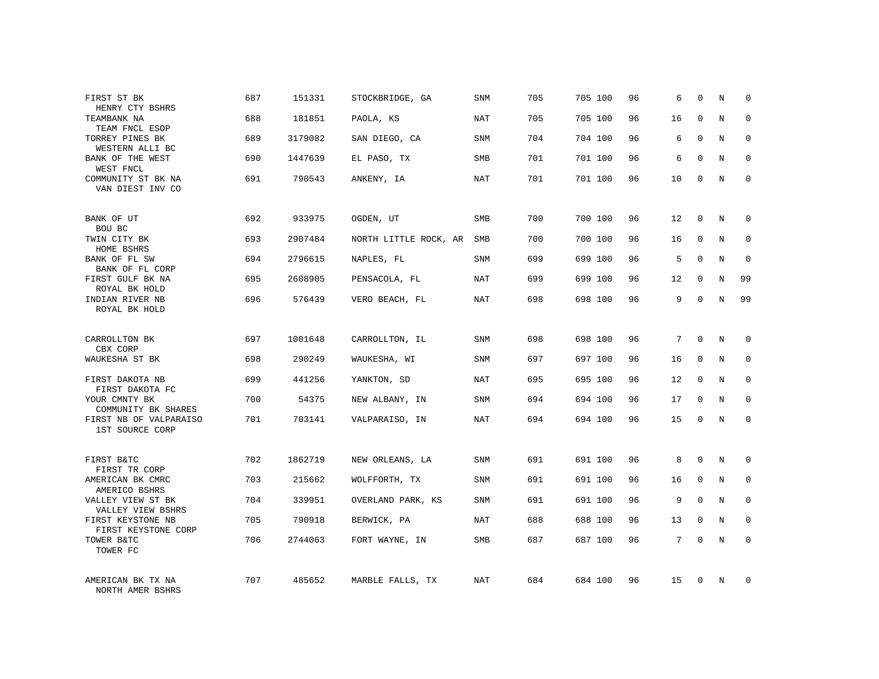| FIRST ST BK<br>HENRY CTY BSHRS            | 687 | 151331  | STOCKBRIDGE, GA       | SNM        | 705 | 705 100 | 96 | 6               | $\mathbf 0$  | N           | $\Omega$     |
|-------------------------------------------|-----|---------|-----------------------|------------|-----|---------|----|-----------------|--------------|-------------|--------------|
| TEAMBANK NA<br>TEAM FNCL ESOP             | 688 | 181851  | PAOLA, KS             | NAT        | 705 | 705 100 | 96 | 16              | $\Omega$     | N           | $\Omega$     |
| TORREY PINES BK<br>WESTERN ALLI BC        | 689 | 3179082 | SAN DIEGO, CA         | SNM        | 704 | 704 100 | 96 | 6               | $\mathbf 0$  | N           | $\mathbf 0$  |
| BANK OF THE WEST<br>WEST FNCL             | 690 | 1447639 | EL PASO, TX           | <b>SMB</b> | 701 | 701 100 | 96 | 6               | $\Omega$     | N           | $\mathbf 0$  |
| COMMUNITY ST BK NA<br>VAN DIEST INV CO    | 691 | 790543  | ANKENY, IA            | NAT        | 701 | 701 100 | 96 | 10              | $\mathbf 0$  | N           | $\mathbf 0$  |
| BANK OF UT<br>BOU BC                      | 692 | 933975  | OGDEN, UT             | <b>SMB</b> | 700 | 700 100 | 96 | 12              | $\mathbf 0$  | N           | $\mathbf 0$  |
| TWIN CITY BK<br>HOME BSHRS                | 693 | 2907484 | NORTH LITTLE ROCK, AR | <b>SMB</b> | 700 | 700 100 | 96 | 16              | $\mathbf{0}$ | N           | $\mathbf 0$  |
| BANK OF FL SW<br>BANK OF FL CORP          | 694 | 2796615 | NAPLES, FL            | SNM        | 699 | 699 100 | 96 | 5               | $\mathbf 0$  | N           | $\mathbf 0$  |
| FIRST GULF BK NA<br>ROYAL BK HOLD         | 695 | 2608905 | PENSACOLA, FL         | NAT        | 699 | 699 100 | 96 | 12              | $\mathbf{0}$ | N           | 99           |
| INDIAN RIVER NB<br>ROYAL BK HOLD          | 696 | 576439  | VERO BEACH, FL        | <b>NAT</b> | 698 | 698 100 | 96 | 9               | $\mathbf 0$  | $\mathbf N$ | 99           |
| CARROLLTON BK<br>CBX CORP                 | 697 | 1001648 | CARROLLTON, IL        | <b>SNM</b> | 698 | 698 100 | 96 | $7\phantom{.0}$ | $\Omega$     | N           | $\mathbf 0$  |
| WAUKESHA ST BK                            | 698 | 290249  | WAUKESHA, WI          | SNM        | 697 | 697 100 | 96 | 16              | 0            | N           | 0            |
| FIRST DAKOTA NB<br>FIRST DAKOTA FC        | 699 | 441256  | YANKTON, SD           | NAT        | 695 | 695 100 | 96 | 12              | $\Omega$     | N           | $\mathbf{0}$ |
| YOUR CMNTY BK<br>COMMUNITY BK SHARES      | 700 | 54375   | NEW ALBANY, IN        | SNM        | 694 | 694 100 | 96 | 17              | 0            | N           | 0            |
| FIRST NB OF VALPARAISO<br>1ST SOURCE CORP | 701 | 703141  | VALPARAISO, IN        | NAT        | 694 | 694 100 | 96 | 15              | $\Omega$     | N           | $\mathbf 0$  |
| FIRST B&TC<br>FIRST TR CORP               | 702 | 1862719 | NEW ORLEANS, LA       | <b>SNM</b> | 691 | 691 100 | 96 | 8               | $\Omega$     | N           | $\mathbf 0$  |
| AMERICAN BK CMRC<br>AMERICO BSHRS         | 703 | 215662  | WOLFFORTH, TX         | SNM        | 691 | 691 100 | 96 | 16              | $\mathbf 0$  | N           | 0            |
| VALLEY VIEW ST BK<br>VALLEY VIEW BSHRS    | 704 | 339951  | OVERLAND PARK, KS     | <b>SNM</b> | 691 | 691 100 | 96 | 9               | $\Omega$     | N           | $\mathbf{0}$ |
| FIRST KEYSTONE NB<br>FIRST KEYSTONE CORP  | 705 | 790918  | BERWICK, PA           | NAT        | 688 | 688 100 | 96 | 13              | $\mathbf 0$  | N           | 0            |
| TOWER B&TC<br>TOWER FC                    | 706 | 2744063 | FORT WAYNE, IN        | SMB        | 687 | 687 100 | 96 | 7               | $\Omega$     | N           | $\mathbf 0$  |
| AMERICAN BK TX NA<br>NORTH AMER BSHRS     | 707 | 485652  | MARBLE FALLS, TX      | NAT        | 684 | 684 100 | 96 | 15              | $\Omega$     | N           | $\mathbf 0$  |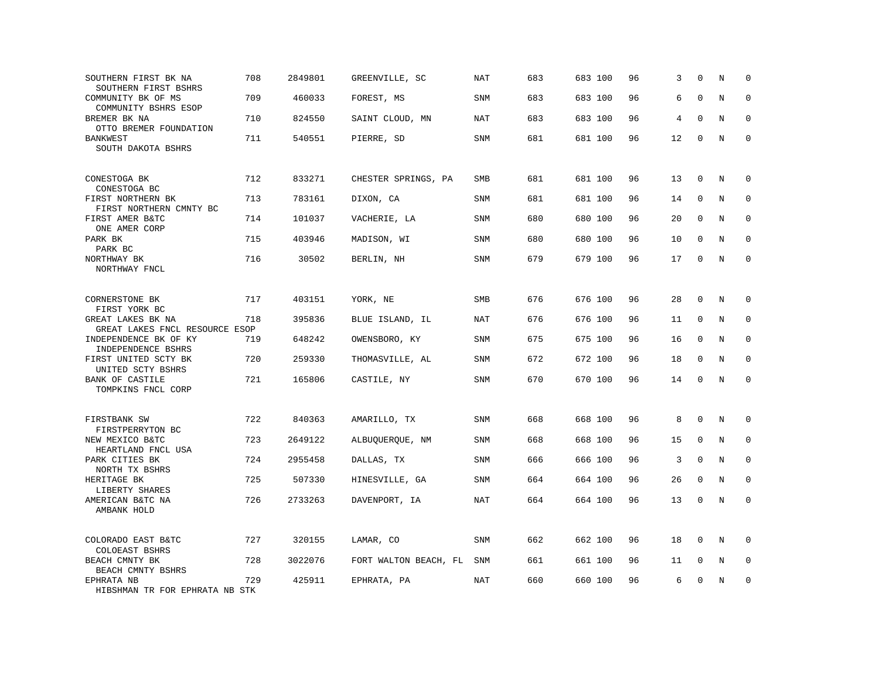| SOUTHERN FIRST BK NA<br>SOUTHERN FIRST BSHRS        | 708 | 2849801 | GREENVILLE, SC        | <b>NAT</b> | 683 | 683 100 | 96 | 3  | $\mathbf 0$  | N       | $\mathbf 0$  |
|-----------------------------------------------------|-----|---------|-----------------------|------------|-----|---------|----|----|--------------|---------|--------------|
| COMMUNITY BK OF MS<br>COMMUNITY BSHRS ESOP          | 709 | 460033  | FOREST, MS            | <b>SNM</b> | 683 | 683 100 | 96 | 6  | $\mathbf{0}$ | N       | $\mathbf 0$  |
| BREMER BK NA<br>OTTO BREMER FOUNDATION              | 710 | 824550  | SAINT CLOUD, MN       | NAT        | 683 | 683 100 | 96 | 4  | $\mathbf{0}$ | N       | $\mathbf 0$  |
| <b>BANKWEST</b><br>SOUTH DAKOTA BSHRS               | 711 | 540551  | PIERRE, SD            | SNM        | 681 | 681 100 | 96 | 12 | $\mathbf{0}$ | N       | $\mathbf 0$  |
| CONESTOGA BK<br>CONESTOGA BC                        | 712 | 833271  | CHESTER SPRINGS, PA   | SMB        | 681 | 681 100 | 96 | 13 | $\mathbf{0}$ | N       | $\mathbf 0$  |
| FIRST NORTHERN BK<br>FIRST NORTHERN CMNTY BC        | 713 | 783161  | DIXON, CA             | SNM        | 681 | 681 100 | 96 | 14 | $\mathbf 0$  | N       | $\mathbf 0$  |
| FIRST AMER B&TC<br>ONE AMER CORP                    | 714 | 101037  | VACHERIE, LA          | <b>SNM</b> | 680 | 680 100 | 96 | 20 | $\Omega$     | N       | $\mathbf 0$  |
| PARK BK<br>PARK BC                                  | 715 | 403946  | MADISON, WI           | <b>SNM</b> | 680 | 680 100 | 96 | 10 | $\Omega$     | N       | $\Omega$     |
| NORTHWAY BK<br>NORTHWAY FNCL                        | 716 | 30502   | BERLIN, NH            | <b>SNM</b> | 679 | 679 100 | 96 | 17 | $\mathbf{0}$ | N       | $\mathbf 0$  |
| CORNERSTONE BK<br>FIRST YORK BC                     | 717 | 403151  | YORK, NE              | SMB        | 676 | 676 100 | 96 | 28 | $\mathbf{0}$ | N       | 0            |
| GREAT LAKES BK NA<br>GREAT LAKES FNCL RESOURCE ESOP | 718 | 395836  | BLUE ISLAND, IL       | <b>NAT</b> | 676 | 676 100 | 96 | 11 | $\mathbf{0}$ | N       | $\mathbf 0$  |
| INDEPENDENCE BK OF KY<br>INDEPENDENCE BSHRS         | 719 | 648242  | OWENSBORO, KY         | <b>SNM</b> | 675 | 675 100 | 96 | 16 | $\mathbf 0$  | N       | 0            |
| FIRST UNITED SCTY BK<br>UNITED SCTY BSHRS           | 720 | 259330  | THOMASVILLE, AL       | <b>SNM</b> | 672 | 672 100 | 96 | 18 | $\mathbf 0$  | N       | $\mathbf{0}$ |
| BANK OF CASTILE<br>TOMPKINS FNCL CORP               | 721 | 165806  | CASTILE, NY           | SNM        | 670 | 670 100 | 96 | 14 | $\Omega$     | $\rm N$ | $\Omega$     |
| FIRSTBANK SW<br>FIRSTPERRYTON BC                    | 722 | 840363  | AMARILLO, TX          | <b>SNM</b> | 668 | 668 100 | 96 | 8  | $\mathbf 0$  | N       | $\mathbf 0$  |
| NEW MEXICO B&TC<br>HEARTLAND FNCL USA               | 723 | 2649122 | ALBUQUERQUE, NM       | <b>SNM</b> | 668 | 668 100 | 96 | 15 | $\mathbf 0$  | N       | $\mathbf 0$  |
| PARK CITIES BK<br>NORTH TX BSHRS                    | 724 | 2955458 | DALLAS, TX            | SNM        | 666 | 666 100 | 96 | 3  | $\mathbf 0$  | N       | $\mathbf 0$  |
| HERITAGE BK<br>LIBERTY SHARES                       | 725 | 507330  | HINESVILLE, GA        | SNM        | 664 | 664 100 | 96 | 26 | $\mathbf 0$  | N       | $\mathbf 0$  |
| AMERICAN B&TC NA<br>AMBANK HOLD                     | 726 | 2733263 | DAVENPORT, IA         | NAT        | 664 | 664 100 | 96 | 13 | $\mathbf 0$  | N       | $\mathbf 0$  |
| COLORADO EAST B&TC<br>COLOEAST BSHRS                | 727 | 320155  | LAMAR, CO             | <b>SNM</b> | 662 | 662 100 | 96 | 18 | $\mathbf 0$  | N       | $\mathbf 0$  |
| BEACH CMNTY BK<br>BEACH CMNTY BSHRS                 | 728 | 3022076 | FORT WALTON BEACH, FL | SNM        | 661 | 661 100 | 96 | 11 | 0            | Ν       | 0            |
| EPHRATA NB<br>HIBSHMAN TR FOR EPHRATA NB STK        | 729 | 425911  | EPHRATA, PA           | NAT        | 660 | 660 100 | 96 | 6  | $\mathbf 0$  | N       | $\mathbf 0$  |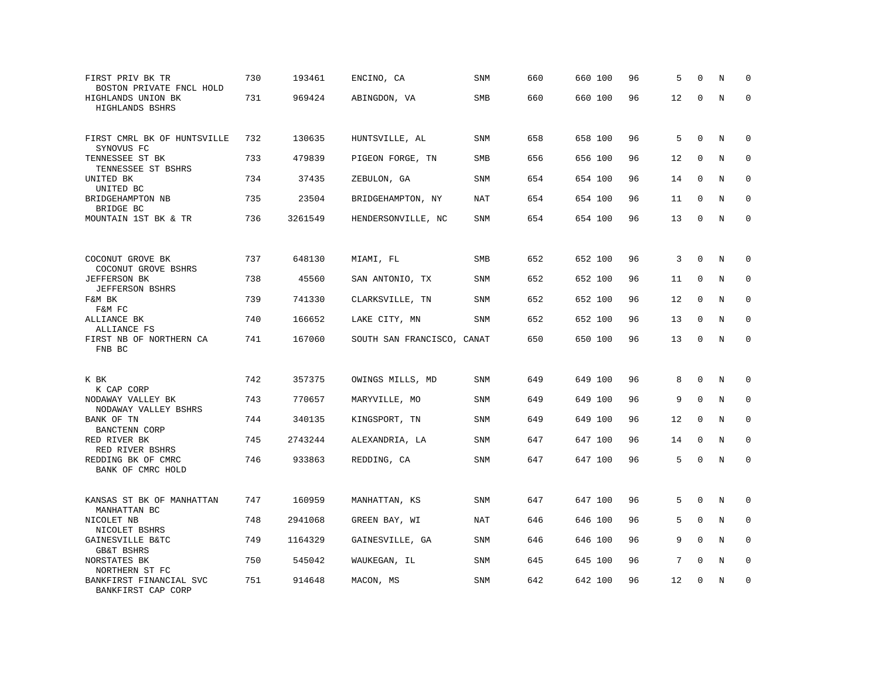| FIRST PRIV BK TR<br>BOSTON PRIVATE FNCL HOLD  | 730 | 193461  | ENCINO, CA                 | <b>SNM</b> | 660 | 660 100 | 96 | 5  | $\mathbf 0$  | N       | $\mathbf 0$  |
|-----------------------------------------------|-----|---------|----------------------------|------------|-----|---------|----|----|--------------|---------|--------------|
| HIGHLANDS UNION BK<br>HIGHLANDS BSHRS         | 731 | 969424  | ABINGDON, VA               | SMB        | 660 | 660 100 | 96 | 12 | $\Omega$     | $\rm N$ | $\mathbf 0$  |
| FIRST CMRL BK OF HUNTSVILLE<br>SYNOVUS FC     | 732 | 130635  | HUNTSVILLE, AL             | <b>SNM</b> | 658 | 658 100 | 96 | 5  | $\mathbf{0}$ | N       | 0            |
| TENNESSEE ST BK<br>TENNESSEE ST BSHRS         | 733 | 479839  | PIGEON FORGE, TN           | SMB        | 656 | 656 100 | 96 | 12 | $\mathbf 0$  | N       | $\mathbf 0$  |
| UNITED BK<br>UNITED BC                        | 734 | 37435   | ZEBULON, GA                | SNM        | 654 | 654 100 | 96 | 14 | $\mathbf{0}$ | N       | $\mathbf 0$  |
| BRIDGEHAMPTON NB<br>BRIDGE BC                 | 735 | 23504   | BRIDGEHAMPTON, NY          | NAT        | 654 | 654 100 | 96 | 11 | 0            | N       | $\mathbf 0$  |
| MOUNTAIN 1ST BK & TR                          | 736 | 3261549 | HENDERSONVILLE, NC         | <b>SNM</b> | 654 | 654 100 | 96 | 13 | $\mathbf 0$  | N       | $\mathbf 0$  |
|                                               |     |         |                            |            |     |         |    |    |              |         |              |
| COCONUT GROVE BK<br>COCONUT GROVE BSHRS       | 737 | 648130  | MIAMI, FL                  | <b>SMB</b> | 652 | 652 100 | 96 | 3  | $\Omega$     | N       | $\mathbf 0$  |
| <b>JEFFERSON BK</b><br><b>JEFFERSON BSHRS</b> | 738 | 45560   | SAN ANTONIO, TX            | SNM        | 652 | 652 100 | 96 | 11 | 0            | N       | $\mathbf 0$  |
| F&M BK<br>F&M FC                              | 739 | 741330  | CLARKSVILLE, TN            | SNM        | 652 | 652 100 | 96 | 12 | $\mathbf 0$  | N       | 0            |
| ALLIANCE BK<br>ALLIANCE FS                    | 740 | 166652  | LAKE CITY, MN              | <b>SNM</b> | 652 | 652 100 | 96 | 13 | $\mathbf 0$  | N       | $\mathbf 0$  |
| FIRST NB OF NORTHERN CA<br>FNB BC             | 741 | 167060  | SOUTH SAN FRANCISCO, CANAT |            | 650 | 650 100 | 96 | 13 | $\mathbf 0$  | N       | $\mathbf 0$  |
| K BK<br>K CAP CORP                            | 742 | 357375  | OWINGS MILLS, MD           | <b>SNM</b> | 649 | 649 100 | 96 | 8  | $\mathbf 0$  | N       | $\mathbf 0$  |
| NODAWAY VALLEY BK<br>NODAWAY VALLEY BSHRS     | 743 | 770657  | MARYVILLE, MO              | <b>SNM</b> | 649 | 649 100 | 96 | 9  | $\Omega$     | N       | $\mathbf 0$  |
| BANK OF TN<br><b>BANCTENN CORP</b>            | 744 | 340135  | KINGSPORT, TN              | SNM        | 649 | 649 100 | 96 | 12 | $\mathbf 0$  | N       | 0            |
| RED RIVER BK<br>RED RIVER BSHRS               | 745 | 2743244 | ALEXANDRIA, LA             | <b>SNM</b> | 647 | 647 100 | 96 | 14 | $\mathbf 0$  | N       | $\mathbf{0}$ |
| REDDING BK OF CMRC<br>BANK OF CMRC HOLD       | 746 | 933863  | REDDING, CA                | SNM        | 647 | 647 100 | 96 | 5  | $\mathbf 0$  | N       | $\mathbf 0$  |
| KANSAS ST BK OF MANHATTAN<br>MANHATTAN BC     | 747 | 160959  | MANHATTAN, KS              | SNM        | 647 | 647 100 | 96 | 5  | $\Omega$     | N       | 0            |
| NICOLET NB<br>NICOLET BSHRS                   | 748 | 2941068 | GREEN BAY, WI              | NAT        | 646 | 646 100 | 96 | 5  | $\mathbf{0}$ | N       | 0            |
| GAINESVILLE B&TC<br><b>GB&amp;T BSHRS</b>     | 749 | 1164329 | GAINESVILLE, GA            | SNM        | 646 | 646 100 | 96 | 9  | $\Omega$     | N       | $\mathbf 0$  |
| NORSTATES BK<br>NORTHERN ST FC                | 750 | 545042  | WAUKEGAN, IL               | SNM        | 645 | 645 100 | 96 | 7  | $\mathbf{0}$ | N       | 0            |
| BANKFIRST FINANCIAL SVC<br>BANKFIRST CAP CORP | 751 | 914648  | MACON, MS                  | <b>SNM</b> | 642 | 642 100 | 96 | 12 | $\mathbf 0$  | N       | $\mathbf 0$  |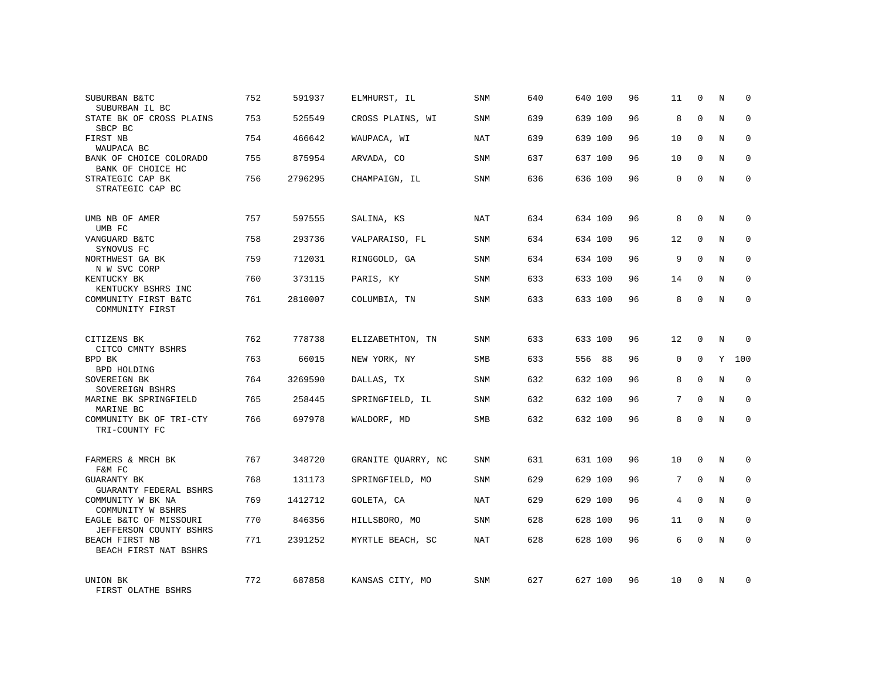| SUBURBAN B&TC<br>SUBURBAN IL BC                  | 752 | 591937  | ELMHURST, IL       | <b>SNM</b> | 640 | 640 100 | 96 | 11          | $\mathbf 0$  | N | $\mathbf 0$  |
|--------------------------------------------------|-----|---------|--------------------|------------|-----|---------|----|-------------|--------------|---|--------------|
| STATE BK OF CROSS PLAINS<br>SBCP BC              | 753 | 525549  | CROSS PLAINS, WI   | <b>SNM</b> | 639 | 639 100 | 96 | 8           | $\Omega$     | N | $\Omega$     |
| FIRST NB<br>WAUPACA BC                           | 754 | 466642  | WAUPACA, WI        | NAT        | 639 | 639 100 | 96 | 10          | $\mathbf 0$  | N | $\mathbf 0$  |
| BANK OF CHOICE COLORADO<br>BANK OF CHOICE HC     | 755 | 875954  | ARVADA, CO         | <b>SNM</b> | 637 | 637 100 | 96 | 10          | $\Omega$     | N | $\mathbf 0$  |
| STRATEGIC CAP BK<br>STRATEGIC CAP BC             | 756 | 2796295 | CHAMPAIGN, IL      | <b>SNM</b> | 636 | 636 100 | 96 | $\Omega$    | $\Omega$     | N | $\Omega$     |
| UMB NB OF AMER                                   | 757 | 597555  | SALINA, KS         | NAT        | 634 | 634 100 | 96 | 8           | $\Omega$     | N | $\mathbf 0$  |
| UMB FC<br>VANGUARD B&TC<br>SYNOVUS FC            | 758 | 293736  | VALPARAISO, FL     | SNM        | 634 | 634 100 | 96 | 12          | $\mathbf 0$  | N | $\mathbf 0$  |
| NORTHWEST GA BK<br>N W SVC CORP                  | 759 | 712031  | RINGGOLD, GA       | <b>SNM</b> | 634 | 634 100 | 96 | 9           | $\Omega$     | N | $\mathbf 0$  |
| KENTUCKY BK<br>KENTUCKY BSHRS INC                | 760 | 373115  | PARIS, KY          | <b>SNM</b> | 633 | 633 100 | 96 | 14          | $\mathbf 0$  | N | 0            |
| COMMUNITY FIRST B&TC<br>COMMUNITY FIRST          | 761 | 2810007 | COLUMBIA, TN       | <b>SNM</b> | 633 | 633 100 | 96 | 8           | $\mathbf 0$  | N | $\mathbf 0$  |
| CITIZENS BK<br>CITCO CMNTY BSHRS                 | 762 | 778738  | ELIZABETHTON, TN   | <b>SNM</b> | 633 | 633 100 | 96 | 12          | 0            | N | 0            |
| BPD BK<br>BPD HOLDING                            | 763 | 66015   | NEW YORK, NY       | <b>SMB</b> | 633 | 556 88  | 96 | $\mathbf 0$ | $\Omega$     | Y | 100          |
| SOVEREIGN BK<br>SOVEREIGN BSHRS                  | 764 | 3269590 | DALLAS, TX         | <b>SNM</b> | 632 | 632 100 | 96 | 8           | $\Omega$     | N | $\mathbf 0$  |
| MARINE BK SPRINGFIELD<br>MARINE BC               | 765 | 258445  | SPRINGFIELD, IL    | <b>SNM</b> | 632 | 632 100 | 96 | 7           | $\Omega$     | N | $\mathbf 0$  |
| COMMUNITY BK OF TRI-CTY<br>TRI-COUNTY FC         | 766 | 697978  | WALDORF, MD        | SMB        | 632 | 632 100 | 96 | 8           | $\mathbf 0$  | N | $\mathbf 0$  |
| FARMERS & MRCH BK<br>F&M FC                      | 767 | 348720  | GRANITE QUARRY, NC | <b>SNM</b> | 631 | 631 100 | 96 | 10          | $\mathbf 0$  | N | 0            |
| GUARANTY BK<br><b>GUARANTY FEDERAL BSHRS</b>     | 768 | 131173  | SPRINGFIELD, MO    | SNM        | 629 | 629 100 | 96 | 7           | $\mathbf{0}$ | N | $\mathbf 0$  |
| COMMUNITY W BK NA<br>COMMUNITY W BSHRS           | 769 | 1412712 | GOLETA, CA         | NAT        | 629 | 629 100 | 96 | 4           | $\Omega$     | N | $\mathbf{0}$ |
| EAGLE B&TC OF MISSOURI<br>JEFFERSON COUNTY BSHRS | 770 | 846356  | HILLSBORO, MO      | SNM        | 628 | 628 100 | 96 | 11          | $\mathbf 0$  | N | 0            |
| BEACH FIRST NB<br>BEACH FIRST NAT BSHRS          | 771 | 2391252 | MYRTLE BEACH, SC   | <b>NAT</b> | 628 | 628 100 | 96 | 6           | $\Omega$     | N | $\Omega$     |
| UNION BK<br>FIRST OLATHE BSHRS                   | 772 | 687858  | KANSAS CITY, MO    | <b>SNM</b> | 627 | 627 100 | 96 | 10          | $\Omega$     | N | $\mathbf 0$  |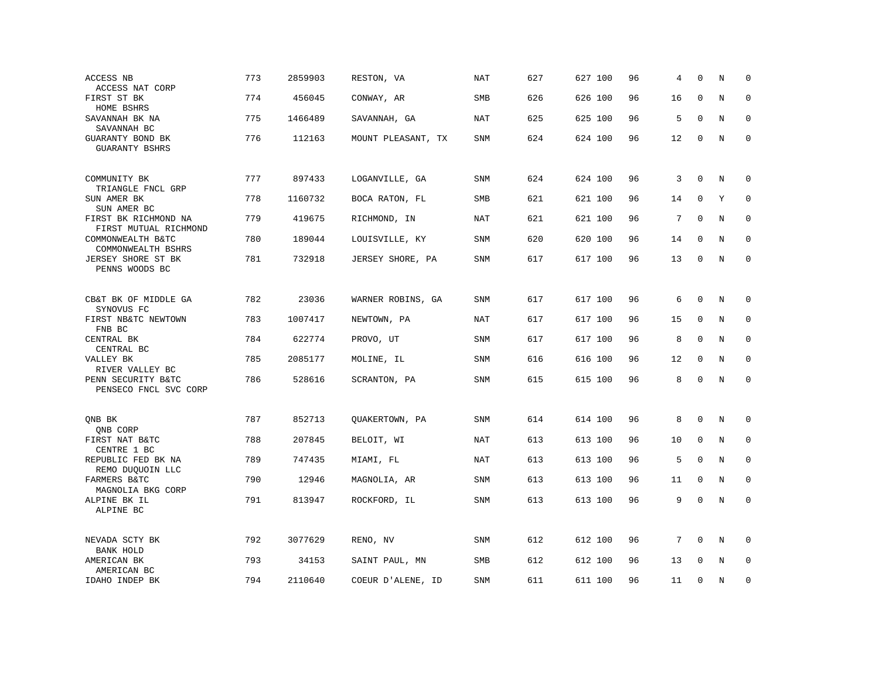| ACCESS NB                                      | 773 | 2859903 | RESTON, VA         | <b>NAT</b> | 627 | 627 100 | 96 | 4  | $\Omega$     | N       | $\mathbf 0$ |
|------------------------------------------------|-----|---------|--------------------|------------|-----|---------|----|----|--------------|---------|-------------|
| ACCESS NAT CORP<br>FIRST ST BK<br>HOME BSHRS   | 774 | 456045  | CONWAY, AR         | SMB        | 626 | 626 100 | 96 | 16 | $\mathbf 0$  | N       | $\mathbf 0$ |
| SAVANNAH BK NA<br>SAVANNAH BC                  | 775 | 1466489 | SAVANNAH, GA       | NAT        | 625 | 625 100 | 96 | 5  | $\Omega$     | N       | $\Omega$    |
| GUARANTY BOND BK<br><b>GUARANTY BSHRS</b>      | 776 | 112163  | MOUNT PLEASANT, TX | SNM        | 624 | 624 100 | 96 | 12 | $\mathbf 0$  | $\rm N$ | $\mathbf 0$ |
| COMMUNITY BK<br>TRIANGLE FNCL GRP              | 777 | 897433  | LOGANVILLE, GA     | <b>SNM</b> | 624 | 624 100 | 96 | 3  | $\mathbf 0$  | N       | $\mathbf 0$ |
| SUN AMER BK<br>SUN AMER BC                     | 778 | 1160732 | BOCA RATON, FL     | SMB        | 621 | 621 100 | 96 | 14 | $\mathbf 0$  | Y       | $\mathbf 0$ |
| FIRST BK RICHMOND NA<br>FIRST MUTUAL RICHMOND  | 779 | 419675  | RICHMOND, IN       | <b>NAT</b> | 621 | 621 100 | 96 | 7  | $\mathbf 0$  | N       | $\mathbf 0$ |
| COMMONWEALTH B&TC<br>COMMONWEALTH BSHRS        | 780 | 189044  | LOUISVILLE, KY     | <b>SNM</b> | 620 | 620 100 | 96 | 14 | $\mathbf 0$  | N       | $\mathbf 0$ |
| JERSEY SHORE ST BK<br>PENNS WOODS BC           | 781 | 732918  | JERSEY SHORE, PA   | SNM        | 617 | 617 100 | 96 | 13 | 0            | $\rm N$ | $\mathbf 0$ |
| CB&T BK OF MIDDLE GA                           | 782 | 23036   | WARNER ROBINS, GA  | SNM        | 617 | 617 100 | 96 | 6  | $\mathbf 0$  | N       | 0           |
| SYNOVUS FC<br>FIRST NB&TC NEWTOWN              | 783 | 1007417 | NEWTOWN, PA        | <b>NAT</b> | 617 | 617 100 | 96 | 15 | $\mathbf 0$  | N       | $\mathbf 0$ |
| FNB BC<br>CENTRAL BK<br>CENTRAL BC             | 784 | 622774  | PROVO, UT          | SNM        | 617 | 617 100 | 96 | 8  | $\mathbf{0}$ | N       | $\mathbf 0$ |
| VALLEY BK<br>RIVER VALLEY BC                   | 785 | 2085177 | MOLINE, IL         | <b>SNM</b> | 616 | 616 100 | 96 | 12 | $\mathbf{0}$ | N       | $\mathbf 0$ |
| PENN SECURITY B&TC<br>PENSECO FNCL SVC CORP    | 786 | 528616  | SCRANTON, PA       | SNM        | 615 | 615 100 | 96 | 8  | $\mathbf 0$  | N       | $\mathbf 0$ |
| QNB BK                                         | 787 | 852713  | QUAKERTOWN, PA     | <b>SNM</b> | 614 | 614 100 | 96 | 8  | $\mathbf{0}$ | N       | 0           |
| QNB CORP<br>FIRST NAT B&TC                     | 788 | 207845  | BELOIT, WI         | <b>NAT</b> | 613 | 613 100 | 96 | 10 | 0            | N       | 0           |
| CENTRE 1 BC<br>REPUBLIC FED BK NA              | 789 | 747435  | MIAMI, FL          | <b>NAT</b> | 613 | 613 100 | 96 | 5  | $\Omega$     | N       | $\mathbf 0$ |
| REMO DUQUOIN LLC<br>FARMERS B&TC               | 790 | 12946   | MAGNOLIA, AR       | SNM        | 613 | 613 100 | 96 | 11 | $\mathbf 0$  | N       | $\mathbf 0$ |
| MAGNOLIA BKG CORP<br>ALPINE BK IL<br>ALPINE BC | 791 | 813947  | ROCKFORD, IL       | <b>SNM</b> | 613 | 613 100 | 96 | 9  | $\mathbf 0$  | N       | $\mathbf 0$ |
| NEVADA SCTY BK<br>BANK HOLD                    | 792 | 3077629 | RENO, NV           | SNM        | 612 | 612 100 | 96 | 7  | 0            | $\rm N$ | 0           |
| AMERICAN BK<br>AMERICAN BC                     | 793 | 34153   | SAINT PAUL, MN     | <b>SMB</b> | 612 | 612 100 | 96 | 13 | $\Omega$     | N       | $\mathbf 0$ |
| IDAHO INDEP BK                                 | 794 | 2110640 | COEUR D'ALENE, ID  | <b>SNM</b> | 611 | 611 100 | 96 | 11 | $\mathbf 0$  | N       | 0           |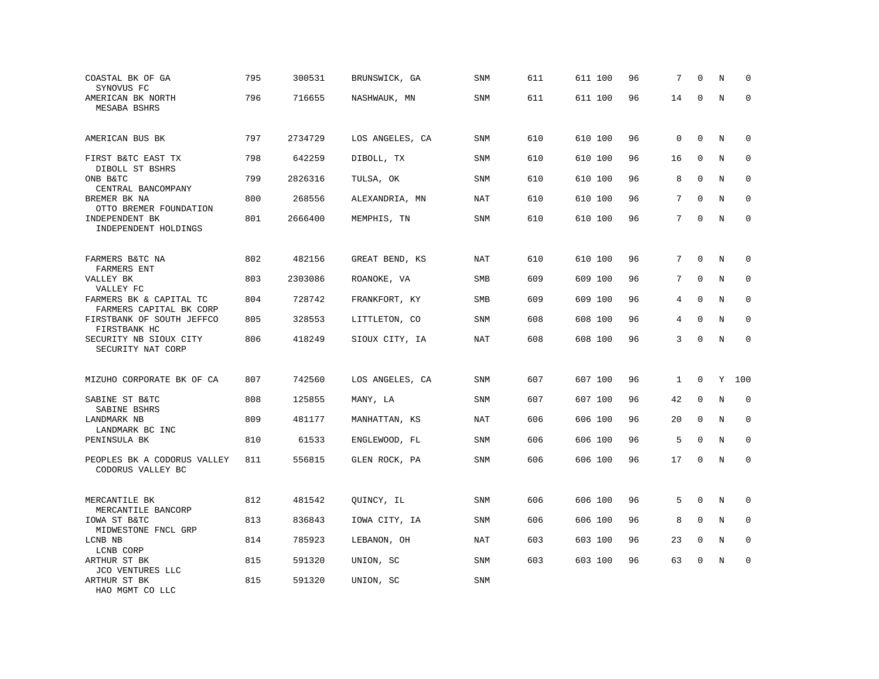| COASTAL BK OF GA<br>SYNOVUS FC                     | 795 | 300531  | BRUNSWICK, GA   | <b>SNM</b> | 611 | 611 100 | 96 | 7           | $\mathbf 0$  | N       | 0            |
|----------------------------------------------------|-----|---------|-----------------|------------|-----|---------|----|-------------|--------------|---------|--------------|
| AMERICAN BK NORTH<br>MESABA BSHRS                  | 796 | 716655  | NASHWAUK, MN    | SNM        | 611 | 611 100 | 96 | 14          | 0            | N       | $\Omega$     |
| AMERICAN BUS BK                                    | 797 | 2734729 | LOS ANGELES, CA | <b>SNM</b> | 610 | 610 100 | 96 | $\mathbf 0$ | $\mathbf{0}$ | N       | 0            |
| FIRST B&TC EAST TX<br>DIBOLL ST BSHRS              | 798 | 642259  | DIBOLL, TX      | <b>SNM</b> | 610 | 610 100 | 96 | 16          | $\mathbf 0$  | N       | 0            |
| ONB B&TC<br>CENTRAL BANCOMPANY                     | 799 | 2826316 | TULSA, OK       | <b>SNM</b> | 610 | 610 100 | 96 | 8           | $\mathbf 0$  | N       | $\mathbf 0$  |
| BREMER BK NA<br>OTTO BREMER FOUNDATION             | 800 | 268556  | ALEXANDRIA, MN  | <b>NAT</b> | 610 | 610 100 | 96 | 7           | $\Omega$     | N       | 0            |
| INDEPENDENT BK<br>INDEPENDENT HOLDINGS             | 801 | 2666400 | MEMPHIS, TN     | SNM        | 610 | 610 100 | 96 | 7           | $\mathbf 0$  | N       | $\mathbf 0$  |
| FARMERS B&TC NA                                    | 802 | 482156  | GREAT BEND, KS  | NAT        | 610 | 610 100 | 96 | 7           | $\Omega$     | N       | $\Omega$     |
| FARMERS ENT<br>VALLEY BK<br>VALLEY FC              | 803 | 2303086 | ROANOKE, VA     | SMB        | 609 | 609 100 | 96 | 7           | $\mathbf{0}$ | N       | $\mathbf 0$  |
| FARMERS BK & CAPITAL TC<br>FARMERS CAPITAL BK CORP | 804 | 728742  | FRANKFORT, KY   | <b>SMB</b> | 609 | 609 100 | 96 | 4           | $\Omega$     | N       | $\mathbf 0$  |
| FIRSTBANK OF SOUTH JEFFCO<br>FIRSTBANK HC          | 805 | 328553  | LITTLETON, CO   | <b>SNM</b> | 608 | 608 100 | 96 | 4           | $\mathbf{0}$ | N       | 0            |
| SECURITY NB SIOUX CITY<br>SECURITY NAT CORP        | 806 | 418249  | SIOUX CITY, IA  | <b>NAT</b> | 608 | 608 100 | 96 | 3           | $\mathbf 0$  | $\rm N$ | $\mathbf 0$  |
| MIZUHO CORPORATE BK OF CA                          | 807 | 742560  | LOS ANGELES, CA | SNM        | 607 | 607 100 | 96 | 1           | $\mathbf 0$  | Y       | 100          |
| SABINE ST B&TC<br>SABINE BSHRS                     | 808 | 125855  | MANY, LA        | SNM        | 607 | 607 100 | 96 | 42          | $\Omega$     | N       | $\Omega$     |
| LANDMARK NB<br>LANDMARK BC INC                     | 809 | 481177  | MANHATTAN, KS   | <b>NAT</b> | 606 | 606 100 | 96 | 20          | $\mathbf{0}$ | N       | 0            |
| PENINSULA BK                                       | 810 | 61533   | ENGLEWOOD, FL   | SNM        | 606 | 606 100 | 96 | 5           | $\Omega$     | N       | $\mathbf{0}$ |
| PEOPLES BK A CODORUS VALLEY<br>CODORUS VALLEY BC   | 811 | 556815  | GLEN ROCK, PA   | <b>SNM</b> | 606 | 606 100 | 96 | 17          | $\mathbf 0$  | N       | $\mathbf 0$  |
| MERCANTILE BK<br>MERCANTILE BANCORP                | 812 | 481542  | QUINCY, IL      | SNM        | 606 | 606 100 | 96 | 5           | $\mathbf{0}$ | N       | 0            |
| IOWA ST B&TC<br>MIDWESTONE FNCL GRP                | 813 | 836843  | IOWA CITY, IA   | <b>SNM</b> | 606 | 606 100 | 96 | 8           | $\mathbf 0$  | N       | 0            |
| LCNB NB<br>LCNB CORP                               | 814 | 785923  | LEBANON, OH     | NAT        | 603 | 603 100 | 96 | 23          | $\Omega$     | N       | 0            |
| ARTHUR ST BK<br>JCO VENTURES LLC                   | 815 | 591320  | UNION, SC       | <b>SNM</b> | 603 | 603 100 | 96 | 63          | $\mathbf 0$  | N       | $\mathbf 0$  |
| ARTHUR ST BK<br>HAO MGMT CO LLC                    | 815 | 591320  | UNION, SC       | <b>SNM</b> |     |         |    |             |              |         |              |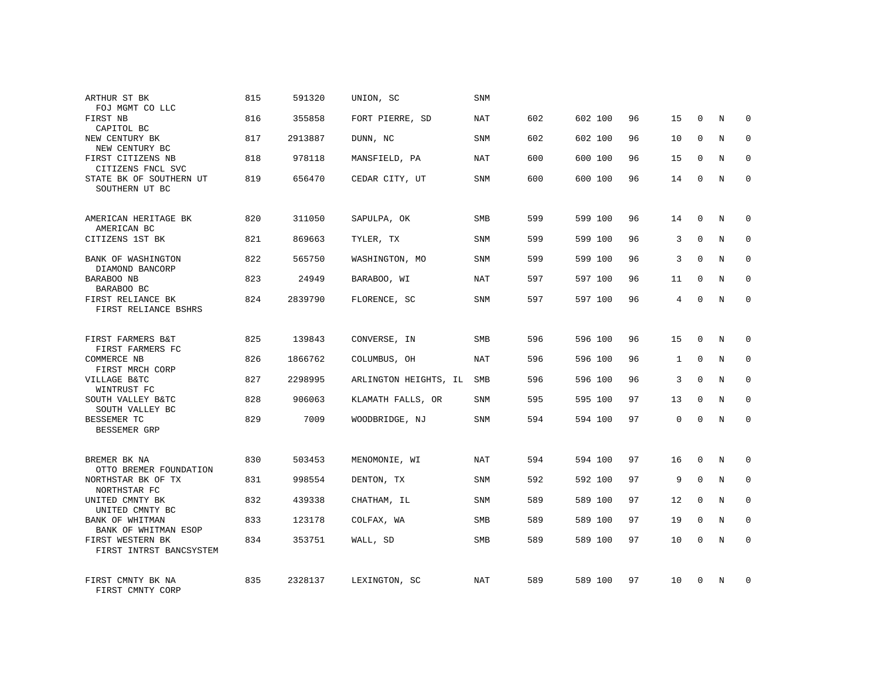| ARTHUR ST BK<br>FOJ MGMT CO LLC             | 815 | 591320  | UNION, SC             | SNM        |     |         |    |              |              |   |              |
|---------------------------------------------|-----|---------|-----------------------|------------|-----|---------|----|--------------|--------------|---|--------------|
| FIRST NB<br>CAPITOL BC                      | 816 | 355858  | FORT PIERRE, SD       | <b>NAT</b> | 602 | 602 100 | 96 | 15           | 0            | N | 0            |
| NEW CENTURY BK<br>NEW CENTURY BC            | 817 | 2913887 | DUNN, NC              | SNM        | 602 | 602 100 | 96 | 10           | $\Omega$     | N | $\mathbf 0$  |
| FIRST CITIZENS NB<br>CITIZENS FNCL SVC      | 818 | 978118  | MANSFIELD, PA         | NAT        | 600 | 600 100 | 96 | 15           | $\mathbf 0$  | N | 0            |
| STATE BK OF SOUTHERN UT<br>SOUTHERN UT BC   | 819 | 656470  | CEDAR CITY, UT        | <b>SNM</b> | 600 | 600 100 | 96 | 14           | $\mathbf{0}$ | N | $\mathbf{0}$ |
| AMERICAN HERITAGE BK                        | 820 | 311050  | SAPULPA, OK           | SMB        | 599 | 599 100 | 96 | 14           | 0            | N | 0            |
| AMERICAN BC<br>CITIZENS 1ST BK              | 821 | 869663  | TYLER, TX             | <b>SNM</b> | 599 | 599 100 | 96 | 3            | $\mathbf{0}$ | N | 0            |
| BANK OF WASHINGTON<br>DIAMOND BANCORP       | 822 | 565750  | WASHINGTON, MO        | <b>SNM</b> | 599 | 599 100 | 96 | 3            | $\mathbf{0}$ | N | 0            |
| BARABOO NB<br>BARABOO BC                    | 823 | 24949   | BARABOO, WI           | NAT        | 597 | 597 100 | 96 | 11           | $\mathbf 0$  | N | 0            |
| FIRST RELIANCE BK<br>FIRST RELIANCE BSHRS   | 824 | 2839790 | FLORENCE, SC          | <b>SNM</b> | 597 | 597 100 | 96 | 4            | $\Omega$     | N | $\mathbf 0$  |
| FIRST FARMERS B&T<br>FIRST FARMERS FC       | 825 | 139843  | CONVERSE, IN          | SMB        | 596 | 596 100 | 96 | 15           | 0            | N | 0            |
| <b>COMMERCE NB</b><br>FIRST MRCH CORP       | 826 | 1866762 | COLUMBUS, OH          | NAT        | 596 | 596 100 | 96 | $\mathbf{1}$ | $\mathbf 0$  | N | $\mathbf 0$  |
| VILLAGE B&TC<br>WINTRUST FC                 | 827 | 2298995 | ARLINGTON HEIGHTS, IL | SMB        | 596 | 596 100 | 96 | 3            | $\mathbf 0$  | N | 0            |
| SOUTH VALLEY B&TC<br>SOUTH VALLEY BC        | 828 | 906063  | KLAMATH FALLS, OR     | SNM        | 595 | 595 100 | 97 | 13           | $\mathbf 0$  | N | $\mathbf 0$  |
| BESSEMER TC<br>BESSEMER GRP                 | 829 | 7009    | WOODBRIDGE, NJ        | <b>SNM</b> | 594 | 594 100 | 97 | $\mathbf 0$  | $\Omega$     | N | $\mathbf 0$  |
| BREMER BK NA<br>OTTO BREMER FOUNDATION      | 830 | 503453  | MENOMONIE, WI         | <b>NAT</b> | 594 | 594 100 | 97 | 16           | $\mathbf 0$  | N | $\mathbf 0$  |
| NORTHSTAR BK OF TX<br>NORTHSTAR FC          | 831 | 998554  | DENTON, TX            | SNM        | 592 | 592 100 | 97 | 9            | $\mathbf{0}$ | N | $\mathbf 0$  |
| UNITED CMNTY BK<br>UNITED CMNTY BC          | 832 | 439338  | CHATHAM, IL           | SNM        | 589 | 589 100 | 97 | 12           | $\mathbf 0$  | N | $\mathbf 0$  |
| BANK OF WHITMAN<br>BANK OF WHITMAN ESOP     | 833 | 123178  | COLFAX, WA            | <b>SMB</b> | 589 | 589 100 | 97 | 19           | $\mathbf 0$  | N | $\mathbf 0$  |
| FIRST WESTERN BK<br>FIRST INTRST BANCSYSTEM | 834 | 353751  | WALL, SD              | SMB        | 589 | 589 100 | 97 | 10           | $\mathbf{0}$ | N | $\mathbf 0$  |
| FIRST CMNTY BK NA<br>FIRST CMNTY CORP       | 835 | 2328137 | LEXINGTON, SC         | NAT        | 589 | 589 100 | 97 | 10           | $\Omega$     | N | $\mathbf 0$  |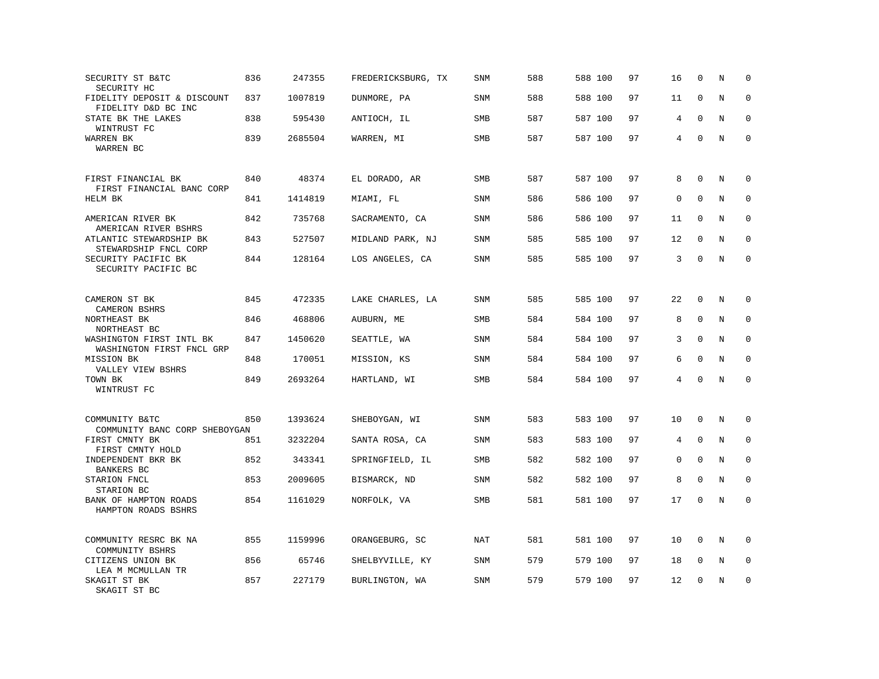| SECURITY ST B&TC<br>SECURITY HC                      | 836 | 247355  | FREDERICKSBURG, TX | <b>SNM</b> | 588 | 588 100 | 97 | 16 | $\mathbf 0$  | N | $\mathbf 0$  |
|------------------------------------------------------|-----|---------|--------------------|------------|-----|---------|----|----|--------------|---|--------------|
| FIDELITY DEPOSIT & DISCOUNT<br>FIDELITY D&D BC INC   | 837 | 1007819 | DUNMORE, PA        | SNM        | 588 | 588 100 | 97 | 11 | $\mathbf{0}$ | N | $\mathbf 0$  |
| STATE BK THE LAKES<br>WINTRUST FC                    | 838 | 595430  | ANTIOCH, IL        | SMB        | 587 | 587 100 | 97 | 4  | $\Omega$     | N | $\mathbf 0$  |
| WARREN BK<br>WARREN BC                               | 839 | 2685504 | WARREN, MI         | <b>SMB</b> | 587 | 587 100 | 97 | 4  | $\mathbf 0$  | N | $\mathbf 0$  |
| FIRST FINANCIAL BK<br>FIRST FINANCIAL BANC CORP      | 840 | 48374   | EL DORADO, AR      | SMB        | 587 | 587 100 | 97 | 8  | $\mathbf 0$  | N | $\mathbf 0$  |
| HELM BK                                              | 841 | 1414819 | MIAMI, FL          | SNM        | 586 | 586 100 | 97 | 0  | $\Omega$     | N | $\mathbf 0$  |
| AMERICAN RIVER BK<br>AMERICAN RIVER BSHRS            | 842 | 735768  | SACRAMENTO, CA     | <b>SNM</b> | 586 | 586 100 | 97 | 11 | $\Omega$     | N | $\mathbf 0$  |
| ATLANTIC STEWARDSHIP BK<br>STEWARDSHIP FNCL CORP     | 843 | 527507  | MIDLAND PARK, NJ   | <b>SNM</b> | 585 | 585 100 | 97 | 12 | $\Omega$     | N | $\Omega$     |
| SECURITY PACIFIC BK<br>SECURITY PACIFIC BC           | 844 | 128164  | LOS ANGELES, CA    | SNM        | 585 | 585 100 | 97 | 3  | $\mathbf{0}$ | N | $\mathbf 0$  |
| CAMERON ST BK                                        | 845 | 472335  | LAKE CHARLES, LA   | SNM        | 585 | 585 100 | 97 | 22 | $\mathbf{0}$ | N | $\mathbf 0$  |
| CAMERON BSHRS<br>NORTHEAST BK                        | 846 | 468806  | AUBURN, ME         | <b>SMB</b> | 584 | 584 100 | 97 | 8  | $\mathbf{0}$ | N | $\mathbf 0$  |
| NORTHEAST BC<br>WASHINGTON FIRST INTL BK             | 847 | 1450620 | SEATTLE, WA        | SNM        | 584 | 584 100 | 97 | 3  | $\mathbf 0$  | N | 0            |
| WASHINGTON FIRST FNCL GRP                            |     |         |                    |            |     |         |    |    |              |   |              |
| MISSION BK<br>VALLEY VIEW BSHRS                      | 848 | 170051  | MISSION, KS        | SNM        | 584 | 584 100 | 97 | 6  | $\Omega$     | N | $\mathbf{0}$ |
| TOWN BK<br>WINTRUST FC                               | 849 | 2693264 | HARTLAND, WI       | SMB        | 584 | 584 100 | 97 | 4  | $\Omega$     | N | $\Omega$     |
| COMMUNITY B&TC<br>COMMUNITY BANC CORP SHEBOYGAN      | 850 | 1393624 | SHEBOYGAN, WI      | <b>SNM</b> | 583 | 583 100 | 97 | 10 | $\mathbf 0$  | N | $\mathbf 0$  |
| FIRST CMNTY BK                                       | 851 | 3232204 | SANTA ROSA, CA     | <b>SNM</b> | 583 | 583 100 | 97 | 4  | $\mathbf{0}$ | N | $\mathbf 0$  |
| FIRST CMNTY HOLD<br>INDEPENDENT BKR BK<br>BANKERS BC | 852 | 343341  | SPRINGFIELD, IL    | <b>SMB</b> | 582 | 582 100 | 97 | 0  | $\Omega$     | N | $\mathbf 0$  |
| STARION FNCL<br>STARION BC                           | 853 | 2009605 | BISMARCK, ND       | SNM        | 582 | 582 100 | 97 | 8  | $\mathbf 0$  | N | $\mathbf 0$  |
| BANK OF HAMPTON ROADS<br>HAMPTON ROADS BSHRS         | 854 | 1161029 | NORFOLK, VA        | SMB        | 581 | 581 100 | 97 | 17 | $\mathbf 0$  | N | $\mathbf 0$  |
| COMMUNITY RESRC BK NA<br>COMMUNITY BSHRS             | 855 | 1159996 | ORANGEBURG, SC     | NAT        | 581 | 581 100 | 97 | 10 | $\mathbf 0$  | N | $\Omega$     |
| CITIZENS UNION BK<br>LEA M MCMULLAN TR               | 856 | 65746   | SHELBYVILLE, KY    | SNM        | 579 | 579 100 | 97 | 18 | 0            | Ν | 0            |
| SKAGIT ST BK<br>SKAGIT ST BC                         | 857 | 227179  | BURLINGTON, WA     | <b>SNM</b> | 579 | 579 100 | 97 | 12 | $\Omega$     | N | $\mathbf 0$  |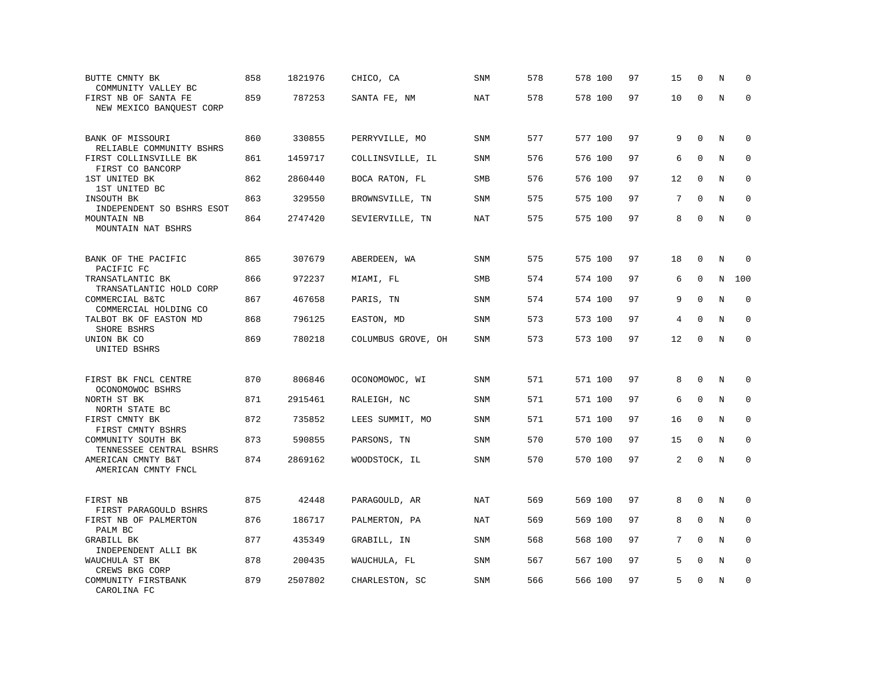| BUTTE CMNTY BK<br>COMMUNITY VALLEY BC                     | 858 | 1821976 | CHICO, CA          | SNM        | 578 | 578 100 | 97 | 15 | $\mathbf 0$  | N       | $\Omega$    |
|-----------------------------------------------------------|-----|---------|--------------------|------------|-----|---------|----|----|--------------|---------|-------------|
| FIRST NB OF SANTA FE<br>NEW MEXICO BANQUEST CORP          | 859 | 787253  | SANTA FE, NM       | <b>NAT</b> | 578 | 578 100 | 97 | 10 | $\Omega$     | $\rm N$ | $\mathbf 0$ |
| BANK OF MISSOURI<br>RELIABLE COMMUNITY BSHRS              | 860 | 330855  | PERRYVILLE, MO     | SNM        | 577 | 577 100 | 97 | 9  | $\mathbf{0}$ | N       | 0           |
| FIRST COLLINSVILLE BK<br>FIRST CO BANCORP                 | 861 | 1459717 | COLLINSVILLE, IL   | <b>SNM</b> | 576 | 576 100 | 97 | 6  | $\mathbf 0$  | N       | $\mathbf 0$ |
| 1ST UNITED BK<br>1ST UNITED BC                            | 862 | 2860440 | BOCA RATON, FL     | SMB        | 576 | 576 100 | 97 | 12 | $\mathbf{0}$ | N       | 0           |
| INSOUTH BK<br>INDEPENDENT SO BSHRS ESOT                   | 863 | 329550  | BROWNSVILLE, TN    | SNM        | 575 | 575 100 | 97 | 7  | $\Omega$     | N       | $\mathbf 0$ |
| MOUNTAIN NB<br>MOUNTAIN NAT BSHRS                         | 864 | 2747420 | SEVIERVILLE, TN    | <b>NAT</b> | 575 | 575 100 | 97 | 8  | $\Omega$     | N       | $\mathbf 0$ |
| BANK OF THE PACIFIC                                       | 865 | 307679  | ABERDEEN, WA       | <b>SNM</b> | 575 | 575 100 | 97 | 18 | $\Omega$     | N       | $\Omega$    |
| PACIFIC FC<br>TRANSATLANTIC BK<br>TRANSATLANTIC HOLD CORP | 866 | 972237  | MIAMI, FL          | SMB        | 574 | 574 100 | 97 | 6  | $\mathbf 0$  | N       | 100         |
| COMMERCIAL B&TC<br>COMMERCIAL HOLDING CO                  | 867 | 467658  | PARIS, TN          | <b>SNM</b> | 574 | 574 100 | 97 | 9  | $\mathbf 0$  | N       | $\mathbf 0$ |
| TALBOT BK OF EASTON MD<br>SHORE BSHRS                     | 868 | 796125  | EASTON, MD         | <b>SNM</b> | 573 | 573 100 | 97 | 4  | $\mathbf 0$  | N       | $\mathbf 0$ |
| UNION BK CO<br>UNITED BSHRS                               | 869 | 780218  | COLUMBUS GROVE, OH | SNM        | 573 | 573 100 | 97 | 12 | $\mathbf 0$  | N       | $\mathbf 0$ |
| FIRST BK FNCL CENTRE                                      | 870 | 806846  | OCONOMOWOC, WI     | <b>SNM</b> | 571 | 571 100 | 97 | 8  | $\Omega$     | N       | $\mathbf 0$ |
| OCONOMOWOC BSHRS<br>NORTH ST BK<br>NORTH STATE BC         | 871 | 2915461 | RALEIGH, NC        | <b>SNM</b> | 571 | 571 100 | 97 | 6  | $\Omega$     | N       | $\mathbf 0$ |
| FIRST CMNTY BK<br>FIRST CMNTY BSHRS                       | 872 | 735852  | LEES SUMMIT, MO    | <b>SNM</b> | 571 | 571 100 | 97 | 16 | $\mathbf{0}$ | N       | 0           |
| COMMUNITY SOUTH BK<br>TENNESSEE CENTRAL BSHRS             | 873 | 590855  | PARSONS, TN        | <b>SNM</b> | 570 | 570 100 | 97 | 15 | $\mathbf 0$  | N       | $\mathbf 0$ |
| AMERICAN CMNTY B&T<br>AMERICAN CMNTY FNCL                 | 874 | 2869162 | WOODSTOCK, IL      | SNM        | 570 | 570 100 | 97 | 2  | $\Omega$     | N       | $\Omega$    |
| FIRST NB                                                  | 875 | 42448   | PARAGOULD, AR      | NAT        | 569 | 569 100 | 97 | 8  | $\Omega$     | N       | 0           |
| FIRST PARAGOULD BSHRS<br>FIRST NB OF PALMERTON<br>PALM BC | 876 | 186717  | PALMERTON, PA      | <b>NAT</b> | 569 | 569 100 | 97 | 8  | $\mathbf 0$  | N       | $\mathbf 0$ |
| GRABILL BK<br>INDEPENDENT ALLI BK                         | 877 | 435349  | GRABILL, IN        | SNM        | 568 | 568 100 | 97 | 7  | $\Omega$     | N       | $\Omega$    |
| WAUCHULA ST BK<br>CREWS BKG CORP                          | 878 | 200435  | WAUCHULA, FL       | <b>SNM</b> | 567 | 567 100 | 97 | 5  | $\mathbf 0$  | N       | 0           |
| COMMUNITY FIRSTBANK<br>CAROLINA FC                        | 879 | 2507802 | CHARLESTON, SC     | SNM        | 566 | 566 100 | 97 | 5  | $\Omega$     | N       | $\mathbf 0$ |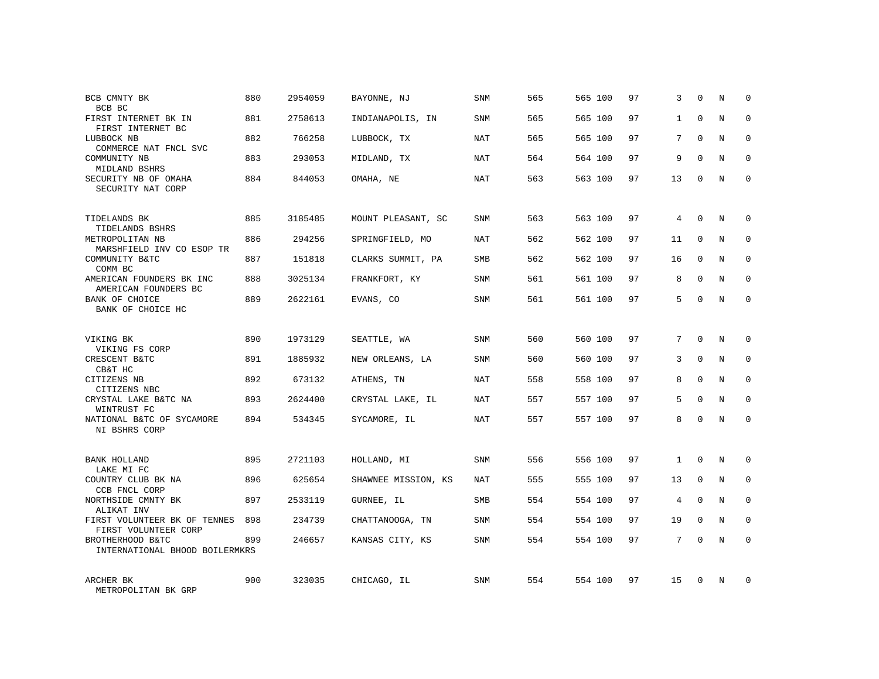| BCB CMNTY BK<br>BCB BC                                          | 880 | 2954059 | BAYONNE, NJ         | <b>SNM</b> | 565 | 565 100 | 97 | 3            | $\Omega$    | N          | $\Omega$     |
|-----------------------------------------------------------------|-----|---------|---------------------|------------|-----|---------|----|--------------|-------------|------------|--------------|
| FIRST INTERNET BK IN<br>FIRST INTERNET BC                       | 881 | 2758613 | INDIANAPOLIS, IN    | SNM        | 565 | 565 100 | 97 | $\mathbf{1}$ | $\Omega$    | N          | $\Omega$     |
| LUBBOCK NB<br>COMMERCE NAT FNCL SVC                             | 882 | 766258  | LUBBOCK, TX         | NAT        | 565 | 565 100 | 97 | 7            | $\Omega$    | N          | $\Omega$     |
| COMMUNITY NB<br>MIDLAND BSHRS                                   | 883 | 293053  | MIDLAND, TX         | NAT        | 564 | 564 100 | 97 | 9            | $\Omega$    | N          | $\Omega$     |
| SECURITY NB OF OMAHA<br>SECURITY NAT CORP                       | 884 | 844053  | OMAHA, NE           | NAT        | 563 | 563 100 | 97 | 13           | $\Omega$    | N          | $\Omega$     |
| TIDELANDS BK                                                    | 885 | 3185485 | MOUNT PLEASANT, SC  | SNM        | 563 | 563 100 | 97 | 4            | $\mathbf 0$ | N          | $\mathbf 0$  |
| TIDELANDS BSHRS<br>METROPOLITAN NB<br>MARSHFIELD INV CO ESOP TR | 886 | 294256  | SPRINGFIELD, MO     | NAT        | 562 | 562 100 | 97 | 11           | $\Omega$    | N          | $\mathbf 0$  |
| COMMUNITY B&TC<br>COMM BC                                       | 887 | 151818  | CLARKS SUMMIT, PA   | <b>SMB</b> | 562 | 562 100 | 97 | 16           | $\mathbf 0$ | N          | $\mathbf 0$  |
| AMERICAN FOUNDERS BK INC<br>AMERICAN FOUNDERS BC                | 888 | 3025134 | FRANKFORT, KY       | SNM        | 561 | 561 100 | 97 | 8            | $\Omega$    | N          | $\mathbf 0$  |
| BANK OF CHOICE<br>BANK OF CHOICE HC                             | 889 | 2622161 | EVANS, CO           | <b>SNM</b> | 561 | 561 100 | 97 | 5            | $\mathbf 0$ | N          | $\mathbf 0$  |
| VIKING BK<br>VIKING FS CORP                                     | 890 | 1973129 | SEATTLE, WA         | SNM        | 560 | 560 100 | 97 | 7            | $\Omega$    | $_{\rm N}$ | $\Omega$     |
| CRESCENT B&TC<br>CB&T HC                                        | 891 | 1885932 | NEW ORLEANS, LA     | <b>SNM</b> | 560 | 560 100 | 97 | 3            | $\mathbf 0$ | N          | 0            |
| CITIZENS NB<br>CITIZENS NBC                                     | 892 | 673132  | ATHENS, TN          | NAT        | 558 | 558 100 | 97 | 8            | $\Omega$    | N          | $\Omega$     |
| CRYSTAL LAKE B&TC NA<br>WINTRUST FC                             | 893 | 2624400 | CRYSTAL LAKE, IL    | NAT        | 557 | 557 100 | 97 | 5            | $\mathbf 0$ | N          | 0            |
| NATIONAL B&TC OF SYCAMORE<br>NI BSHRS CORP                      | 894 | 534345  | SYCAMORE, IL        | NAT        | 557 | 557 100 | 97 | 8            | $\Omega$    | N          | $\Omega$     |
| <b>BANK HOLLAND</b><br>LAKE MI FC                               | 895 | 2721103 | HOLLAND, MI         | SNM        | 556 | 556 100 | 97 | $\mathbf{1}$ | $\Omega$    | N          | $\mathbf 0$  |
| COUNTRY CLUB BK NA<br>CCB FNCL CORP                             | 896 | 625654  | SHAWNEE MISSION, KS | NAT        | 555 | 555 100 | 97 | 13           | $\mathbf 0$ | N          | 0            |
| NORTHSIDE CMNTY BK<br>ALIKAT INV                                | 897 | 2533119 | GURNEE, IL          | <b>SMB</b> | 554 | 554 100 | 97 | 4            | $\Omega$    | N          | $\mathbf{0}$ |
| FIRST VOLUNTEER BK OF TENNES<br>FIRST VOLUNTEER CORP            | 898 | 234739  | CHATTANOOGA, TN     | SNM        | 554 | 554 100 | 97 | 19           | $\mathbf 0$ | N          | 0            |
| BROTHERHOOD B&TC<br>INTERNATIONAL BHOOD BOILERMKRS              | 899 | 246657  | KANSAS CITY, KS     | <b>SNM</b> | 554 | 554 100 | 97 | 7            | $\Omega$    | N          | $\Omega$     |
| ARCHER BK<br>METROPOLITAN BK GRP                                | 900 | 323035  | CHICAGO, IL         | SNM        | 554 | 554 100 | 97 | 15           | $\Omega$    | N          | $\mathbf 0$  |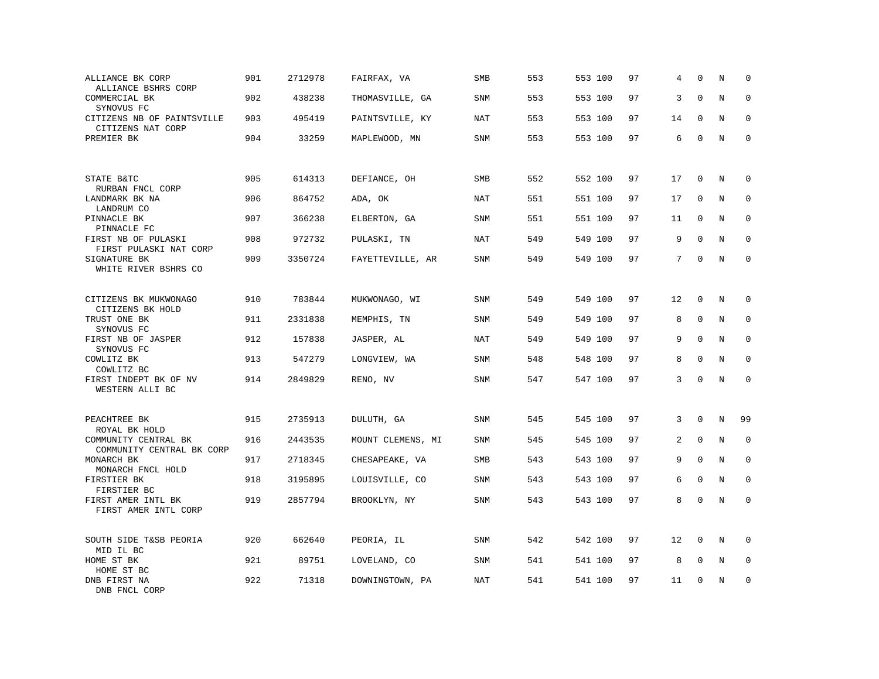| ALLIANCE BK CORP<br>ALLIANCE BSHRS CORP           | 901 | 2712978 | FAIRFAX, VA       | SMB        | 553 | 553 100 | 97 | 4  | $\Omega$    | N           | $\mathbf 0$  |
|---------------------------------------------------|-----|---------|-------------------|------------|-----|---------|----|----|-------------|-------------|--------------|
| COMMERCIAL BK<br>SYNOVUS FC                       | 902 | 438238  | THOMASVILLE, GA   | <b>SNM</b> | 553 | 553 100 | 97 | 3  | $\Omega$    | N           | $\mathbf 0$  |
| CITIZENS NB OF PAINTSVILLE<br>CITIZENS NAT CORP   | 903 | 495419  | PAINTSVILLE, KY   | <b>NAT</b> | 553 | 553 100 | 97 | 14 | $\mathbf 0$ | N           | $\mathbf 0$  |
| PREMIER BK                                        | 904 | 33259   | MAPLEWOOD, MN     | <b>SNM</b> | 553 | 553 100 | 97 | 6  | $\mathbf 0$ | N           | $\mathbf 0$  |
|                                                   |     |         |                   |            |     |         |    |    |             |             |              |
| STATE B&TC<br>RURBAN FNCL CORP                    | 905 | 614313  | DEFIANCE, OH      | <b>SMB</b> | 552 | 552 100 | 97 | 17 | $\mathbf 0$ | N           | 0            |
| LANDMARK BK NA<br>LANDRUM CO                      | 906 | 864752  | ADA, OK           | <b>NAT</b> | 551 | 551 100 | 97 | 17 | $\mathbf 0$ | N           | 0            |
| PINNACLE BK<br>PINNACLE FC                        | 907 | 366238  | ELBERTON, GA      | <b>SNM</b> | 551 | 551 100 | 97 | 11 | 0           | N           | $\mathbf{0}$ |
| FIRST NB OF PULASKI<br>FIRST PULASKI NAT CORP     | 908 | 972732  | PULASKI, TN       | <b>NAT</b> | 549 | 549 100 | 97 | 9  | $\mathbf 0$ | N           | $\mathbf 0$  |
| SIGNATURE BK<br>WHITE RIVER BSHRS CO              | 909 | 3350724 | FAYETTEVILLE, AR  | <b>SNM</b> | 549 | 549 100 | 97 | 7  | $\Omega$    | N           | $\mathbf 0$  |
|                                                   |     |         |                   |            |     |         |    |    |             |             |              |
| CITIZENS BK MUKWONAGO<br>CITIZENS BK HOLD         | 910 | 783844  | MUKWONAGO, WI     | <b>SNM</b> | 549 | 549 100 | 97 | 12 | $\mathbf 0$ | N           | 0            |
| TRUST ONE BK<br>SYNOVUS FC                        | 911 | 2331838 | MEMPHIS, TN       | SNM        | 549 | 549 100 | 97 | 8  | $\mathbf 0$ | N           | $\mathbf 0$  |
| FIRST NB OF JASPER<br>SYNOVUS FC                  | 912 | 157838  | JASPER, AL        | <b>NAT</b> | 549 | 549 100 | 97 | 9  | $\mathbf 0$ | $\mathbf N$ | $\mathbf 0$  |
| COWLITZ BK<br>COWLITZ BC                          | 913 | 547279  | LONGVIEW, WA      | SNM        | 548 | 548 100 | 97 | 8  | $\mathbf 0$ | N           | $\mathbf 0$  |
| FIRST INDEPT BK OF NV<br>WESTERN ALLI BC          | 914 | 2849829 | RENO, NV          | SNM        | 547 | 547 100 | 97 | 3  | $\mathbf 0$ | N           | $\mathbf 0$  |
|                                                   |     |         |                   |            |     |         |    |    |             |             |              |
| PEACHTREE BK<br>ROYAL BK HOLD                     | 915 | 2735913 | DULUTH, GA        | SNM        | 545 | 545 100 | 97 | 3  | $\mathbf 0$ | $\rm N$     | 99           |
| COMMUNITY CENTRAL BK<br>COMMUNITY CENTRAL BK CORP | 916 | 2443535 | MOUNT CLEMENS, MI | SNM        | 545 | 545 100 | 97 | 2  | $\mathbf 0$ | N           | 0            |
| MONARCH BK<br>MONARCH FNCL HOLD                   | 917 | 2718345 | CHESAPEAKE, VA    | SMB        | 543 | 543 100 | 97 | 9  | $\mathbf 0$ | N           | $\mathbf 0$  |
| FIRSTIER BK<br>FIRSTIER BC                        | 918 | 3195895 | LOUISVILLE, CO    | <b>SNM</b> | 543 | 543 100 | 97 | 6  | $\Omega$    | $\rm N$     | 0            |
| FIRST AMER INTL BK<br>FIRST AMER INTL CORP        | 919 | 2857794 | BROOKLYN, NY      | SNM        | 543 | 543 100 | 97 | 8  | $\mathbf 0$ | N           | $\mathbf 0$  |
|                                                   |     |         |                   |            |     |         |    |    |             |             |              |
| SOUTH SIDE T&SB PEORIA<br>MID IL BC               | 920 | 662640  | PEORIA, IL        | SNM        | 542 | 542 100 | 97 | 12 | $\mathbf 0$ | N           | $\mathbf 0$  |
| HOME ST BK<br>HOME ST BC                          | 921 | 89751   | LOVELAND, CO      | <b>SNM</b> | 541 | 541 100 | 97 | 8  | $\mathbf 0$ | N           | $\mathbf 0$  |
| DNB FIRST NA<br>DNB FNCL CORP                     | 922 | 71318   | DOWNINGTOWN, PA   | <b>NAT</b> | 541 | 541 100 | 97 | 11 | $\mathbf 0$ | N           | $\mathbf 0$  |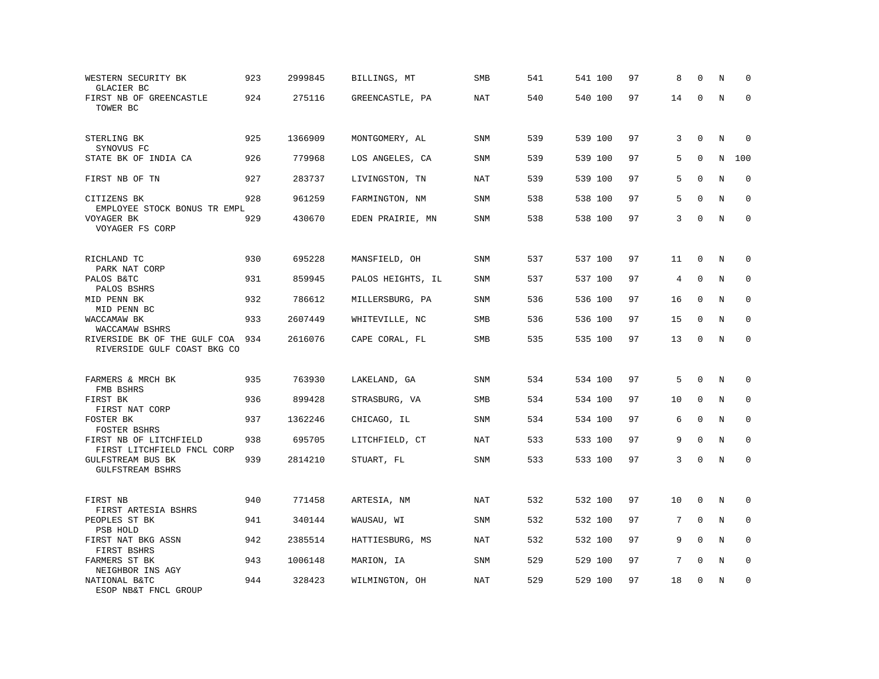| WESTERN SECURITY BK<br>GLACIER BC                           | 923 | 2999845 | BILLINGS, MT      | SMB        | 541 | 541 100 | 97 | 8  | $\Omega$     | N | $\mathbf 0$  |
|-------------------------------------------------------------|-----|---------|-------------------|------------|-----|---------|----|----|--------------|---|--------------|
| FIRST NB OF GREENCASTLE<br>TOWER BC                         | 924 | 275116  | GREENCASTLE, PA   | NAT        | 540 | 540 100 | 97 | 14 | $\Omega$     | N | $\Omega$     |
| STERLING BK                                                 | 925 | 1366909 | MONTGOMERY, AL    | <b>SNM</b> | 539 | 539 100 | 97 | 3  | $\mathbf 0$  | N | 0            |
| SYNOVUS FC<br>STATE BK OF INDIA CA                          | 926 | 779968  | LOS ANGELES, CA   | SNM        | 539 | 539 100 | 97 | 5  | $\mathbf 0$  | N | 100          |
| FIRST NB OF TN                                              | 927 | 283737  | LIVINGSTON, TN    | NAT        | 539 | 539 100 | 97 | 5  | $\Omega$     | N | $\Omega$     |
| CITIZENS BK<br>EMPLOYEE STOCK BONUS TR EMPL                 | 928 | 961259  | FARMINGTON, NM    | <b>SNM</b> | 538 | 538 100 | 97 | 5  | $\mathbf 0$  | N | $\mathbf 0$  |
| VOYAGER BK<br>VOYAGER FS CORP                               | 929 | 430670  | EDEN PRAIRIE, MN  | SNM        | 538 | 538 100 | 97 | 3  | $\mathbf 0$  | N | $\mathbf{0}$ |
| RICHLAND TC                                                 | 930 | 695228  | MANSFIELD, OH     | <b>SNM</b> | 537 | 537 100 | 97 | 11 | $\mathbf 0$  | N | 0            |
| PARK NAT CORP<br>PALOS B&TC<br>PALOS BSHRS                  | 931 | 859945  | PALOS HEIGHTS, IL | SNM        | 537 | 537 100 | 97 | 4  | 0            | N | 0            |
| MID PENN BK<br>MID PENN BC                                  | 932 | 786612  | MILLERSBURG, PA   | <b>SNM</b> | 536 | 536 100 | 97 | 16 | $\mathbf 0$  | N | $\mathbf{0}$ |
| WACCAMAW BK<br>WACCAMAW BSHRS                               | 933 | 2607449 | WHITEVILLE, NC    | SMB        | 536 | 536 100 | 97 | 15 | $\mathbf 0$  | N | $\mathbf 0$  |
| RIVERSIDE BK OF THE GULF COA<br>RIVERSIDE GULF COAST BKG CO | 934 | 2616076 | CAPE CORAL, FL    | SMB        | 535 | 535 100 | 97 | 13 | $\mathbf 0$  | N | $\mathbf 0$  |
| FARMERS & MRCH BK<br>FMB BSHRS                              | 935 | 763930  | LAKELAND, GA      | <b>SNM</b> | 534 | 534 100 | 97 | 5  | $\mathbf 0$  | N | $\mathbf 0$  |
| FIRST BK<br>FIRST NAT CORP                                  | 936 | 899428  | STRASBURG, VA     | SMB        | 534 | 534 100 | 97 | 10 | $\mathbf 0$  | N | $\mathbf 0$  |
| FOSTER BK<br>FOSTER BSHRS                                   | 937 | 1362246 | CHICAGO, IL       | SNM        | 534 | 534 100 | 97 | 6  | $\mathbf{0}$ | N | $\mathbf 0$  |
| FIRST NB OF LITCHFIELD<br>FIRST LITCHFIELD FNCL CORP        | 938 | 695705  | LITCHFIELD, CT    | NAT        | 533 | 533 100 | 97 | 9  | $\mathbf 0$  | N | $\mathbf 0$  |
| <b>GULFSTREAM BUS BK</b><br>GULFSTREAM BSHRS                | 939 | 2814210 | STUART, FL        | SNM        | 533 | 533 100 | 97 | 3  | $\mathbf 0$  | N | $\mathbf 0$  |
| FIRST NB<br>FIRST ARTESIA BSHRS                             | 940 | 771458  | ARTESIA, NM       | <b>NAT</b> | 532 | 532 100 | 97 | 10 | $\mathbf 0$  | N | $\mathbf 0$  |
| PEOPLES ST BK<br>PSB HOLD                                   | 941 | 340144  | WAUSAU, WI        | SNM        | 532 | 532 100 | 97 | 7  | $\Omega$     | N | 0            |
| FIRST NAT BKG ASSN<br>FIRST BSHRS                           | 942 | 2385514 | HATTIESBURG, MS   | <b>NAT</b> | 532 | 532 100 | 97 | 9  | $\Omega$     | N | $\mathbf 0$  |
| FARMERS ST BK<br>NEIGHBOR INS AGY                           | 943 | 1006148 | MARION, IA        | <b>SNM</b> | 529 | 529 100 | 97 | 7  | $\Omega$     | N | $\mathbf 0$  |
| NATIONAL B&TC<br>ESOP NB&T FNCL GROUP                       | 944 | 328423  | WILMINGTON, OH    | NAT        | 529 | 529 100 | 97 | 18 | $\mathbf 0$  | N | $\mathbf 0$  |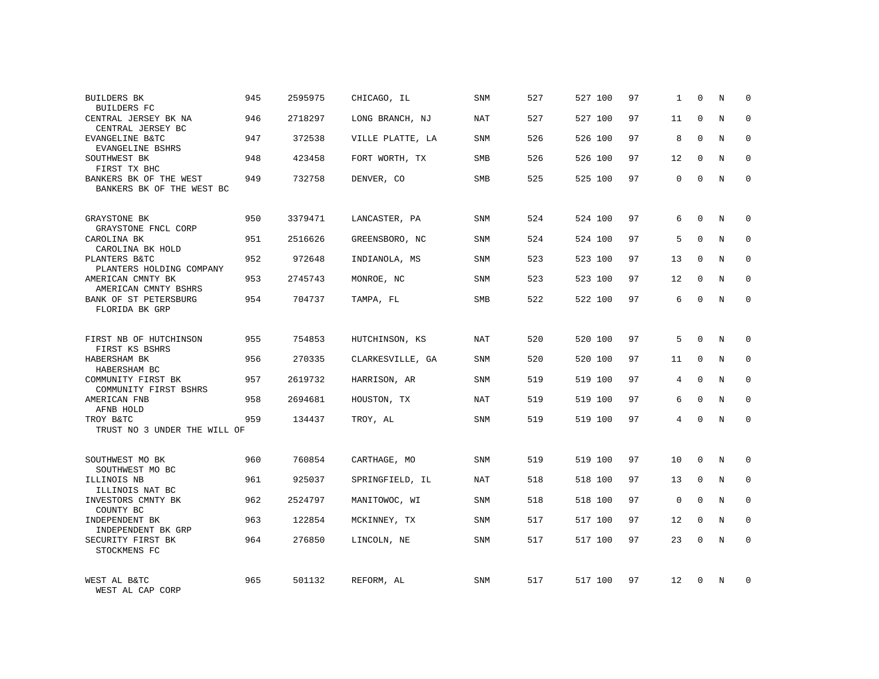| <b>BUILDERS BK</b><br><b>BUILDERS FC</b>            | 945 | 2595975 | CHICAGO, IL      | SNM        | 527 | 527 100 | 97 | 1              | $\mathbf 0$ | N          | $\Omega$    |
|-----------------------------------------------------|-----|---------|------------------|------------|-----|---------|----|----------------|-------------|------------|-------------|
| CENTRAL JERSEY BK NA<br>CENTRAL JERSEY BC           | 946 | 2718297 | LONG BRANCH, NJ  | NAT        | 527 | 527 100 | 97 | 11             | $\Omega$    | N          | $\Omega$    |
| EVANGELINE B&TC<br>EVANGELINE BSHRS                 | 947 | 372538  | VILLE PLATTE, LA | SNM        | 526 | 526 100 | 97 | 8              | $\Omega$    | N          | $\Omega$    |
| SOUTHWEST BK<br>FIRST TX BHC                        | 948 | 423458  | FORT WORTH, TX   | <b>SMB</b> | 526 | 526 100 | 97 | 12             | $\Omega$    | N          | $\Omega$    |
| BANKERS BK OF THE WEST<br>BANKERS BK OF THE WEST BC | 949 | 732758  | DENVER, CO       | SMB        | 525 | 525 100 | 97 | 0              | $\Omega$    | N          | $\Omega$    |
| GRAYSTONE BK<br>GRAYSTONE FNCL CORP                 | 950 | 3379471 | LANCASTER, PA    | SNM        | 524 | 524 100 | 97 | 6              | $\mathbf 0$ | N          | $\mathbf 0$ |
| CAROLINA BK<br>CAROLINA BK HOLD                     | 951 | 2516626 | GREENSBORO, NC   | <b>SNM</b> | 524 | 524 100 | 97 | 5              | $\Omega$    | N          | $\mathbf 0$ |
| PLANTERS B&TC<br>PLANTERS HOLDING COMPANY           | 952 | 972648  | INDIANOLA, MS    | SNM        | 523 | 523 100 | 97 | 13             | $\Omega$    | N          | $\mathbf 0$ |
| AMERICAN CMNTY BK<br>AMERICAN CMNTY BSHRS           | 953 | 2745743 | MONROE, NC       | <b>SNM</b> | 523 | 523 100 | 97 | 12             | $\Omega$    | N          | $\mathbf 0$ |
| BANK OF ST PETERSBURG<br>FLORIDA BK GRP             | 954 | 704737  | TAMPA, FL        | <b>SMB</b> | 522 | 522 100 | 97 | 6              | $\mathbf 0$ | N          | $\mathbf 0$ |
| FIRST NB OF HUTCHINSON<br>FIRST KS BSHRS            | 955 | 754853  | HUTCHINSON, KS   | <b>NAT</b> | 520 | 520 100 | 97 | 5              | $\Omega$    | $_{\rm N}$ | $\Omega$    |
| HABERSHAM BK<br>HABERSHAM BC                        | 956 | 270335  | CLARKESVILLE, GA | SNM        | 520 | 520 100 | 97 | 11             | $\Omega$    | N          | $\mathbf 0$ |
| COMMUNITY FIRST BK<br>COMMUNITY FIRST BSHRS         | 957 | 2619732 | HARRISON, AR     | <b>SNM</b> | 519 | 519 100 | 97 | 4              | $\Omega$    | N          | $\Omega$    |
| AMERICAN FNB<br>AFNB HOLD                           | 958 | 2694681 | HOUSTON, TX      | <b>NAT</b> | 519 | 519 100 | 97 | 6              | $\mathbf 0$ | N          | $\mathbf 0$ |
| TROY B&TC<br>TRUST NO 3 UNDER THE WILL OF           | 959 | 134437  | TROY, AL         | SNM        | 519 | 519 100 | 97 | $\overline{4}$ | $\Omega$    | $_{\rm N}$ | $\Omega$    |
|                                                     |     |         |                  |            |     |         |    |                | $\Omega$    |            |             |
| SOUTHWEST MO BK<br>SOUTHWEST MO BC                  | 960 | 760854  | CARTHAGE, MO     | <b>SNM</b> | 519 | 519 100 | 97 | 10             |             | N          | $\mathbf 0$ |
| ILLINOIS NB<br>ILLINOIS NAT BC                      | 961 | 925037  | SPRINGFIELD, IL  | NAT        | 518 | 518 100 | 97 | 13             | $\mathbf 0$ | N          | 0           |
| INVESTORS CMNTY BK<br>COUNTY BC                     | 962 | 2524797 | MANITOWOC, WI    | <b>SNM</b> | 518 | 518 100 | 97 | $\mathbf 0$    | $\Omega$    | N          | $\mathbf 0$ |
| INDEPENDENT BK<br>INDEPENDENT BK GRP                | 963 | 122854  | MCKINNEY, TX     | SNM        | 517 | 517 100 | 97 | 12             | $\mathbf 0$ | N          | 0           |
| SECURITY FIRST BK<br>STOCKMENS FC                   | 964 | 276850  | LINCOLN, NE      | <b>SNM</b> | 517 | 517 100 | 97 | 23             | $\Omega$    | N          | $\Omega$    |
| WEST AL B&TC<br>WEST AL CAP CORP                    | 965 | 501132  | REFORM, AL       | <b>SNM</b> | 517 | 517 100 | 97 | 12             | $\Omega$    | N          | $\Omega$    |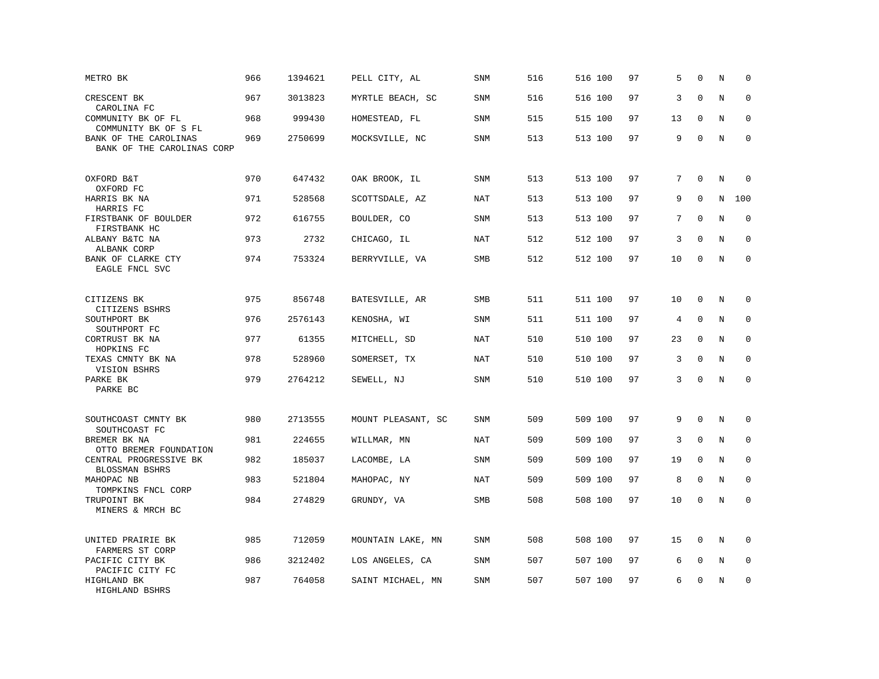| METRO BK                                            | 966 | 1394621 | PELL CITY, AL      | SNM        | 516 | 516 100 | 97 | 5           | $\Omega$     | N       | $\mathbf 0$  |
|-----------------------------------------------------|-----|---------|--------------------|------------|-----|---------|----|-------------|--------------|---------|--------------|
| CRESCENT BK<br>CAROLINA FC                          | 967 | 3013823 | MYRTLE BEACH, SC   | <b>SNM</b> | 516 | 516 100 | 97 | 3           | $\mathbf 0$  | N       | $\mathbf 0$  |
| COMMUNITY BK OF FL<br>COMMUNITY BK OF S FL          | 968 | 999430  | HOMESTEAD, FL      | SNM        | 515 | 515 100 | 97 | 13          | $\mathbf 0$  | N       | $\mathbf 0$  |
| BANK OF THE CAROLINAS<br>BANK OF THE CAROLINAS CORP | 969 | 2750699 | MOCKSVILLE, NC     | <b>SNM</b> | 513 | 513 100 | 97 | 9           | $\mathbf 0$  | N       | $\mathbf 0$  |
| OXFORD B&T<br>OXFORD FC                             | 970 | 647432  | OAK BROOK, IL      | <b>SNM</b> | 513 | 513 100 | 97 | $7^{\circ}$ | $\Omega$     | N       | $\mathbf 0$  |
| HARRIS BK NA<br>HARRIS FC                           | 971 | 528568  | SCOTTSDALE, AZ     | NAT        | 513 | 513 100 | 97 | 9           | $\Omega$     | N       | 100          |
| FIRSTBANK OF BOULDER<br>FIRSTBANK HC                | 972 | 616755  | BOULDER, CO        | SNM        | 513 | 513 100 | 97 | 7           | $\Omega$     | N       | $\mathbf 0$  |
| ALBANY B&TC NA<br>ALBANK CORP                       | 973 | 2732    | CHICAGO, IL        | NAT        | 512 | 512 100 | 97 | 3           | $\Omega$     | N       | $\Omega$     |
| BANK OF CLARKE CTY<br>EAGLE FNCL SVC                | 974 | 753324  | BERRYVILLE, VA     | SMB        | 512 | 512 100 | 97 | 10          | $\mathbf 0$  | N       | $\mathbf 0$  |
| CITIZENS BK<br>CITIZENS BSHRS                       | 975 | 856748  | BATESVILLE, AR     | SMB        | 511 | 511 100 | 97 | 10          | $\mathbf 0$  | N       | 0            |
| SOUTHPORT BK<br>SOUTHPORT FC                        | 976 | 2576143 | KENOSHA, WI        | <b>SNM</b> | 511 | 511 100 | 97 | 4           | $\mathbf{0}$ | N       | $\mathbf 0$  |
| CORTRUST BK NA<br>HOPKINS FC                        | 977 | 61355   | MITCHELL, SD       | <b>NAT</b> | 510 | 510 100 | 97 | 23          | $\mathbf 0$  | N       | 0            |
| TEXAS CMNTY BK NA<br>VISION BSHRS                   | 978 | 528960  | SOMERSET, TX       | <b>NAT</b> | 510 | 510 100 | 97 | 3           | $\mathbf 0$  | N       | $\mathbf{0}$ |
| PARKE BK<br>PARKE BC                                | 979 | 2764212 | SEWELL, NJ         | SNM        | 510 | 510 100 | 97 | 3           | $\Omega$     | $\rm N$ | $\Omega$     |
| SOUTHCOAST CMNTY BK<br>SOUTHCOAST FC                | 980 | 2713555 | MOUNT PLEASANT, SC | <b>SNM</b> | 509 | 509 100 | 97 | 9           | $\mathbf 0$  | N       | 0            |
| BREMER BK NA<br>OTTO BREMER FOUNDATION              | 981 | 224655  | WILLMAR, MN        | NAT        | 509 | 509 100 | 97 | 3           | $\mathbf 0$  | N       | $\mathbf 0$  |
| CENTRAL PROGRESSIVE BK<br>BLOSSMAN BSHRS            | 982 | 185037  | LACOMBE, LA        | SNM        | 509 | 509 100 | 97 | 19          | $\mathbf 0$  | N       | $\mathbf 0$  |
| MAHOPAC NB<br>TOMPKINS FNCL CORP                    | 983 | 521804  | MAHOPAC, NY        | <b>NAT</b> | 509 | 509 100 | 97 | 8           | $\mathbf{0}$ | N       | $\mathbf 0$  |
| TRUPOINT BK<br>MINERS & MRCH BC                     | 984 | 274829  | GRUNDY, VA         | SMB        | 508 | 508 100 | 97 | 10          | $\mathbf 0$  | N       | $\mathbf 0$  |
| UNITED PRAIRIE BK<br>FARMERS ST CORP                | 985 | 712059  | MOUNTAIN LAKE, MN  | SNM        | 508 | 508 100 | 97 | 15          | $\mathbf 0$  | N       | $\mathbf 0$  |
| PACIFIC CITY BK<br>PACIFIC CITY FC                  | 986 | 3212402 | LOS ANGELES, CA    | SNM        | 507 | 507 100 | 97 | 6           | 0            | Ν       | 0            |
| HIGHLAND BK<br>HIGHLAND BSHRS                       | 987 | 764058  | SAINT MICHAEL, MN  | SNM        | 507 | 507 100 | 97 | 6           | $\mathbf 0$  | N       | $\mathbf 0$  |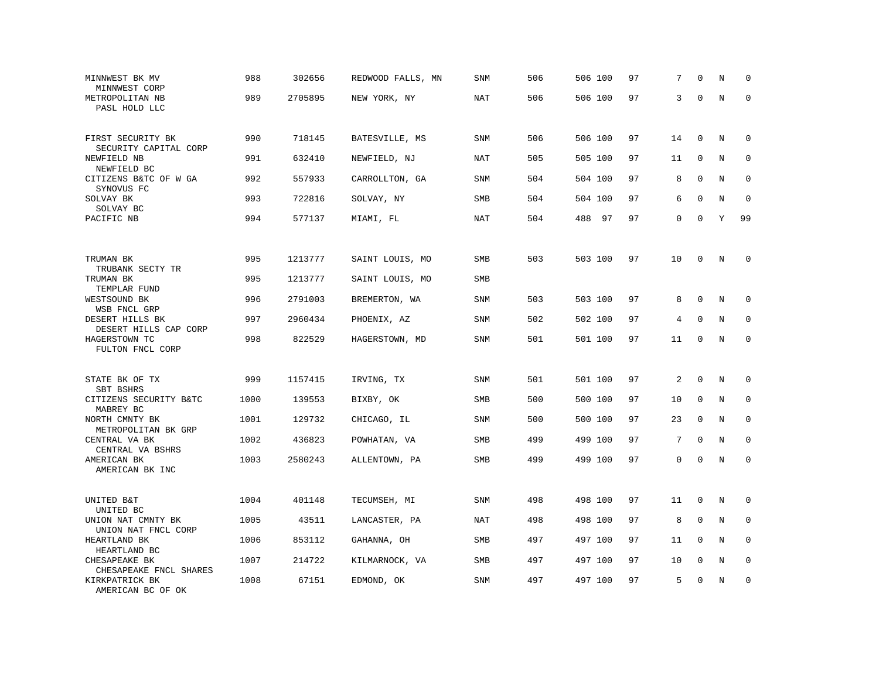| MINNWEST BK MV<br>MINNWEST CORP                     | 988  | 302656  | REDWOOD FALLS, MN | SNM        | 506 | 506 100 | 97 | 7  | $\Omega$     | N       | $\mathbf 0$ |
|-----------------------------------------------------|------|---------|-------------------|------------|-----|---------|----|----|--------------|---------|-------------|
| METROPOLITAN NB<br>PASL HOLD LLC                    | 989  | 2705895 | NEW YORK, NY      | NAT        | 506 | 506 100 | 97 | 3  | $\Omega$     | N       | $\Omega$    |
| FIRST SECURITY BK                                   | 990  | 718145  | BATESVILLE, MS    | <b>SNM</b> | 506 | 506 100 | 97 | 14 | $\mathbf 0$  | N       | $\mathbf 0$ |
| SECURITY CAPITAL CORP<br>NEWFIELD NB<br>NEWFIELD BC | 991  | 632410  | NEWFIELD, NJ      | <b>NAT</b> | 505 | 505 100 | 97 | 11 | $\mathbf 0$  | N       | $\mathbf 0$ |
| CITIZENS B&TC OF W GA<br>SYNOVUS FC                 | 992  | 557933  | CARROLLTON, GA    | <b>SNM</b> | 504 | 504 100 | 97 | 8  | $\mathbf 0$  | N       | $\mathbf 0$ |
| SOLVAY BK<br>SOLVAY BC                              | 993  | 722816  | SOLVAY, NY        | SMB        | 504 | 504 100 | 97 | 6  | $\mathbf 0$  | N       | $\mathbf 0$ |
| PACIFIC NB                                          | 994  | 577137  | MIAMI, FL         | NAT        | 504 | 488 97  | 97 | 0  | $\mathbf 0$  | Y       | 99          |
| TRUMAN BK                                           | 995  | 1213777 | SAINT LOUIS, MO   | <b>SMB</b> | 503 | 503 100 | 97 | 10 | $\mathbf 0$  | N       | 0           |
| TRUBANK SECTY TR<br>TRUMAN BK                       | 995  | 1213777 | SAINT LOUIS, MO   | SMB        |     |         |    |    |              |         |             |
| TEMPLAR FUND<br>WESTSOUND BK<br>WSB FNCL GRP        | 996  | 2791003 | BREMERTON, WA     | <b>SNM</b> | 503 | 503 100 | 97 | 8  | $\mathbf 0$  | N       | 0           |
| DESERT HILLS BK<br>DESERT HILLS CAP CORP            | 997  | 2960434 | PHOENIX, AZ       | SNM        | 502 | 502 100 | 97 | 4  | $\mathbf 0$  | N       | $\mathbf 0$ |
| HAGERSTOWN TC<br>FULTON FNCL CORP                   | 998  | 822529  | HAGERSTOWN, MD    | SNM        | 501 | 501 100 | 97 | 11 | $\mathbf 0$  | N       | $\mathbf 0$ |
| STATE BK OF TX<br>SBT BSHRS                         | 999  | 1157415 | IRVING, TX        | <b>SNM</b> | 501 | 501 100 | 97 | 2  | $\mathbf 0$  | N       | $\mathbf 0$ |
| CITIZENS SECURITY B&TC<br>MABREY BC                 | 1000 | 139553  | BIXBY, OK         | SMB        | 500 | 500 100 | 97 | 10 | $\mathbf 0$  | N       | $\mathbf 0$ |
| NORTH CMNTY BK<br>METROPOLITAN BK GRP               | 1001 | 129732  | CHICAGO, IL       | SNM        | 500 | 500 100 | 97 | 23 | $\mathbf{0}$ | N       | $\mathbf 0$ |
| CENTRAL VA BK<br>CENTRAL VA BSHRS                   | 1002 | 436823  | POWHATAN, VA      | SMB        | 499 | 499 100 | 97 | 7  | $\mathbf 0$  | N       | 0           |
| AMERICAN BK<br>AMERICAN BK INC                      | 1003 | 2580243 | ALLENTOWN, PA     | SMB        | 499 | 499 100 | 97 | 0  | $\mathbf 0$  | N       | $\mathbf 0$ |
| UNITED B&T<br>UNITED BC                             | 1004 | 401148  | TECUMSEH, MI      | <b>SNM</b> | 498 | 498 100 | 97 | 11 | $\mathbf 0$  | N       | $\mathbf 0$ |
| UNION NAT CMNTY BK<br>UNION NAT FNCL CORP           | 1005 | 43511   | LANCASTER, PA     | NAT        | 498 | 498 100 | 97 | 8  | $\Omega$     | $\rm N$ | 0           |
| HEARTLAND BK<br>HEARTLAND BC                        | 1006 | 853112  | GAHANNA, OH       | SMB        | 497 | 497 100 | 97 | 11 | $\mathbf 0$  | N       | $\mathbf 0$ |
| CHESAPEAKE BK<br>CHESAPEAKE FNCL SHARES             | 1007 | 214722  | KILMARNOCK, VA    | <b>SMB</b> | 497 | 497 100 | 97 | 10 | $\mathbf 0$  | N       | $\mathbf 0$ |
| KIRKPATRICK BK<br>AMERICAN BC OF OK                 | 1008 | 67151   | EDMOND, OK        | <b>SNM</b> | 497 | 497 100 | 97 | 5  | $\mathbf 0$  | N       | $\mathbf 0$ |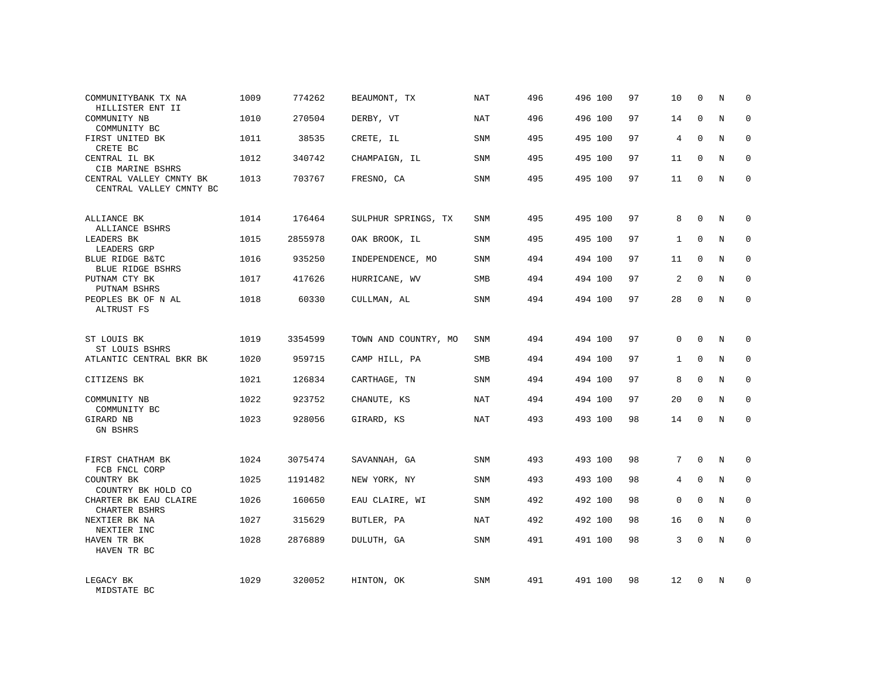| COMMUNITYBANK TX NA<br>HILLISTER ENT II            | 1009 | 774262  | BEAUMONT, TX         | NAT        | 496 | 496 100 | 97 | 10           | $\mathbf 0$  | N          | $\Omega$    |
|----------------------------------------------------|------|---------|----------------------|------------|-----|---------|----|--------------|--------------|------------|-------------|
| COMMUNITY NB<br>COMMUNITY BC                       | 1010 | 270504  | DERBY, VT            | NAT        | 496 | 496 100 | 97 | 14           | $\Omega$     | N          | $\Omega$    |
| FIRST UNITED BK<br>CRETE BC                        | 1011 | 38535   | CRETE, IL            | SNM        | 495 | 495 100 | 97 | 4            | $\Omega$     | N          | $\mathbf 0$ |
| CENTRAL IL BK<br>CIB MARINE BSHRS                  | 1012 | 340742  | CHAMPAIGN, IL        | <b>SNM</b> | 495 | 495 100 | 97 | 11           | $\Omega$     | N          | $\Omega$    |
| CENTRAL VALLEY CMNTY BK<br>CENTRAL VALLEY CMNTY BC | 1013 | 703767  | FRESNO, CA           | <b>SNM</b> | 495 | 495 100 | 97 | 11           | $\Omega$     | N          | $\Omega$    |
| ALLIANCE BK<br>ALLIANCE BSHRS                      | 1014 | 176464  | SULPHUR SPRINGS, TX  | <b>SNM</b> | 495 | 495 100 | 97 | 8            | $\mathbf 0$  | N          | $\mathbf 0$ |
| LEADERS BK<br>LEADERS GRP                          | 1015 | 2855978 | OAK BROOK, IL        | <b>SNM</b> | 495 | 495 100 | 97 | $\mathbf{1}$ | $\Omega$     | N          | $\mathbf 0$ |
| BLUE RIDGE B&TC<br><b>BLUE RIDGE BSHRS</b>         | 1016 | 935250  | INDEPENDENCE, MO     | <b>SNM</b> | 494 | 494 100 | 97 | 11           | $\mathbf 0$  | N          | $\mathbf 0$ |
| PUTNAM CTY BK<br>PUTNAM BSHRS                      | 1017 | 417626  | HURRICANE, WV        | <b>SMB</b> | 494 | 494 100 | 97 | 2            | $\Omega$     | N          | $\mathbf 0$ |
| PEOPLES BK OF N AL<br>ALTRUST FS                   | 1018 | 60330   | CULLMAN, AL          | <b>SNM</b> | 494 | 494 100 | 97 | 28           | $\mathbf 0$  | N          | $\mathbf 0$ |
| ST LOUIS BK<br>ST LOUIS BSHRS                      | 1019 | 3354599 | TOWN AND COUNTRY, MO | SNM        | 494 | 494 100 | 97 | $\Omega$     | $\Omega$     | $_{\rm N}$ | $\Omega$    |
| ATLANTIC CENTRAL BKR BK                            | 1020 | 959715  | CAMP HILL, PA        | SMB        | 494 | 494 100 | 97 | $\mathbf{1}$ | $\mathbf{0}$ | N          | 0           |
| CITIZENS BK                                        | 1021 | 126834  | CARTHAGE, TN         | SNM        | 494 | 494 100 | 97 | 8            | $\Omega$     | N          | $\mathbf 0$ |
| COMMUNITY NB<br>COMMUNITY BC                       | 1022 | 923752  | CHANUTE, KS          | <b>NAT</b> | 494 | 494 100 | 97 | 20           | $\mathbf{0}$ | N          | 0           |
| GIRARD NB<br><b>GN BSHRS</b>                       | 1023 | 928056  | GIRARD, KS           | <b>NAT</b> | 493 | 493 100 | 98 | 14           | $\Omega$     | N          | $\Omega$    |
| FIRST CHATHAM BK<br>FCB FNCL CORP                  | 1024 | 3075474 | SAVANNAH, GA         | <b>SNM</b> | 493 | 493 100 | 98 | 7            | $\Omega$     | N          | $\mathbf 0$ |
| COUNTRY BK<br>COUNTRY BK HOLD CO                   | 1025 | 1191482 | NEW YORK, NY         | SNM        | 493 | 493 100 | 98 | 4            | $\mathbf 0$  | N          | 0           |
| CHARTER BK EAU CLAIRE<br>CHARTER BSHRS             | 1026 | 160650  | EAU CLAIRE, WI       | <b>SNM</b> | 492 | 492 100 | 98 | 0            | $\Omega$     | N          | $\mathbf 0$ |
| NEXTIER BK NA<br>NEXTIER INC                       | 1027 | 315629  | BUTLER, PA           | NAT        | 492 | 492 100 | 98 | 16           | $\mathbf 0$  | N          | 0           |
| HAVEN TR BK<br>HAVEN TR BC                         | 1028 | 2876889 | DULUTH, GA           | <b>SNM</b> | 491 | 491 100 | 98 | 3            | $\Omega$     | N          | $\mathbf 0$ |
| LEGACY BK<br>MIDSTATE BC                           | 1029 | 320052  | HINTON, OK           | <b>SNM</b> | 491 | 491 100 | 98 | 12           | $\Omega$     | N          | $\mathbf 0$ |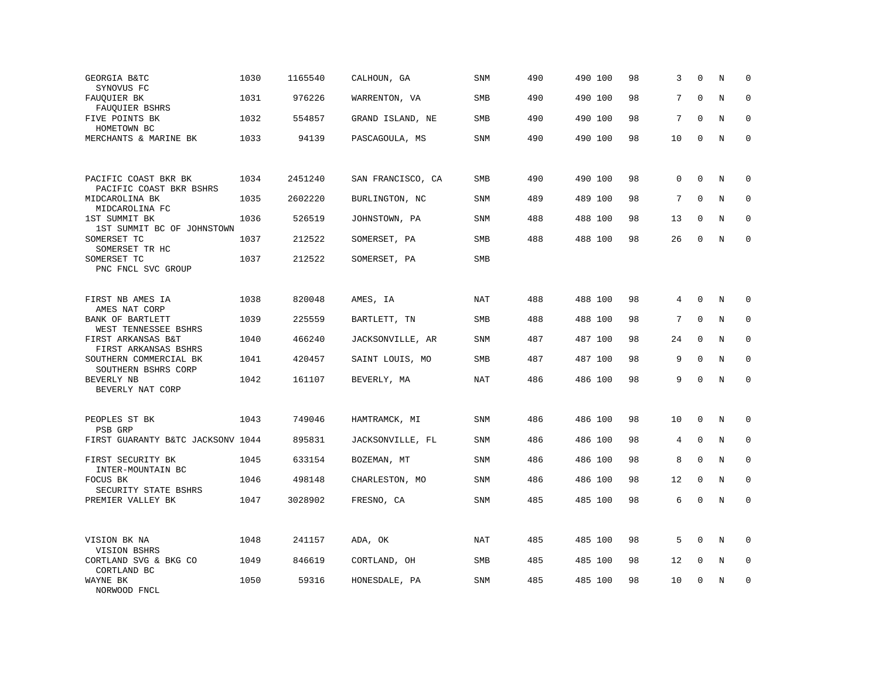| GEORGIA B&TC<br>SYNOVUS FC                      | 1030 | 1165540 | CALHOUN, GA       | <b>SNM</b> | 490 | 490 100 | 98 | 3  | $\Omega$     | N       | $\mathbf 0$ |
|-------------------------------------------------|------|---------|-------------------|------------|-----|---------|----|----|--------------|---------|-------------|
| FAUQUIER BK<br>FAUQUIER BSHRS                   | 1031 | 976226  | WARRENTON, VA     | SMB        | 490 | 490 100 | 98 | 7  | $\mathbf 0$  | N       | $\mathbf 0$ |
| FIVE POINTS BK<br>HOMETOWN BC                   | 1032 | 554857  | GRAND ISLAND, NE  | <b>SMB</b> | 490 | 490 100 | 98 | 7  | $\Omega$     | N       | $\Omega$    |
| MERCHANTS & MARINE BK                           | 1033 | 94139   | PASCAGOULA, MS    | <b>SNM</b> | 490 | 490 100 | 98 | 10 | $\mathbf 0$  | N       | $\mathbf 0$ |
|                                                 |      |         |                   |            |     |         |    |    |              |         |             |
| PACIFIC COAST BKR BK<br>PACIFIC COAST BKR BSHRS | 1034 | 2451240 | SAN FRANCISCO, CA | SMB        | 490 | 490 100 | 98 | 0  | $\mathbf{0}$ | N       | $\mathbf 0$ |
| MIDCAROLINA BK<br>MIDCAROLINA FC                | 1035 | 2602220 | BURLINGTON, NC    | <b>SNM</b> | 489 | 489 100 | 98 | 7  | $\mathbf 0$  | N       | $\mathbf 0$ |
| 1ST SUMMIT BK<br>1ST SUMMIT BC OF JOHNSTOWN     | 1036 | 526519  | JOHNSTOWN, PA     | <b>SNM</b> | 488 | 488 100 | 98 | 13 | $\mathbf 0$  | N       | $\mathbf 0$ |
| SOMERSET TC<br>SOMERSET TR HC                   | 1037 | 212522  | SOMERSET, PA      | <b>SMB</b> | 488 | 488 100 | 98 | 26 | $\Omega$     | N       | $\mathbf 0$ |
| SOMERSET TC<br>PNC FNCL SVC GROUP               | 1037 | 212522  | SOMERSET, PA      | <b>SMB</b> |     |         |    |    |              |         |             |
|                                                 |      |         |                   |            |     |         |    |    |              |         |             |
| FIRST NB AMES IA<br>AMES NAT CORP               | 1038 | 820048  | AMES, IA          | NAT        | 488 | 488 100 | 98 | 4  | $\mathbf 0$  | N       | $\mathbf 0$ |
| BANK OF BARTLETT<br>WEST TENNESSEE BSHRS        | 1039 | 225559  | BARTLETT, TN      | SMB        | 488 | 488 100 | 98 | 7  | $\mathbf 0$  | N       | $\mathbf 0$ |
| FIRST ARKANSAS B&T<br>FIRST ARKANSAS BSHRS      | 1040 | 466240  | JACKSONVILLE, AR  | <b>SNM</b> | 487 | 487 100 | 98 | 24 | $\mathbf{0}$ | N       | $\mathbf 0$ |
| SOUTHERN COMMERCIAL BK<br>SOUTHERN BSHRS CORP   | 1041 | 420457  | SAINT LOUIS, MO   | SMB        | 487 | 487 100 | 98 | 9  | $\mathbf 0$  | N       | $\mathbf 0$ |
| BEVERLY NB<br>BEVERLY NAT CORP                  | 1042 | 161107  | BEVERLY, MA       | NAT        | 486 | 486 100 | 98 | 9  | $\Omega$     | N       | $\mathbf 0$ |
|                                                 |      |         |                   |            |     |         |    |    |              |         |             |
| PEOPLES ST BK<br>PSB GRP                        | 1043 | 749046  | HAMTRAMCK, MI     | SNM        | 486 | 486 100 | 98 | 10 | $\mathbf 0$  | Ν       | 0           |
| FIRST GUARANTY B&TC JACKSONV 1044               |      | 895831  | JACKSONVILLE, FL  | <b>SNM</b> | 486 | 486 100 | 98 | 4  | $\mathbf 0$  | N       | $\mathbf 0$ |
| FIRST SECURITY BK<br>INTER-MOUNTAIN BC          | 1045 | 633154  | BOZEMAN, MT       | <b>SNM</b> | 486 | 486 100 | 98 | 8  | 0            | N       | 0           |
| FOCUS BK<br>SECURITY STATE BSHRS                | 1046 | 498148  | CHARLESTON, MO    | SNM        | 486 | 486 100 | 98 | 12 | $\mathbf 0$  | N       | $\mathbf 0$ |
| PREMIER VALLEY BK                               | 1047 | 3028902 | FRESNO, CA        | SNM        | 485 | 485 100 | 98 | 6  | $\mathbf 0$  | $\rm N$ | $\mathbf 0$ |
|                                                 |      |         |                   |            |     |         |    |    |              |         |             |
| VISION BK NA<br>VISION BSHRS                    | 1048 | 241157  | ADA, OK           | NAT        | 485 | 485 100 | 98 | 5  | $\mathbf 0$  | N       | $\mathbf 0$ |
| CORTLAND SVG & BKG CO<br>CORTLAND BC            | 1049 | 846619  | CORTLAND, OH      | <b>SMB</b> | 485 | 485 100 | 98 | 12 | $\mathbf 0$  | N       | $\mathbf 0$ |
| WAYNE BK<br>NORWOOD FNCL                        | 1050 | 59316   | HONESDALE, PA     | <b>SNM</b> | 485 | 485 100 | 98 | 10 | $\mathbf 0$  | N       | $\mathbf 0$ |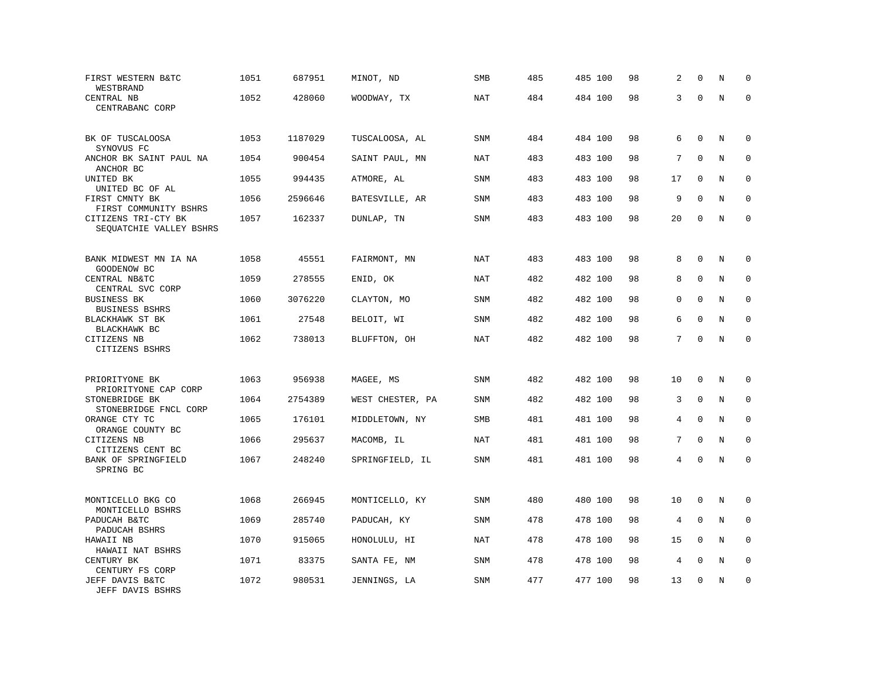| FIRST WESTERN B&TC<br>WESTBRAND                            | 1051 | 687951  | MINOT, ND        | SMB        | 485 | 485 100 | 98 | 2  | $\mathbf 0$ | N       | $\mathbf 0$ |
|------------------------------------------------------------|------|---------|------------------|------------|-----|---------|----|----|-------------|---------|-------------|
| CENTRAL NB<br>CENTRABANC CORP                              | 1052 | 428060  | WOODWAY, TX      | <b>NAT</b> | 484 | 484 100 | 98 | 3  | $\Omega$    | $\rm N$ | $\mathbf 0$ |
| BK OF TUSCALOOSA                                           | 1053 | 1187029 | TUSCALOOSA, AL   | <b>SNM</b> | 484 | 484 100 | 98 | 6  | $\mathbf 0$ | N       | 0           |
| SYNOVUS FC<br>ANCHOR BK SAINT PAUL NA                      | 1054 | 900454  | SAINT PAUL, MN   | NAT        | 483 | 483 100 | 98 | 7  | $\Omega$    | N       | $\mathbf 0$ |
| ANCHOR BC<br>UNITED BK<br>UNITED BC OF AL                  | 1055 | 994435  | ATMORE, AL       | <b>SNM</b> | 483 | 483 100 | 98 | 17 | $\mathbf 0$ | N       | $\mathbf 0$ |
| FIRST CMNTY BK<br>FIRST COMMUNITY BSHRS                    | 1056 | 2596646 | BATESVILLE, AR   | <b>SNM</b> | 483 | 483 100 | 98 | 9  | $\Omega$    | N       | $\mathbf 0$ |
| CITIZENS TRI-CTY BK<br>SEQUATCHIE VALLEY BSHRS             | 1057 | 162337  | DUNLAP, TN       | <b>SNM</b> | 483 | 483 100 | 98 | 20 | $\mathbf 0$ | N       | $\mathbf 0$ |
| BANK MIDWEST MN IA NA                                      | 1058 | 45551   | FAIRMONT, MN     | NAT        | 483 | 483 100 | 98 | 8  | $\Omega$    | N       | $\mathbf 0$ |
| GOODENOW BC<br>CENTRAL NB&TC                               | 1059 | 278555  | ENID, OK         | <b>NAT</b> | 482 | 482 100 | 98 | 8  | $\mathbf 0$ | N       | $\mathbf 0$ |
| CENTRAL SVC CORP<br><b>BUSINESS BK</b><br>BUSINESS BSHRS   | 1060 | 3076220 | CLAYTON, MO      | <b>SNM</b> | 482 | 482 100 | 98 | 0  | $\mathbf 0$ | N       | $\mathbf 0$ |
| BLACKHAWK ST BK<br>BLACKHAWK BC                            | 1061 | 27548   | BELOIT, WI       | <b>SNM</b> | 482 | 482 100 | 98 | 6  | $\mathbf 0$ | N       | $\mathbf 0$ |
| CITIZENS NB<br>CITIZENS BSHRS                              | 1062 | 738013  | BLUFFTON, OH     | <b>NAT</b> | 482 | 482 100 | 98 | 7  | $\mathbf 0$ | N       | $\mathbf 0$ |
| PRIORITYONE BK                                             | 1063 | 956938  | MAGEE, MS        | <b>SNM</b> | 482 | 482 100 | 98 | 10 | $\mathbf 0$ | N       | $\mathbf 0$ |
| PRIORITYONE CAP CORP<br>STONEBRIDGE BK                     | 1064 | 2754389 | WEST CHESTER, PA | <b>SNM</b> | 482 | 482 100 | 98 | 3  | $\Omega$    | N       | $\mathbf 0$ |
| STONEBRIDGE FNCL CORP<br>ORANGE CTY TC<br>ORANGE COUNTY BC | 1065 | 176101  | MIDDLETOWN, NY   | SMB        | 481 | 481 100 | 98 | 4  | $\mathbf 0$ | N       | $\mathbf 0$ |
| CITIZENS NB<br>CITIZENS CENT BC                            | 1066 | 295637  | MACOMB, IL       | <b>NAT</b> | 481 | 481 100 | 98 | 7  | $\mathbf 0$ | N       | $\mathbf 0$ |
| BANK OF SPRINGFIELD<br>SPRING BC                           | 1067 | 248240  | SPRINGFIELD, IL  | SNM        | 481 | 481 100 | 98 | 4  | 0           | N       | $\Omega$    |
| MONTICELLO BKG CO                                          | 1068 | 266945  | MONTICELLO, KY   | SNM        | 480 | 480 100 | 98 | 10 | $\Omega$    | N       | 0           |
| MONTICELLO BSHRS<br>PADUCAH B&TC                           | 1069 | 285740  | PADUCAH, KY      | <b>SNM</b> | 478 | 478 100 | 98 | 4  | $\mathbf 0$ | N       | 0           |
| PADUCAH BSHRS<br>HAWAII NB                                 | 1070 | 915065  | HONOLULU, HI     | NAT        | 478 | 478 100 | 98 | 15 | $\Omega$    | N       | $\mathbf 0$ |
| HAWAII NAT BSHRS<br>CENTURY BK<br>CENTURY FS CORP          | 1071 | 83375   | SANTA FE, NM     | <b>SNM</b> | 478 | 478 100 | 98 | 4  | $\mathbf 0$ | $\rm N$ | 0           |
| JEFF DAVIS B&TC<br>JEFF DAVIS BSHRS                        | 1072 | 980531  | JENNINGS, LA     | <b>SNM</b> | 477 | 477 100 | 98 | 13 | $\mathbf 0$ | N       | $\mathbf 0$ |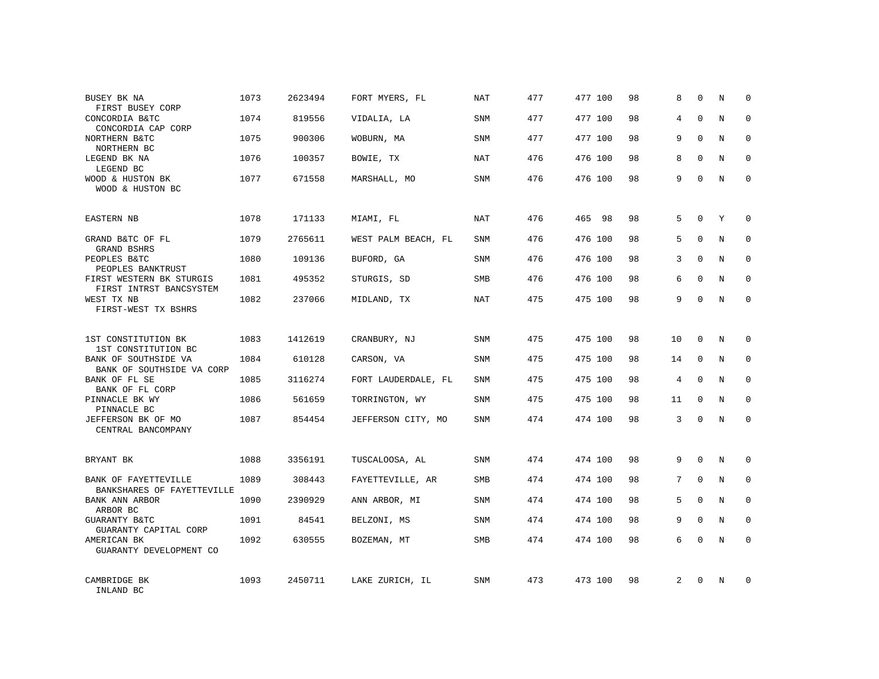| BUSEY BK NA<br>FIRST BUSEY CORP                     | 1073 | 2623494 | FORT MYERS, FL      | NAT        | 477 | 477 100 | 98 | 8              | $\mathbf 0$ | N | $\Omega$    |
|-----------------------------------------------------|------|---------|---------------------|------------|-----|---------|----|----------------|-------------|---|-------------|
| CONCORDIA B&TC<br>CONCORDIA CAP CORP                | 1074 | 819556  | VIDALIA, LA         | <b>SNM</b> | 477 | 477 100 | 98 | 4              | $\Omega$    | N | $\Omega$    |
| NORTHERN B&TC<br>NORTHERN BC                        | 1075 | 900306  | WOBURN, MA          | SNM        | 477 | 477 100 | 98 | 9              | $\Omega$    | N | $\Omega$    |
| LEGEND BK NA<br>LEGEND BC                           | 1076 | 100357  | BOWIE, TX           | NAT        | 476 | 476 100 | 98 | 8              | $\Omega$    | N | $\Omega$    |
| WOOD & HUSTON BK<br>WOOD & HUSTON BC                | 1077 | 671558  | MARSHALL, MO        | SNM        | 476 | 476 100 | 98 | 9              | $\Omega$    | N | $\Omega$    |
| <b>EASTERN NB</b>                                   | 1078 | 171133  | MIAMI, FL           | NAT        | 476 | 465 98  | 98 | 5              | $\mathbf 0$ | Y | $\mathbf 0$ |
| GRAND B&TC OF FL<br>GRAND BSHRS                     | 1079 | 2765611 | WEST PALM BEACH, FL | <b>SNM</b> | 476 | 476 100 | 98 | 5              | $\Omega$    | N | $\mathbf 0$ |
| PEOPLES B&TC<br>PEOPLES BANKTRUST                   | 1080 | 109136  | BUFORD, GA          | <b>SNM</b> | 476 | 476 100 | 98 | 3              | $\Omega$    | N | $\mathbf 0$ |
| FIRST WESTERN BK STURGIS<br>FIRST INTRST BANCSYSTEM | 1081 | 495352  | STURGIS, SD         | <b>SMB</b> | 476 | 476 100 | 98 | 6              | $\Omega$    | N | $\mathbf 0$ |
| WEST TX NB<br>FIRST-WEST TX BSHRS                   | 1082 | 237066  | MIDLAND, TX         | <b>NAT</b> | 475 | 475 100 | 98 | 9              | $\mathbf 0$ | N | $\mathbf 0$ |
| 1ST CONSTITUTION BK<br>1ST CONSTITUTION BC          | 1083 | 1412619 | CRANBURY, NJ        | <b>SNM</b> | 475 | 475 100 | 98 | 10             | $\Omega$    | N | $\mathbf 0$ |
| BANK OF SOUTHSIDE VA<br>BANK OF SOUTHSIDE VA CORP   | 1084 | 610128  | CARSON, VA          | <b>SNM</b> | 475 | 475 100 | 98 | 14             | $\mathbf 0$ | N | 0           |
| BANK OF FL SE<br>BANK OF FL CORP                    | 1085 | 3116274 | FORT LAUDERDALE, FL | <b>SNM</b> | 475 | 475 100 | 98 | 4              | $\Omega$    | N | $\Omega$    |
| PINNACLE BK WY<br>PINNACLE BC                       | 1086 | 561659  | TORRINGTON, WY      | <b>SNM</b> | 475 | 475 100 | 98 | 11             | $\mathbf 0$ | N | 0           |
| JEFFERSON BK OF MO<br>CENTRAL BANCOMPANY            | 1087 | 854454  | JEFFERSON CITY, MO  | <b>SNM</b> | 474 | 474 100 | 98 | 3              | $\Omega$    | N | $\Omega$    |
| BRYANT BK                                           | 1088 | 3356191 | TUSCALOOSA, AL      | <b>SNM</b> | 474 | 474 100 | 98 | 9              | $\Omega$    | N | $\mathbf 0$ |
| BANK OF FAYETTEVILLE<br>BANKSHARES OF FAYETTEVILLE  | 1089 | 308443  | FAYETTEVILLE, AR    | SMB        | 474 | 474 100 | 98 | 7              | $\mathbf 0$ | N | 0           |
| BANK ANN ARBOR<br>ARBOR BC                          | 1090 | 2390929 | ANN ARBOR, MI       | <b>SNM</b> | 474 | 474 100 | 98 | 5              | $\Omega$    | N | $\mathbf 0$ |
| GUARANTY B&TC<br>GUARANTY CAPITAL CORP              | 1091 | 84541   | BELZONI, MS         | SNM        | 474 | 474 100 | 98 | 9              | $\mathbf 0$ | N | 0           |
| AMERICAN BK<br>GUARANTY DEVELOPMENT CO              | 1092 | 630555  | BOZEMAN, MT         | <b>SMB</b> | 474 | 474 100 | 98 | 6              | $\Omega$    | N | $\Omega$    |
| CAMBRIDGE BK<br>INLAND BC                           | 1093 | 2450711 | LAKE ZURICH, IL     | <b>SNM</b> | 473 | 473 100 | 98 | $\overline{2}$ | $\Omega$    | N | 0           |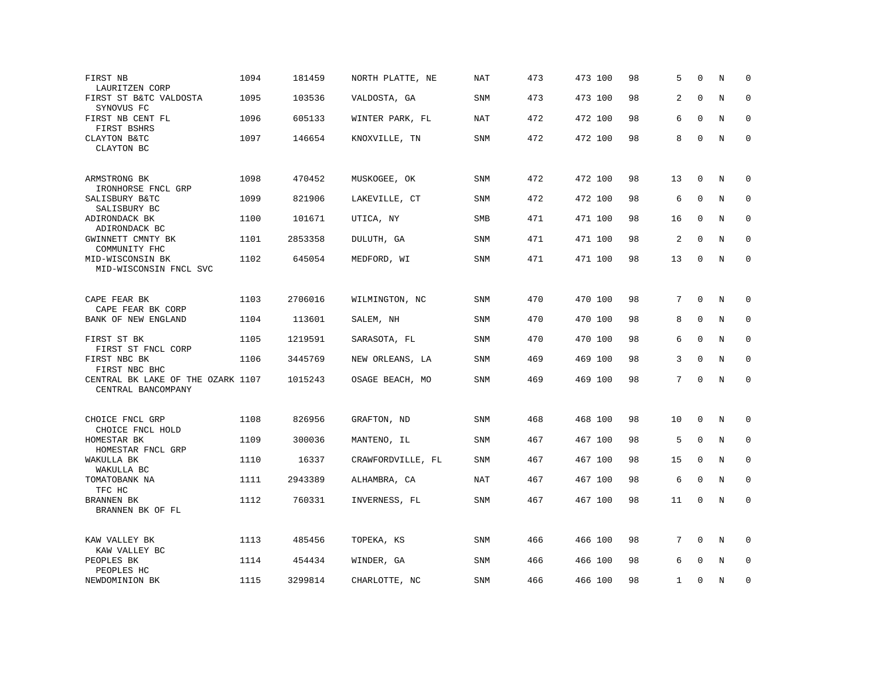| FIRST NB<br>LAURITZEN CORP                              | 1094 | 181459  | NORTH PLATTE, NE  | NAT        | 473 | 473 100 | 98 | 5              | $\Omega$     | N       | $\Omega$    |
|---------------------------------------------------------|------|---------|-------------------|------------|-----|---------|----|----------------|--------------|---------|-------------|
| FIRST ST B&TC VALDOSTA<br>SYNOVUS FC                    | 1095 | 103536  | VALDOSTA, GA      | SNM        | 473 | 473 100 | 98 | 2              | $\Omega$     | N       | $\Omega$    |
| FIRST NB CENT FL<br>FIRST BSHRS                         | 1096 | 605133  | WINTER PARK, FL   | NAT        | 472 | 472 100 | 98 | 6              | $\Omega$     | N       | $\Omega$    |
| CLAYTON B&TC<br>CLAYTON BC                              | 1097 | 146654  | KNOXVILLE, TN     | SNM        | 472 | 472 100 | 98 | 8              | $\mathbf 0$  | $\rm N$ | $\mathbf 0$ |
| ARMSTRONG BK<br>IRONHORSE FNCL GRP                      | 1098 | 470452  | MUSKOGEE, OK      | <b>SNM</b> | 472 | 472 100 | 98 | 13             | 0            | N       | 0           |
| SALISBURY B&TC<br>SALISBURY BC                          | 1099 | 821906  | LAKEVILLE, CT     | SNM        | 472 | 472 100 | 98 | 6              | $\mathbf 0$  | N       | 0           |
| ADIRONDACK BK<br>ADIRONDACK BC                          | 1100 | 101671  | UTICA, NY         | SMB        | 471 | 471 100 | 98 | 16             | $\mathbf 0$  | N       | $\mathbf 0$ |
| GWINNETT CMNTY BK<br>COMMUNITY FHC                      | 1101 | 2853358 | DULUTH, GA        | <b>SNM</b> | 471 | 471 100 | 98 | $\overline{2}$ | $\mathbf{0}$ | N       | $\mathbf 0$ |
| MID-WISCONSIN BK<br>MID-WISCONSIN FNCL SVC              | 1102 | 645054  | MEDFORD, WI       | SNM        | 471 | 471 100 | 98 | 13             | 0            | N       | $\mathbf 0$ |
| CAPE FEAR BK                                            | 1103 | 2706016 | WILMINGTON, NC    | <b>SNM</b> | 470 | 470 100 | 98 | 7              | $\Omega$     | N       | 0           |
| CAPE FEAR BK CORP<br>BANK OF NEW ENGLAND                | 1104 | 113601  | SALEM, NH         | <b>SNM</b> | 470 | 470 100 | 98 | 8              | $\mathbf 0$  | N       | $\mathbf 0$ |
| FIRST ST BK<br>FIRST ST FNCL CORP                       | 1105 | 1219591 | SARASOTA, FL      | SNM        | 470 | 470 100 | 98 | 6              | $\mathbf{0}$ | N       | $\mathbf 0$ |
| FIRST NBC BK<br>FIRST NBC BHC                           | 1106 | 3445769 | NEW ORLEANS, LA   | <b>SNM</b> | 469 | 469 100 | 98 | 3              | $\Omega$     | N       | 0           |
| CENTRAL BK LAKE OF THE OZARK 1107<br>CENTRAL BANCOMPANY |      | 1015243 | OSAGE BEACH, MO   | SNM        | 469 | 469 100 | 98 | 7              | $\Omega$     | N       | $\mathbf 0$ |
| CHOICE FNCL GRP<br>CHOICE FNCL HOLD                     | 1108 | 826956  | GRAFTON, ND       | <b>SNM</b> | 468 | 468 100 | 98 | 10             | $\mathbf{0}$ | N       | 0           |
| HOMESTAR BK<br>HOMESTAR FNCL GRP                        | 1109 | 300036  | MANTENO, IL       | SNM        | 467 | 467 100 | 98 | 5              | $\mathbf 0$  | N       | 0           |
| WAKULLA BK<br>WAKULLA BC                                | 1110 | 16337   | CRAWFORDVILLE, FL | <b>SNM</b> | 467 | 467 100 | 98 | 15             | $\Omega$     | N       | $\mathbf 0$ |
| TOMATOBANK NA<br>TFC HC                                 | 1111 | 2943389 | ALHAMBRA, CA      | NAT        | 467 | 467 100 | 98 | 6              | $\Omega$     | N       | 0           |
| BRANNEN BK<br>BRANNEN BK OF FL                          | 1112 | 760331  | INVERNESS, FL     | <b>SNM</b> | 467 | 467 100 | 98 | 11             | $\mathbf 0$  | N       | $\mathbf 0$ |
| KAW VALLEY BK<br>KAW VALLEY BC                          | 1113 | 485456  | TOPEKA, KS        | SNM        | 466 | 466 100 | 98 | 7              | 0            | $\rm N$ | 0           |
| PEOPLES BK<br>PEOPLES HC                                | 1114 | 454434  | WINDER, GA        | <b>SNM</b> | 466 | 466 100 | 98 | 6              | $\Omega$     | N       | $\mathbf 0$ |
| NEWDOMINION BK                                          | 1115 | 3299814 | CHARLOTTE, NC     | <b>SNM</b> | 466 | 466 100 | 98 | $\mathbf{1}$   | $\mathbf 0$  | N       | 0           |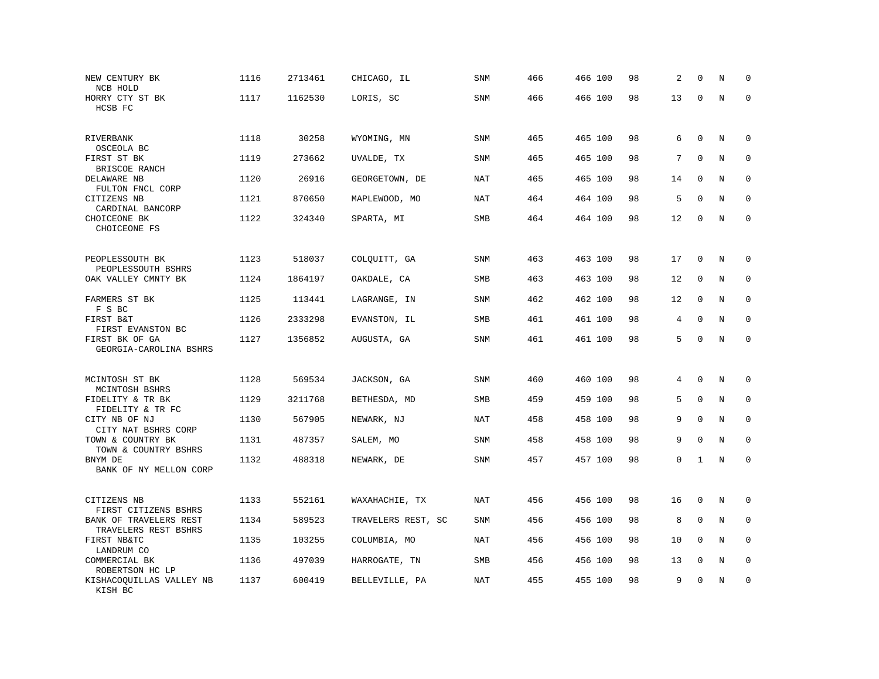| NEW CENTURY BK<br>NCB HOLD                             | 1116 | 2713461 | CHICAGO, IL        | <b>SNM</b> | 466 | 466 100 | 98 | 2  | $\mathbf 0$  | N | 0            |
|--------------------------------------------------------|------|---------|--------------------|------------|-----|---------|----|----|--------------|---|--------------|
| HORRY CTY ST BK<br>HCSB FC                             | 1117 | 1162530 | LORIS, SC          | <b>SNM</b> | 466 | 466 100 | 98 | 13 | $\mathbf 0$  | N | $\mathbf 0$  |
| RIVERBANK<br>OSCEOLA BC                                | 1118 | 30258   | WYOMING, MN        | <b>SNM</b> | 465 | 465 100 | 98 | 6  | $\mathbf 0$  | N | 0            |
| FIRST ST BK                                            | 1119 | 273662  | UVALDE, TX         | SNM        | 465 | 465 100 | 98 | 7  | $\mathbf 0$  | N | 0            |
| BRISCOE RANCH<br>DELAWARE NB                           | 1120 | 26916   | GEORGETOWN, DE     | <b>NAT</b> | 465 | 465 100 | 98 | 14 | $\mathbf{0}$ | N | $\mathbf 0$  |
| FULTON FNCL CORP<br>CITIZENS NB                        | 1121 | 870650  | MAPLEWOOD, MO      | NAT        | 464 | 464 100 | 98 | 5  | $\Omega$     | N | $\mathbf 0$  |
| CARDINAL BANCORP<br>CHOICEONE BK<br>CHOICEONE FS       | 1122 | 324340  | SPARTA, MI         | SMB        | 464 | 464 100 | 98 | 12 | $\mathbf 0$  | N | $\mathbf 0$  |
| PEOPLESSOUTH BK                                        | 1123 | 518037  | COLQUITT, GA       | SNM        | 463 | 463 100 | 98 | 17 | 0            | N | 0            |
| PEOPLESSOUTH BSHRS<br>OAK VALLEY CMNTY BK              | 1124 | 1864197 |                    | <b>SMB</b> | 463 | 463 100 | 98 | 12 | $\mathbf 0$  | N | 0            |
|                                                        |      |         | OAKDALE, CA        |            |     |         |    |    |              |   |              |
| FARMERS ST BK<br>F S BC                                | 1125 | 113441  | LAGRANGE, IN       | SNM        | 462 | 462 100 | 98 | 12 | $\mathbf{0}$ | N | $\mathbf 0$  |
| FIRST B&T<br>FIRST EVANSTON BC                         | 1126 | 2333298 | EVANSTON, IL       | SMB        | 461 | 461 100 | 98 | 4  | $\mathbf 0$  | N | $\Omega$     |
| FIRST BK OF GA<br>GEORGIA-CAROLINA BSHRS               | 1127 | 1356852 | AUGUSTA, GA        | SNM        | 461 | 461 100 | 98 | 5  | $\mathbf 0$  | N | $\mathbf 0$  |
| MCINTOSH ST BK                                         | 1128 | 569534  | JACKSON, GA        | SNM        | 460 | 460 100 | 98 | 4  | $\Omega$     | N | 0            |
| MCINTOSH BSHRS<br>FIDELITY & TR BK                     | 1129 | 3211768 | BETHESDA, MD       | <b>SMB</b> | 459 | 459 100 | 98 | 5  | $\mathbf{0}$ | N | $\mathbf 0$  |
| FIDELITY & TR FC<br>CITY NB OF NJ                      | 1130 | 567905  | NEWARK, NJ         | NAT        | 458 | 458 100 | 98 | 9  | $\mathbf{0}$ | N | $\mathbf 0$  |
| CITY NAT BSHRS CORP                                    |      |         |                    |            |     |         |    |    |              |   |              |
| TOWN & COUNTRY BK<br>TOWN & COUNTRY BSHRS              | 1131 | 487357  | SALEM, MO          | <b>SNM</b> | 458 | 458 100 | 98 | 9  | $\mathbf{0}$ | N | $\mathbf{0}$ |
| BNYM DE<br>BANK OF NY MELLON CORP                      | 1132 | 488318  | NEWARK, DE         | SNM        | 457 | 457 100 | 98 | 0  | 1            | N | $\mathbf 0$  |
| CITIZENS NB                                            | 1133 | 552161  | WAXAHACHIE, TX     | NAT        | 456 | 456 100 | 98 | 16 | 0            | N | 0            |
| FIRST CITIZENS BSHRS<br>BANK OF TRAVELERS REST         | 1134 | 589523  | TRAVELERS REST, SC | SNM        | 456 | 456 100 | 98 | 8  | $\mathbf 0$  | N | 0            |
| TRAVELERS REST BSHRS<br>FIRST NB&TC                    | 1135 | 103255  | COLUMBIA, MO       | <b>NAT</b> | 456 | 456 100 | 98 | 10 | $\Omega$     | N | $\mathbf 0$  |
| LANDRUM CO<br>COMMERCIAL BK                            | 1136 | 497039  | HARROGATE, TN      | SMB        | 456 | 456 100 | 98 | 13 | 0            | Ν | 0            |
| ROBERTSON HC LP<br>KISHACOQUILLAS VALLEY NB<br>KISH BC | 1137 | 600419  | BELLEVILLE, PA     | <b>NAT</b> | 455 | 455 100 | 98 | 9  | $\mathbf 0$  | N | $\mathbf 0$  |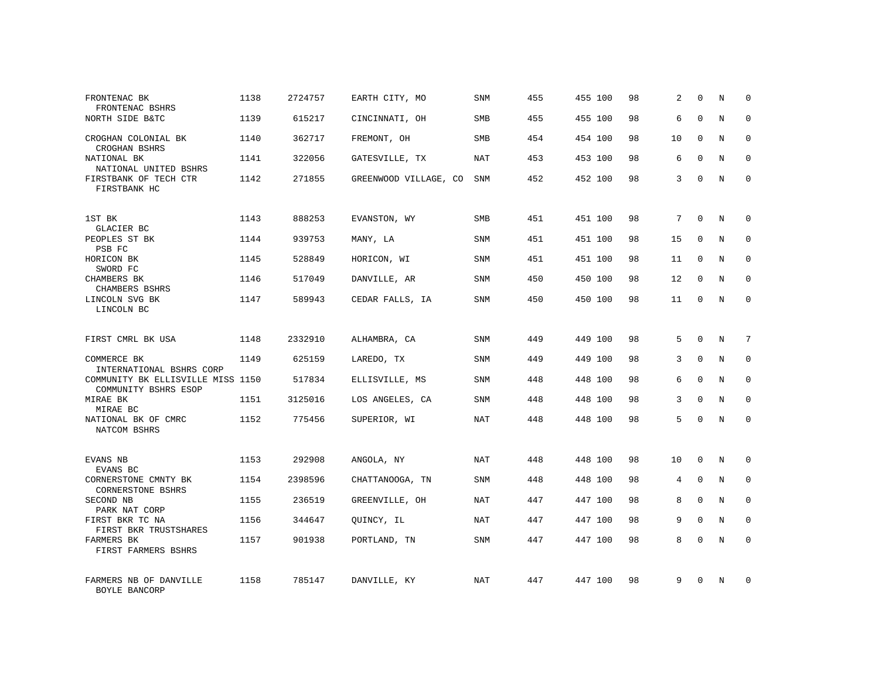| FRONTENAC BK<br>FRONTENAC BSHRS                           | 1138 | 2724757 | EARTH CITY, MO        | SNM        | 455 | 455 100 | 98 | 2  | $\mathbf 0$  | N       | $\Omega$    |
|-----------------------------------------------------------|------|---------|-----------------------|------------|-----|---------|----|----|--------------|---------|-------------|
| NORTH SIDE B&TC                                           | 1139 | 615217  | CINCINNATI, OH        | <b>SMB</b> | 455 | 455 100 | 98 | 6  | $\Omega$     | N       | $\Omega$    |
| CROGHAN COLONIAL BK<br>CROGHAN BSHRS                      | 1140 | 362717  | FREMONT, OH           | SMB        | 454 | 454 100 | 98 | 10 | $\Omega$     | N       | $\mathbf 0$ |
| NATIONAL BK<br>NATIONAL UNITED BSHRS                      | 1141 | 322056  | GATESVILLE, TX        | <b>NAT</b> | 453 | 453 100 | 98 | 6  | $\Omega$     | N       | $\Omega$    |
| FIRSTBANK OF TECH CTR<br>FIRSTBANK HC                     | 1142 | 271855  | GREENWOOD VILLAGE, CO | SNM        | 452 | 452 100 | 98 | 3  | $\Omega$     | N       | $\Omega$    |
| 1ST BK                                                    | 1143 | 888253  | EVANSTON, WY          | <b>SMB</b> | 451 | 451 100 | 98 | 7  | $\Omega$     | N       | $\Omega$    |
| GLACIER BC<br>PEOPLES ST BK<br>PSB FC                     | 1144 | 939753  | MANY, LA              | <b>SNM</b> | 451 | 451 100 | 98 | 15 | $\Omega$     | N       | $\Omega$    |
| HORICON BK<br>SWORD FC                                    | 1145 | 528849  | HORICON, WI           | SNM        | 451 | 451 100 | 98 | 11 | $\Omega$     | N       | $\Omega$    |
| CHAMBERS BK<br>CHAMBERS BSHRS                             | 1146 | 517049  | DANVILLE, AR          | SNM        | 450 | 450 100 | 98 | 12 | $\Omega$     | N       | $\Omega$    |
| LINCOLN SVG BK<br>LINCOLN BC                              | 1147 | 589943  | CEDAR FALLS, IA       | SNM        | 450 | 450 100 | 98 | 11 | $\Omega$     | N       | $\Omega$    |
| FIRST CMRL BK USA                                         | 1148 | 2332910 | ALHAMBRA, CA          | <b>SNM</b> | 449 | 449 100 | 98 | 5  | $\Omega$     | N       | 7           |
| COMMERCE BK<br>INTERNATIONAL BSHRS CORP                   | 1149 | 625159  | LAREDO, TX            | SNM        | 449 | 449 100 | 98 | 3  | $\Omega$     | $\rm N$ | $\mathbf 0$ |
| COMMUNITY BK ELLISVILLE MISS 1150<br>COMMUNITY BSHRS ESOP |      | 517834  | ELLISVILLE, MS        | SNM        | 448 | 448 100 | 98 | 6  | $\Omega$     | N       | $\mathbf 0$ |
| MIRAE BK<br>MIRAE BC                                      | 1151 | 3125016 | LOS ANGELES, CA       | SNM        | 448 | 448 100 | 98 | 3  | $\mathbf{0}$ | $\rm N$ | $\mathbf 0$ |
| NATIONAL BK OF CMRC<br>NATCOM BSHRS                       | 1152 | 775456  | SUPERIOR, WI          | <b>NAT</b> | 448 | 448 100 | 98 | 5  | $\Omega$     | N       | $\mathbf 0$ |
| EVANS NB<br>EVANS BC                                      | 1153 | 292908  | ANGOLA, NY            | NAT        | 448 | 448 100 | 98 | 10 | $\mathbf 0$  | N       | $\mathbf 0$ |
| CORNERSTONE CMNTY BK<br><b>CORNERSTONE BSHRS</b>          | 1154 | 2398596 | CHATTANOOGA, TN       | <b>SNM</b> | 448 | 448 100 | 98 | 4  | $\mathbf{0}$ | N       | $\mathbf 0$ |
| SECOND NB<br>PARK NAT CORP                                | 1155 | 236519  | GREENVILLE, OH        | NAT        | 447 | 447 100 | 98 | 8  | $\Omega$     | N       | $\mathbf 0$ |
| FIRST BKR TC NA<br>FIRST BKR TRUSTSHARES                  | 1156 | 344647  | QUINCY, IL            | <b>NAT</b> | 447 | 447 100 | 98 | 9  | $\mathbf{0}$ | N       | $\mathbf 0$ |
| FARMERS BK<br>FIRST FARMERS BSHRS                         | 1157 | 901938  | PORTLAND, TN          | <b>SNM</b> | 447 | 447 100 | 98 | 8  | $\Omega$     | N       | $\Omega$    |
| FARMERS NB OF DANVILLE<br>BOYLE BANCORP                   | 1158 | 785147  | DANVILLE, KY          | NAT        | 447 | 447 100 | 98 | 9  | $\Omega$     | N       | $\Omega$    |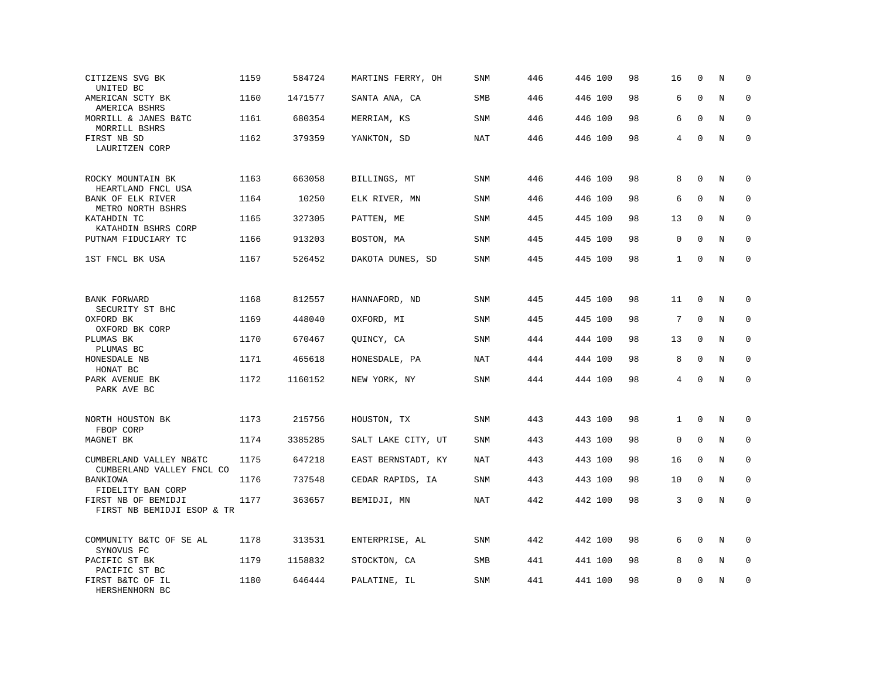| CITIZENS SVG BK<br>UNITED BC                         | 1159 | 584724  | MARTINS FERRY, OH  | <b>SNM</b> | 446 | 446 100 | 98 | 16           | $\mathbf 0$  | N | $\mathbf 0$ |
|------------------------------------------------------|------|---------|--------------------|------------|-----|---------|----|--------------|--------------|---|-------------|
| AMERICAN SCTY BK<br>AMERICA BSHRS                    | 1160 | 1471577 | SANTA ANA, CA      | <b>SMB</b> | 446 | 446 100 | 98 | 6            | $\mathbf{0}$ | N | $\mathbf 0$ |
| MORRILL & JANES B&TC<br>MORRILL BSHRS                | 1161 | 680354  | MERRIAM, KS        | <b>SNM</b> | 446 | 446 100 | 98 | 6            | $\mathbf{0}$ | N | $\mathbf 0$ |
| FIRST NB SD<br>LAURITZEN CORP                        | 1162 | 379359  | YANKTON, SD        | <b>NAT</b> | 446 | 446 100 | 98 | 4            | $\mathbf 0$  | N | $\mathbf 0$ |
| ROCKY MOUNTAIN BK<br>HEARTLAND FNCL USA              | 1163 | 663058  | BILLINGS, MT       | <b>SNM</b> | 446 | 446 100 | 98 | 8            | $\mathbf{0}$ | N | $\mathbf 0$ |
| BANK OF ELK RIVER<br>METRO NORTH BSHRS               | 1164 | 10250   | ELK RIVER, MN      | <b>SNM</b> | 446 | 446 100 | 98 | 6            | $\mathbf 0$  | N | $\mathbf 0$ |
| KATAHDIN TC<br>KATAHDIN BSHRS CORP                   | 1165 | 327305  | PATTEN, ME         | SNM        | 445 | 445 100 | 98 | 13           | $\mathbf 0$  | N | $\mathbf 0$ |
| PUTNAM FIDUCIARY TC                                  | 1166 | 913203  | BOSTON, MA         | <b>SNM</b> | 445 | 445 100 | 98 | 0            | $\Omega$     | N | $\mathbf 0$ |
| 1ST FNCL BK USA                                      | 1167 | 526452  | DAKOTA DUNES, SD   | SNM        | 445 | 445 100 | 98 | $\mathbf{1}$ | $\Omega$     | N | $\Omega$    |
|                                                      |      |         |                    |            |     |         |    |              |              |   |             |
| BANK FORWARD<br>SECURITY ST BHC                      | 1168 | 812557  | HANNAFORD, ND      | <b>SNM</b> | 445 | 445 100 | 98 | 11           | $\mathbf 0$  | N | 0           |
| OXFORD BK<br>OXFORD BK CORP                          | 1169 | 448040  | OXFORD, MI         | <b>SNM</b> | 445 | 445 100 | 98 | 7            | $\mathbf{0}$ | N | 0           |
| PLUMAS BK<br>PLUMAS BC                               | 1170 | 670467  | QUINCY, CA         | SNM        | 444 | 444 100 | 98 | 13           | $\mathbf{0}$ | N | $\mathbf 0$ |
| HONESDALE NB<br>HONAT BC                             | 1171 | 465618  | HONESDALE, PA      | <b>NAT</b> | 444 | 444 100 | 98 | 8            | $\mathbf 0$  | N | 0           |
| PARK AVENUE BK<br>PARK AVE BC                        | 1172 | 1160152 | NEW YORK, NY       | <b>SNM</b> | 444 | 444 100 | 98 | 4            | $\mathbf{0}$ | N | $\mathbf 0$ |
| NORTH HOUSTON BK<br>FBOP CORP                        | 1173 | 215756  | HOUSTON, TX        | <b>SNM</b> | 443 | 443 100 | 98 | $\mathbf{1}$ | $\mathbf 0$  | N | 0           |
| MAGNET BK                                            | 1174 | 3385285 | SALT LAKE CITY, UT | SNM        | 443 | 443 100 | 98 | $\mathbf 0$  | $\Omega$     | N | $\mathbf 0$ |
| CUMBERLAND VALLEY NB&TC<br>CUMBERLAND VALLEY FNCL CO | 1175 | 647218  | EAST BERNSTADT, KY | <b>NAT</b> | 443 | 443 100 | 98 | 16           | $\mathbf 0$  | N | 0           |
| BANKIOWA<br>FIDELITY BAN CORP                        | 1176 | 737548  | CEDAR RAPIDS, IA   | <b>SNM</b> | 443 | 443 100 | 98 | 10           | $\mathbf{0}$ | N | $\Omega$    |
| FIRST NB OF BEMIDJI<br>FIRST NB BEMIDJI ESOP & TR    | 1177 | 363657  | BEMIDJI, MN        | <b>NAT</b> | 442 | 442 100 | 98 | 3            | $\mathbf 0$  | N | $\mathbf 0$ |
| COMMUNITY B&TC OF SE AL<br>SYNOVUS FC                | 1178 | 313531  | ENTERPRISE, AL     | SNM        | 442 | 442 100 | 98 | 6            | $\Omega$     | N | 0           |
| PACIFIC ST BK<br>PACIFIC ST BC                       | 1179 | 1158832 | STOCKTON, CA       | SMB        | 441 | 441 100 | 98 | 8            | $\mathbf 0$  | N | $\mathbf 0$ |
| FIRST B&TC OF IL<br>HERSHENHORN BC                   | 1180 | 646444  | PALATINE, IL       | <b>SNM</b> | 441 | 441 100 | 98 | 0            | $\mathbf{0}$ | N | $\mathbf 0$ |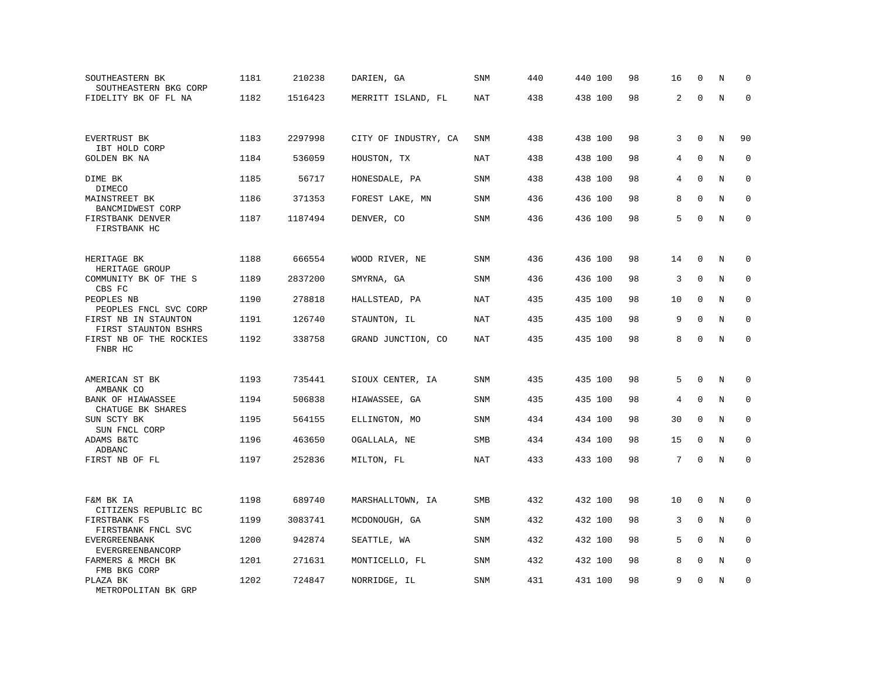| SOUTHEASTERN BK<br>SOUTHEASTERN BKG CORP     | 1181 | 210238  | DARIEN, GA           | <b>SNM</b> | 440 | 440 100 | 98 | 16             | $\mathbf 0$  | N       | $\mathbf 0$ |
|----------------------------------------------|------|---------|----------------------|------------|-----|---------|----|----------------|--------------|---------|-------------|
| FIDELITY BK OF FL NA                         | 1182 | 1516423 | MERRITT ISLAND, FL   | NAT        | 438 | 438 100 | 98 | $\overline{a}$ | $\mathbf 0$  | $\rm N$ | $\mathbf 0$ |
|                                              |      |         |                      |            |     |         |    |                |              |         |             |
| EVERTRUST BK<br>IBT HOLD CORP                | 1183 | 2297998 | CITY OF INDUSTRY, CA | <b>SNM</b> | 438 | 438 100 | 98 | 3              | $\mathbf 0$  | N       | 90          |
| GOLDEN BK NA                                 | 1184 | 536059  | HOUSTON, TX          | NAT        | 438 | 438 100 | 98 | 4              | $\Omega$     | N       | $\Omega$    |
| DIME BK<br>DIMECO                            | 1185 | 56717   | HONESDALE, PA        | <b>SNM</b> | 438 | 438 100 | 98 | 4              | $\mathbf 0$  | N       | $\mathbf 0$ |
| MAINSTREET BK<br>BANCMIDWEST CORP            | 1186 | 371353  | FOREST LAKE, MN      | <b>SNM</b> | 436 | 436 100 | 98 | 8              | $\mathbf{0}$ | N       | $\mathbf 0$ |
| FIRSTBANK DENVER<br>FIRSTBANK HC             | 1187 | 1187494 | DENVER, CO           | <b>SNM</b> | 436 | 436 100 | 98 | 5              | $\Omega$     | N       | $\mathbf 0$ |
|                                              |      |         |                      |            |     |         |    |                |              |         |             |
| HERITAGE BK<br>HERITAGE GROUP                | 1188 | 666554  | WOOD RIVER, NE       | SNM        | 436 | 436 100 | 98 | 14             | $\mathbf 0$  | N       | $\mathbf 0$ |
| COMMUNITY BK OF THE S<br>CBS FC              | 1189 | 2837200 | SMYRNA, GA           | SNM        | 436 | 436 100 | 98 | 3              | 0            | N       | 0           |
| PEOPLES NB<br>PEOPLES FNCL SVC CORP          | 1190 | 278818  | HALLSTEAD, PA        | <b>NAT</b> | 435 | 435 100 | 98 | 10             | $\mathbf 0$  | N       | $\mathbf 0$ |
| FIRST NB IN STAUNTON<br>FIRST STAUNTON BSHRS | 1191 | 126740  | STAUNTON, IL         | NAT        | 435 | 435 100 | 98 | 9              | $\Omega$     | N       | $\Omega$    |
| FIRST NB OF THE ROCKIES<br>FNBR HC           | 1192 | 338758  | GRAND JUNCTION, CO   | <b>NAT</b> | 435 | 435 100 | 98 | 8              | $\mathbf 0$  | N       | $\mathbf 0$ |
|                                              |      |         |                      |            |     |         |    |                |              |         |             |
| AMERICAN ST BK<br>AMBANK CO                  | 1193 | 735441  | SIOUX CENTER, IA     | <b>SNM</b> | 435 | 435 100 | 98 | 5              | $\mathbf 0$  | N       | $\mathbf 0$ |
| BANK OF HIAWASSEE<br>CHATUGE BK SHARES       | 1194 | 506838  | HIAWASSEE, GA        | <b>SNM</b> | 435 | 435 100 | 98 | 4              | $\Omega$     | N       | $\mathbf 0$ |
| SUN SCTY BK<br>SUN FNCL CORP                 | 1195 | 564155  | ELLINGTON, MO        | SNM        | 434 | 434 100 | 98 | 30             | $\mathbf 0$  | N       | $\mathbf 0$ |
| ADAMS B&TC<br>ADBANC                         | 1196 | 463650  | OGALLALA, NE         | SMB        | 434 | 434 100 | 98 | 15             | $\Omega$     | N       | 0           |
| FIRST NB OF FL                               | 1197 | 252836  | MILTON, FL           | <b>NAT</b> | 433 | 433 100 | 98 | 7              | $\mathbf 0$  | N       | $\mathbf 0$ |
|                                              |      |         |                      |            |     |         |    |                |              |         |             |
| F&M BK IA<br>CITIZENS REPUBLIC BC            | 1198 | 689740  | MARSHALLTOWN, IA     | SMB        | 432 | 432 100 | 98 | 10             | $\mathbf 0$  | N       | 0           |
| FIRSTBANK FS<br>FIRSTBANK FNCL SVC           | 1199 | 3083741 | MCDONOUGH, GA        | <b>SNM</b> | 432 | 432 100 | 98 | 3              | $\mathbf 0$  | N       | 0           |
| <b>EVERGREENBANK</b><br>EVERGREENBANCORP     | 1200 | 942874  | SEATTLE, WA          | SNM        | 432 | 432 100 | 98 | 5              | $\Omega$     | N       | $\mathbf 0$ |
| FARMERS & MRCH BK<br>FMB BKG CORP            | 1201 | 271631  | MONTICELLO, FL       | <b>SNM</b> | 432 | 432 100 | 98 | 8              | $\mathbf 0$  | N       | $\mathbf 0$ |
| PLAZA BK<br>METROPOLITAN BK GRP              | 1202 | 724847  | NORRIDGE, IL         | <b>SNM</b> | 431 | 431 100 | 98 | 9              | $\Omega$     | N       | $\mathbf 0$ |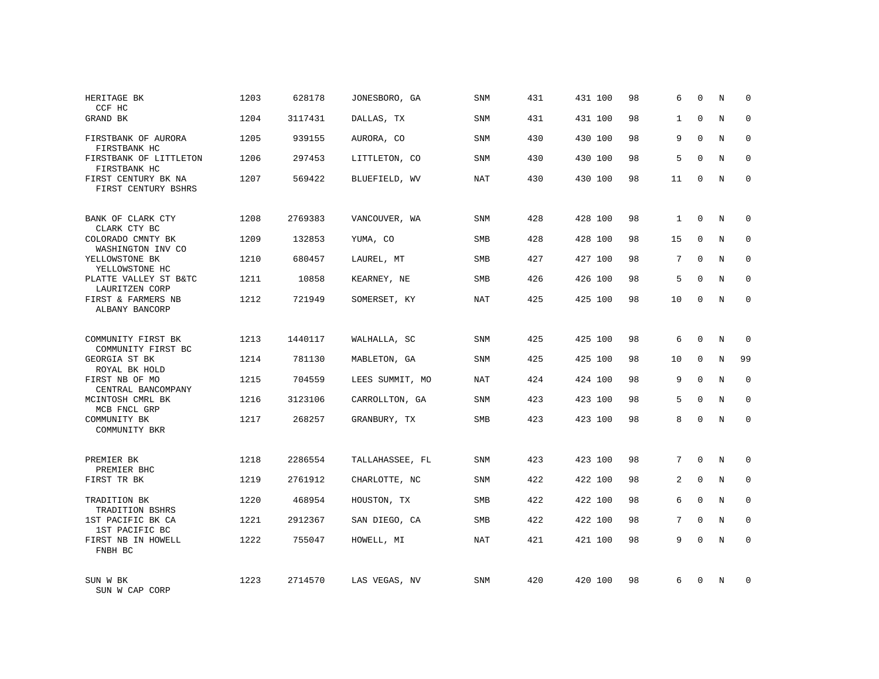| HERITAGE BK<br>CCF HC                      | 1203 | 628178  | JONESBORO, GA   | <b>SNM</b> | 431 | 431 100 | 98 | 6              | $\mathbf 0$  | Ν | $\mathbf 0$  |
|--------------------------------------------|------|---------|-----------------|------------|-----|---------|----|----------------|--------------|---|--------------|
| GRAND BK                                   | 1204 | 3117431 | DALLAS, TX      | <b>SNM</b> | 431 | 431 100 | 98 | $\mathbf{1}$   | $\mathbf 0$  | N | $\mathbf 0$  |
| FIRSTBANK OF AURORA<br>FIRSTBANK HC        | 1205 | 939155  | AURORA, CO      | SNM        | 430 | 430 100 | 98 | 9              | $\Omega$     | N | $\mathbf 0$  |
| FIRSTBANK OF LITTLETON<br>FIRSTBANK HC     | 1206 | 297453  | LITTLETON, CO   | <b>SNM</b> | 430 | 430 100 | 98 | 5              | $\Omega$     | N | $\mathbf 0$  |
| FIRST CENTURY BK NA<br>FIRST CENTURY BSHRS | 1207 | 569422  | BLUEFIELD, WV   | NAT        | 430 | 430 100 | 98 | 11             | $\Omega$     | N | $\mathbf{0}$ |
| BANK OF CLARK CTY<br>CLARK CTY BC          | 1208 | 2769383 | VANCOUVER, WA   | <b>SNM</b> | 428 | 428 100 | 98 | $\mathbf{1}$   | 0            | N | $\mathbf 0$  |
| COLORADO CMNTY BK<br>WASHINGTON INV CO     | 1209 | 132853  | YUMA, CO        | <b>SMB</b> | 428 | 428 100 | 98 | 15             | $\Omega$     | N | $\mathbf 0$  |
| YELLOWSTONE BK<br>YELLOWSTONE HC           | 1210 | 680457  | LAUREL, MT      | SMB        | 427 | 427 100 | 98 | 7              | $\Omega$     | N | $\mathbf 0$  |
| PLATTE VALLEY ST B&TC<br>LAURITZEN CORP    | 1211 | 10858   | KEARNEY, NE     | <b>SMB</b> | 426 | 426 100 | 98 | 5              | $\Omega$     | N | $\mathbf 0$  |
| FIRST & FARMERS NB<br>ALBANY BANCORP       | 1212 | 721949  | SOMERSET, KY    | <b>NAT</b> | 425 | 425 100 | 98 | 10             | 0            | N | $\mathbf 0$  |
| COMMUNITY FIRST BK<br>COMMUNITY FIRST BC   | 1213 | 1440117 | WALHALLA, SC    | <b>SNM</b> | 425 | 425 100 | 98 | 6              | $\Omega$     | N | $\mathbf 0$  |
| GEORGIA ST BK<br>ROYAL BK HOLD             | 1214 | 781130  | MABLETON, GA    | SNM        | 425 | 425 100 | 98 | 10             | $\mathbf 0$  | N | 99           |
| FIRST NB OF MO<br>CENTRAL BANCOMPANY       | 1215 | 704559  | LEES SUMMIT, MO | NAT        | 424 | 424 100 | 98 | 9              | $\Omega$     | N | $\mathbf 0$  |
| MCINTOSH CMRL BK<br>MCB FNCL GRP           | 1216 | 3123106 | CARROLLTON, GA  | SNM        | 423 | 423 100 | 98 | 5              | $\mathbf 0$  | N | 0            |
| COMMUNITY BK<br>COMMUNITY BKR              | 1217 | 268257  | GRANBURY, TX    | SMB        | 423 | 423 100 | 98 | 8              | $\Omega$     | N | $\mathbf 0$  |
| PREMIER BK<br>PREMIER BHC                  | 1218 | 2286554 | TALLAHASSEE, FL | SNM        | 423 | 423 100 | 98 | 7              | $\Omega$     | N | 0            |
| FIRST TR BK                                | 1219 | 2761912 | CHARLOTTE, NC   | <b>SNM</b> | 422 | 422 100 | 98 | $\overline{a}$ | $\mathbf{0}$ | N | $\mathbf 0$  |
| TRADITION BK<br>TRADITION BSHRS            | 1220 | 468954  | HOUSTON, TX     | SMB        | 422 | 422 100 | 98 | 6              | $\Omega$     | N | $\mathbf 0$  |
| 1ST PACIFIC BK CA<br>1ST PACIFIC BC        | 1221 | 2912367 | SAN DIEGO, CA   | <b>SMB</b> | 422 | 422 100 | 98 | 7              | $\Omega$     | N | $\mathbf 0$  |
| FIRST NB IN HOWELL<br>FNBH BC              | 1222 | 755047  | HOWELL, MI      | NAT        | 421 | 421 100 | 98 | 9              | $\Omega$     | N | $\Omega$     |
| SUN W BK<br>SUN W CAP CORP                 | 1223 | 2714570 | LAS VEGAS, NV   | <b>SNM</b> | 420 | 420 100 | 98 | 6              | $\Omega$     | N | $\mathbf 0$  |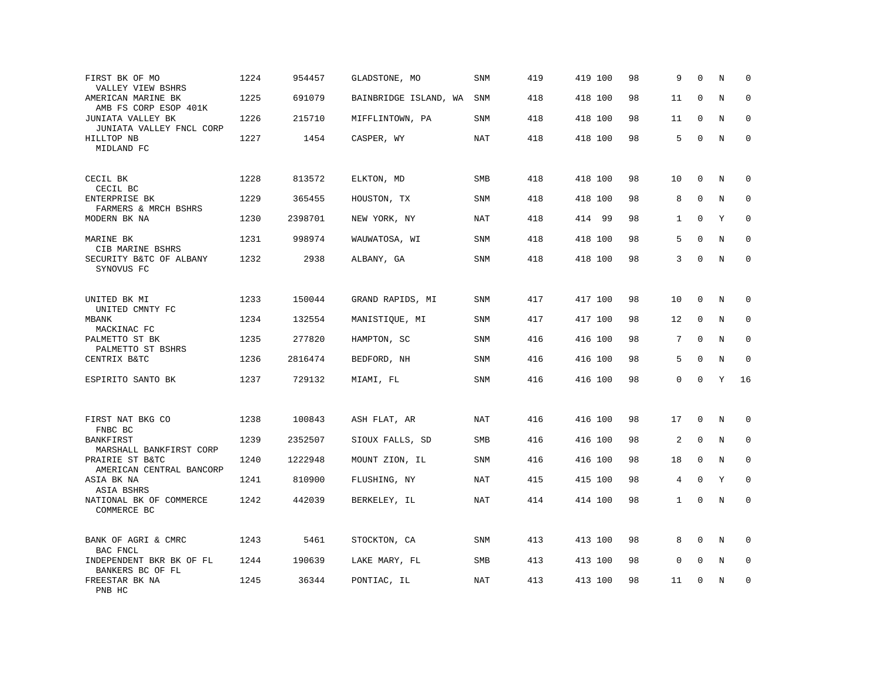| FIRST BK OF MO<br>VALLEY VIEW BSHRS           | 1224 | 954457  | GLADSTONE, MO         | SNM        | 419 | 419 100 | 98 | 9            | $\Omega$     | N           | $\mathbf 0$  |
|-----------------------------------------------|------|---------|-----------------------|------------|-----|---------|----|--------------|--------------|-------------|--------------|
| AMERICAN MARINE BK<br>AMB FS CORP ESOP 401K   | 1225 | 691079  | BAINBRIDGE ISLAND, WA | SNM        | 418 | 418 100 | 98 | 11           | $\mathbf 0$  | N           | $\Omega$     |
| JUNIATA VALLEY BK<br>JUNIATA VALLEY FNCL CORP | 1226 | 215710  | MIFFLINTOWN, PA       | <b>SNM</b> | 418 | 418 100 | 98 | 11           | $\mathbf 0$  | N           | $\mathbf 0$  |
| HILLTOP NB<br>MIDLAND FC                      | 1227 | 1454    | CASPER, WY            | NAT        | 418 | 418 100 | 98 | 5            | $\mathbf 0$  | N           | $\mathbf{0}$ |
| CECIL BK<br>CECIL BC                          | 1228 | 813572  | ELKTON, MD            | <b>SMB</b> | 418 | 418 100 | 98 | 10           | $\mathbf 0$  | N           | $\Omega$     |
| ENTERPRISE BK<br>FARMERS & MRCH BSHRS         | 1229 | 365455  | HOUSTON, TX           | <b>SNM</b> | 418 | 418 100 | 98 | 8            | $\mathbf{0}$ | N           | $\mathbf 0$  |
| MODERN BK NA                                  | 1230 | 2398701 | NEW YORK, NY          | NAT        | 418 | 414 99  | 98 | $\mathbf{1}$ | $\Omega$     | Y           | $\Omega$     |
| MARINE BK<br>CIB MARINE BSHRS                 | 1231 | 998974  | WAUWATOSA, WI         | <b>SNM</b> | 418 | 418 100 | 98 | 5            | $\Omega$     | N           | $\mathbf 0$  |
| SECURITY B&TC OF ALBANY<br>SYNOVUS FC         | 1232 | 2938    | ALBANY, GA            | <b>SNM</b> | 418 | 418 100 | 98 | 3            | $\Omega$     | $\rm N$     | $\mathbf 0$  |
| UNITED BK MI<br>UNITED CMNTY FC               | 1233 | 150044  | GRAND RAPIDS, MI      | SNM        | 417 | 417 100 | 98 | 10           | $\mathbf 0$  | N           | 0            |
| MBANK<br>MACKINAC FC                          | 1234 | 132554  | MANISTIQUE, MI        | <b>SNM</b> | 417 | 417 100 | 98 | 12           | 0            | N           | $\mathbf 0$  |
| PALMETTO ST BK<br>PALMETTO ST BSHRS           | 1235 | 277820  | HAMPTON, SC           | SNM        | 416 | 416 100 | 98 | 7            | $\Omega$     | $\mathbf N$ | $\mathbf 0$  |
| CENTRIX B&TC                                  | 1236 | 2816474 | BEDFORD, NH           | SNM        | 416 | 416 100 | 98 | 5            | $\mathbf 0$  | N           | $\mathbf 0$  |
| ESPIRITO SANTO BK                             | 1237 | 729132  | MIAMI, FL             | SNM        | 416 | 416 100 | 98 | 0            | $\Omega$     | Y           | 16           |
| FIRST NAT BKG CO<br>FNBC BC                   | 1238 | 100843  | ASH FLAT, AR          | <b>NAT</b> | 416 | 416 100 | 98 | 17           | $\mathbf{0}$ | N           | 0            |
| BANKFIRST<br>MARSHALL BANKFIRST CORP          | 1239 | 2352507 | SIOUX FALLS, SD       | SMB        | 416 | 416 100 | 98 | 2            | $\mathbf 0$  | N           | 0            |
| PRAIRIE ST B&TC<br>AMERICAN CENTRAL BANCORP   | 1240 | 1222948 | MOUNT ZION, IL        | <b>SNM</b> | 416 | 416 100 | 98 | 18           | $\mathbf 0$  | N           | $\mathbf 0$  |
| ASIA BK NA<br>ASIA BSHRS                      | 1241 | 810900  | FLUSHING, NY          | <b>NAT</b> | 415 | 415 100 | 98 | 4            | $\Omega$     | Y           | $\Omega$     |
| NATIONAL BK OF COMMERCE<br>COMMERCE BC        | 1242 | 442039  | BERKELEY, IL          | <b>NAT</b> | 414 | 414 100 | 98 | $\mathbf{1}$ | $\mathbf 0$  | N           | $\mathbf 0$  |
| BANK OF AGRI & CMRC<br>BAC FNCL               | 1243 | 5461    | STOCKTON, CA          | <b>SNM</b> | 413 | 413 100 | 98 | 8            | $\mathbf 0$  | N           | $\mathbf 0$  |
| INDEPENDENT BKR BK OF FL<br>BANKERS BC OF FL  | 1244 | 190639  | LAKE MARY, FL         | <b>SMB</b> | 413 | 413 100 | 98 | $\mathbf 0$  | $\mathbf 0$  | N           | $\mathbf 0$  |
| FREESTAR BK NA<br>PNB HC                      | 1245 | 36344   | PONTIAC, IL           | NAT        | 413 | 413 100 | 98 | 11           | $\mathbf 0$  | N           | $\mathbf 0$  |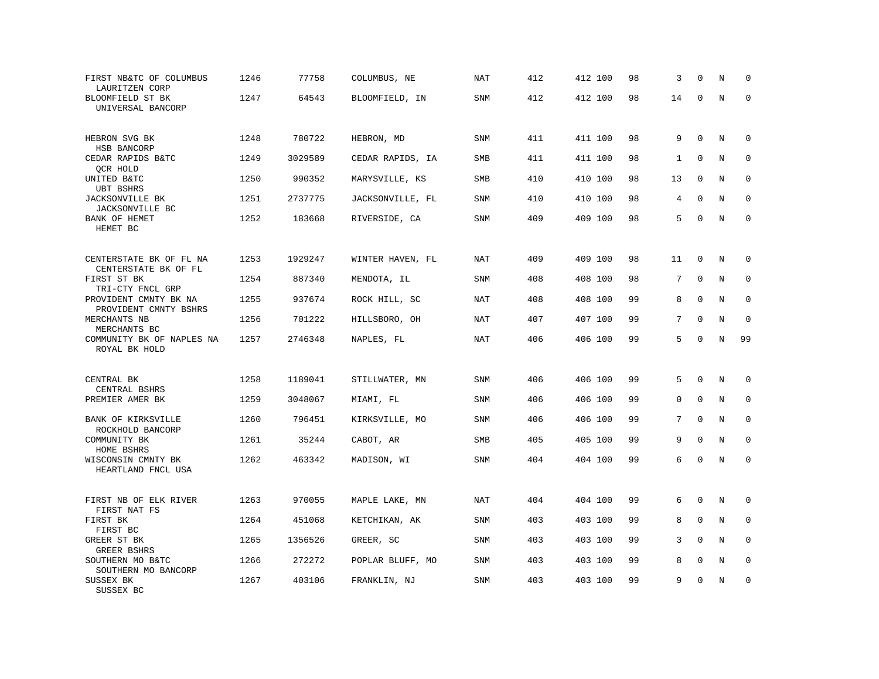| FIRST NB&TC OF COLUMBUS<br>LAURITZEN CORP       | 1246 | 77758   | COLUMBUS, NE     | <b>NAT</b> | 412 | 412 100 | 98 | 3            | $\Omega$    | N       | $\mathbf 0$  |
|-------------------------------------------------|------|---------|------------------|------------|-----|---------|----|--------------|-------------|---------|--------------|
| BLOOMFIELD ST BK<br>UNIVERSAL BANCORP           | 1247 | 64543   | BLOOMFIELD, IN   | SNM        | 412 | 412 100 | 98 | 14           | $\Omega$    | $\rm N$ | $\mathbf 0$  |
| HEBRON SVG BK<br>HSB BANCORP                    | 1248 | 780722  | HEBRON, MD       | <b>SNM</b> | 411 | 411 100 | 98 | 9            | $\mathbf 0$ | N       | $\mathbf 0$  |
| CEDAR RAPIDS B&TC<br>QCR HOLD                   | 1249 | 3029589 | CEDAR RAPIDS, IA | SMB        | 411 | 411 100 | 98 | $\mathbf{1}$ | $\mathbf 0$ | N       | $\mathbf 0$  |
| UNITED B&TC<br><b>UBT BSHRS</b>                 | 1250 | 990352  | MARYSVILLE, KS   | <b>SMB</b> | 410 | 410 100 | 98 | 13           | $\mathbf 0$ | N       | $\mathbf 0$  |
| JACKSONVILLE BK<br>JACKSONVILLE BC              | 1251 | 2737775 | JACKSONVILLE, FL | SNM        | 410 | 410 100 | 98 | 4            | $\Omega$    | N       | $\mathbf 0$  |
| BANK OF HEMET<br>HEMET BC                       | 1252 | 183668  | RIVERSIDE, CA    | <b>SNM</b> | 409 | 409 100 | 98 | 5            | $\Omega$    | N       | $\mathbf 0$  |
| CENTERSTATE BK OF FL NA<br>CENTERSTATE BK OF FL | 1253 | 1929247 | WINTER HAVEN, FL | <b>NAT</b> | 409 | 409 100 | 98 | 11           | $\mathbf 0$ | N       | 0            |
| FIRST ST BK<br>TRI-CTY FNCL GRP                 | 1254 | 887340  | MENDOTA, IL      | <b>SNM</b> | 408 | 408 100 | 98 | 7            | $\mathbf 0$ | N       | $\mathbf 0$  |
| PROVIDENT CMNTY BK NA<br>PROVIDENT CMNTY BSHRS  | 1255 | 937674  | ROCK HILL, SC    | <b>NAT</b> | 408 | 408 100 | 99 | 8            | $\mathbf 0$ | N       | $\mathbf 0$  |
| MERCHANTS NB<br>MERCHANTS BC                    | 1256 | 701222  | HILLSBORO, OH    | NAT        | 407 | 407 100 | 99 | $7^{\circ}$  | $\Omega$    | N       | $\Omega$     |
| COMMUNITY BK OF NAPLES NA<br>ROYAL BK HOLD      | 1257 | 2746348 | NAPLES, FL       | <b>NAT</b> | 406 | 406 100 | 99 | 5            | $\mathbf 0$ | $\rm N$ | 99           |
| CENTRAL BK                                      | 1258 | 1189041 | STILLWATER, MN   | SNM        | 406 | 406 100 | 99 | 5            | $\Omega$    | N       | 0            |
| CENTRAL BSHRS<br>PREMIER AMER BK                | 1259 | 3048067 | MIAMI, FL        | <b>SNM</b> | 406 | 406 100 | 99 | 0            | $\Omega$    | N       | $\mathbf 0$  |
| BANK OF KIRKSVILLE<br>ROCKHOLD BANCORP          | 1260 | 796451  | KIRKSVILLE, MO   | <b>SNM</b> | 406 | 406 100 | 99 | 7            | $\Omega$    | N       | $\mathbf 0$  |
| COMMUNITY BK<br>HOME BSHRS                      | 1261 | 35244   | CABOT, AR        | <b>SMB</b> | 405 | 405 100 | 99 | 9            | $\mathbf 0$ | N       | $\mathbf{0}$ |
| WISCONSIN CMNTY BK<br>HEARTLAND FNCL USA        | 1262 | 463342  | MADISON, WI      | SNM        | 404 | 404 100 | 99 | 6            | $\mathbf 0$ | N       | $\mathbf 0$  |
| FIRST NB OF ELK RIVER<br>FIRST NAT FS           | 1263 | 970055  | MAPLE LAKE, MN   | NAT        | 404 | 404 100 | 99 | 6            | $\Omega$    | N       | 0            |
| FIRST BK<br>FIRST BC                            | 1264 | 451068  | KETCHIKAN, AK    | SNM        | 403 | 403 100 | 99 | 8            | $\mathbf 0$ | N       | 0            |
| GREER ST BK<br>GREER BSHRS                      | 1265 | 1356526 | GREER, SC        | SNM        | 403 | 403 100 | 99 | 3            | $\Omega$    | N       | $\mathbf 0$  |
| SOUTHERN MO B&TC<br>SOUTHERN MO BANCORP         | 1266 | 272272  | POPLAR BLUFF, MO | SNM        | 403 | 403 100 | 99 | 8            | $\mathbf 0$ | $\rm N$ | 0            |
| SUSSEX BK<br>SUSSEX BC                          | 1267 | 403106  | FRANKLIN, NJ     | <b>SNM</b> | 403 | 403 100 | 99 | 9            | $\mathbf 0$ | N       | $\mathbf 0$  |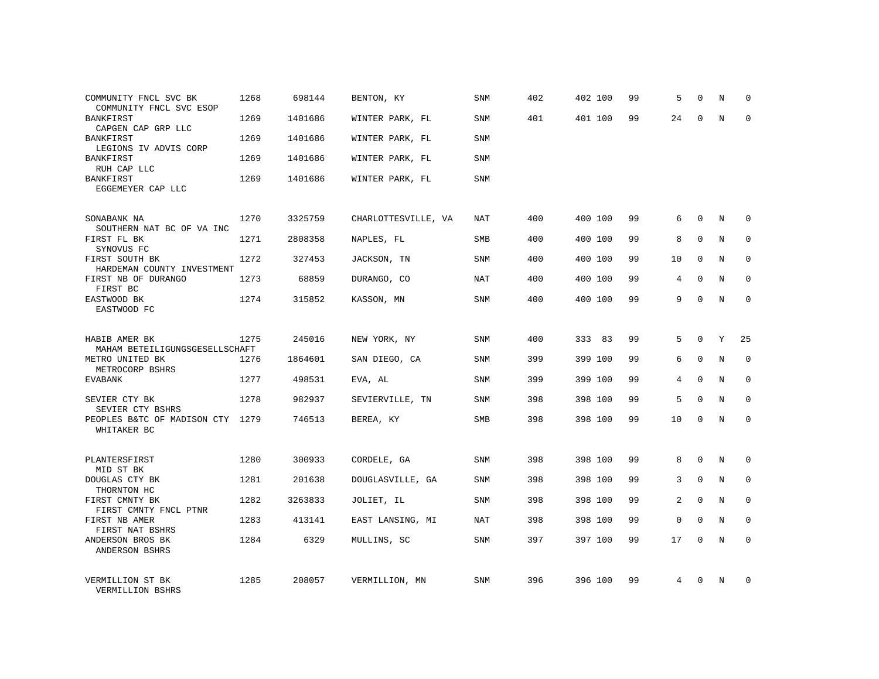| COMMUNITY FNCL SVC BK<br>COMMUNITY FNCL SVC ESOP           | 1268 | 698144  | BENTON, KY          | <b>SNM</b> | 402 | 402 100 | 99 | 5              | $\mathbf 0$  | N | $\Omega$     |
|------------------------------------------------------------|------|---------|---------------------|------------|-----|---------|----|----------------|--------------|---|--------------|
| <b>BANKFIRST</b><br>CAPGEN CAP GRP LLC                     | 1269 | 1401686 | WINTER PARK, FL     | <b>SNM</b> | 401 | 401 100 | 99 | 24             | $\Omega$     | N | $\Omega$     |
| <b>BANKFIRST</b><br>LEGIONS IV ADVIS CORP                  | 1269 | 1401686 | WINTER PARK, FL     | SNM        |     |         |    |                |              |   |              |
| <b>BANKFIRST</b><br>RUH CAP LLC                            | 1269 | 1401686 | WINTER PARK, FL     | <b>SNM</b> |     |         |    |                |              |   |              |
| <b>BANKFIRST</b><br>EGGEMEYER CAP LLC                      | 1269 | 1401686 | WINTER PARK, FL     | SNM        |     |         |    |                |              |   |              |
| SONABANK NA                                                | 1270 | 3325759 | CHARLOTTESVILLE, VA | <b>NAT</b> | 400 | 400 100 | 99 | 6              | $\Omega$     | N | $\Omega$     |
| SOUTHERN NAT BC OF VA INC<br>FIRST FL BK                   | 1271 | 2808358 | NAPLES, FL          | SMB        | 400 | 400 100 | 99 | 8              | $\mathbf 0$  | N | $\mathbf 0$  |
| SYNOVUS FC<br>FIRST SOUTH BK<br>HARDEMAN COUNTY INVESTMENT | 1272 | 327453  | JACKSON, TN         | <b>SNM</b> | 400 | 400 100 | 99 | 10             | $\Omega$     | N | $\mathbf 0$  |
| FIRST NB OF DURANGO<br>FIRST BC                            | 1273 | 68859   | DURANGO, CO         | <b>NAT</b> | 400 | 400 100 | 99 | 4              | $\mathbf 0$  | N | 0            |
| EASTWOOD BK<br>EASTWOOD FC                                 | 1274 | 315852  | KASSON, MN          | <b>SNM</b> | 400 | 400 100 | 99 | 9              | $\Omega$     | N | $\mathbf 0$  |
| HABIB AMER BK                                              | 1275 | 245016  | NEW YORK, NY        | SNM        | 400 | 333 83  | 99 | 5              | $\Omega$     | Y | 25           |
| MAHAM BETEILIGUNGSGESELLSCHAFT<br>METRO UNITED BK          | 1276 | 1864601 | SAN DIEGO, CA       | SNM        | 399 | 399 100 | 99 | 6              | $\Omega$     | N | $\mathbf 0$  |
| METROCORP BSHRS<br><b>EVABANK</b>                          | 1277 | 498531  | EVA, AL             | <b>SNM</b> | 399 | 399 100 | 99 | 4              | $\Omega$     | N | $\mathbf 0$  |
| SEVIER CTY BK<br>SEVIER CTY BSHRS                          | 1278 | 982937  | SEVIERVILLE, TN     | SNM        | 398 | 398 100 | 99 | 5              | $\Omega$     | N | $\mathbf 0$  |
| PEOPLES B&TC OF MADISON CTY<br>WHITAKER BC                 | 1279 | 746513  | BEREA, KY           | SMB        | 398 | 398 100 | 99 | 10             | $\mathbf 0$  | N | $\mathbf 0$  |
| PLANTERSFIRST                                              | 1280 | 300933  | CORDELE, GA         | <b>SNM</b> | 398 | 398 100 | 99 | 8              | $\mathbf{0}$ | N | $\mathbf 0$  |
| MID ST BK<br>DOUGLAS CTY BK                                | 1281 | 201638  | DOUGLASVILLE, GA    | SNM        | 398 | 398 100 | 99 | 3              | $\mathbf{0}$ | N | $\mathbf 0$  |
| THORNTON HC<br>FIRST CMNTY BK                              | 1282 | 3263833 | JOLIET, IL          | SNM        | 398 | 398 100 | 99 | $\overline{2}$ | $\Omega$     | N | $\mathbf{0}$ |
| FIRST CMNTY FNCL PTNR<br>FIRST NB AMER<br>FIRST NAT BSHRS  | 1283 | 413141  | EAST LANSING, MI    | NAT        | 398 | 398 100 | 99 | 0              | $\Omega$     | N | $\mathbf 0$  |
| ANDERSON BROS BK<br>ANDERSON BSHRS                         | 1284 | 6329    | MULLINS, SC         | SNM        | 397 | 397 100 | 99 | 17             | $\Omega$     | N | $\Omega$     |
| VERMILLION ST BK<br>VERMILLION BSHRS                       | 1285 | 208057  | VERMILLION, MN      | SNM        | 396 | 396 100 | 99 | 4              | $\Omega$     | N | $\Omega$     |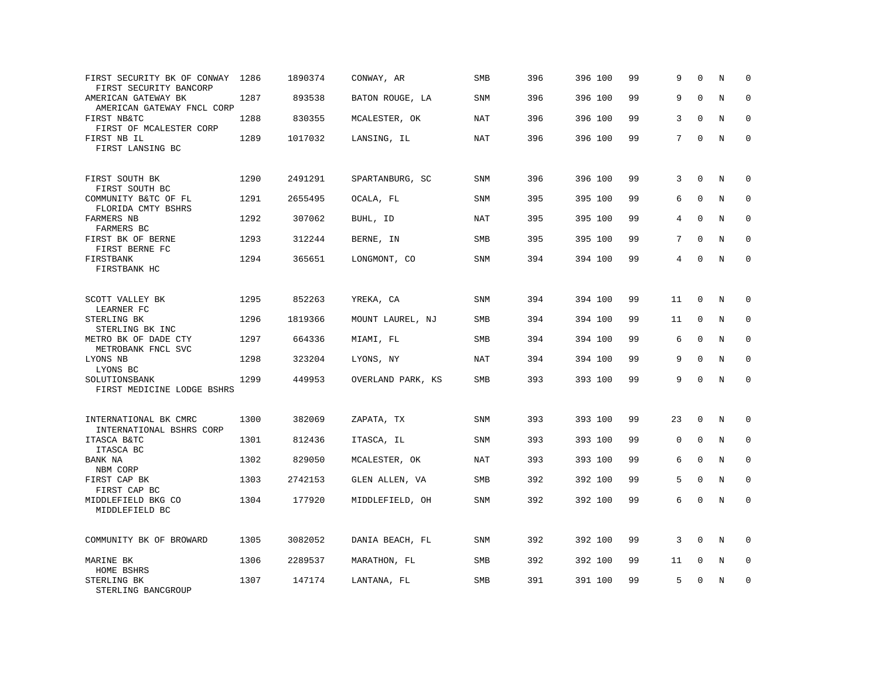| FIRST SECURITY BK OF CONWAY 1286<br>FIRST SECURITY BANCORP |      | 1890374 | CONWAY, AR        | SMB        | 396 | 396 100 | 99 | 9           | $\mathbf 0$  | N           | $\mathbf 0$  |
|------------------------------------------------------------|------|---------|-------------------|------------|-----|---------|----|-------------|--------------|-------------|--------------|
| AMERICAN GATEWAY BK<br>AMERICAN GATEWAY FNCL CORP          | 1287 | 893538  | BATON ROUGE, LA   | SNM        | 396 | 396 100 | 99 | 9           | $\mathbf{0}$ | $\rm N$     | $\mathbf 0$  |
| FIRST NB&TC<br>FIRST OF MCALESTER CORP                     | 1288 | 830355  | MCALESTER, OK     | <b>NAT</b> | 396 | 396 100 | 99 | 3           | $\mathbf 0$  | N           | $\mathbf 0$  |
| FIRST NB IL<br>FIRST LANSING BC                            | 1289 | 1017032 | LANSING, IL       | <b>NAT</b> | 396 | 396 100 | 99 | $7^{\circ}$ | $\mathbf{0}$ | $\mathbf N$ | $\mathbf{0}$ |
| FIRST SOUTH BK<br>FIRST SOUTH BC                           | 1290 | 2491291 | SPARTANBURG, SC   | <b>SNM</b> | 396 | 396 100 | 99 | 3           | $\mathbf{0}$ | N           | $\mathbf 0$  |
| COMMUNITY B&TC OF FL<br>FLORIDA CMTY BSHRS                 | 1291 | 2655495 | OCALA, FL         | <b>SNM</b> | 395 | 395 100 | 99 | 6           | $\mathbf{0}$ | N           | $\mathbf 0$  |
| FARMERS NB<br>FARMERS BC                                   | 1292 | 307062  | BUHL, ID          | <b>NAT</b> | 395 | 395 100 | 99 | 4           | $\Omega$     | N           | $\mathbf 0$  |
| FIRST BK OF BERNE<br>FIRST BERNE FC                        | 1293 | 312244  | BERNE, IN         | <b>SMB</b> | 395 | 395 100 | 99 | 7           | $\Omega$     | N           | $\mathbf 0$  |
| FIRSTBANK<br>FIRSTBANK HC                                  | 1294 | 365651  | LONGMONT, CO      | <b>SNM</b> | 394 | 394 100 | 99 | 4           | $\Omega$     | N           | $\mathbf 0$  |
| SCOTT VALLEY BK<br>LEARNER FC                              | 1295 | 852263  | YREKA, CA         | SNM        | 394 | 394 100 | 99 | 11          | 0            | N           | 0            |
| STERLING BK<br>STERLING BK INC                             | 1296 | 1819366 | MOUNT LAUREL, NJ  | <b>SMB</b> | 394 | 394 100 | 99 | 11          | $\mathbf{0}$ | N           | $\mathbf 0$  |
| METRO BK OF DADE CTY<br>METROBANK FNCL SVC                 | 1297 | 664336  | MIAMI, FL         | SMB        | 394 | 394 100 | 99 | 6           | $\mathbf{0}$ | N           | $\mathbf 0$  |
| LYONS NB<br>LYONS BC                                       | 1298 | 323204  | LYONS, NY         | NAT        | 394 | 394 100 | 99 | 9           | $\Omega$     | N           | $\Omega$     |
| SOLUTIONSBANK<br>FIRST MEDICINE LODGE BSHRS                | 1299 | 449953  | OVERLAND PARK, KS | SMB        | 393 | 393 100 | 99 | 9           | $\Omega$     | N           | $\mathbf 0$  |
| INTERNATIONAL BK CMRC<br>INTERNATIONAL BSHRS CORP          | 1300 | 382069  | ZAPATA, TX        | <b>SNM</b> | 393 | 393 100 | 99 | 23          | 0            | N           | 0            |
| ITASCA B&TC<br>ITASCA BC                                   | 1301 | 812436  | ITASCA, IL        | SNM        | 393 | 393 100 | 99 | $\mathbf 0$ | $\mathbf 0$  | N           | $\mathbf 0$  |
| BANK NA<br>NBM CORP                                        | 1302 | 829050  | MCALESTER, OK     | <b>NAT</b> | 393 | 393 100 | 99 | 6           | $\Omega$     | N           | $\Omega$     |
| FIRST CAP BK<br>FIRST CAP BC                               | 1303 | 2742153 | GLEN ALLEN, VA    | SMB        | 392 | 392 100 | 99 | 5           | $\mathbf{0}$ | $\rm N$     | $\mathbf 0$  |
| MIDDLEFIELD BKG CO<br>MIDDLEFIELD BC                       | 1304 | 177920  | MIDDLEFIELD, OH   | SNM        | 392 | 392 100 | 99 | 6           | $\Omega$     | N           | $\mathbf 0$  |
| COMMUNITY BK OF BROWARD                                    | 1305 | 3082052 | DANIA BEACH, FL   | SNM        | 392 | 392 100 | 99 | 3           | $\Omega$     | N           | $\Omega$     |
| MARINE BK<br>HOME BSHRS                                    | 1306 | 2289537 | MARATHON, FL      | SMB        | 392 | 392 100 | 99 | 11          | 0            | Ν           | 0            |
| STERLING BK<br>STERLING BANCGROUP                          | 1307 | 147174  | LANTANA, FL       | <b>SMB</b> | 391 | 391 100 | 99 | 5           | $\mathbf{0}$ | N           | $\mathbf 0$  |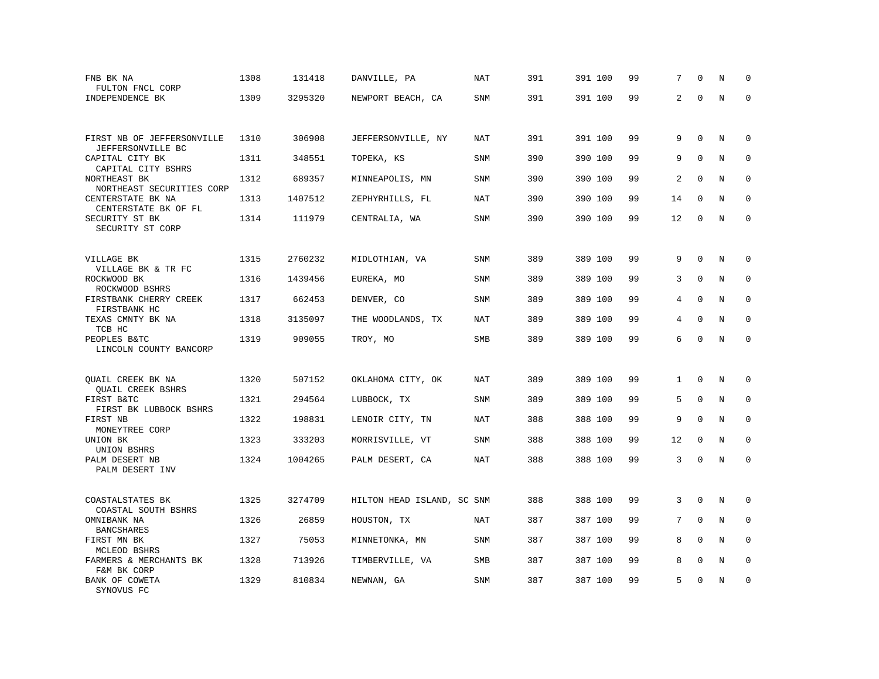| FNB BK NA<br>FULTON FNCL CORP                                   | 1308 | 131418  | DANVILLE, PA               | <b>NAT</b> | 391 | 391 100 | 99 | 7            | $\Omega$    | N           | $\mathbf 0$  |
|-----------------------------------------------------------------|------|---------|----------------------------|------------|-----|---------|----|--------------|-------------|-------------|--------------|
| INDEPENDENCE BK                                                 | 1309 | 3295320 | NEWPORT BEACH, CA          | SNM        | 391 | 391 100 | 99 | 2            | $\Omega$    | N           | $\Omega$     |
|                                                                 |      |         |                            |            |     |         |    |              |             |             |              |
| FIRST NB OF JEFFERSONVILLE<br>JEFFERSONVILLE BC                 | 1310 | 306908  | JEFFERSONVILLE, NY         | NAT        | 391 | 391 100 | 99 | 9            | $\Omega$    | N           | 0            |
| CAPITAL CITY BK                                                 | 1311 | 348551  | TOPEKA, KS                 | <b>SNM</b> | 390 | 390 100 | 99 | 9            | $\mathbf 0$ | N           | $\mathbf 0$  |
| CAPITAL CITY BSHRS<br>NORTHEAST BK<br>NORTHEAST SECURITIES CORP | 1312 | 689357  | MINNEAPOLIS, MN            | <b>SNM</b> | 390 | 390 100 | 99 | 2            | $\Omega$    | N           | $\Omega$     |
| CENTERSTATE BK NA                                               | 1313 | 1407512 | ZEPHYRHILLS, FL            | <b>NAT</b> | 390 | 390 100 | 99 | 14           | $\mathbf 0$ | N           | $\mathbf 0$  |
| CENTERSTATE BK OF FL<br>SECURITY ST BK<br>SECURITY ST CORP      | 1314 | 111979  | CENTRALIA, WA              | <b>SNM</b> | 390 | 390 100 | 99 | 12           | $\mathbf 0$ | N           | $\mathbf{0}$ |
|                                                                 |      |         |                            |            |     |         |    |              |             |             |              |
| VILLAGE BK<br>VILLAGE BK & TR FC                                | 1315 | 2760232 | MIDLOTHIAN, VA             | <b>SNM</b> | 389 | 389 100 | 99 | 9            | $\Omega$    | N           | 0            |
| ROCKWOOD BK<br>ROCKWOOD BSHRS                                   | 1316 | 1439456 | EUREKA, MO                 | SNM        | 389 | 389 100 | 99 | 3            | $\mathbf 0$ | N           | 0            |
| FIRSTBANK CHERRY CREEK<br>FIRSTBANK HC                          | 1317 | 662453  | DENVER, CO                 | <b>SNM</b> | 389 | 389 100 | 99 | 4            | $\mathbf 0$ | N           | $\mathbf 0$  |
| TEXAS CMNTY BK NA<br>TCB HC                                     | 1318 | 3135097 | THE WOODLANDS, TX          | <b>NAT</b> | 389 | 389 100 | 99 | 4            | $\mathbf 0$ | N           | $\mathbf 0$  |
| PEOPLES B&TC<br>LINCOLN COUNTY BANCORP                          | 1319 | 909055  | TROY, MO                   | SMB        | 389 | 389 100 | 99 | 6            | $\Omega$    | $\rm N$     | $\mathbf 0$  |
|                                                                 |      |         |                            |            |     |         |    |              |             |             |              |
| QUAIL CREEK BK NA<br><b>OUAIL CREEK BSHRS</b>                   | 1320 | 507152  | OKLAHOMA CITY, OK          | <b>NAT</b> | 389 | 389 100 | 99 | $\mathbf{1}$ | $\mathbf 0$ | N           | $\mathbf 0$  |
| FIRST B&TC<br>FIRST BK LUBBOCK BSHRS                            | 1321 | 294564  | LUBBOCK, TX                | SNM        | 389 | 389 100 | 99 | 5            | $\mathbf 0$ | N           | $\mathbf 0$  |
| FIRST NB<br>MONEYTREE CORP                                      | 1322 | 198831  | LENOIR CITY, TN            | <b>NAT</b> | 388 | 388 100 | 99 | 9            | $\mathbf 0$ | $\mathbf N$ | $\mathbf 0$  |
| UNION BK<br>UNION BSHRS                                         | 1323 | 333203  | MORRISVILLE, VT            | SNM        | 388 | 388 100 | 99 | 12           | $\mathbf 0$ | N           | $\mathbf 0$  |
| PALM DESERT NB<br>PALM DESERT INV                               | 1324 | 1004265 | PALM DESERT, CA            | <b>NAT</b> | 388 | 388 100 | 99 | 3            | $\mathbf 0$ | N           | $\mathbf 0$  |
|                                                                 |      |         |                            |            |     |         |    |              |             |             |              |
| COASTALSTATES BK<br>COASTAL SOUTH BSHRS                         | 1325 | 3274709 | HILTON HEAD ISLAND, SC SNM |            | 388 | 388 100 | 99 | 3            | $\Omega$    | N           | $\mathbf 0$  |
| OMNIBANK NA<br><b>BANCSHARES</b>                                | 1326 | 26859   | HOUSTON, TX                | NAT        | 387 | 387 100 | 99 | 7            | $\Omega$    | N           | 0            |
| FIRST MN BK<br>MCLEOD BSHRS                                     | 1327 | 75053   | MINNETONKA, MN             | <b>SNM</b> | 387 | 387 100 | 99 | 8            | $\Omega$    | N           | $\mathbf 0$  |
| FARMERS & MERCHANTS BK                                          | 1328 | 713926  | TIMBERVILLE, VA            | <b>SMB</b> | 387 | 387 100 | 99 | 8            | $\Omega$    | N           | $\mathbf 0$  |
| F&M BK CORP<br>BANK OF COWETA<br>SYNOVUS FC                     | 1329 | 810834  | NEWNAN, GA                 | SNM        | 387 | 387 100 | 99 | 5            | $\mathbf 0$ | N           | $\mathbf 0$  |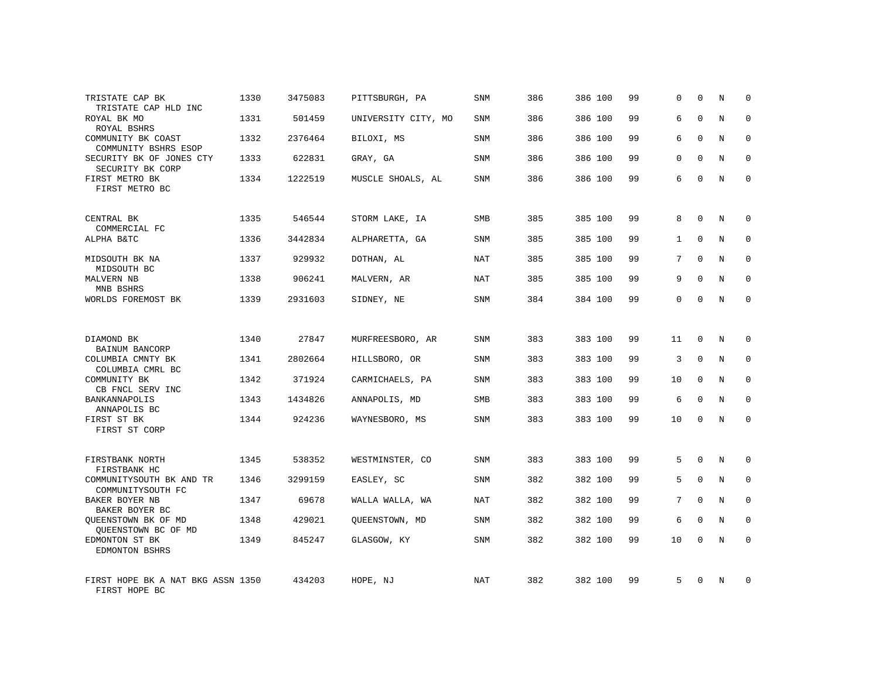| TRISTATE CAP BK<br>TRISTATE CAP HLD INC            | 1330 | 3475083 | PITTSBURGH, PA      | <b>SNM</b> | 386 | 386 100 | 99 | 0            | $\mathbf 0$  | N          | $\mathbf 0$ |
|----------------------------------------------------|------|---------|---------------------|------------|-----|---------|----|--------------|--------------|------------|-------------|
| ROYAL BK MO<br>ROYAL BSHRS                         | 1331 | 501459  | UNIVERSITY CITY, MO | <b>SNM</b> | 386 | 386 100 | 99 | 6            | $\Omega$     | N          | $\mathbf 0$ |
| COMMUNITY BK COAST<br>COMMUNITY BSHRS ESOP         | 1332 | 2376464 | BILOXI, MS          | <b>SNM</b> | 386 | 386 100 | 99 | 6            | $\mathbf 0$  | N          | $\mathbf 0$ |
| SECURITY BK OF JONES CTY<br>SECURITY BK CORP       | 1333 | 622831  | GRAY, GA            | <b>SNM</b> | 386 | 386 100 | 99 | 0            | $\mathbf 0$  | N          | $\mathbf 0$ |
| FIRST METRO BK<br>FIRST METRO BC                   | 1334 | 1222519 | MUSCLE SHOALS, AL   | <b>SNM</b> | 386 | 386 100 | 99 | 6            | $\Omega$     | $_{\rm N}$ | $\Omega$    |
| CENTRAL BK                                         | 1335 | 546544  | STORM LAKE, IA      | <b>SMB</b> | 385 | 385 100 | 99 | 8            | $\Omega$     | N          | $\mathbf 0$ |
| COMMERCIAL FC<br>ALPHA B&TC                        | 1336 | 3442834 | ALPHARETTA, GA      | <b>SNM</b> | 385 | 385 100 | 99 | $\mathbf{1}$ | $\mathbf{0}$ | N          | $\mathbf 0$ |
| MIDSOUTH BK NA<br>MIDSOUTH BC                      | 1337 | 929932  | DOTHAN, AL          | NAT        | 385 | 385 100 | 99 | 7            | $\Omega$     | N          | $\mathbf 0$ |
| MALVERN NB<br>MNB BSHRS                            | 1338 | 906241  | MALVERN, AR         | <b>NAT</b> | 385 | 385 100 | 99 | 9            | $\mathbf{0}$ | N          | 0           |
| WORLDS FOREMOST BK                                 | 1339 | 2931603 | SIDNEY, NE          | SNM        | 384 | 384 100 | 99 | 0            | $\mathbf{0}$ | N          | $\mathbf 0$ |
| DIAMOND BK<br>BAINUM BANCORP                       | 1340 | 27847   | MURFREESBORO, AR    | <b>SNM</b> | 383 | 383 100 | 99 | 11           | $\mathbf 0$  | N          | $\mathbf 0$ |
| COLUMBIA CMNTY BK<br>COLUMBIA CMRL BC              | 1341 | 2802664 | HILLSBORO, OR       | SNM        | 383 | 383 100 | 99 | 3            | $\mathbf{0}$ | N          | $\mathbf 0$ |
| COMMUNITY BK<br>CB FNCL SERV INC                   | 1342 | 371924  | CARMICHAELS, PA     | <b>SNM</b> | 383 | 383 100 | 99 | 10           | $\Omega$     | N          | $\mathbf 0$ |
| BANKANNAPOLIS<br>ANNAPOLIS BC                      | 1343 | 1434826 | ANNAPOLIS, MD       | <b>SMB</b> | 383 | 383 100 | 99 | 6            | $\Omega$     | N          | $\mathbf 0$ |
| FIRST ST BK<br>FIRST ST CORP                       | 1344 | 924236  | WAYNESBORO, MS      | <b>SNM</b> | 383 | 383 100 | 99 | 10           | $\mathbf 0$  | N          | $\mathbf 0$ |
| FIRSTBANK NORTH<br>FIRSTBANK HC                    | 1345 | 538352  | WESTMINSTER, CO     | <b>SNM</b> | 383 | 383 100 | 99 | 5            | $\mathbf 0$  | N          | 0           |
| COMMUNITYSOUTH BK AND TR<br>COMMUNITYSOUTH FC      | 1346 | 3299159 | EASLEY, SC          | <b>SNM</b> | 382 | 382 100 | 99 | 5            | $\mathbf 0$  | N          | 0           |
| BAKER BOYER NB<br>BAKER BOYER BC                   | 1347 | 69678   | WALLA WALLA, WA     | NAT        | 382 | 382 100 | 99 | 7            | $\Omega$     | N          | $\mathbf 0$ |
| QUEENSTOWN BK OF MD<br>QUEENSTOWN BC OF MD         | 1348 | 429021  | QUEENSTOWN, MD      | <b>SNM</b> | 382 | 382 100 | 99 | 6            | $\mathbf 0$  | N          | 0           |
| EDMONTON ST BK<br>EDMONTON BSHRS                   | 1349 | 845247  | GLASGOW, KY         | <b>SNM</b> | 382 | 382 100 | 99 | 10           | $\Omega$     | N          | $\mathbf 0$ |
| FIRST HOPE BK A NAT BKG ASSN 1350<br>FIRST HOPE BC |      | 434203  | HOPE, NJ            | NAT        | 382 | 382 100 | 99 | 5            | $\Omega$     | N          | $\mathbf 0$ |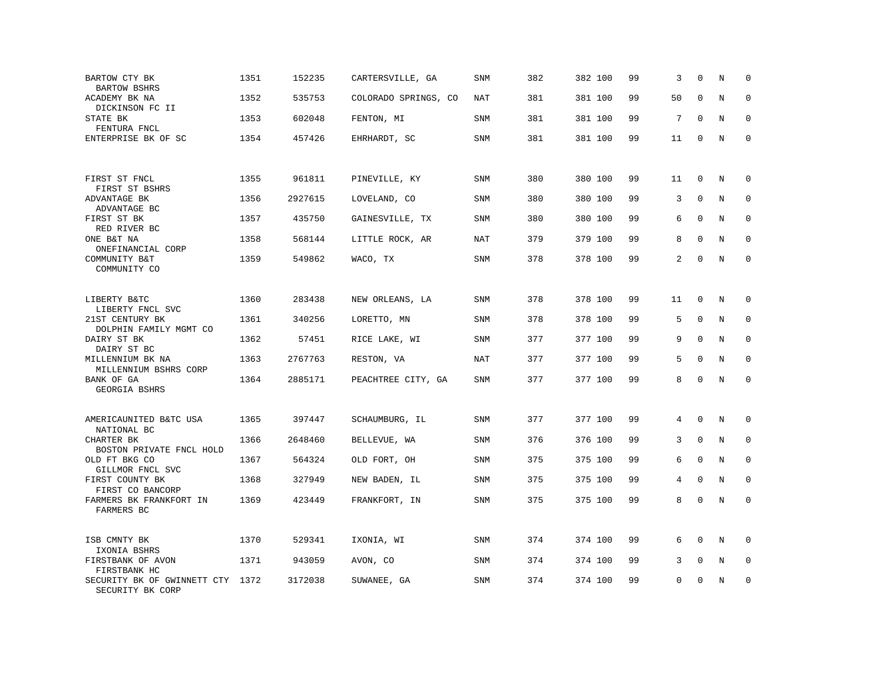| BARTOW CTY BK<br><b>BARTOW BSHRS</b>            | 1351 | 152235  | CARTERSVILLE, GA     | SNM        | 382 | 382 100 | 99 | 3        | $\Omega$     | N | $\mathbf 0$ |
|-------------------------------------------------|------|---------|----------------------|------------|-----|---------|----|----------|--------------|---|-------------|
| ACADEMY BK NA<br>DICKINSON FC II                | 1352 | 535753  | COLORADO SPRINGS, CO | <b>NAT</b> | 381 | 381 100 | 99 | 50       | $\mathbf{0}$ | N | $\mathbf 0$ |
| STATE BK<br>FENTURA FNCL                        | 1353 | 602048  | FENTON, MI           | SNM        | 381 | 381 100 | 99 | 7        | $\Omega$     | N | $\mathbf 0$ |
| ENTERPRISE BK OF SC                             | 1354 | 457426  | EHRHARDT, SC         | SNM        | 381 | 381 100 | 99 | 11       | $\Omega$     | N | $\mathbf 0$ |
|                                                 |      |         |                      |            |     |         |    |          |              |   |             |
| FIRST ST FNCL<br>FIRST ST BSHRS                 | 1355 | 961811  | PINEVILLE, KY        | <b>SNM</b> | 380 | 380 100 | 99 | 11       | $\mathbf{0}$ | N | $\mathbf 0$ |
| ADVANTAGE BK<br>ADVANTAGE BC                    | 1356 | 2927615 | LOVELAND, CO         | <b>SNM</b> | 380 | 380 100 | 99 | 3        | $\mathbf{0}$ | N | 0           |
| FIRST ST BK<br>RED RIVER BC                     | 1357 | 435750  | GAINESVILLE, TX      | SNM        | 380 | 380 100 | 99 | 6        | $\Omega$     | N | $\Omega$    |
| ONE B&T NA<br>ONEFINANCIAL CORP                 | 1358 | 568144  | LITTLE ROCK, AR      | NAT        | 379 | 379 100 | 99 | 8        | $\Omega$     | N | $\Omega$    |
| COMMUNITY B&T<br>COMMUNITY CO                   | 1359 | 549862  | WACO, TX             | <b>SNM</b> | 378 | 378 100 | 99 | 2        | $\Omega$     | N | $\mathbf 0$ |
|                                                 |      |         |                      |            |     |         |    |          |              |   |             |
| LIBERTY B&TC<br>LIBERTY FNCL SVC                | 1360 | 283438  | NEW ORLEANS, LA      | <b>SNM</b> | 378 | 378 100 | 99 | 11       | 0            | N | $\mathbf 0$ |
| 21ST CENTURY BK<br>DOLPHIN FAMILY MGMT CO       | 1361 | 340256  | LORETTO, MN          | <b>SNM</b> | 378 | 378 100 | 99 | 5        | $\Omega$     | N | $\mathbf 0$ |
| DAIRY ST BK<br>DAIRY ST BC                      | 1362 | 57451   | RICE LAKE, WI        | <b>SNM</b> | 377 | 377 100 | 99 | 9        | $\Omega$     | N | $\mathbf 0$ |
| MILLENNIUM BK NA<br>MILLENNIUM BSHRS CORP       | 1363 | 2767763 | RESTON, VA           | <b>NAT</b> | 377 | 377 100 | 99 | 5        | $\Omega$     | N | $\Omega$    |
| BANK OF GA<br>GEORGIA BSHRS                     | 1364 | 2885171 | PEACHTREE CITY, GA   | SNM        | 377 | 377 100 | 99 | 8        | $\mathbf 0$  | N | $\mathbf 0$ |
|                                                 |      |         |                      |            |     |         |    |          |              |   |             |
| AMERICAUNITED B&TC USA<br>NATIONAL BC           | 1365 | 397447  | SCHAUMBURG, IL       | <b>SNM</b> | 377 | 377 100 | 99 | 4        | $\mathbf{0}$ | N | $\mathbf 0$ |
| CHARTER BK<br>BOSTON PRIVATE FNCL HOLD          | 1366 | 2648460 | BELLEVUE, WA         | <b>SNM</b> | 376 | 376 100 | 99 | 3        | $\mathbf{0}$ | N | $\mathbf 0$ |
| OLD FT BKG CO<br>GILLMOR FNCL SVC               | 1367 | 564324  | OLD FORT, OH         | <b>SNM</b> | 375 | 375 100 | 99 | 6        | $\mathbf 0$  | N | 0           |
| FIRST COUNTY BK<br>FIRST CO BANCORP             | 1368 | 327949  | NEW BADEN, IL        | SNM        | 375 | 375 100 | 99 | 4        | $\mathbf 0$  | N | $\mathbf 0$ |
| FARMERS BK FRANKFORT IN<br>FARMERS BC           | 1369 | 423449  | FRANKFORT, IN        | SNM        | 375 | 375 100 | 99 | 8        | $\Omega$     | N | $\Omega$    |
|                                                 |      |         |                      |            |     |         |    |          |              |   |             |
| ISB CMNTY BK<br>IXONIA BSHRS                    | 1370 | 529341  | IXONIA, WI           | <b>SNM</b> | 374 | 374 100 | 99 | 6        | $\mathbf{0}$ | N | $\mathbf 0$ |
| FIRSTBANK OF AVON<br>FIRSTBANK HC               | 1371 | 943059  | AVON, CO             | <b>SNM</b> | 374 | 374 100 | 99 | 3        | $\mathbf{0}$ | N | 0           |
| SECURITY BK OF GWINNETT CTY<br>SECURITY BK CORP | 1372 | 3172038 | SUWANEE, GA          | SNM        | 374 | 374 100 | 99 | $\Omega$ | $\Omega$     | N | $\mathbf 0$ |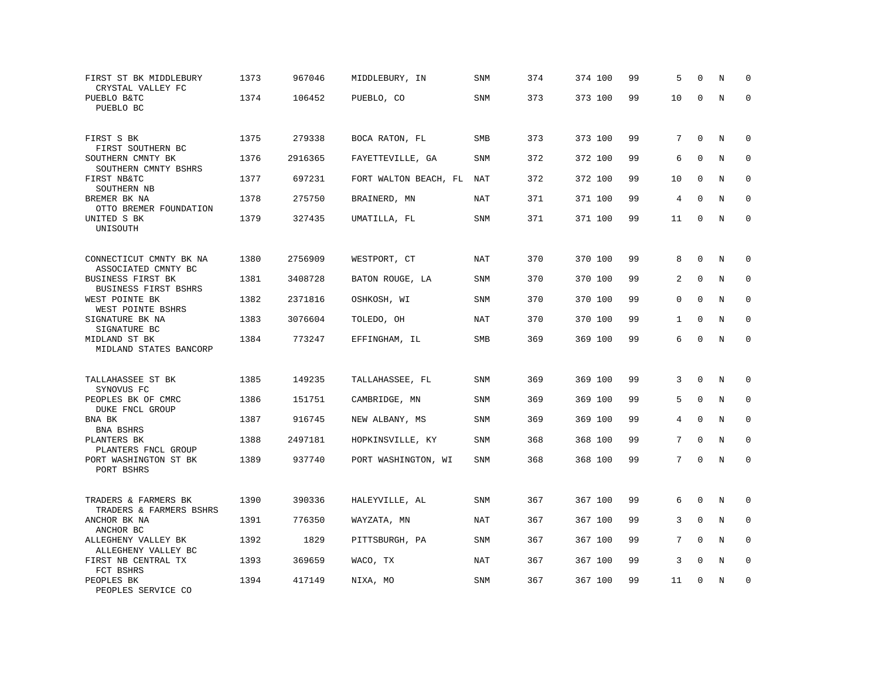| FIRST ST BK MIDDLEBURY<br>CRYSTAL VALLEY FC                             | 1373 | 967046  | MIDDLEBURY, IN        | SNM        | 374 | 374 100 | 99 | 5              | $\mathbf 0$  | N       | $\mathbf 0$  |
|-------------------------------------------------------------------------|------|---------|-----------------------|------------|-----|---------|----|----------------|--------------|---------|--------------|
| PUEBLO B&TC<br>PUEBLO BC                                                | 1374 | 106452  | PUEBLO, CO            | <b>SNM</b> | 373 | 373 100 | 99 | 10             | $\Omega$     | N       | $\mathbf 0$  |
| FIRST S BK<br>FIRST SOUTHERN BC                                         | 1375 | 279338  | BOCA RATON, FL        | SMB        | 373 | 373 100 | 99 | 7              | $\Omega$     | N       | $\mathbf 0$  |
| SOUTHERN CMNTY BK<br>SOUTHERN CMNTY BSHRS                               | 1376 | 2916365 | FAYETTEVILLE, GA      | <b>SNM</b> | 372 | 372 100 | 99 | 6              | $\mathbf 0$  | $\rm N$ | $\mathbf 0$  |
| FIRST NB&TC<br>SOUTHERN NB                                              | 1377 | 697231  | FORT WALTON BEACH, FL | NAT        | 372 | 372 100 | 99 | 10             | $\mathbf 0$  | N       | 0            |
| BREMER BK NA<br>OTTO BREMER FOUNDATION                                  | 1378 | 275750  | BRAINERD, MN          | <b>NAT</b> | 371 | 371 100 | 99 | 4              | $\Omega$     | N       | $\mathbf 0$  |
| UNITED S BK<br>UNISOUTH                                                 | 1379 | 327435  | UMATILLA, FL          | SNM        | 371 | 371 100 | 99 | 11             | $\Omega$     | N       | $\Omega$     |
| CONNECTICUT CMNTY BK NA                                                 | 1380 | 2756909 | WESTPORT, CT          | <b>NAT</b> | 370 | 370 100 | 99 | 8              | $\Omega$     | N       | $\mathbf 0$  |
| ASSOCIATED CMNTY BC<br><b>BUSINESS FIRST BK</b><br>BUSINESS FIRST BSHRS | 1381 | 3408728 | BATON ROUGE, LA       | <b>SNM</b> | 370 | 370 100 | 99 | 2              | $\mathbf 0$  | N       | $\mathbf 0$  |
| WEST POINTE BK<br>WEST POINTE BSHRS                                     | 1382 | 2371816 | OSHKOSH, WI           | <b>SNM</b> | 370 | 370 100 | 99 | 0              | $\mathbf{0}$ | N       | $\mathbf 0$  |
| SIGNATURE BK NA<br>SIGNATURE BC                                         | 1383 | 3076604 | TOLEDO, OH            | <b>NAT</b> | 370 | 370 100 | 99 | $\mathbf{1}$   | $\Omega$     | N       | $\mathbf{0}$ |
| MIDLAND ST BK<br>MIDLAND STATES BANCORP                                 | 1384 | 773247  | EFFINGHAM, IL         | SMB        | 369 | 369 100 | 99 | 6              | $\Omega$     | N       | $\Omega$     |
| TALLAHASSEE ST BK                                                       | 1385 | 149235  | TALLAHASSEE, FL       | SNM        | 369 | 369 100 | 99 | 3              | $\Omega$     | N       | $\Omega$     |
| SYNOVUS FC<br>PEOPLES BK OF CMRC<br>DUKE FNCL GROUP                     | 1386 | 151751  | CAMBRIDGE, MN         | <b>SNM</b> | 369 | 369 100 | 99 | 5              | $\mathbf{0}$ | N       | 0            |
| BNA BK<br>BNA BSHRS                                                     | 1387 | 916745  | NEW ALBANY, MS        | <b>SNM</b> | 369 | 369 100 | 99 | $\overline{4}$ | $\mathbf{0}$ | N       | $\mathbf 0$  |
| PLANTERS BK<br>PLANTERS FNCL GROUP                                      | 1388 | 2497181 | HOPKINSVILLE, KY      | <b>SNM</b> | 368 | 368 100 | 99 | 7              | $\Omega$     | N       | $\mathbf 0$  |
| PORT WASHINGTON ST BK<br>PORT BSHRS                                     | 1389 | 937740  | PORT WASHINGTON, WI   | <b>SNM</b> | 368 | 368 100 | 99 | $7^{\circ}$    | $\mathbf 0$  | N       | $\mathbf 0$  |
| TRADERS & FARMERS BK<br>TRADERS & FARMERS BSHRS                         | 1390 | 390336  | HALEYVILLE, AL        | SNM        | 367 | 367 100 | 99 | 6              | $\Omega$     | N       | $\Omega$     |
| ANCHOR BK NA<br>ANCHOR BC                                               | 1391 | 776350  | WAYZATA, MN           | NAT        | 367 | 367 100 | 99 | 3              | $\Omega$     | N       | $\mathbf 0$  |
| ALLEGHENY VALLEY BK<br>ALLEGHENY VALLEY BC                              | 1392 | 1829    | PITTSBURGH, PA        | <b>SNM</b> | 367 | 367 100 | 99 | 7              | $\Omega$     | N       | $\Omega$     |
| FIRST NB CENTRAL TX<br>FCT BSHRS                                        | 1393 | 369659  | WACO, TX              | <b>NAT</b> | 367 | 367 100 | 99 | 3              | $\mathbf{0}$ | N       | 0            |
| PEOPLES BK<br>PEOPLES SERVICE CO                                        | 1394 | 417149  | NIXA, MO              | <b>SNM</b> | 367 | 367 100 | 99 | 11             | $\Omega$     | N       | $\mathbf 0$  |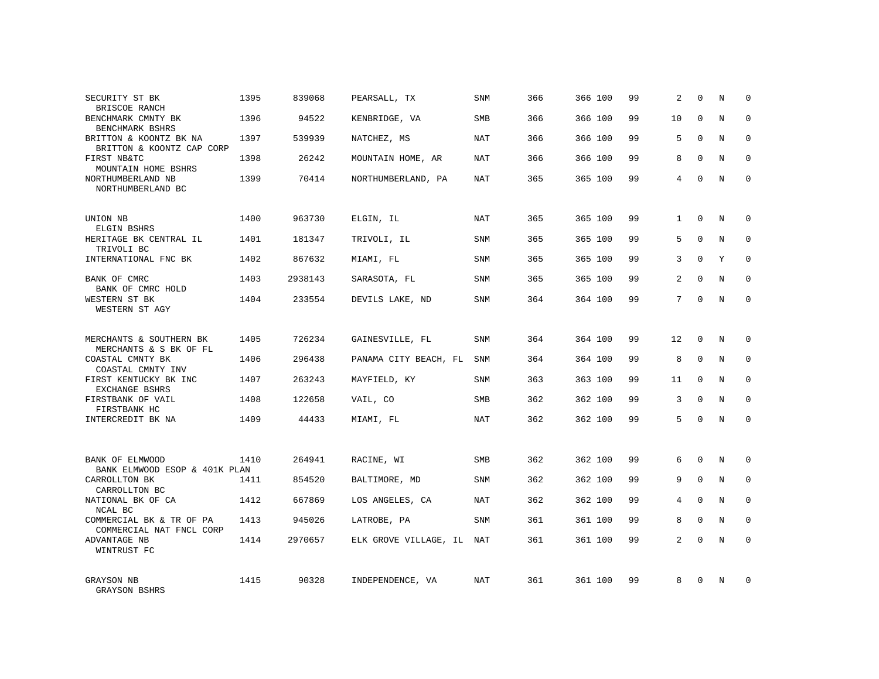| SECURITY ST BK<br>BRISCOE RANCH                      | 1395 | 839068  | PEARSALL, TX          | <b>SNM</b> | 366 | 366 100 | 99 | 2              | $\Omega$     | N          | $\Omega$    |
|------------------------------------------------------|------|---------|-----------------------|------------|-----|---------|----|----------------|--------------|------------|-------------|
| BENCHMARK CMNTY BK<br>BENCHMARK BSHRS                | 1396 | 94522   | KENBRIDGE, VA         | <b>SMB</b> | 366 | 366 100 | 99 | 10             | $\Omega$     | N          | $\Omega$    |
| BRITTON & KOONTZ BK NA<br>BRITTON & KOONTZ CAP CORP  | 1397 | 539939  | NATCHEZ, MS           | NAT        | 366 | 366 100 | 99 | 5              | $\Omega$     | N          | $\Omega$    |
| FIRST NB&TC<br>MOUNTAIN HOME BSHRS                   | 1398 | 26242   | MOUNTAIN HOME, AR     | NAT        | 366 | 366 100 | 99 | 8              | $\Omega$     | N          | $\Omega$    |
| NORTHUMBERLAND NB<br>NORTHUMBERLAND BC               | 1399 | 70414   | NORTHUMBERLAND, PA    | NAT        | 365 | 365 100 | 99 | 4              | $\Omega$     | N          | $\Omega$    |
| UNION NB                                             | 1400 | 963730  | ELGIN, IL             | <b>NAT</b> | 365 | 365 100 | 99 | $\mathbf{1}$   | $\mathbf 0$  | N          | $\mathbf 0$ |
| ELGIN BSHRS<br>HERITAGE BK CENTRAL IL<br>TRIVOLI BC  | 1401 | 181347  | TRIVOLI, IL           | <b>SNM</b> | 365 | 365 100 | 99 | 5              | $\Omega$     | N          | $\Omega$    |
| INTERNATIONAL FNC BK                                 | 1402 | 867632  | MIAMI, FL             | <b>SNM</b> | 365 | 365 100 | 99 | 3              | $\Omega$     | Y          | $\mathbf 0$ |
| BANK OF CMRC<br>BANK OF CMRC HOLD                    | 1403 | 2938143 | SARASOTA, FL          | <b>SNM</b> | 365 | 365 100 | 99 | $\overline{2}$ | $\Omega$     | N          | $\mathbf 0$ |
| WESTERN ST BK<br>WESTERN ST AGY                      | 1404 | 233554  | DEVILS LAKE, ND       | SNM        | 364 | 364 100 | 99 | 7              | $\Omega$     | N          | $\mathbf 0$ |
| MERCHANTS & SOUTHERN BK<br>MERCHANTS & S BK OF FL    | 1405 | 726234  | GAINESVILLE, FL       | SNM        | 364 | 364 100 | 99 | 12             | $\Omega$     | N          | $\Omega$    |
| COASTAL CMNTY BK<br>COASTAL CMNTY INV                | 1406 | 296438  | PANAMA CITY BEACH, FL | <b>SNM</b> | 364 | 364 100 | 99 | 8              | $\mathbf 0$  | N          | $\mathbf 0$ |
| FIRST KENTUCKY BK INC<br>EXCHANGE BSHRS              | 1407 | 263243  | MAYFIELD, KY          | <b>SNM</b> | 363 | 363 100 | 99 | 11             | $\Omega$     | N          | $\Omega$    |
| FIRSTBANK OF VAIL<br>FIRSTBANK HC                    | 1408 | 122658  | VAIL, CO              | <b>SMB</b> | 362 | 362 100 | 99 | 3              | $\Omega$     | N          | $\mathbf 0$ |
| INTERCREDIT BK NA                                    | 1409 | 44433   | MIAMI, FL             | <b>NAT</b> | 362 | 362 100 | 99 | 5              | $\Omega$     | $_{\rm N}$ | $\Omega$    |
| BANK OF ELMWOOD<br>BANK ELMWOOD ESOP & 401K PLAN     | 1410 | 264941  | RACINE, WI            | <b>SMB</b> | 362 | 362 100 | 99 | 6              | $\Omega$     | N          | $\mathbf 0$ |
| CARROLLTON BK<br>CARROLLTON BC                       | 1411 | 854520  | BALTIMORE, MD         | SNM        | 362 | 362 100 | 99 | 9              | $\mathbf{0}$ | N          | $\mathbf 0$ |
| NATIONAL BK OF CA<br>NCAL BC                         | 1412 | 667869  | LOS ANGELES, CA       | NAT        | 362 | 362 100 | 99 | 4              | $\Omega$     | N          | $\mathbf 0$ |
| COMMERCIAL BK & TR OF PA<br>COMMERCIAL NAT FNCL CORP | 1413 | 945026  | LATROBE, PA           | SNM        | 361 | 361 100 | 99 | 8              | $\Omega$     | N          | $\mathbf 0$ |
| ADVANTAGE NB<br>WINTRUST FC                          | 1414 | 2970657 | ELK GROVE VILLAGE, IL | NAT        | 361 | 361 100 | 99 | $\overline{a}$ | $\Omega$     | N          | $\Omega$    |
| GRAYSON NB<br>GRAYSON BSHRS                          | 1415 | 90328   | INDEPENDENCE, VA      | NAT        | 361 | 361 100 | 99 | 8              | $\Omega$     | N          | $\Omega$    |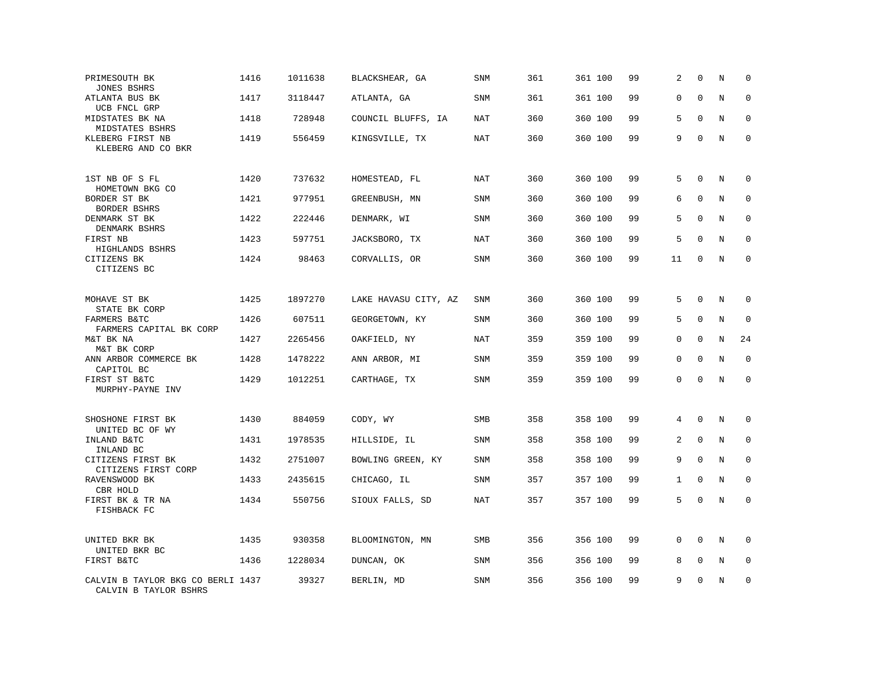| PRIMESOUTH BK<br><b>JONES BSHRS</b>                        | 1416 | 1011638 | BLACKSHEAR, GA       | SNM        | 361 | 361 100 | 99 | 2        | $\mathbf 0$  | N       | $\mathbf 0$ |
|------------------------------------------------------------|------|---------|----------------------|------------|-----|---------|----|----------|--------------|---------|-------------|
| ATLANTA BUS BK<br>UCB FNCL GRP                             | 1417 | 3118447 | ATLANTA, GA          | SNM        | 361 | 361 100 | 99 | 0        | $\mathbf{0}$ | N       | $\mathbf 0$ |
| MIDSTATES BK NA<br>MIDSTATES BSHRS                         | 1418 | 728948  | COUNCIL BLUFFS, IA   | NAT        | 360 | 360 100 | 99 | 5        | $\Omega$     | N       | $\mathbf 0$ |
| KLEBERG FIRST NB<br>KLEBERG AND CO BKR                     | 1419 | 556459  | KINGSVILLE, TX       | <b>NAT</b> | 360 | 360 100 | 99 | 9        | $\mathbf 0$  | N       | $\mathbf 0$ |
| 1ST NB OF S FL<br>HOMETOWN BKG CO                          | 1420 | 737632  | HOMESTEAD, FL        | <b>NAT</b> | 360 | 360 100 | 99 | 5        | $\Omega$     | N       | 0           |
| BORDER ST BK<br>BORDER BSHRS                               | 1421 | 977951  | GREENBUSH, MN        | <b>SNM</b> | 360 | 360 100 | 99 | 6        | $\mathbf{0}$ | N       | $\mathbf 0$ |
| DENMARK ST BK<br>DENMARK BSHRS                             | 1422 | 222446  | DENMARK, WI          | <b>SNM</b> | 360 | 360 100 | 99 | 5        | $\Omega$     | N       | $\mathbf 0$ |
| FIRST NB<br>HIGHLANDS BSHRS                                | 1423 | 597751  | JACKSBORO, TX        | NAT        | 360 | 360 100 | 99 | 5        | $\mathbf{0}$ | N       | $\mathbf 0$ |
| CITIZENS BK<br>CITIZENS BC                                 | 1424 | 98463   | CORVALLIS, OR        | SNM        | 360 | 360 100 | 99 | 11       | $\mathbf{0}$ | N       | $\mathbf 0$ |
| MOHAVE ST BK<br>STATE BK CORP                              | 1425 | 1897270 | LAKE HAVASU CITY, AZ | SNM        | 360 | 360 100 | 99 | 5        | $\mathbf 0$  | N       | $\mathbf 0$ |
| FARMERS B&TC<br>FARMERS CAPITAL BK CORP                    | 1426 | 607511  | GEORGETOWN, KY       | SNM        | 360 | 360 100 | 99 | 5        | $\Omega$     | N       | $\mathbf 0$ |
| M&T BK NA<br>M&T BK CORP                                   | 1427 | 2265456 | OAKFIELD, NY         | NAT        | 359 | 359 100 | 99 | 0        | $\mathbf{0}$ | N       | 24          |
| ANN ARBOR COMMERCE BK<br>CAPITOL BC                        | 1428 | 1478222 | ANN ARBOR, MI        | <b>SNM</b> | 359 | 359 100 | 99 | 0        | $\Omega$     | N       | $\mathbf 0$ |
| FIRST ST B&TC<br>MURPHY-PAYNE INV                          | 1429 | 1012251 | CARTHAGE, TX         | SNM        | 359 | 359 100 | 99 | $\Omega$ | $\Omega$     | $\rm N$ | $\mathbf 0$ |
| SHOSHONE FIRST BK<br>UNITED BC OF WY                       | 1430 | 884059  | CODY, WY             | SMB        | 358 | 358 100 | 99 | 4        | $\mathbf{0}$ | N       | 0           |
| INLAND B&TC<br>INLAND BC                                   | 1431 | 1978535 | HILLSIDE, IL         | SNM        | 358 | 358 100 | 99 | 2        | $\mathbf{0}$ | N       | $\mathbf 0$ |
| CITIZENS FIRST BK<br>CITIZENS FIRST CORP                   | 1432 | 2751007 | BOWLING GREEN, KY    | SNM        | 358 | 358 100 | 99 | 9        | $\Omega$     | N       | $\mathbf 0$ |
| RAVENSWOOD BK<br>CBR HOLD                                  | 1433 | 2435615 | CHICAGO, IL          | <b>SNM</b> | 357 | 357 100 | 99 | 1        | $\mathbf 0$  | N       | $\mathbf 0$ |
| FIRST BK & TR NA<br>FISHBACK FC                            | 1434 | 550756  | SIOUX FALLS, SD      | <b>NAT</b> | 357 | 357 100 | 99 | 5        | $\Omega$     | N       | $\mathbf 0$ |
| UNITED BKR BK<br>UNITED BKR BC                             | 1435 | 930358  | BLOOMINGTON, MN      | <b>SMB</b> | 356 | 356 100 | 99 | 0        | $\mathbf 0$  | N       | $\mathbf 0$ |
| FIRST B&TC                                                 | 1436 | 1228034 | DUNCAN, OK           | <b>SNM</b> | 356 | 356 100 | 99 | 8        | $\mathbf{0}$ | N       | 0           |
| CALVIN B TAYLOR BKG CO BERLI 1437<br>CALVIN B TAYLOR BSHRS |      | 39327   | BERLIN, MD           | <b>SNM</b> | 356 | 356 100 | 99 | 9        | $\Omega$     | N       | $\mathbf 0$ |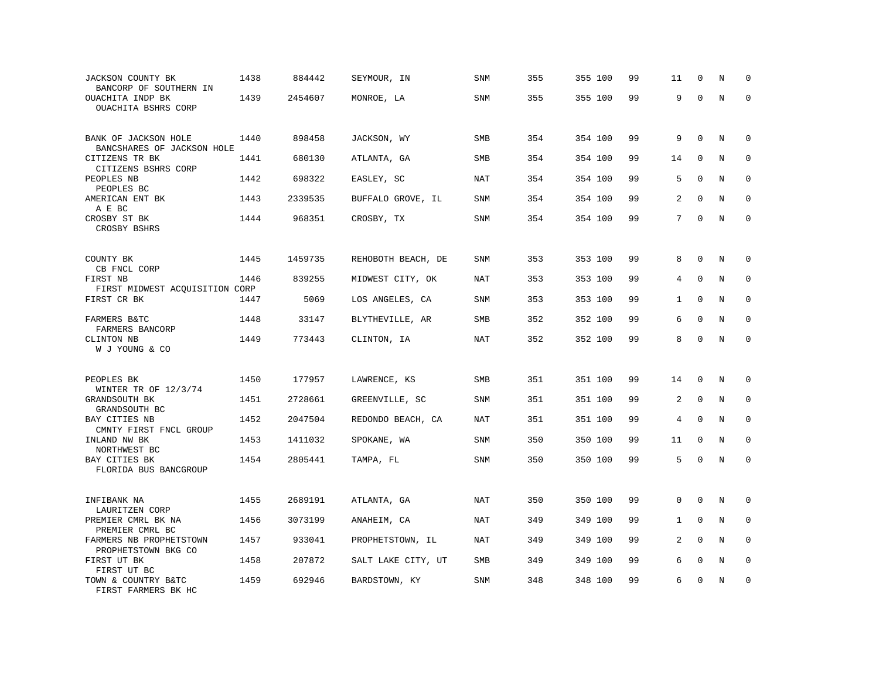| JACKSON COUNTY BK<br>BANCORP OF SOUTHERN IN                | 1438 | 884442  | SEYMOUR, IN        | SNM        | 355 | 355 100 | 99 | 11           | $\mathbf 0$  | N       | $\Omega$    |
|------------------------------------------------------------|------|---------|--------------------|------------|-----|---------|----|--------------|--------------|---------|-------------|
| OUACHITA INDP BK<br>OUACHITA BSHRS CORP                    | 1439 | 2454607 | MONROE, LA         | SNM        | 355 | 355 100 | 99 | 9            | $\Omega$     | $\rm N$ | $\mathbf 0$ |
| BANK OF JACKSON HOLE<br>BANCSHARES OF JACKSON HOLE         | 1440 | 898458  | JACKSON, WY        | SMB        | 354 | 354 100 | 99 | 9            | $\mathbf 0$  | N       | 0           |
| CITIZENS TR BK<br>CITIZENS BSHRS CORP                      | 1441 | 680130  | ATLANTA, GA        | <b>SMB</b> | 354 | 354 100 | 99 | 14           | $\Omega$     | N       | $\mathbf 0$ |
| PEOPLES NB<br>PEOPLES BC                                   | 1442 | 698322  | EASLEY, SC         | <b>NAT</b> | 354 | 354 100 | 99 | 5            | $\mathbf 0$  | N       | 0           |
| AMERICAN ENT BK<br>A E BC                                  | 1443 | 2339535 | BUFFALO GROVE, IL  | <b>SNM</b> | 354 | 354 100 | 99 | 2            | $\Omega$     | N       | $\mathbf 0$ |
| CROSBY ST BK<br>CROSBY BSHRS                               | 1444 | 968351  | CROSBY, TX         | <b>SNM</b> | 354 | 354 100 | 99 | 7            | $\Omega$     | N       | $\mathbf 0$ |
| COUNTY BK                                                  | 1445 | 1459735 | REHOBOTH BEACH, DE | <b>SNM</b> | 353 | 353 100 | 99 | 8            | $\Omega$     | N       | $\mathbf 0$ |
| CB FNCL CORP<br>FIRST NB<br>FIRST MIDWEST ACQUISITION CORP | 1446 | 839255  | MIDWEST CITY, OK   | NAT        | 353 | 353 100 | 99 | 4            | $\mathbf{0}$ | N       | $\mathbf 0$ |
| FIRST CR BK                                                | 1447 | 5069    | LOS ANGELES, CA    | SNM        | 353 | 353 100 | 99 | $\mathbf{1}$ | $\Omega$     | N       | $\mathbf 0$ |
| FARMERS B&TC<br>FARMERS BANCORP                            | 1448 | 33147   | BLYTHEVILLE, AR    | <b>SMB</b> | 352 | 352 100 | 99 | 6            | $\mathbf 0$  | N       | $\mathbf 0$ |
| CLINTON NB<br>W J YOUNG & CO                               | 1449 | 773443  | CLINTON, IA        | <b>NAT</b> | 352 | 352 100 | 99 | 8            | $\Omega$     | N       | $\mathbf 0$ |
| PEOPLES BK                                                 | 1450 | 177957  | LAWRENCE, KS       | SMB        | 351 | 351 100 | 99 | 14           | $\mathbf 0$  | N       | $\mathbf 0$ |
| WINTER TR OF 12/3/74<br>GRANDSOUTH BK<br>GRANDSOUTH BC     | 1451 | 2728661 | GREENVILLE, SC     | <b>SNM</b> | 351 | 351 100 | 99 | 2            | $\Omega$     | N       | $\mathbf 0$ |
| BAY CITIES NB<br>CMNTY FIRST FNCL GROUP                    | 1452 | 2047504 | REDONDO BEACH, CA  | <b>NAT</b> | 351 | 351 100 | 99 | 4            | $\mathbf{0}$ | N       | 0           |
| INLAND NW BK<br>NORTHWEST BC                               | 1453 | 1411032 | SPOKANE, WA        | <b>SNM</b> | 350 | 350 100 | 99 | 11           | $\mathbf{0}$ | N       | $\mathbf 0$ |
| BAY CITIES BK<br>FLORIDA BUS BANCGROUP                     | 1454 | 2805441 | TAMPA, FL          | SNM        | 350 | 350 100 | 99 | 5            | $\Omega$     | N       | $\Omega$    |
| INFIBANK NA<br>LAURITZEN CORP                              | 1455 | 2689191 | ATLANTA, GA        | NAT        | 350 | 350 100 | 99 | $\Omega$     | $\Omega$     | N       | 0           |
| PREMIER CMRL BK NA<br>PREMIER CMRL BC                      | 1456 | 3073199 | ANAHEIM, CA        | <b>NAT</b> | 349 | 349 100 | 99 | 1            | $\mathbf 0$  | N       | $\mathbf 0$ |
| FARMERS NB PROPHETSTOWN<br>PROPHETSTOWN BKG CO             | 1457 | 933041  | PROPHETSTOWN, IL   | NAT        | 349 | 349 100 | 99 | 2            | $\Omega$     | N       | $\Omega$    |
| FIRST UT BK<br>FIRST UT BC                                 | 1458 | 207872  | SALT LAKE CITY, UT | SMB        | 349 | 349 100 | 99 | 6            | $\mathbf 0$  | $\rm N$ | 0           |
| TOWN & COUNTRY B&TC<br>FIRST FARMERS BK HC                 | 1459 | 692946  | BARDSTOWN, KY      | <b>SNM</b> | 348 | 348 100 | 99 | 6            | $\mathbf 0$  | N       | $\mathbf 0$ |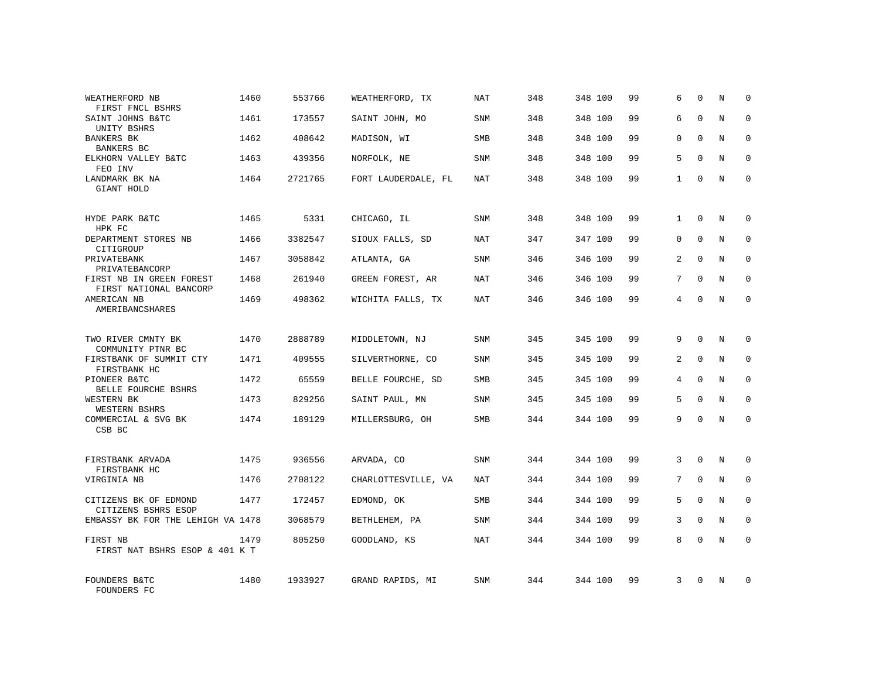| WEATHERFORD NB<br>FIRST FNCL BSHRS                 | 1460 | 553766  | WEATHERFORD, TX     | NAT        | 348 | 348 100 | 99 | 6              | $\mathbf 0$  | N          | $\Omega$     |
|----------------------------------------------------|------|---------|---------------------|------------|-----|---------|----|----------------|--------------|------------|--------------|
| SAINT JOHNS B&TC<br>UNITY BSHRS                    | 1461 | 173557  | SAINT JOHN, MO      | <b>SNM</b> | 348 | 348 100 | 99 | 6              | $\Omega$     | N          | $\Omega$     |
| BANKERS BK<br>BANKERS BC                           | 1462 | 408642  | MADISON, WI         | SMB        | 348 | 348 100 | 99 | 0              | $\Omega$     | N          | $\Omega$     |
| ELKHORN VALLEY B&TC<br>FEO INV                     | 1463 | 439356  | NORFOLK, NE         | <b>SNM</b> | 348 | 348 100 | 99 | 5              | $\Omega$     | N          | $\Omega$     |
| LANDMARK BK NA<br>GIANT HOLD                       | 1464 | 2721765 | FORT LAUDERDALE, FL | NAT        | 348 | 348 100 | 99 | $\mathbf{1}$   | $\Omega$     | N          | $\Omega$     |
| HYDE PARK B&TC<br>HPK FC                           | 1465 | 5331    | CHICAGO, IL         | SNM        | 348 | 348 100 | 99 | $\mathbf{1}$   | $\mathbf 0$  | N          | $\mathbf 0$  |
| DEPARTMENT STORES NB<br>CITIGROUP                  | 1466 | 3382547 | SIOUX FALLS, SD     | <b>NAT</b> | 347 | 347 100 | 99 | 0              | $\Omega$     | N          | $\mathbf 0$  |
| PRIVATEBANK<br>PRIVATEBANCORP                      | 1467 | 3058842 | ATLANTA, GA         | SNM        | 346 | 346 100 | 99 | $\overline{a}$ | $\Omega$     | N          | $\mathbf 0$  |
| FIRST NB IN GREEN FOREST<br>FIRST NATIONAL BANCORP | 1468 | 261940  | GREEN FOREST, AR    | NAT        | 346 | 346 100 | 99 | 7              | $\Omega$     | N          | $\mathbf 0$  |
| AMERICAN NB<br>AMERIBANCSHARES                     | 1469 | 498362  | WICHITA FALLS, TX   | <b>NAT</b> | 346 | 346 100 | 99 | 4              | $\mathbf 0$  | N          | $\mathbf 0$  |
| TWO RIVER CMNTY BK<br>COMMUNITY PTNR BC            | 1470 | 2888789 | MIDDLETOWN, NJ      | SNM        | 345 | 345 100 | 99 | 9              | $\Omega$     | $_{\rm N}$ | $\mathbf 0$  |
| FIRSTBANK OF SUMMIT CTY<br>FIRSTBANK HC            | 1471 | 409555  | SILVERTHORNE, CO    | SNM        | 345 | 345 100 | 99 | $\overline{a}$ | $\mathbf{0}$ | N          | 0            |
| PIONEER B&TC<br>BELLE FOURCHE BSHRS                | 1472 | 65559   | BELLE FOURCHE, SD   | <b>SMB</b> | 345 | 345 100 | 99 | $\overline{4}$ | $\Omega$     | N          | $\Omega$     |
| WESTERN BK<br>WESTERN BSHRS                        | 1473 | 829256  | SAINT PAUL, MN      | SNM        | 345 | 345 100 | 99 | 5              | $\mathbf{0}$ | N          | $\mathbf 0$  |
| COMMERCIAL & SVG BK<br>CSB BC                      | 1474 | 189129  | MILLERSBURG, OH     | SMB        | 344 | 344 100 | 99 | 9              | $\Omega$     | $_{\rm N}$ | $\Omega$     |
| FIRSTBANK ARVADA<br>FIRSTBANK HC                   | 1475 | 936556  | ARVADA, CO          | <b>SNM</b> | 344 | 344 100 | 99 | 3              | $\Omega$     | N          | $\mathbf 0$  |
| VIRGINIA NB                                        | 1476 | 2708122 | CHARLOTTESVILLE, VA | NAT        | 344 | 344 100 | 99 | 7              | $\mathbf{0}$ | N          | 0            |
| CITIZENS BK OF EDMOND<br>CITIZENS BSHRS ESOP       | 1477 | 172457  | EDMOND, OK          | <b>SMB</b> | 344 | 344 100 | 99 | 5              | $\Omega$     | N          | $\mathbf{0}$ |
| EMBASSY BK FOR THE LEHIGH VA 1478                  |      | 3068579 | BETHLEHEM, PA       | SNM        | 344 | 344 100 | 99 | 3              | $\mathbf{0}$ | N          | 0            |
| FIRST NB<br>FIRST NAT BSHRS ESOP & 401 K T         | 1479 | 805250  | GOODLAND, KS        | <b>NAT</b> | 344 | 344 100 | 99 | 8              | $\Omega$     | N          | $\Omega$     |
| FOUNDERS B&TC<br>FOUNDERS FC                       | 1480 | 1933927 | GRAND RAPIDS, MI    | <b>SNM</b> | 344 | 344 100 | 99 | 3              | $\Omega$     | N          | $\mathbf 0$  |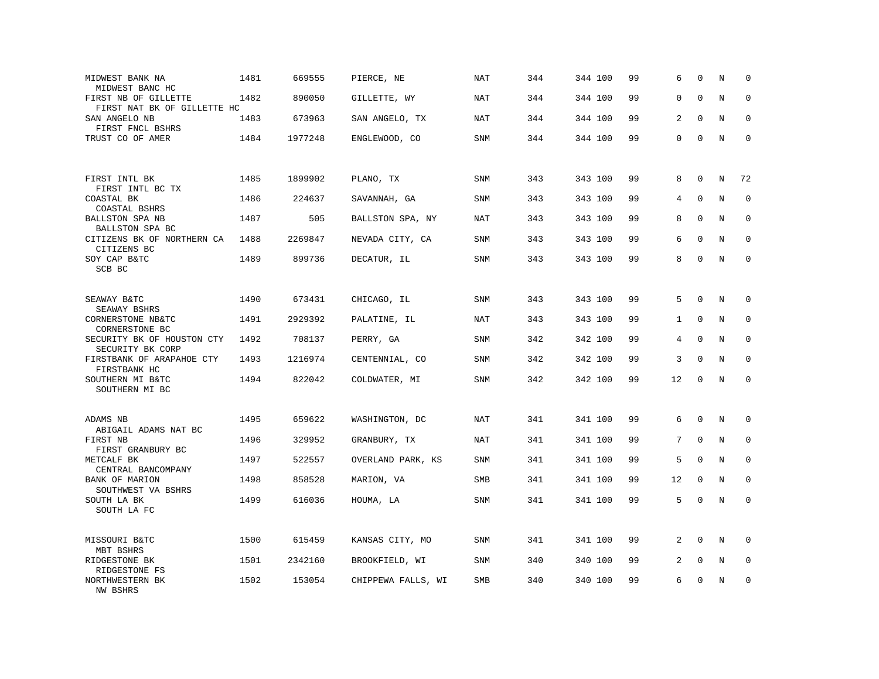| MIDWEST BANK NA<br>MIDWEST BANC HC                  | 1481 | 669555  | PIERCE, NE         | <b>NAT</b> | 344 | 344 100 | 99 | 6              | $\mathbf 0$  | N       | $\mathbf 0$  |
|-----------------------------------------------------|------|---------|--------------------|------------|-----|---------|----|----------------|--------------|---------|--------------|
| FIRST NB OF GILLETTE<br>FIRST NAT BK OF GILLETTE HC | 1482 | 890050  | GILLETTE, WY       | NAT        | 344 | 344 100 | 99 | 0              | $\mathbf 0$  | N       | $\mathbf 0$  |
| SAN ANGELO NB<br>FIRST FNCL BSHRS                   | 1483 | 673963  | SAN ANGELO, TX     | <b>NAT</b> | 344 | 344 100 | 99 | $\overline{a}$ | $\Omega$     | N       | $\mathbf 0$  |
| TRUST CO OF AMER                                    | 1484 | 1977248 | ENGLEWOOD, CO      | <b>SNM</b> | 344 | 344 100 | 99 | 0              | $\mathbf 0$  | N       | $\mathbf 0$  |
| FIRST INTL BK<br>FIRST INTL BC TX                   | 1485 | 1899902 | PLANO, TX          | <b>SNM</b> | 343 | 343 100 | 99 | 8              | $\mathbf 0$  | N       | 72           |
| COASTAL BK<br>COASTAL BSHRS                         | 1486 | 224637  | SAVANNAH, GA       | SNM        | 343 | 343 100 | 99 | 4              | $\Omega$     | N       | $\mathbf 0$  |
| <b>BALLSTON SPA NB</b><br>BALLSTON SPA BC           | 1487 | 505     | BALLSTON SPA, NY   | <b>NAT</b> | 343 | 343 100 | 99 | 8              | $\Omega$     | N       | $\mathbf 0$  |
| CITIZENS BK OF NORTHERN CA<br>CITIZENS BC           | 1488 | 2269847 | NEVADA CITY, CA    | <b>SNM</b> | 343 | 343 100 | 99 | 6              | $\Omega$     | N       | $\Omega$     |
| SOY CAP B&TC<br>SCB BC                              | 1489 | 899736  | DECATUR, IL        | SNM        | 343 | 343 100 | 99 | 8              | $\mathbf 0$  | N       | $\mathbf 0$  |
| SEAWAY B&TC<br>SEAWAY BSHRS                         | 1490 | 673431  | CHICAGO, IL        | SNM        | 343 | 343 100 | 99 | 5              | $\mathbf 0$  | N       | 0            |
| CORNERSTONE NB&TC<br>CORNERSTONE BC                 | 1491 | 2929392 | PALATINE, IL       | <b>NAT</b> | 343 | 343 100 | 99 | $\mathbf{1}$   | $\mathbf 0$  | N       | $\mathbf 0$  |
| SECURITY BK OF HOUSTON CTY<br>SECURITY BK CORP      | 1492 | 708137  | PERRY, GA          | SNM        | 342 | 342 100 | 99 | 4              | $\mathbf{0}$ | N       | 0            |
| FIRSTBANK OF ARAPAHOE CTY<br>FIRSTBANK HC           | 1493 | 1216974 | CENTENNIAL, CO     | SNM        | 342 | 342 100 | 99 | 3              | $\Omega$     | N       | $\mathbf{0}$ |
| SOUTHERN MI B&TC<br>SOUTHERN MI BC                  | 1494 | 822042  | COLDWATER, MI      | SNM        | 342 | 342 100 | 99 | 12             | $\Omega$     | $\rm N$ | $\Omega$     |
| ADAMS NB<br>ABIGAIL ADAMS NAT BC                    | 1495 | 659622  | WASHINGTON, DC     | NAT        | 341 | 341 100 | 99 | 6              | $\mathbf 0$  | N       | $\mathbf 0$  |
| FIRST NB<br>FIRST GRANBURY BC                       | 1496 | 329952  | GRANBURY, TX       | NAT        | 341 | 341 100 | 99 | 7              | $\mathbf 0$  | N       | $\mathbf 0$  |
| METCALF BK<br>CENTRAL BANCOMPANY                    | 1497 | 522557  | OVERLAND PARK, KS  | SNM        | 341 | 341 100 | 99 | 5              | $\Omega$     | N       | $\mathbf 0$  |
| BANK OF MARION<br>SOUTHWEST VA BSHRS                | 1498 | 858528  | MARION, VA         | SMB        | 341 | 341 100 | 99 | 12             | $\mathbf 0$  | N       | $\mathbf 0$  |
| SOUTH LA BK<br>SOUTH LA FC                          | 1499 | 616036  | HOUMA, LA          | SNM        | 341 | 341 100 | 99 | 5              | $\mathbf 0$  | N       | $\mathbf 0$  |
| MISSOURI B&TC<br>MBT BSHRS                          | 1500 | 615459  | KANSAS CITY, MO    | SNM        | 341 | 341 100 | 99 | 2              | $\Omega$     | N       | $\Omega$     |
| RIDGESTONE BK<br>RIDGESTONE FS                      | 1501 | 2342160 | BROOKFIELD, WI     | SNM        | 340 | 340 100 | 99 | 2              | $\mathbf 0$  | Ν       | 0            |
| NORTHWESTERN BK<br><b>NW BSHRS</b>                  | 1502 | 153054  | CHIPPEWA FALLS, WI | <b>SMB</b> | 340 | 340 100 | 99 | 6              | $\mathbf 0$  | N       | $\mathbf 0$  |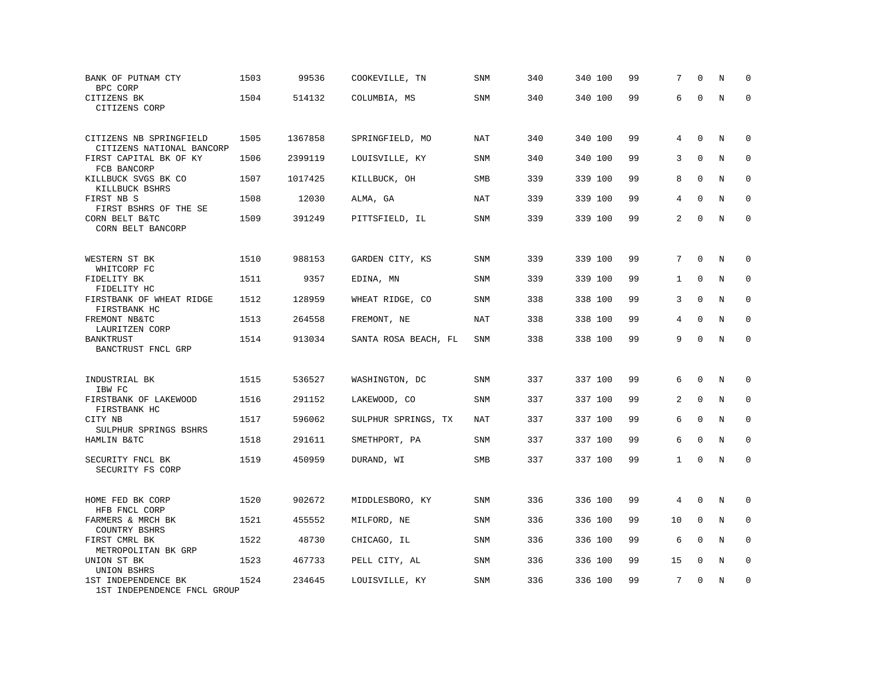| BANK OF PUTNAM CTY<br>BPC CORP                               | 1503 | 99536   | COOKEVILLE, TN       | SNM        | 340 | 340 100 | 99 | 7            | $\Omega$     | N       | $\mathbf 0$  |
|--------------------------------------------------------------|------|---------|----------------------|------------|-----|---------|----|--------------|--------------|---------|--------------|
| CITIZENS BK<br>CITIZENS CORP                                 | 1504 | 514132  | COLUMBIA, MS         | <b>SNM</b> | 340 | 340 100 | 99 | 6            | $\Omega$     | $\rm N$ | $\mathbf 0$  |
| CITIZENS NB SPRINGFIELD<br>CITIZENS NATIONAL BANCORP         | 1505 | 1367858 | SPRINGFIELD, MO      | NAT        | 340 | 340 100 | 99 | 4            | $\mathbf 0$  | N       | $\mathbf 0$  |
| FIRST CAPITAL BK OF KY                                       | 1506 | 2399119 | LOUISVILLE, KY       | SNM        | 340 | 340 100 | 99 | 3            | $\mathbf{0}$ | N       | $\mathbf 0$  |
| FCB BANCORP<br>KILLBUCK SVGS BK CO<br>KILLBUCK BSHRS         | 1507 | 1017425 | KILLBUCK, OH         | SMB        | 339 | 339 100 | 99 | 8            | $\mathbf 0$  | N       | $\mathbf 0$  |
| FIRST NB S                                                   | 1508 | 12030   | ALMA, GA             | NAT        | 339 | 339 100 | 99 | 4            | $\Omega$     | N       | $\mathbf 0$  |
| FIRST BSHRS OF THE SE<br>CORN BELT B&TC<br>CORN BELT BANCORP | 1509 | 391249  | PITTSFIELD, IL       | SNM        | 339 | 339 100 | 99 | 2            | $\Omega$     | N       | $\mathbf 0$  |
| WESTERN ST BK                                                | 1510 | 988153  | GARDEN CITY, KS      | SNM        | 339 | 339 100 | 99 | 7            | $\mathbf 0$  | N       | $\mathbf 0$  |
| WHITCORP FC<br>FIDELITY BK                                   | 1511 | 9357    | EDINA, MN            | <b>SNM</b> | 339 | 339 100 | 99 | $\mathbf{1}$ | $\mathbf 0$  | N       | $\mathbf 0$  |
| FIDELITY HC<br>FIRSTBANK OF WHEAT RIDGE<br>FIRSTBANK HC      | 1512 | 128959  | WHEAT RIDGE, CO      | <b>SNM</b> | 338 | 338 100 | 99 | 3            | $\mathbf{0}$ | N       | $\mathbf 0$  |
| FREMONT NB&TC<br>LAURITZEN CORP                              | 1513 | 264558  | FREMONT, NE          | <b>NAT</b> | 338 | 338 100 | 99 | 4            | $\Omega$     | N       | $\Omega$     |
| BANKTRUST<br>BANCTRUST FNCL GRP                              | 1514 | 913034  | SANTA ROSA BEACH, FL | <b>SNM</b> | 338 | 338 100 | 99 | 9            | $\mathbf 0$  | N       | $\mathbf 0$  |
| INDUSTRIAL BK                                                | 1515 | 536527  | WASHINGTON, DC       | SNM        | 337 | 337 100 | 99 | 6            | $\Omega$     | N       | 0            |
| IBW FC<br>FIRSTBANK OF LAKEWOOD                              | 1516 | 291152  | LAKEWOOD, CO         | <b>SNM</b> | 337 | 337 100 | 99 | 2            | $\Omega$     | N       | $\mathbf 0$  |
| FIRSTBANK HC<br>CITY NB<br>SULPHUR SPRINGS BSHRS             | 1517 | 596062  | SULPHUR SPRINGS, TX  | NAT        | 337 | 337 100 | 99 | 6            | $\Omega$     | N       | $\mathbf 0$  |
| HAMLIN B&TC                                                  | 1518 | 291611  | SMETHPORT, PA        | <b>SNM</b> | 337 | 337 100 | 99 | 6            | $\mathbf{0}$ | N       | $\mathbf{0}$ |
| SECURITY FNCL BK<br>SECURITY FS CORP                         | 1519 | 450959  | DURAND, WI           | SMB        | 337 | 337 100 | 99 | $\mathbf{1}$ | $\mathbf 0$  | N       | $\mathbf 0$  |
| HOME FED BK CORP<br>HFB FNCL CORP                            | 1520 | 902672  | MIDDLESBORO, KY      | SNM        | 336 | 336 100 | 99 | 4            | $\Omega$     | N       | 0            |
| FARMERS & MRCH BK                                            | 1521 | 455552  | MILFORD, NE          | <b>SNM</b> | 336 | 336 100 | 99 | 10           | $\mathbf 0$  | N       | 0            |
| <b>COUNTRY BSHRS</b><br>FIRST CMRL BK<br>METROPOLITAN BK GRP | 1522 | 48730   | CHICAGO, IL          | <b>SNM</b> | 336 | 336 100 | 99 | 6            | $\Omega$     | N       | $\mathbf 0$  |
| UNION ST BK<br>UNION BSHRS                                   | 1523 | 467733  | PELL CITY, AL        | <b>SNM</b> | 336 | 336 100 | 99 | 15           | $\mathbf{0}$ | N       | 0            |
| 1ST INDEPENDENCE BK<br>1ST INDEPENDENCE FNCL GROUP           | 1524 | 234645  | LOUISVILLE, KY       | <b>SNM</b> | 336 | 336 100 | 99 | 7            | $\Omega$     | N       | $\mathbf 0$  |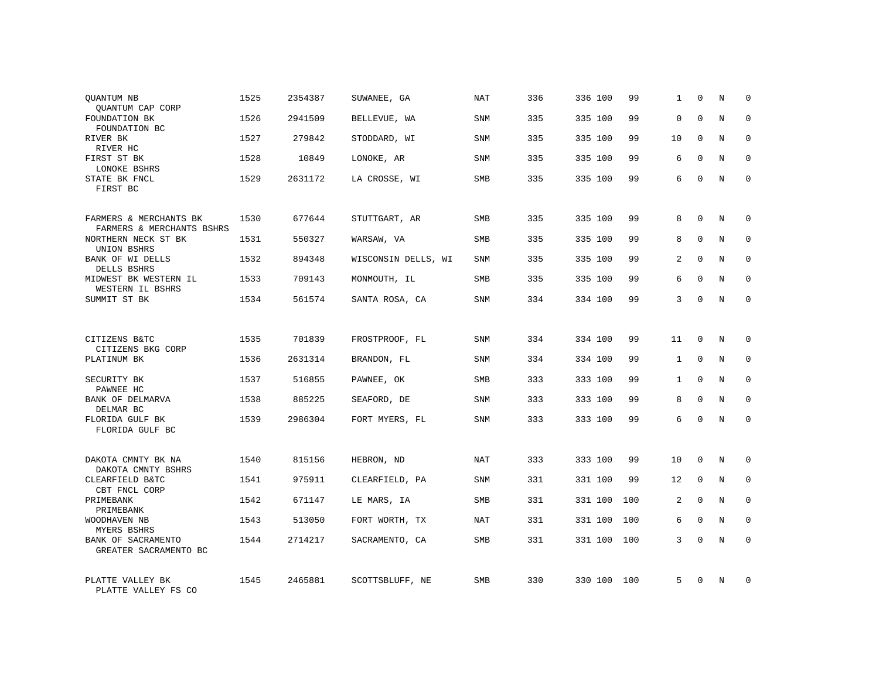| QUANTUM NB<br>QUANTUM CAP CORP                                  | 1525 | 2354387 | SUWANEE, GA         | NAT        | 336 | 336 100 | 99  | $\mathbf{1}$ | $\mathbf 0$ | N              | $\Omega$    |
|-----------------------------------------------------------------|------|---------|---------------------|------------|-----|---------|-----|--------------|-------------|----------------|-------------|
| FOUNDATION BK<br>FOUNDATION BC                                  | 1526 | 2941509 | BELLEVUE, WA        | <b>SNM</b> | 335 | 335 100 | 99  | 0            | $\Omega$    | N              | $\Omega$    |
| RIVER BK<br>RIVER HC                                            | 1527 | 279842  | STODDARD, WI        | SNM        | 335 | 335 100 | 99  | 10           | $\Omega$    | N              | $\Omega$    |
| FIRST ST BK<br>LONOKE BSHRS                                     | 1528 | 10849   | LONOKE, AR          | <b>SNM</b> | 335 | 335 100 | 99  | 6            | $\Omega$    | N              | $\Omega$    |
| STATE BK FNCL<br>FIRST BC                                       | 1529 | 2631172 | LA CROSSE, WI       | SMB        | 335 | 335 100 | 99  | 6            | $\Omega$    | N              | $\Omega$    |
| FARMERS & MERCHANTS BK                                          | 1530 | 677644  | STUTTGART, AR       | <b>SMB</b> | 335 | 335 100 | 99  | 8            | $\mathbf 0$ | N              | $\mathbf 0$ |
| FARMERS & MERCHANTS BSHRS<br>NORTHERN NECK ST BK<br>UNION BSHRS | 1531 | 550327  | WARSAW, VA          | <b>SMB</b> | 335 | 335 100 | 99  | 8            | $\Omega$    | N              | $\mathbf 0$ |
| BANK OF WI DELLS<br>DELLS BSHRS                                 | 1532 | 894348  | WISCONSIN DELLS, WI | <b>SNM</b> | 335 | 335 100 | 99  | 2            | $\Omega$    | N              | $\mathbf 0$ |
| MIDWEST BK WESTERN IL<br>WESTERN IL BSHRS                       | 1533 | 709143  | MONMOUTH, IL        | <b>SMB</b> | 335 | 335 100 | 99  | 6            | $\Omega$    | N              | $\mathbf 0$ |
| SUMMIT ST BK                                                    | 1534 | 561574  | SANTA ROSA, CA      | SNM        | 334 | 334 100 | 99  | 3            | $\mathbf 0$ | N              | $\mathbf 0$ |
|                                                                 |      |         |                     |            |     |         |     |              |             |                |             |
| CITIZENS B&TC<br>CITIZENS BKG CORP                              | 1535 | 701839  | FROSTPROOF, FL      | SNM        | 334 | 334 100 | 99  | 11           | $\Omega$    | $_{\rm N}$     | $\mathbf 0$ |
| PLATINUM BK                                                     | 1536 | 2631314 | BRANDON, FL         | <b>SNM</b> | 334 | 334 100 | 99  | $\mathbf{1}$ | $\mathbf 0$ | N              | 0           |
| SECURITY BK<br>PAWNEE HC                                        | 1537 | 516855  | PAWNEE, OK          | <b>SMB</b> | 333 | 333 100 | 99  | $\mathbf{1}$ | $\Omega$    | N              | $\mathbf 0$ |
| BANK OF DELMARVA<br>DELMAR BC                                   | 1538 | 885225  | SEAFORD, DE         | <b>SNM</b> | 333 | 333 100 | 99  | 8            | $\mathbf 0$ | N              | 0           |
| FLORIDA GULF BK<br>FLORIDA GULF BC                              | 1539 | 2986304 | FORT MYERS, FL      | SNM        | 333 | 333 100 | 99  | 6            | $\Omega$    | $\overline{N}$ | $\Omega$    |
|                                                                 |      |         |                     |            |     |         |     |              |             |                |             |
| DAKOTA CMNTY BK NA<br>DAKOTA CMNTY BSHRS                        | 1540 | 815156  | HEBRON, ND          | NAT        | 333 | 333 100 | 99  | 10           | $\Omega$    | N              | $\mathbf 0$ |
| CLEARFIELD B&TC<br>CBT FNCL CORP                                | 1541 | 975911  | CLEARFIELD, PA      | SNM        | 331 | 331 100 | 99  | 12           | $\mathbf 0$ | N              | 0           |
| PRIMEBANK<br>PRIMEBANK                                          | 1542 | 671147  | LE MARS, IA         | <b>SMB</b> | 331 | 331 100 | 100 | 2            | $\Omega$    | N              | $\mathbf 0$ |
| WOODHAVEN NB<br><b>MYERS BSHRS</b>                              | 1543 | 513050  | FORT WORTH, TX      | NAT        | 331 | 331 100 | 100 | 6            | $\mathbf 0$ | N              | 0           |
| BANK OF SACRAMENTO<br>GREATER SACRAMENTO BC                     | 1544 | 2714217 | SACRAMENTO, CA      | <b>SMB</b> | 331 | 331 100 | 100 | 3            | $\Omega$    | N              | $\mathbf 0$ |
| PLATTE VALLEY BK<br>PLATTE VALLEY FS CO                         | 1545 | 2465881 | SCOTTSBLUFF, NE     | <b>SMB</b> | 330 | 330 100 | 100 | 5            | $\Omega$    | N              | $\mathbf 0$ |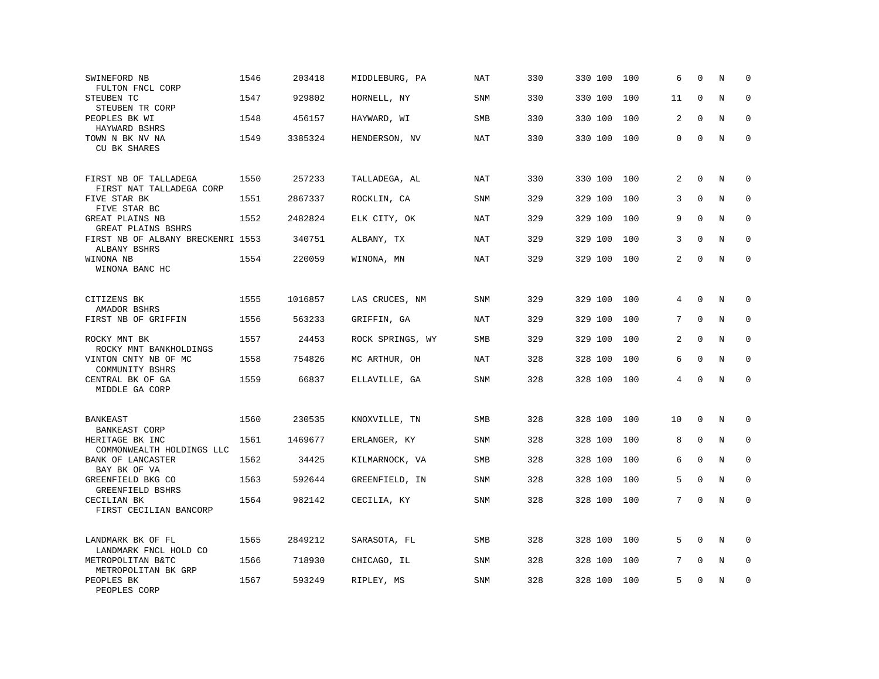| SWINEFORD NB<br>FULTON FNCL CORP                  | 1546 | 203418  | MIDDLEBURG, PA   | <b>NAT</b> | 330 | 330 100 | 100 | 6  | $\Omega$     | N | $\mathbf 0$  |
|---------------------------------------------------|------|---------|------------------|------------|-----|---------|-----|----|--------------|---|--------------|
| STEUBEN TC<br>STEUBEN TR CORP                     | 1547 | 929802  | HORNELL, NY      | <b>SNM</b> | 330 | 330 100 | 100 | 11 | $\mathbf 0$  | N | $\mathbf 0$  |
| PEOPLES BK WI<br>HAYWARD BSHRS                    | 1548 | 456157  | HAYWARD, WI      | SMB        | 330 | 330 100 | 100 | 2  | $\Omega$     | N | $\mathbf 0$  |
| TOWN N BK NV NA<br>CU BK SHARES                   | 1549 | 3385324 | HENDERSON, NV    | NAT        | 330 | 330 100 | 100 | 0  | $\mathbf{0}$ | N | $\mathbf 0$  |
| FIRST NB OF TALLADEGA<br>FIRST NAT TALLADEGA CORP | 1550 | 257233  | TALLADEGA, AL    | <b>NAT</b> | 330 | 330 100 | 100 | 2  | $\mathbf{0}$ | N | $\mathbf 0$  |
| FIVE STAR BK<br>FIVE STAR BC                      | 1551 | 2867337 | ROCKLIN, CA      | <b>SNM</b> | 329 | 329 100 | 100 | 3  | $\Omega$     | N | $\mathbf 0$  |
| GREAT PLAINS NB<br>GREAT PLAINS BSHRS             | 1552 | 2482824 | ELK CITY, OK     | <b>NAT</b> | 329 | 329 100 | 100 | 9  | $\Omega$     | N | $\mathbf 0$  |
| FIRST NB OF ALBANY BRECKENRI 1553<br>ALBANY BSHRS |      | 340751  | ALBANY, TX       | NAT        | 329 | 329 100 | 100 | 3  | $\Omega$     | N | $\Omega$     |
| WINONA NB<br>WINONA BANC HC                       | 1554 | 220059  | WINONA, MN       | <b>NAT</b> | 329 | 329 100 | 100 | 2  | $\mathbf{0}$ | N | $\mathbf 0$  |
| CITIZENS BK<br>AMADOR BSHRS                       | 1555 | 1016857 | LAS CRUCES, NM   | SNM        | 329 | 329 100 | 100 | 4  | $\mathbf 0$  | N | $\mathbf 0$  |
| FIRST NB OF GRIFFIN                               | 1556 | 563233  | GRIFFIN, GA      | <b>NAT</b> | 329 | 329 100 | 100 | 7  | $\Omega$     | N | $\Omega$     |
| ROCKY MNT BK<br>ROCKY MNT BANKHOLDINGS            | 1557 | 24453   | ROCK SPRINGS, WY | SMB        | 329 | 329 100 | 100 | 2  | $\mathbf 0$  | N | $\mathbf 0$  |
| VINTON CNTY NB OF MC<br>COMMUNITY BSHRS           | 1558 | 754826  | MC ARTHUR, OH    | <b>NAT</b> | 328 | 328 100 | 100 | 6  | $\Omega$     | N | $\mathbf{0}$ |
| CENTRAL BK OF GA<br>MIDDLE GA CORP                | 1559 | 66837   | ELLAVILLE, GA    | SNM        | 328 | 328 100 | 100 | 4  | $\Omega$     | N | $\Omega$     |
| BANKEAST<br>BANKEAST CORP                         | 1560 | 230535  | KNOXVILLE, TN    | <b>SMB</b> | 328 | 328 100 | 100 | 10 | $\mathbf 0$  | N | 0            |
| HERITAGE BK INC<br>COMMONWEALTH HOLDINGS LLC      | 1561 | 1469677 | ERLANGER, KY     | <b>SNM</b> | 328 | 328 100 | 100 | 8  | $\mathbf 0$  | N | $\mathbf 0$  |
| BANK OF LANCASTER<br>BAY BK OF VA                 | 1562 | 34425   | KILMARNOCK, VA   | <b>SMB</b> | 328 | 328 100 | 100 | 6  | $\Omega$     | N | $\mathbf 0$  |
| GREENFIELD BKG CO<br><b>GREENFIELD BSHRS</b>      | 1563 | 592644  | GREENFIELD, IN   | SNM        | 328 | 328 100 | 100 | 5  | $\mathbf 0$  | N | $\mathbf 0$  |
| CECILIAN BK<br>FIRST CECILIAN BANCORP             | 1564 | 982142  | CECILIA, KY      | SNM        | 328 | 328 100 | 100 | 7  | $\Omega$     | N | $\mathbf 0$  |
| LANDMARK BK OF FL<br>LANDMARK FNCL HOLD CO        | 1565 | 2849212 | SARASOTA, FL     | <b>SMB</b> | 328 | 328 100 | 100 | 5  | $\Omega$     | N | $\Omega$     |
| METROPOLITAN B&TC<br>METROPOLITAN BK GRP          | 1566 | 718930  | CHICAGO, IL      | SNM        | 328 | 328 100 | 100 | 7  | $\mathbf{0}$ | Ν | 0            |
| PEOPLES BK<br>PEOPLES CORP                        | 1567 | 593249  | RIPLEY, MS       | <b>SNM</b> | 328 | 328 100 | 100 | 5  | $\Omega$     | N | $\mathbf 0$  |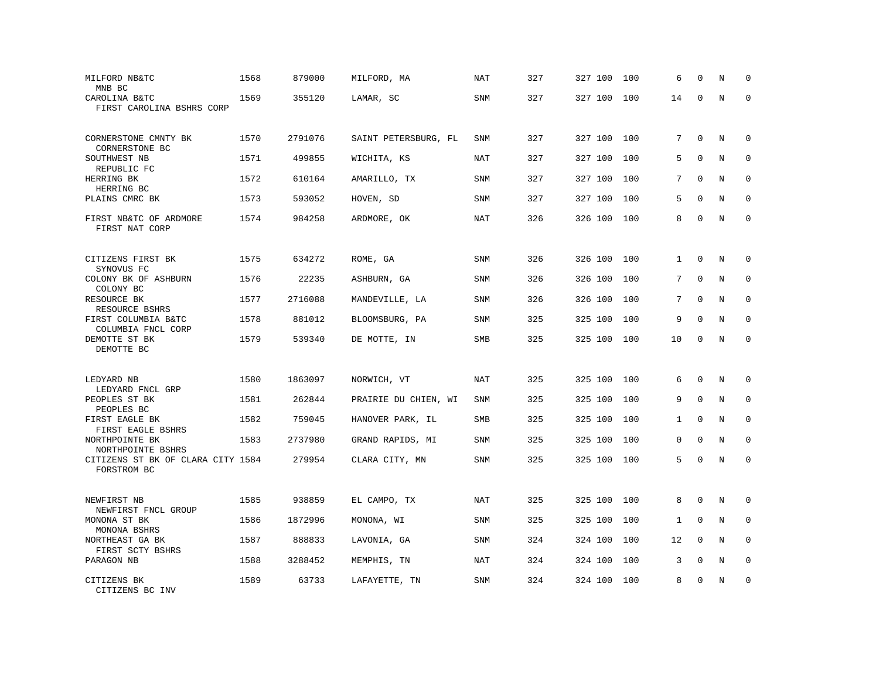| MILFORD NB&TC<br>MNB BC                             | 1568 | 879000  | MILFORD, MA          | NAT        | 327 | 327 100 | 100 | 6            | $\mathbf 0$ | N       | $\Omega$     |
|-----------------------------------------------------|------|---------|----------------------|------------|-----|---------|-----|--------------|-------------|---------|--------------|
| CAROLINA B&TC<br>FIRST CAROLINA BSHRS CORP          | 1569 | 355120  | LAMAR, SC            | SNM        | 327 | 327 100 | 100 | 14           | $\Omega$    | $\rm N$ | $\mathbf 0$  |
| CORNERSTONE CMNTY BK<br>CORNERSTONE BC              | 1570 | 2791076 | SAINT PETERSBURG, FL | SNM        | 327 | 327 100 | 100 | 7            | $\mathbf 0$ | N       | $\mathbf 0$  |
| SOUTHWEST NB                                        | 1571 | 499855  | WICHITA, KS          | NAT        | 327 | 327 100 | 100 | 5            | $\Omega$    | N       | $\Omega$     |
| REPUBLIC FC<br>HERRING BK<br>HERRING BC             | 1572 | 610164  | AMARILLO, TX         | SNM        | 327 | 327 100 | 100 | 7            | $\mathbf 0$ | N       | $\mathbf 0$  |
| PLAINS CMRC BK                                      | 1573 | 593052  | HOVEN, SD            | <b>SNM</b> | 327 | 327 100 | 100 | 5            | $\Omega$    | N       | $\mathbf 0$  |
| FIRST NB&TC OF ARDMORE<br>FIRST NAT CORP            | 1574 | 984258  | ARDMORE, OK          | <b>NAT</b> | 326 | 326 100 | 100 | 8            | $\Omega$    | N       | $\mathbf 0$  |
| CITIZENS FIRST BK                                   | 1575 | 634272  | ROME, GA             | <b>SNM</b> | 326 | 326 100 | 100 | $\mathbf{1}$ | $\Omega$    | N       | 0            |
| SYNOVUS FC<br>COLONY BK OF ASHBURN                  | 1576 | 22235   | ASHBURN, GA          | SNM        | 326 | 326 100 | 100 | 7            | $\mathbf 0$ | N       | 0            |
| COLONY BC<br>RESOURCE BK<br>RESOURCE BSHRS          | 1577 | 2716088 | MANDEVILLE, LA       | <b>SNM</b> | 326 | 326 100 | 100 | 7            | $\Omega$    | N       | $\mathbf 0$  |
| FIRST COLUMBIA B&TC<br>COLUMBIA FNCL CORP           | 1578 | 881012  | BLOOMSBURG, PA       | <b>SNM</b> | 325 | 325 100 | 100 | 9            | $\mathbf 0$ | N       | $\mathbf 0$  |
| DEMOTTE ST BK<br>DEMOTTE BC                         | 1579 | 539340  | DE MOTTE, IN         | SMB        | 325 | 325 100 | 100 | 10           | $\mathbf 0$ | N       | $\mathbf 0$  |
| LEDYARD NB<br>LEDYARD FNCL GRP                      | 1580 | 1863097 | NORWICH, VT          | <b>NAT</b> | 325 | 325 100 | 100 | 6            | $\mathbf 0$ | N       | $\mathbf 0$  |
| PEOPLES ST BK                                       | 1581 | 262844  | PRAIRIE DU CHIEN, WI | <b>SNM</b> | 325 | 325 100 | 100 | 9            | $\Omega$    | N       | $\mathbf 0$  |
| PEOPLES BC<br>FIRST EAGLE BK<br>FIRST EAGLE BSHRS   | 1582 | 759045  | HANOVER PARK, IL     | SMB        | 325 | 325 100 | 100 | $\mathbf{1}$ | $\mathbf 0$ | N       | 0            |
| NORTHPOINTE BK<br>NORTHPOINTE BSHRS                 | 1583 | 2737980 | GRAND RAPIDS, MI     | <b>SNM</b> | 325 | 325 100 | 100 | 0            | $\mathbf 0$ | N       | $\mathbf{0}$ |
| CITIZENS ST BK OF CLARA CITY 1584<br>FORSTROM BC    |      | 279954  | CLARA CITY, MN       | SNM        | 325 | 325 100 | 100 | 5            | $\Omega$    | N       | $\Omega$     |
| NEWFIRST NB                                         | 1585 | 938859  | EL CAMPO, TX         | NAT        | 325 | 325 100 | 100 | 8            | $\Omega$    | N       | 0            |
| NEWFIRST FNCL GROUP<br>MONONA ST BK                 | 1586 | 1872996 | MONONA, WI           | SNM        | 325 | 325 100 | 100 | 1            | $\mathbf 0$ | N       | $\mathbf 0$  |
| MONONA BSHRS<br>NORTHEAST GA BK<br>FIRST SCTY BSHRS | 1587 | 888833  | LAVONIA, GA          | <b>SNM</b> | 324 | 324 100 | 100 | 12           | $\Omega$    | N       | $\Omega$     |
| PARAGON NB                                          | 1588 | 3288452 | MEMPHIS, TN          | NAT        | 324 | 324 100 | 100 | 3            | $\mathbf 0$ | Ν       | 0            |
| CITIZENS BK<br>CITIZENS BC INV                      | 1589 | 63733   | LAFAYETTE, TN        | <b>SNM</b> | 324 | 324 100 | 100 | 8            | $\mathbf 0$ | N       | $\mathbf 0$  |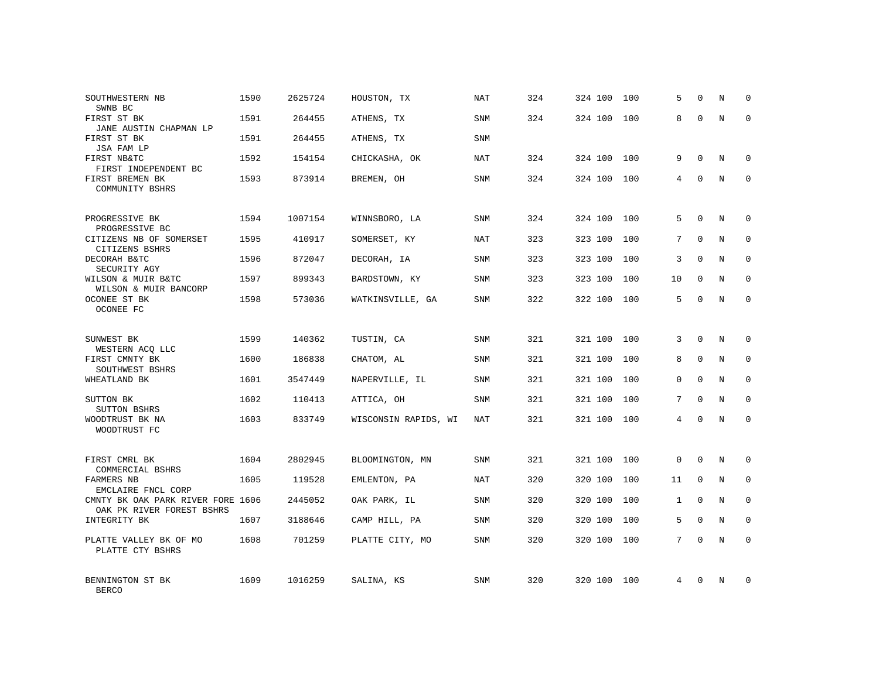| SOUTHWESTERN NB<br>SWNB BC                                     | 1590 | 2625724 | HOUSTON, TX          | <b>NAT</b> | 324 | 324 100 | 100 | 5            | $\mathbf 0$  | Ν | $\mathbf 0$ |
|----------------------------------------------------------------|------|---------|----------------------|------------|-----|---------|-----|--------------|--------------|---|-------------|
| FIRST ST BK<br>JANE AUSTIN CHAPMAN LP                          | 1591 | 264455  | ATHENS, TX           | <b>SNM</b> | 324 | 324 100 | 100 | 8            | $\Omega$     | N | $\mathbf 0$ |
| FIRST ST BK<br>JSA FAM LP                                      | 1591 | 264455  | ATHENS, TX           | SNM        |     |         |     |              |              |   |             |
| FIRST NB&TC<br>FIRST INDEPENDENT BC                            | 1592 | 154154  | CHICKASHA, OK        | <b>NAT</b> | 324 | 324 100 | 100 | 9            | $\mathbf 0$  | N | $\mathbf 0$ |
| FIRST BREMEN BK<br>COMMUNITY BSHRS                             | 1593 | 873914  | BREMEN, OH           | <b>SNM</b> | 324 | 324 100 | 100 | 4            | $\Omega$     | N | $\mathbf 0$ |
| PROGRESSIVE BK<br>PROGRESSIVE BC                               | 1594 | 1007154 | WINNSBORO, LA        | SNM        | 324 | 324 100 | 100 | 5            | $\Omega$     | N | $\mathbf 0$ |
| CITIZENS NB OF SOMERSET<br>CITIZENS BSHRS                      | 1595 | 410917  | SOMERSET, KY         | NAT        | 323 | 323 100 | 100 | 7            | $\Omega$     | N | $\mathbf 0$ |
| DECORAH B&TC<br>SECURITY AGY                                   | 1596 | 872047  | DECORAH, IA          | SNM        | 323 | 323 100 | 100 | 3            | $\Omega$     | N | $\mathbf 0$ |
| WILSON & MUIR B&TC<br>WILSON & MUIR BANCORP                    | 1597 | 899343  | BARDSTOWN, KY        | <b>SNM</b> | 323 | 323 100 | 100 | 10           | $\Omega$     | N | $\mathbf 0$ |
| OCONEE ST BK<br>OCONEE FC                                      | 1598 | 573036  | WATKINSVILLE, GA     | SNM        | 322 | 322 100 | 100 | 5            | $\mathbf{0}$ | N | $\mathbf 0$ |
| SUNWEST BK<br>WESTERN ACQ LLC                                  | 1599 | 140362  | TUSTIN, CA           | <b>SNM</b> | 321 | 321 100 | 100 | 3            | $\Omega$     | N | $\mathbf 0$ |
| FIRST CMNTY BK<br>SOUTHWEST BSHRS                              | 1600 | 186838  | CHATOM, AL           | SNM        | 321 | 321 100 | 100 | 8            | $\mathbf 0$  | N | 0           |
| WHEATLAND BK                                                   | 1601 | 3547449 | NAPERVILLE, IL       | <b>SNM</b> | 321 | 321 100 | 100 | $\Omega$     | $\Omega$     | N | $\mathbf 0$ |
| SUTTON BK<br>SUTTON BSHRS                                      | 1602 | 110413  | ATTICA, OH           | SNM        | 321 | 321 100 | 100 | 7            | $\mathbf 0$  | N | 0           |
| WOODTRUST BK NA<br>WOODTRUST FC                                | 1603 | 833749  | WISCONSIN RAPIDS, WI | <b>NAT</b> | 321 | 321 100 | 100 | 4            | $\Omega$     | N | $\mathbf 0$ |
| FIRST CMRL BK<br>COMMERCIAL BSHRS                              | 1604 | 2802945 | BLOOMINGTON, MN      | SNM        | 321 | 321 100 | 100 | $\mathbf 0$  | $\mathbf 0$  | N | 0           |
| FARMERS NB<br>EMCLAIRE FNCL CORP                               | 1605 | 119528  | EMLENTON, PA         | <b>NAT</b> | 320 | 320 100 | 100 | 11           | $\mathbf 0$  | N | $\mathbf 0$ |
| CMNTY BK OAK PARK RIVER FORE 1606<br>OAK PK RIVER FOREST BSHRS |      | 2445052 | OAK PARK, IL         | SNM        | 320 | 320 100 | 100 | $\mathbf{1}$ | $\Omega$     | N | 0           |
| INTEGRITY BK                                                   | 1607 | 3188646 | CAMP HILL, PA        | SNM        | 320 | 320 100 | 100 | 5            | $\mathbf 0$  | N | $\mathbf 0$ |
| PLATTE VALLEY BK OF MO<br>PLATTE CTY BSHRS                     | 1608 | 701259  | PLATTE CITY, MO      | <b>SNM</b> | 320 | 320 100 | 100 | $7^{\circ}$  | $\Omega$     | N | $\Omega$    |
| BENNINGTON ST BK<br><b>BERCO</b>                               | 1609 | 1016259 | SALINA, KS           | <b>SNM</b> | 320 | 320 100 | 100 | 4            | $\Omega$     | N | $\mathbf 0$ |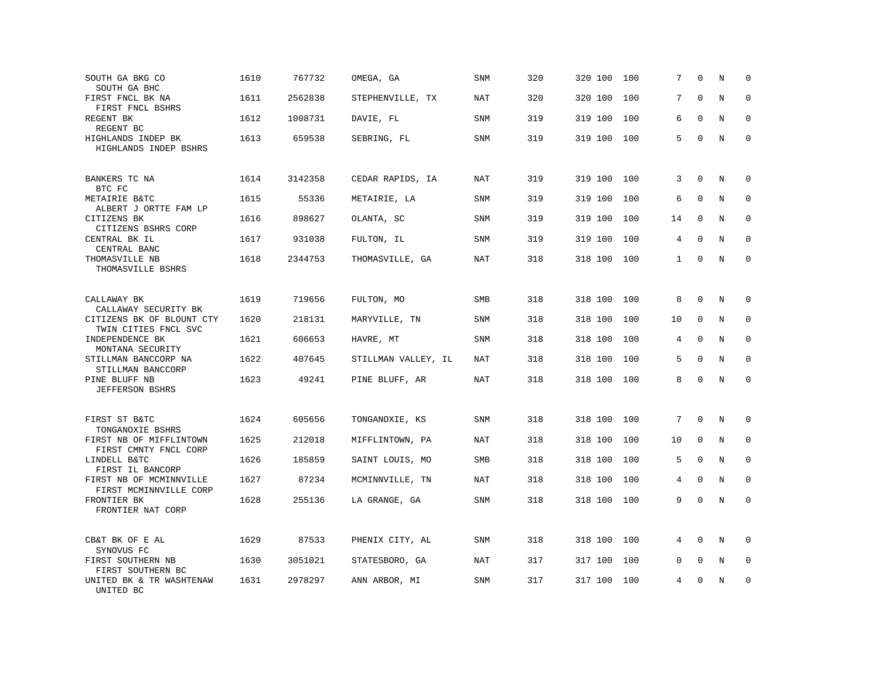| SOUTH GA BKG CO<br>SOUTH GA BHC                   | 1610 | 767732  | OMEGA, GA           | SNM        | 320 | 320 100 | 100 | 7            | $\Omega$    | N           | $\mathbf 0$  |
|---------------------------------------------------|------|---------|---------------------|------------|-----|---------|-----|--------------|-------------|-------------|--------------|
| FIRST FNCL BK NA<br>FIRST FNCL BSHRS              | 1611 | 2562838 | STEPHENVILLE, TX    | NAT        | 320 | 320 100 | 100 | 7            | $\Omega$    | N           | $\Omega$     |
| REGENT BK<br>REGENT BC                            | 1612 | 1008731 | DAVIE, FL           | SNM        | 319 | 319 100 | 100 | 6            | $\Omega$    | N           | $\mathbf 0$  |
| HIGHLANDS INDEP BK<br>HIGHLANDS INDEP BSHRS       | 1613 | 659538  | SEBRING, FL         | <b>SNM</b> | 319 | 319 100 | 100 | 5            | $\Omega$    | N           | $\mathbf{0}$ |
| BANKERS TC NA<br>BTC FC                           | 1614 | 3142358 | CEDAR RAPIDS, IA    | NAT        | 319 | 319 100 | 100 | 3            | $\Omega$    | N           | $\Omega$     |
| METAIRIE B&TC<br>ALBERT J ORTTE FAM LP            | 1615 | 55336   | METAIRIE, LA        | SNM        | 319 | 319 100 | 100 | 6            | $\mathbf 0$ | N           | 0            |
| CITIZENS BK<br>CITIZENS BSHRS CORP                | 1616 | 898627  | OLANTA, SC          | <b>SNM</b> | 319 | 319 100 | 100 | 14           | $\Omega$    | N           | $\mathbf{0}$ |
| CENTRAL BK IL<br>CENTRAL BANC                     | 1617 | 931038  | FULTON, IL          | SNM        | 319 | 319 100 | 100 | 4            | $\Omega$    | N           | $\mathbf 0$  |
| THOMASVILLE NB<br>THOMASVILLE BSHRS               | 1618 | 2344753 | THOMASVILLE, GA     | NAT        | 318 | 318 100 | 100 | $\mathbf{1}$ | $\Omega$    | N           | $\mathbf 0$  |
| CALLAWAY BK<br>CALLAWAY SECURITY BK               | 1619 | 719656  | FULTON, MO          | <b>SMB</b> | 318 | 318 100 | 100 | 8            | $\mathbf 0$ | N           | 0            |
| CITIZENS BK OF BLOUNT CTY<br>TWIN CITIES FNCL SVC | 1620 | 218131  | MARYVILLE, TN       | SNM        | 318 | 318 100 | 100 | 10           | $\mathbf 0$ | N           | $\mathbf 0$  |
| INDEPENDENCE BK<br>MONTANA SECURITY               | 1621 | 606653  | HAVRE, MT           | SNM        | 318 | 318 100 | 100 | 4            | $\Omega$    | $\mathbf N$ | $\mathbf 0$  |
| STILLMAN BANCCORP NA<br>STILLMAN BANCCORP         | 1622 | 407645  | STILLMAN VALLEY, IL | NAT        | 318 | 318 100 | 100 | 5            | $\Omega$    | N           | $\mathbf 0$  |
| PINE BLUFF NB<br><b>JEFFERSON BSHRS</b>           | 1623 | 49241   | PINE BLUFF, AR      | <b>NAT</b> | 318 | 318 100 | 100 | 8            | $\Omega$    | N           | $\mathbf 0$  |
| FIRST ST B&TC<br>TONGANOXIE BSHRS                 | 1624 | 605656  | TONGANOXIE, KS      | SNM        | 318 | 318 100 | 100 | 7            | $\mathbf 0$ | N           | 0            |
| FIRST NB OF MIFFLINTOWN<br>FIRST CMNTY FNCL CORP  | 1625 | 212018  | MIFFLINTOWN, PA     | NAT        | 318 | 318 100 | 100 | 10           | $\mathbf 0$ | N           | 0            |
| LINDELL B&TC<br>FIRST IL BANCORP                  | 1626 | 185859  | SAINT LOUIS, MO     | SMB        | 318 | 318 100 | 100 | 5            | $\mathbf 0$ | N           | $\mathbf 0$  |
| FIRST NB OF MCMINNVILLE<br>FIRST MCMINNVILLE CORP | 1627 | 87234   | MCMINNVILLE, TN     | <b>NAT</b> | 318 | 318 100 | 100 | 4            | $\Omega$    | N           | 0            |
| FRONTIER BK<br>FRONTIER NAT CORP                  | 1628 | 255136  | LA GRANGE, GA       | SNM        | 318 | 318 100 | 100 | 9            | $\Omega$    | N           | $\mathbf 0$  |
| CB&T BK OF E AL<br>SYNOVUS FC                     | 1629 | 87533   | PHENIX CITY, AL     | SNM        | 318 | 318 100 | 100 | 4            | $\Omega$    | N           | $\mathbf 0$  |
| FIRST SOUTHERN NB<br>FIRST SOUTHERN BC            | 1630 | 3051021 | STATESBORO, GA      | NAT        | 317 | 317 100 | 100 | 0            | $\mathbf 0$ | N           | $\mathbf 0$  |
| UNITED BK & TR WASHTENAW<br>UNITED BC             | 1631 | 2978297 | ANN ARBOR, MI       | SNM        | 317 | 317 100 | 100 | 4            | $\mathbf 0$ | N           | $\mathbf 0$  |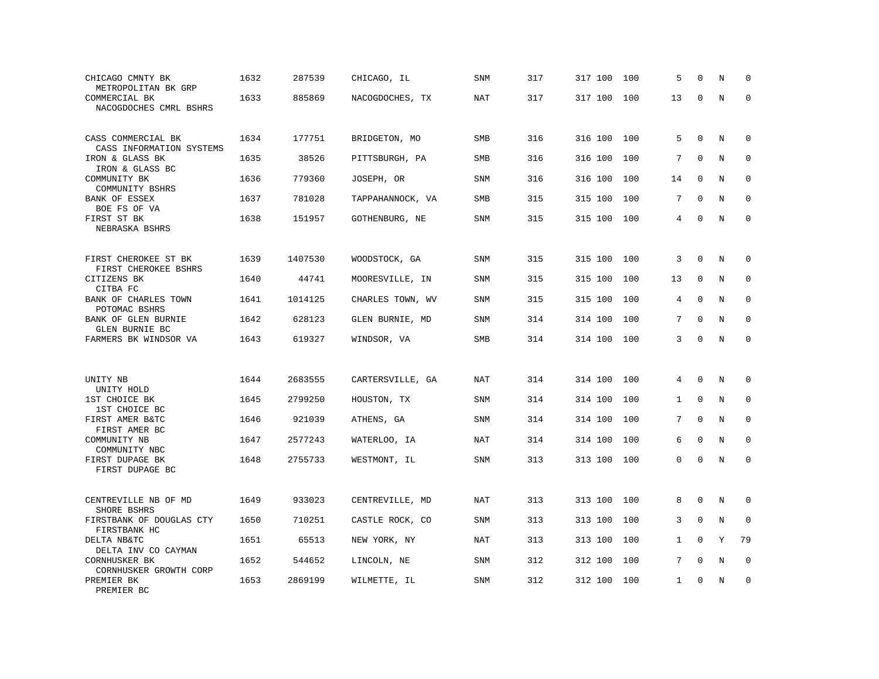| CHICAGO CMNTY BK<br>METROPOLITAN BK GRP        | 1632 | 287539  | CHICAGO, IL      | SNM        | 317 | 317 100 | 100 | 5            | $\mathbf 0$  | Ν | $\mathbf 0$  |
|------------------------------------------------|------|---------|------------------|------------|-----|---------|-----|--------------|--------------|---|--------------|
| COMMERCIAL BK<br>NACOGDOCHES CMRL BSHRS        | 1633 | 885869  | NACOGDOCHES, TX  | NAT        | 317 | 317 100 | 100 | 13           | $\Omega$     | N | $\mathbf 0$  |
| CASS COMMERCIAL BK<br>CASS INFORMATION SYSTEMS | 1634 | 177751  | BRIDGETON, MO    | <b>SMB</b> | 316 | 316 100 | 100 | 5            | $\mathbf{0}$ | N | $\mathbf 0$  |
| IRON & GLASS BK<br>IRON & GLASS BC             | 1635 | 38526   | PITTSBURGH, PA   | SMB        | 316 | 316 100 | 100 | 7            | $\mathbf 0$  | N | 0            |
| COMMUNITY BK<br>COMMUNITY BSHRS                | 1636 | 779360  | JOSEPH, OR       | <b>SNM</b> | 316 | 316 100 | 100 | 14           | $\Omega$     | N | $\mathbf{0}$ |
| BANK OF ESSEX<br>BOE FS OF VA                  | 1637 | 781028  | TAPPAHANNOCK, VA | <b>SMB</b> | 315 | 315 100 | 100 | 7            | $\Omega$     | N | $\mathbf 0$  |
| FIRST ST BK<br>NEBRASKA BSHRS                  | 1638 | 151957  | GOTHENBURG, NE   | <b>SNM</b> | 315 | 315 100 | 100 | 4            | $\mathbf 0$  | N | $\mathbf 0$  |
| FIRST CHEROKEE ST BK<br>FIRST CHEROKEE BSHRS   | 1639 | 1407530 | WOODSTOCK, GA    | <b>SNM</b> | 315 | 315 100 | 100 | 3            | $\mathbf{0}$ | N | $\Omega$     |
| CITIZENS BK<br>CITBA FC                        | 1640 | 44741   | MOORESVILLE, IN  | <b>SNM</b> | 315 | 315 100 | 100 | 13           | $\mathbf{0}$ | N | $\mathbf 0$  |
| BANK OF CHARLES TOWN<br>POTOMAC BSHRS          | 1641 | 1014125 | CHARLES TOWN, WV | SNM        | 315 | 315 100 | 100 | 4            | $\Omega$     | N | 0            |
| BANK OF GLEN BURNIE<br>GLEN BURNIE BC          | 1642 | 628123  | GLEN BURNIE, MD  | <b>SNM</b> | 314 | 314 100 | 100 | 7            | $\Omega$     | N | $\mathbf{0}$ |
| FARMERS BK WINDSOR VA                          | 1643 | 619327  | WINDSOR, VA      | SMB        | 314 | 314 100 | 100 | 3            | $\mathbf{0}$ | N | $\mathbf 0$  |
| UNITY NB<br>UNITY HOLD                         | 1644 | 2683555 | CARTERSVILLE, GA | NAT        | 314 | 314 100 | 100 | 4            | $\mathbf 0$  | N | 0            |
| 1ST CHOICE BK<br>1ST CHOICE BC                 | 1645 | 2799250 | HOUSTON, TX      | <b>SNM</b> | 314 | 314 100 | 100 | $\mathbf 1$  | $\mathbf 0$  | N | $\mathbf 0$  |
| FIRST AMER B&TC<br>FIRST AMER BC               | 1646 | 921039  | ATHENS, GA       | <b>SNM</b> | 314 | 314 100 | 100 | 7            | $\mathbf{0}$ | N | 0            |
| COMMUNITY NB<br>COMMUNITY NBC                  | 1647 | 2577243 | WATERLOO, IA     | NAT        | 314 | 314 100 | 100 | 6            | $\Omega$     | N | $\Omega$     |
| FIRST DUPAGE BK<br>FIRST DUPAGE BC             | 1648 | 2755733 | WESTMONT, IL     | <b>SNM</b> | 313 | 313 100 | 100 | $\Omega$     | $\Omega$     | N | $\Omega$     |
| CENTREVILLE NB OF MD<br>SHORE BSHRS            | 1649 | 933023  | CENTREVILLE, MD  | NAT        | 313 | 313 100 | 100 | 8            | $\Omega$     | N | 0            |
| FIRSTBANK OF DOUGLAS CTY<br>FIRSTBANK HC       | 1650 | 710251  | CASTLE ROCK, CO  | <b>SNM</b> | 313 | 313 100 | 100 | 3            | $\mathbf{0}$ | N | $\mathbf 0$  |
| DELTA NB&TC<br>DELTA INV CO CAYMAN             | 1651 | 65513   | NEW YORK, NY     | NAT        | 313 | 313 100 | 100 | $\mathbf{1}$ | $\mathbf{0}$ | Y | 79           |
| CORNHUSKER BK<br>CORNHUSKER GROWTH CORP        | 1652 | 544652  | LINCOLN, NE      | <b>SNM</b> | 312 | 312 100 | 100 | 7            | $\Omega$     | N | $\mathbf 0$  |
| PREMIER BK<br>PREMIER BC                       | 1653 | 2869199 | WILMETTE, IL     | SNM        | 312 | 312 100 | 100 | $\mathbf{1}$ | $\Omega$     | N | $\mathbf 0$  |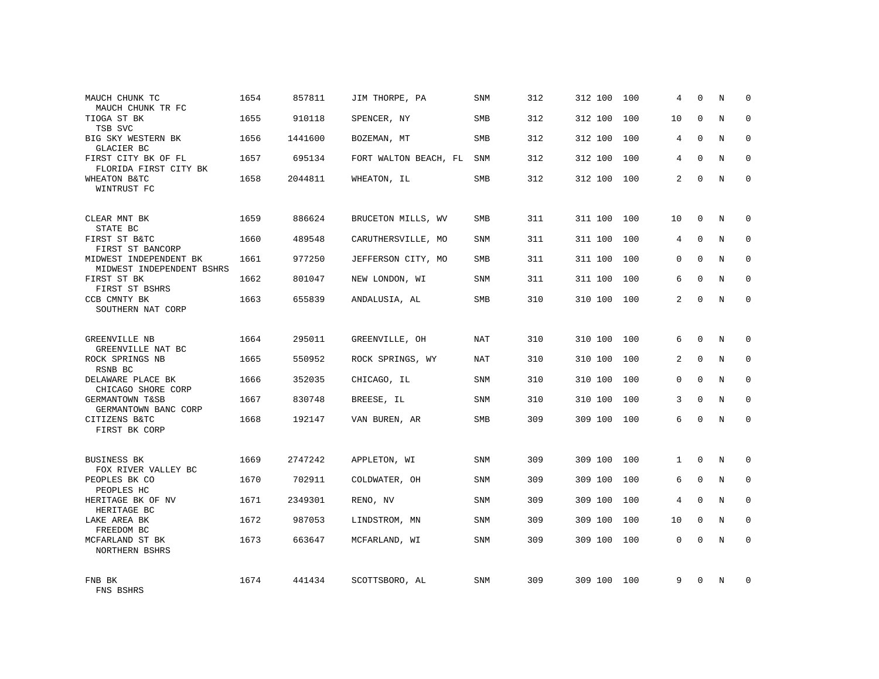| MAUCH CHUNK TC<br>MAUCH CHUNK TR FC                 | 1654 | 857811  | JIM THORPE, PA        | SNM        | 312 | 312 100 | 100 | 4            | $\Omega$    | N | $\Omega$    |
|-----------------------------------------------------|------|---------|-----------------------|------------|-----|---------|-----|--------------|-------------|---|-------------|
| TIOGA ST BK<br>TSB SVC                              | 1655 | 910118  | SPENCER, NY           | <b>SMB</b> | 312 | 312 100 | 100 | 10           | $\Omega$    | N | $\Omega$    |
| BIG SKY WESTERN BK<br>GLACIER BC                    | 1656 | 1441600 | BOZEMAN, MT           | SMB        | 312 | 312 100 | 100 | 4            | $\Omega$    | N | $\Omega$    |
| FIRST CITY BK OF FL<br>FLORIDA FIRST CITY BK        | 1657 | 695134  | FORT WALTON BEACH, FL | <b>SNM</b> | 312 | 312 100 | 100 | 4            | $\Omega$    | N | $\Omega$    |
| WHEATON B&TC<br>WINTRUST FC                         | 1658 | 2044811 | WHEATON, IL           | SMB        | 312 | 312 100 | 100 | 2            | $\Omega$    | N | $\Omega$    |
| CLEAR MNT BK<br>STATE BC                            | 1659 | 886624  | BRUCETON MILLS, WV    | SMB        | 311 | 311 100 | 100 | 10           | $\mathbf 0$ | N | $\mathbf 0$ |
| FIRST ST B&TC<br>FIRST ST BANCORP                   | 1660 | 489548  | CARUTHERSVILLE, MO    | SNM        | 311 | 311 100 | 100 | 4            | $\Omega$    | N | $\mathbf 0$ |
| MIDWEST INDEPENDENT BK<br>MIDWEST INDEPENDENT BSHRS | 1661 | 977250  | JEFFERSON CITY, MO    | SMB        | 311 | 311 100 | 100 | 0            | $\Omega$    | N | $\mathbf 0$ |
| FIRST ST BK<br>FIRST ST BSHRS                       | 1662 | 801047  | NEW LONDON, WI        | SNM        | 311 | 311 100 | 100 | 6            | $\Omega$    | N | $\mathbf 0$ |
| CCB CMNTY BK<br>SOUTHERN NAT CORP                   | 1663 | 655839  | ANDALUSIA, AL         | SMB        | 310 | 310 100 | 100 | 2            | $\Omega$    | N | $\mathbf 0$ |
| <b>GREENVILLE NB</b><br>GREENVILLE NAT BC           | 1664 | 295011  | GREENVILLE, OH        | <b>NAT</b> | 310 | 310 100 | 100 | 6            | $\Omega$    | N | $\Omega$    |
| ROCK SPRINGS NB<br>RSNB BC                          | 1665 | 550952  | ROCK SPRINGS, WY      | NAT        | 310 | 310 100 | 100 | 2            | $\mathbf 0$ | N | $\mathbf 0$ |
| DELAWARE PLACE BK<br>CHICAGO SHORE CORP             | 1666 | 352035  | CHICAGO, IL           | SNM        | 310 | 310 100 | 100 | $\Omega$     | $\Omega$    | N | $\Omega$    |
| GERMANTOWN T&SB<br>GERMANTOWN BANC CORP             | 1667 | 830748  | BREESE, IL            | SNM        | 310 | 310 100 | 100 | 3            | $\Omega$    | N | $\mathbf 0$ |
| CITIZENS B&TC<br>FIRST BK CORP                      | 1668 | 192147  | VAN BUREN, AR         | SMB        | 309 | 309 100 | 100 | 6            | $\Omega$    | N | $\Omega$    |
| <b>BUSINESS BK</b><br>FOX RIVER VALLEY BC           | 1669 | 2747242 | APPLETON, WI          | <b>SNM</b> | 309 | 309 100 | 100 | $\mathbf{1}$ | $\Omega$    | N | $\mathbf 0$ |
| PEOPLES BK CO<br>PEOPLES HC                         | 1670 | 702911  | COLDWATER, OH         | SNM        | 309 | 309 100 | 100 | 6            | $\mathbf 0$ | N | $\mathbf 0$ |
| HERITAGE BK OF NV<br>HERITAGE BC                    | 1671 | 2349301 | RENO, NV              | <b>SNM</b> | 309 | 309 100 | 100 | 4            | $\Omega$    | N | $\mathbf 0$ |
| LAKE AREA BK<br>FREEDOM BC                          | 1672 | 987053  | LINDSTROM, MN         | SNM        | 309 | 309 100 | 100 | 10           | $\Omega$    | N | $\mathbf 0$ |
| MCFARLAND ST BK<br>NORTHERN BSHRS                   | 1673 | 663647  | MCFARLAND, WI         | <b>SNM</b> | 309 | 309 100 | 100 | $\Omega$     | $\Omega$    | N | $\Omega$    |
| FNB BK<br>FNS BSHRS                                 | 1674 | 441434  | SCOTTSBORO, AL        | <b>SNM</b> | 309 | 309 100 | 100 | 9            | $\Omega$    | N | $\Omega$    |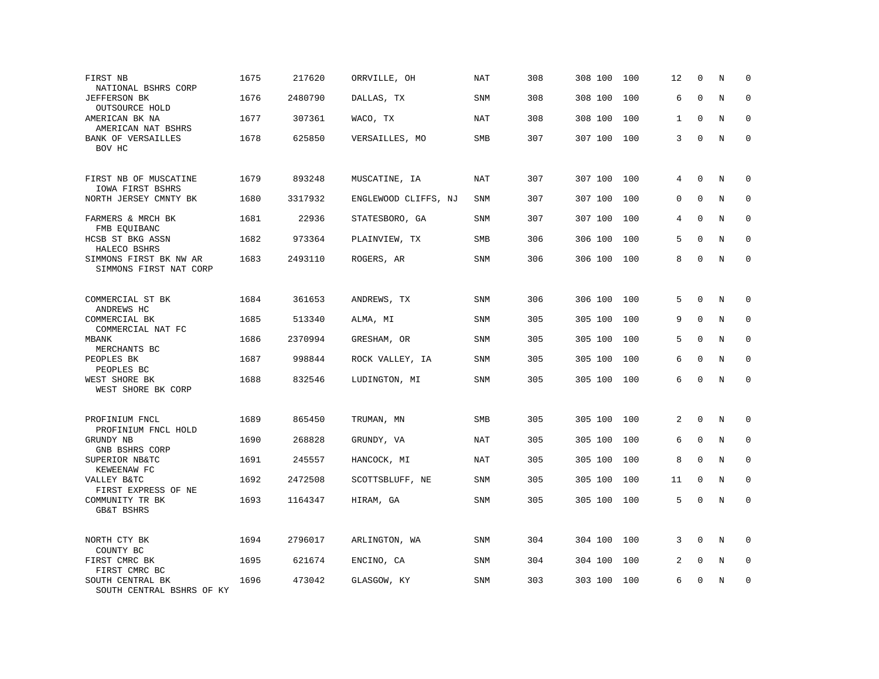| FIRST NB<br>NATIONAL BSHRS CORP                  | 1675 | 217620  | ORRVILLE, OH         | NAT        | 308 | 308 100 | 100 | 12 | $\mathbf 0$  | N       | $\mathbf 0$  |
|--------------------------------------------------|------|---------|----------------------|------------|-----|---------|-----|----|--------------|---------|--------------|
| <b>JEFFERSON BK</b><br>OUTSOURCE HOLD            | 1676 | 2480790 | DALLAS, TX           | SNM        | 308 | 308 100 | 100 | 6  | $\mathbf{0}$ | $\rm N$ | $\mathbf 0$  |
| AMERICAN BK NA<br>AMERICAN NAT BSHRS             | 1677 | 307361  | WACO, TX             | NAT        | 308 | 308 100 | 100 | 1  | $\mathbf 0$  | N       | 0            |
| <b>BANK OF VERSAILLES</b><br>BOV HC              | 1678 | 625850  | VERSAILLES, MO       | SMB        | 307 | 307 100 | 100 | 3  | $\mathbf{0}$ | N       | $\mathbf 0$  |
| FIRST NB OF MUSCATINE<br>IOWA FIRST BSHRS        | 1679 | 893248  | MUSCATINE, IA        | <b>NAT</b> | 307 | 307 100 | 100 | 4  | $\mathbf{0}$ | N       | 0            |
| NORTH JERSEY CMNTY BK                            | 1680 | 3317932 | ENGLEWOOD CLIFFS, NJ | <b>SNM</b> | 307 | 307 100 | 100 | 0  | $\mathbf{0}$ | N       | $\mathbf 0$  |
| FARMERS & MRCH BK<br>FMB EQUIBANC                | 1681 | 22936   | STATESBORO, GA       | SNM        | 307 | 307 100 | 100 | 4  | $\Omega$     | N       | $\mathbf 0$  |
| HCSB ST BKG ASSN<br>HALECO BSHRS                 | 1682 | 973364  | PLAINVIEW, TX        | <b>SMB</b> | 306 | 306 100 | 100 | 5  | $\Omega$     | N       | $\mathbf 0$  |
| SIMMONS FIRST BK NW AR<br>SIMMONS FIRST NAT CORP | 1683 | 2493110 | ROGERS, AR           | SNM        | 306 | 306 100 | 100 | 8  | $\Omega$     | N       | $\mathbf 0$  |
| COMMERCIAL ST BK                                 | 1684 | 361653  | ANDREWS, TX          | <b>SNM</b> | 306 | 306 100 | 100 | 5  | $\mathbf 0$  | N       | 0            |
| ANDREWS HC<br>COMMERCIAL BK<br>COMMERCIAL NAT FC | 1685 | 513340  | ALMA, MI             | <b>SNM</b> | 305 | 305 100 | 100 | 9  | $\mathbf{0}$ | N       | $\mathbf 0$  |
| <b>MBANK</b><br>MERCHANTS BC                     | 1686 | 2370994 | GRESHAM, OR          | SNM        | 305 | 305 100 | 100 | 5  | $\mathbf{0}$ | N       | $\mathbf 0$  |
| PEOPLES BK<br>PEOPLES BC                         | 1687 | 998844  | ROCK VALLEY, IA      | <b>SNM</b> | 305 | 305 100 | 100 | 6  | $\Omega$     | N       | $\Omega$     |
| WEST SHORE BK<br>WEST SHORE BK CORP              | 1688 | 832546  | LUDINGTON, MI        | SNM        | 305 | 305 100 | 100 | 6  | $\Omega$     | N       | $\mathbf 0$  |
| PROFINIUM FNCL<br>PROFINIUM FNCL HOLD            | 1689 | 865450  | TRUMAN, MN           | SMB        | 305 | 305 100 | 100 | 2  | $\mathbf 0$  | N       | 0            |
| GRUNDY NB<br>GNB BSHRS CORP                      | 1690 | 268828  | GRUNDY, VA           | <b>NAT</b> | 305 | 305 100 | 100 | 6  | $\mathbf{0}$ | N       | $\mathbf{0}$ |
| SUPERIOR NB&TC<br>KEWEENAW FC                    | 1691 | 245557  | HANCOCK, MI          | <b>NAT</b> | 305 | 305 100 | 100 | 8  | $\Omega$     | N       | $\Omega$     |
| VALLEY B&TC<br>FIRST EXPRESS OF NE               | 1692 | 2472508 | SCOTTSBLUFF, NE      | <b>SNM</b> | 305 | 305 100 | 100 | 11 | $\mathbf 0$  | N       | $\mathbf 0$  |
| COMMUNITY TR BK<br><b>GB&amp;T BSHRS</b>         | 1693 | 1164347 | HIRAM, GA            | SNM        | 305 | 305 100 | 100 | 5  | $\Omega$     | N       | $\mathbf 0$  |
| NORTH CTY BK<br>COUNTY BC                        | 1694 | 2796017 | ARLINGTON, WA        | SNM        | 304 | 304 100 | 100 | 3  | $\Omega$     | N       | $\Omega$     |
| FIRST CMRC BK<br>FIRST CMRC BC                   | 1695 | 621674  | ENCINO, CA           | SNM        | 304 | 304 100 | 100 | 2  | $\mathbf 0$  | Ν       | 0            |
| SOUTH CENTRAL BK<br>SOUTH CENTRAL BSHRS OF KY    | 1696 | 473042  | GLASGOW, KY          | <b>SNM</b> | 303 | 303 100 | 100 | 6  | $\mathbf 0$  | N       | $\mathbf 0$  |